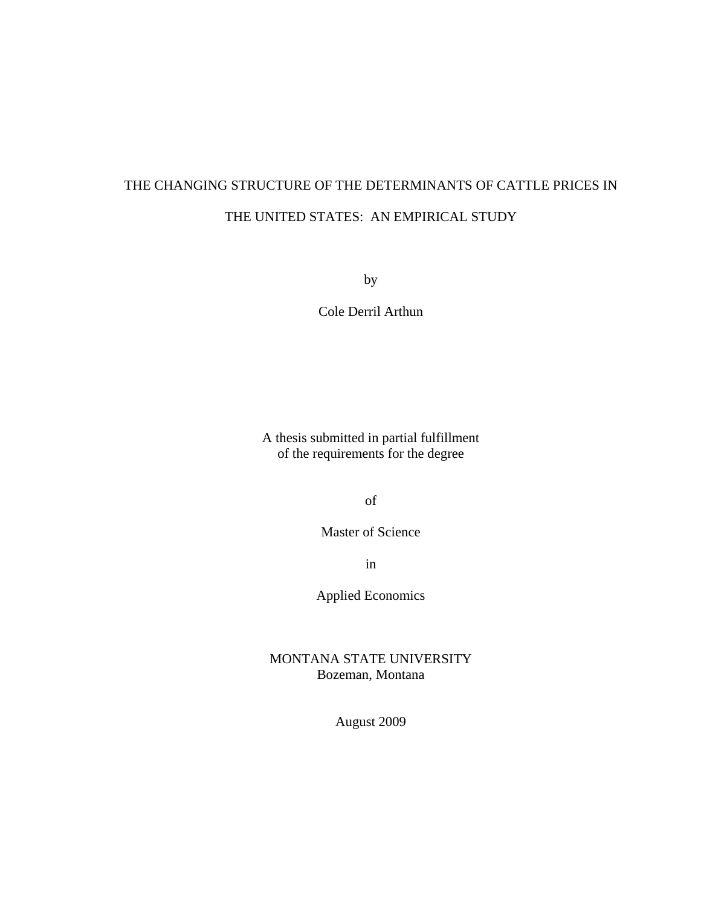# THE CHANGING STRUCTURE OF THE DETERMINANTS OF CATTLE PRICES IN THE UNITED STATES: AN EMPIRICAL STUDY

by

Cole Derril Arthun

A thesis submitted in partial fulfillment of the requirements for the degree

of

Master of Science

in

Applied Economics

MONTANA STATE UNIVERSITY Bozeman, Montana

August 2009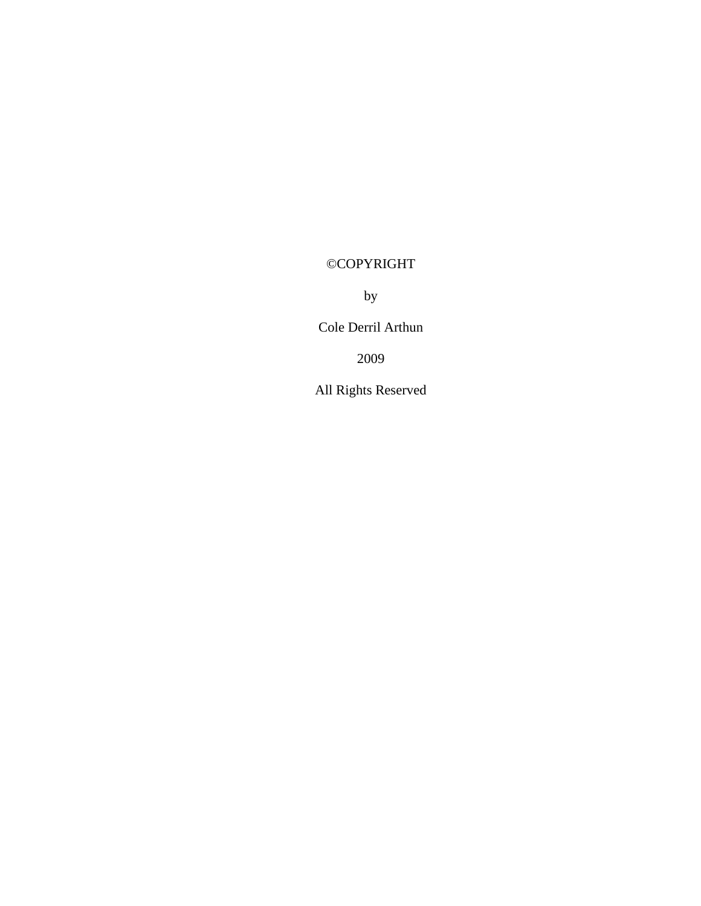# ©COPYRIGHT

by

Cole Derril Arthun

2009

All Rights Reserved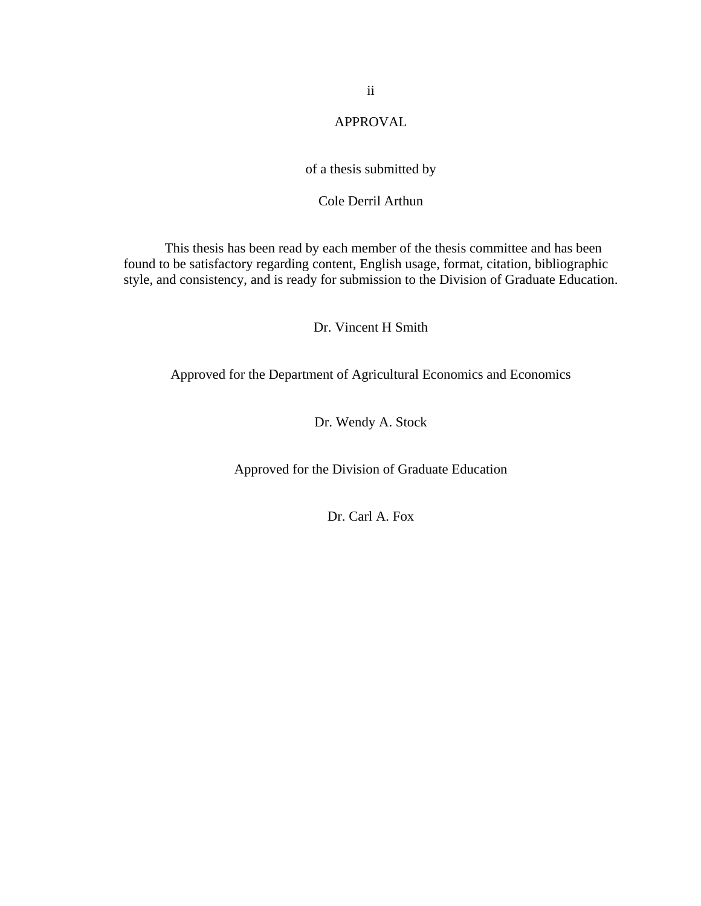# APPROVAL

# of a thesis submitted by

# Cole Derril Arthun

This thesis has been read by each member of the thesis committee and has been found to be satisfactory regarding content, English usage, format, citation, bibliographic style, and consistency, and is ready for submission to the Division of Graduate Education.

Dr. Vincent H Smith

Approved for the Department of Agricultural Economics and Economics

Dr. Wendy A. Stock

Approved for the Division of Graduate Education

Dr. Carl A. Fox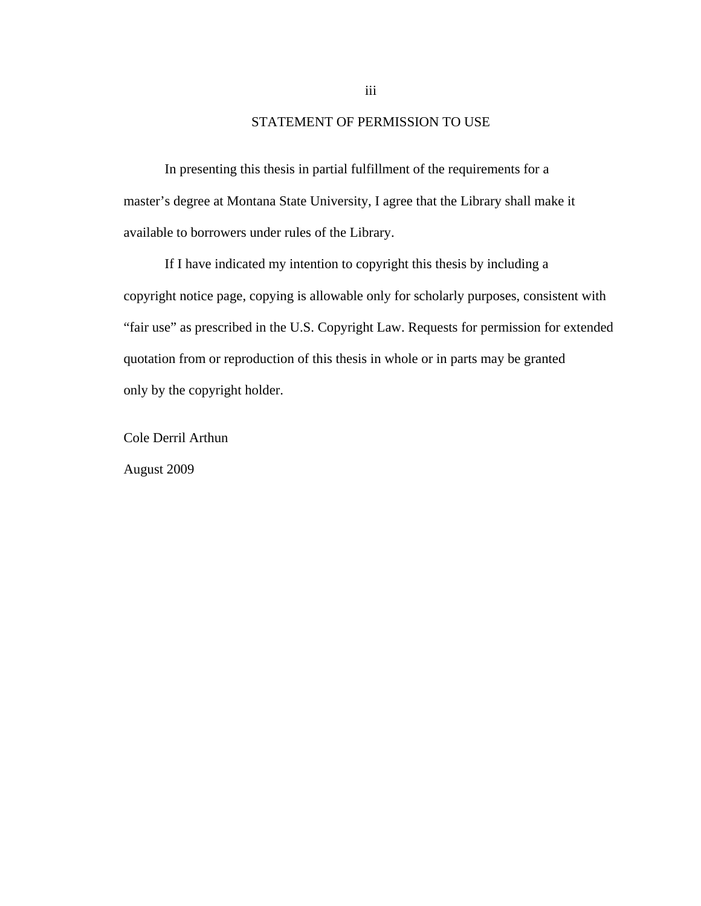# STATEMENT OF PERMISSION TO USE

In presenting this thesis in partial fulfillment of the requirements for a master's degree at Montana State University, I agree that the Library shall make it available to borrowers under rules of the Library.

If I have indicated my intention to copyright this thesis by including a copyright notice page, copying is allowable only for scholarly purposes, consistent with "fair use" as prescribed in the U.S. Copyright Law. Requests for permission for extended quotation from or reproduction of this thesis in whole or in parts may be granted only by the copyright holder.

Cole Derril Arthun

August 2009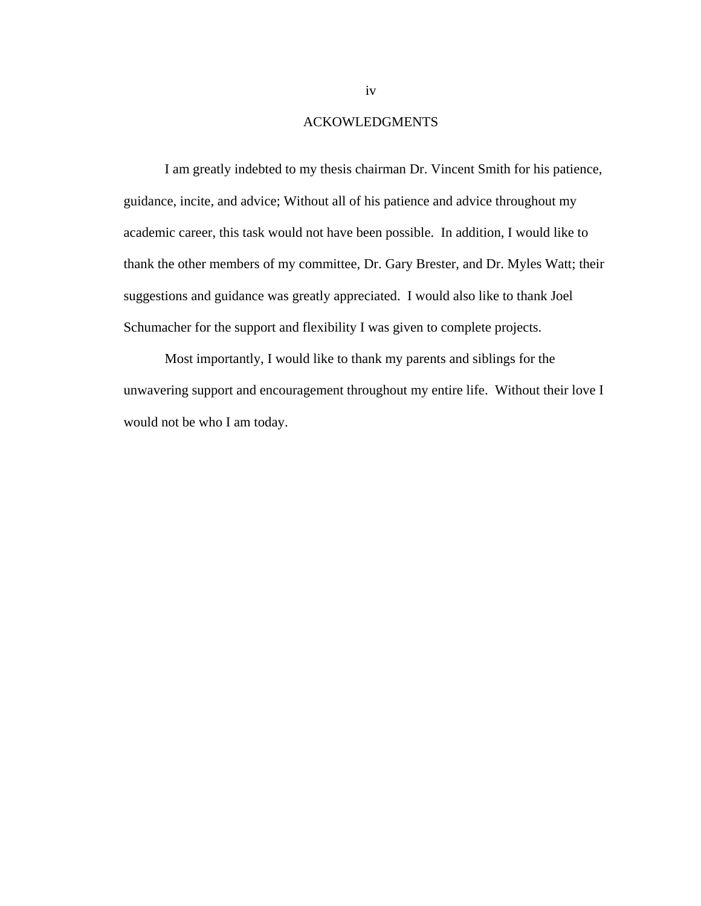# ACKOWLEDGMENTS

 I am greatly indebted to my thesis chairman Dr. Vincent Smith for his patience, guidance, incite, and advice; Without all of his patience and advice throughout my academic career, this task would not have been possible. In addition, I would like to thank the other members of my committee, Dr. Gary Brester, and Dr. Myles Watt; their suggestions and guidance was greatly appreciated. I would also like to thank Joel Schumacher for the support and flexibility I was given to complete projects.

 Most importantly, I would like to thank my parents and siblings for the unwavering support and encouragement throughout my entire life. Without their love I would not be who I am today.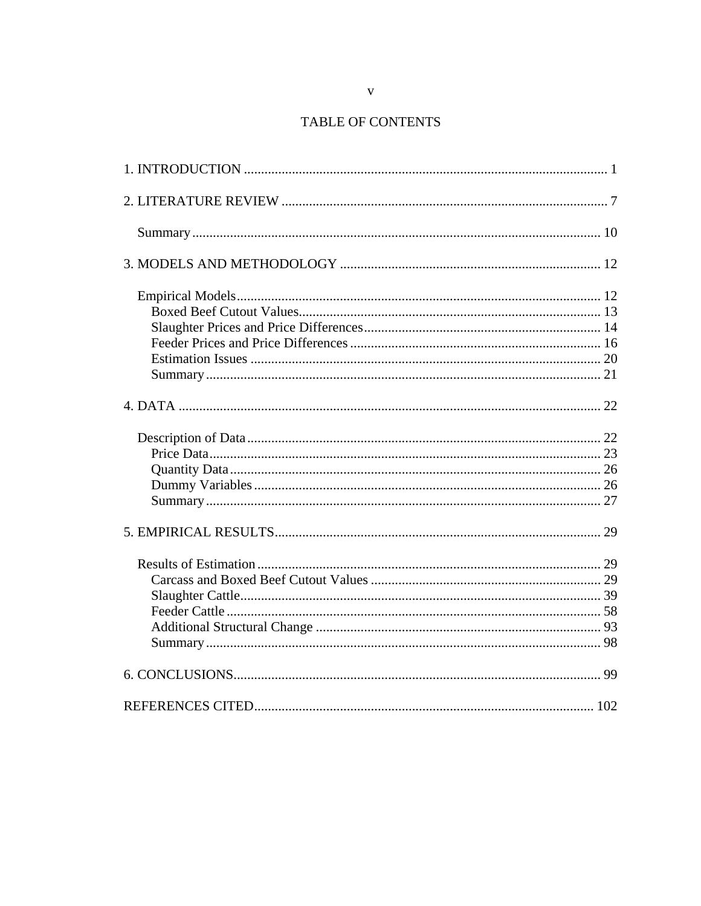# TABLE OF CONTENTS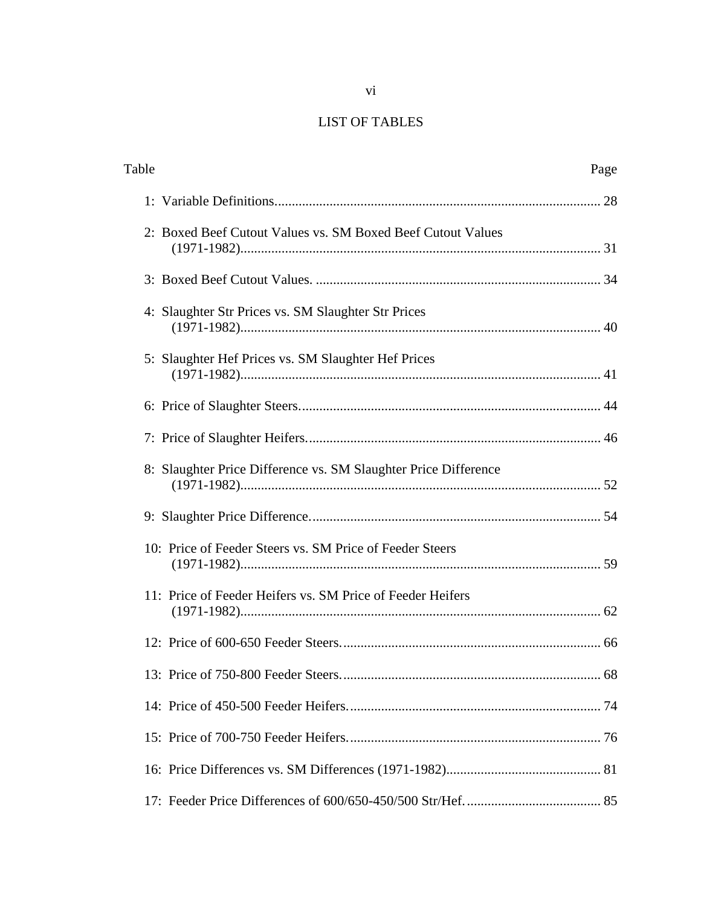# LIST OF TABLES

| Table |                                                                 | Page |
|-------|-----------------------------------------------------------------|------|
|       |                                                                 |      |
|       | 2: Boxed Beef Cutout Values vs. SM Boxed Beef Cutout Values     |      |
|       |                                                                 |      |
|       | 4: Slaughter Str Prices vs. SM Slaughter Str Prices             |      |
|       | 5: Slaughter Hef Prices vs. SM Slaughter Hef Prices             |      |
|       |                                                                 |      |
|       |                                                                 |      |
|       | 8: Slaughter Price Difference vs. SM Slaughter Price Difference |      |
|       |                                                                 |      |
|       | 10: Price of Feeder Steers vs. SM Price of Feeder Steers        |      |
|       | 11: Price of Feeder Heifers vs. SM Price of Feeder Heifers      |      |
|       |                                                                 |      |
|       |                                                                 | .68  |
|       |                                                                 |      |
|       |                                                                 |      |
|       |                                                                 |      |
|       |                                                                 |      |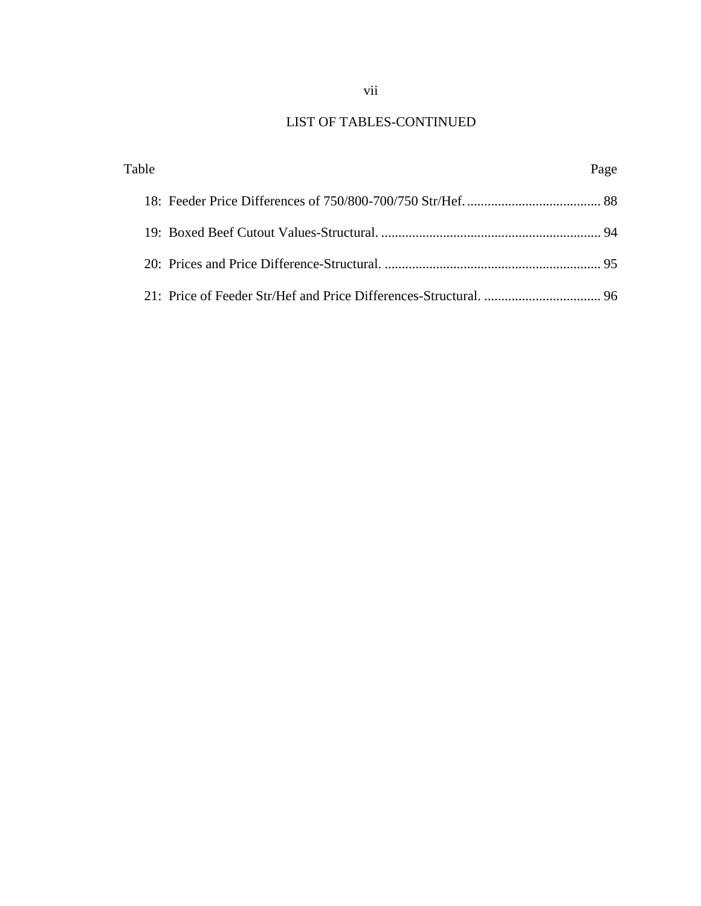# LIST OF TABLES-CONTINUED

| Table | Page |
|-------|------|
|       |      |
|       |      |
|       |      |
|       |      |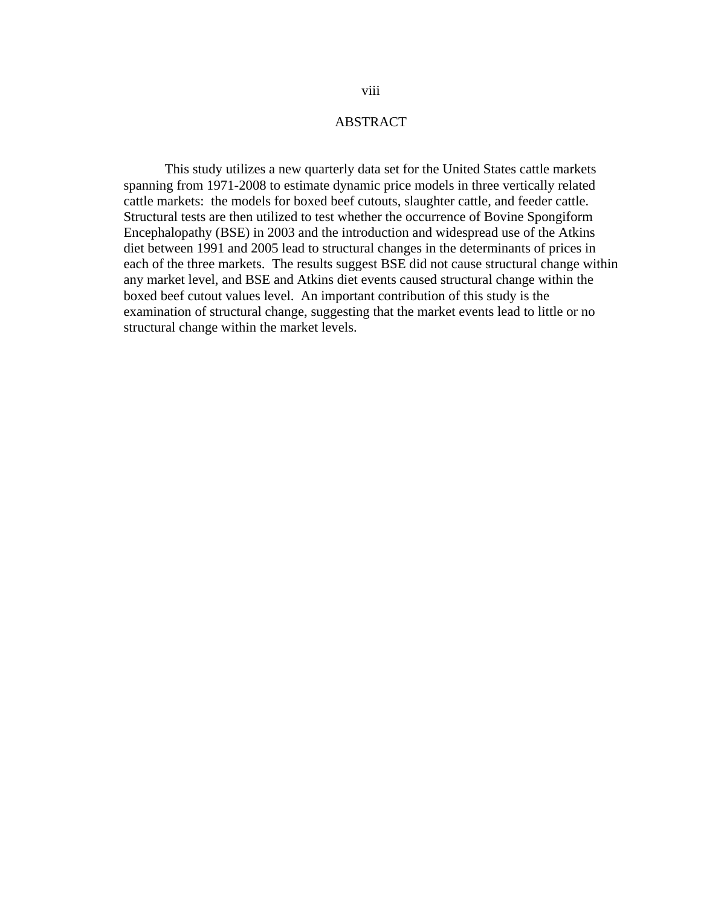# ABSTRACT

This study utilizes a new quarterly data set for the United States cattle markets spanning from 1971-2008 to estimate dynamic price models in three vertically related cattle markets: the models for boxed beef cutouts, slaughter cattle, and feeder cattle. Structural tests are then utilized to test whether the occurrence of Bovine Spongiform Encephalopathy (BSE) in 2003 and the introduction and widespread use of the Atkins diet between 1991 and 2005 lead to structural changes in the determinants of prices in each of the three markets. The results suggest BSE did not cause structural change within any market level, and BSE and Atkins diet events caused structural change within the boxed beef cutout values level. An important contribution of this study is the examination of structural change, suggesting that the market events lead to little or no structural change within the market levels.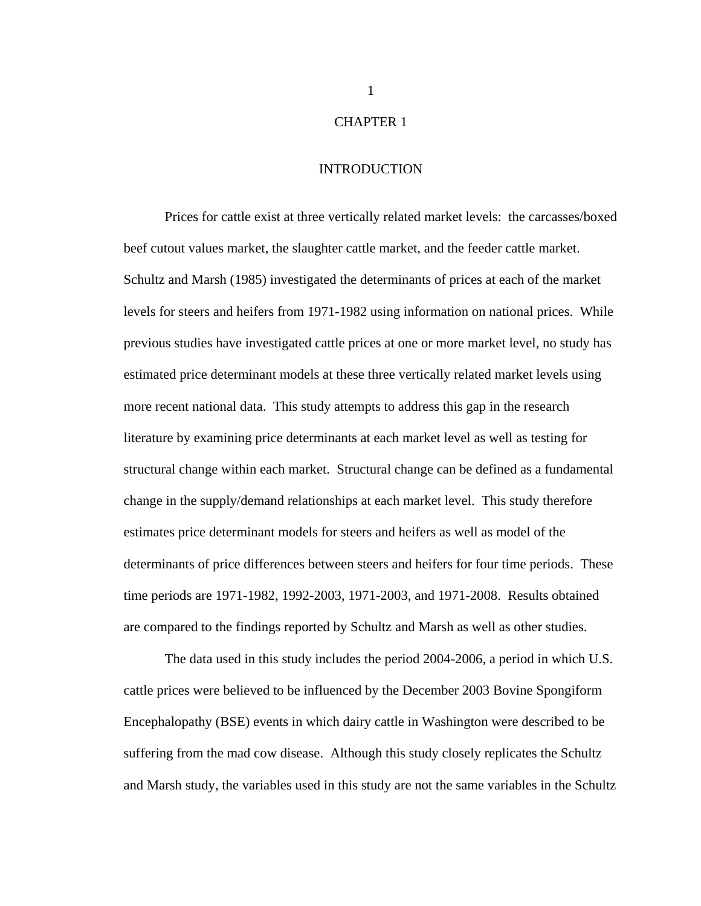# CHAPTER 1

#### INTRODUCTION

Prices for cattle exist at three vertically related market levels: the carcasses/boxed beef cutout values market, the slaughter cattle market, and the feeder cattle market. Schultz and Marsh (1985) investigated the determinants of prices at each of the market levels for steers and heifers from 1971-1982 using information on national prices. While previous studies have investigated cattle prices at one or more market level, no study has estimated price determinant models at these three vertically related market levels using more recent national data. This study attempts to address this gap in the research literature by examining price determinants at each market level as well as testing for structural change within each market. Structural change can be defined as a fundamental change in the supply/demand relationships at each market level. This study therefore estimates price determinant models for steers and heifers as well as model of the determinants of price differences between steers and heifers for four time periods. These time periods are 1971-1982, 1992-2003, 1971-2003, and 1971-2008. Results obtained are compared to the findings reported by Schultz and Marsh as well as other studies.

The data used in this study includes the period 2004-2006, a period in which U.S. cattle prices were believed to be influenced by the December 2003 Bovine Spongiform Encephalopathy (BSE) events in which dairy cattle in Washington were described to be suffering from the mad cow disease. Although this study closely replicates the Schultz and Marsh study, the variables used in this study are not the same variables in the Schultz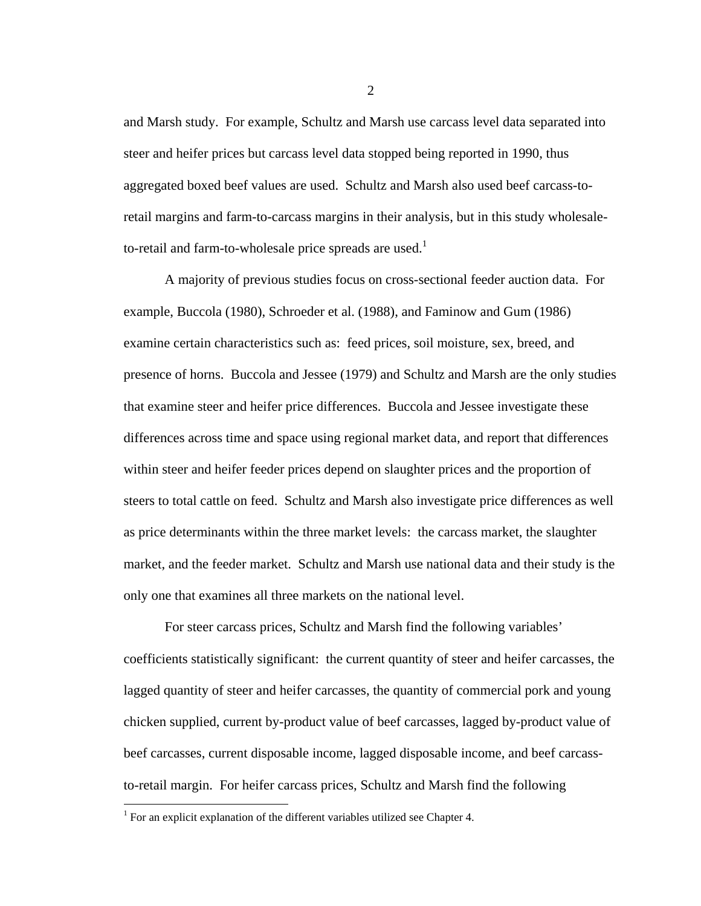and Marsh study. For example, Schultz and Marsh use carcass level data separated into steer and heifer prices but carcass level data stopped being reported in 1990, thus aggregated boxed beef values are used. Schultz and Marsh also used beef carcass-toretail margins and farm-to-carcass margins in their analysis, but in this study wholesaleto-retail and farm-to-wholesale price spreads are used.<sup>1</sup>

A majority of previous studies focus on cross-sectional feeder auction data. For example, Buccola (1980), Schroeder et al. (1988), and Faminow and Gum (1986) examine certain characteristics such as: feed prices, soil moisture, sex, breed, and presence of horns. Buccola and Jessee (1979) and Schultz and Marsh are the only studies that examine steer and heifer price differences. Buccola and Jessee investigate these differences across time and space using regional market data, and report that differences within steer and heifer feeder prices depend on slaughter prices and the proportion of steers to total cattle on feed. Schultz and Marsh also investigate price differences as well as price determinants within the three market levels: the carcass market, the slaughter market, and the feeder market. Schultz and Marsh use national data and their study is the only one that examines all three markets on the national level.

For steer carcass prices, Schultz and Marsh find the following variables' coefficients statistically significant: the current quantity of steer and heifer carcasses, the lagged quantity of steer and heifer carcasses, the quantity of commercial pork and young chicken supplied, current by-product value of beef carcasses, lagged by-product value of beef carcasses, current disposable income, lagged disposable income, and beef carcassto-retail margin. For heifer carcass prices, Schultz and Marsh find the following

<u>.</u>

<sup>&</sup>lt;sup>1</sup> For an explicit explanation of the different variables utilized see Chapter 4.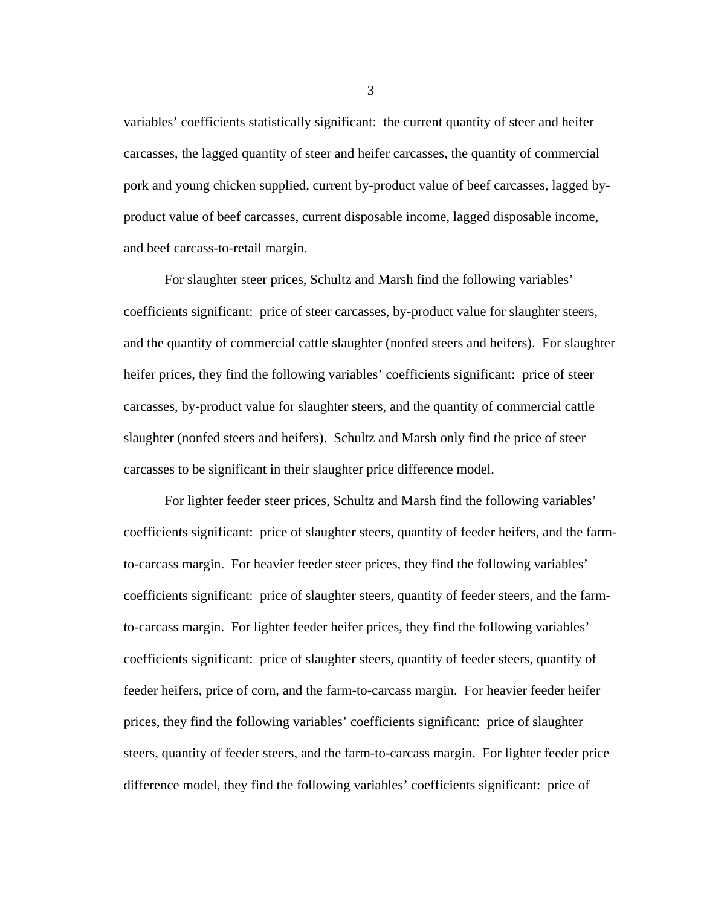variables' coefficients statistically significant: the current quantity of steer and heifer carcasses, the lagged quantity of steer and heifer carcasses, the quantity of commercial pork and young chicken supplied, current by-product value of beef carcasses, lagged byproduct value of beef carcasses, current disposable income, lagged disposable income, and beef carcass-to-retail margin.

For slaughter steer prices, Schultz and Marsh find the following variables' coefficients significant: price of steer carcasses, by-product value for slaughter steers, and the quantity of commercial cattle slaughter (nonfed steers and heifers). For slaughter heifer prices, they find the following variables' coefficients significant: price of steer carcasses, by-product value for slaughter steers, and the quantity of commercial cattle slaughter (nonfed steers and heifers). Schultz and Marsh only find the price of steer carcasses to be significant in their slaughter price difference model.

For lighter feeder steer prices, Schultz and Marsh find the following variables' coefficients significant: price of slaughter steers, quantity of feeder heifers, and the farmto-carcass margin. For heavier feeder steer prices, they find the following variables' coefficients significant: price of slaughter steers, quantity of feeder steers, and the farmto-carcass margin. For lighter feeder heifer prices, they find the following variables' coefficients significant: price of slaughter steers, quantity of feeder steers, quantity of feeder heifers, price of corn, and the farm-to-carcass margin. For heavier feeder heifer prices, they find the following variables' coefficients significant: price of slaughter steers, quantity of feeder steers, and the farm-to-carcass margin. For lighter feeder price difference model, they find the following variables' coefficients significant: price of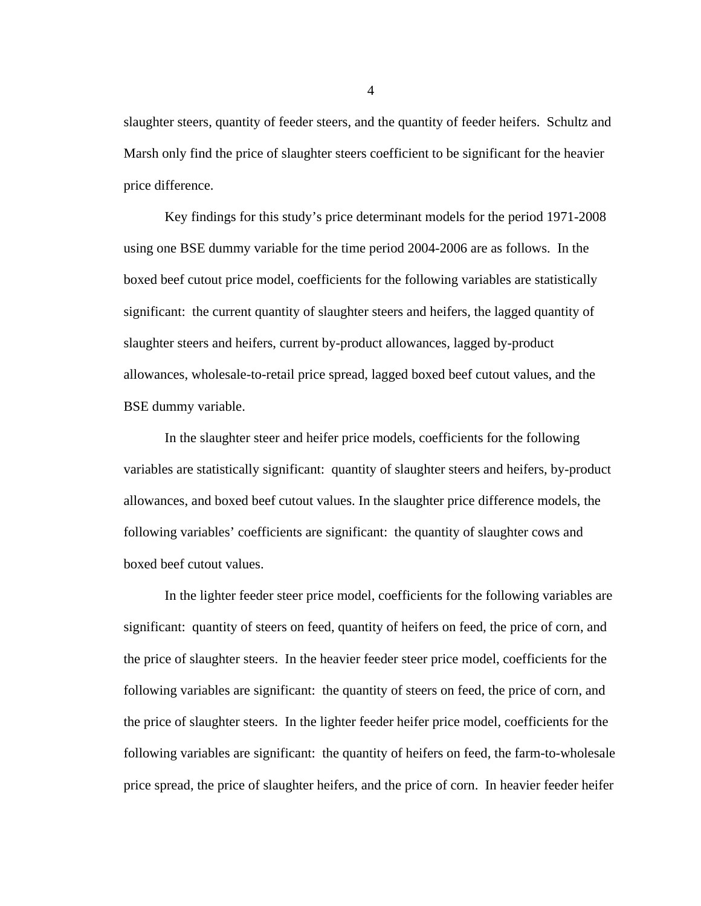slaughter steers, quantity of feeder steers, and the quantity of feeder heifers. Schultz and Marsh only find the price of slaughter steers coefficient to be significant for the heavier price difference.

 Key findings for this study's price determinant models for the period 1971-2008 using one BSE dummy variable for the time period 2004-2006 are as follows. In the boxed beef cutout price model, coefficients for the following variables are statistically significant: the current quantity of slaughter steers and heifers, the lagged quantity of slaughter steers and heifers, current by-product allowances, lagged by-product allowances, wholesale-to-retail price spread, lagged boxed beef cutout values, and the BSE dummy variable.

In the slaughter steer and heifer price models, coefficients for the following variables are statistically significant: quantity of slaughter steers and heifers, by-product allowances, and boxed beef cutout values. In the slaughter price difference models, the following variables' coefficients are significant: the quantity of slaughter cows and boxed beef cutout values.

In the lighter feeder steer price model, coefficients for the following variables are significant: quantity of steers on feed, quantity of heifers on feed, the price of corn, and the price of slaughter steers. In the heavier feeder steer price model, coefficients for the following variables are significant: the quantity of steers on feed, the price of corn, and the price of slaughter steers. In the lighter feeder heifer price model, coefficients for the following variables are significant: the quantity of heifers on feed, the farm-to-wholesale price spread, the price of slaughter heifers, and the price of corn. In heavier feeder heifer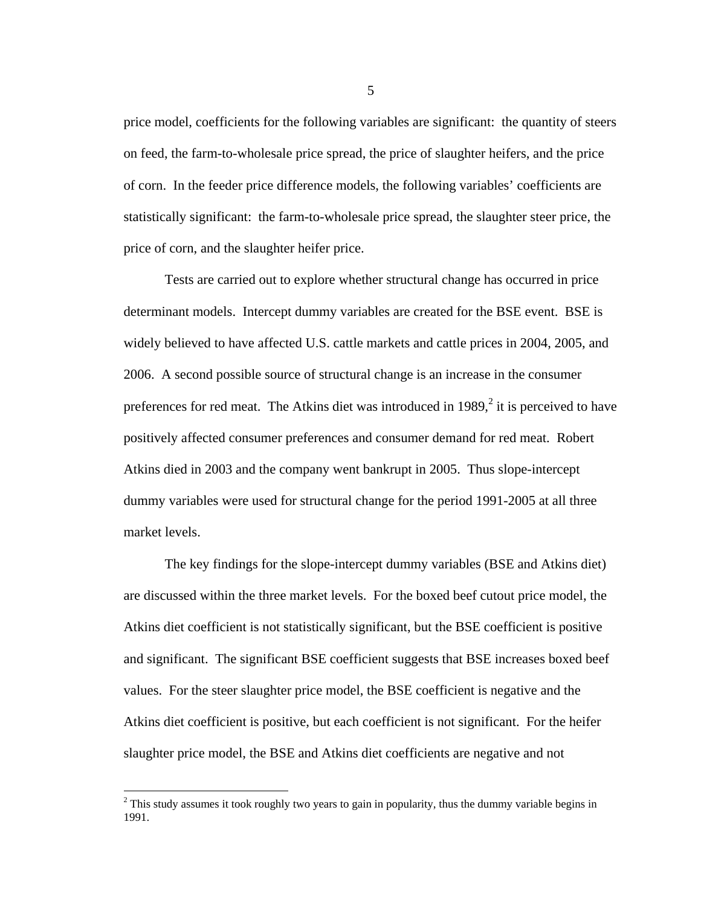price model, coefficients for the following variables are significant: the quantity of steers on feed, the farm-to-wholesale price spread, the price of slaughter heifers, and the price of corn. In the feeder price difference models, the following variables' coefficients are statistically significant: the farm-to-wholesale price spread, the slaughter steer price, the price of corn, and the slaughter heifer price.

Tests are carried out to explore whether structural change has occurred in price determinant models. Intercept dummy variables are created for the BSE event. BSE is widely believed to have affected U.S. cattle markets and cattle prices in 2004, 2005, and 2006. A second possible source of structural change is an increase in the consumer preferences for red meat. The Atkins diet was introduced in 1989, $2$  it is perceived to have positively affected consumer preferences and consumer demand for red meat. Robert Atkins died in 2003 and the company went bankrupt in 2005. Thus slope-intercept dummy variables were used for structural change for the period 1991-2005 at all three market levels.

The key findings for the slope-intercept dummy variables (BSE and Atkins diet) are discussed within the three market levels. For the boxed beef cutout price model, the Atkins diet coefficient is not statistically significant, but the BSE coefficient is positive and significant. The significant BSE coefficient suggests that BSE increases boxed beef values. For the steer slaughter price model, the BSE coefficient is negative and the Atkins diet coefficient is positive, but each coefficient is not significant. For the heifer slaughter price model, the BSE and Atkins diet coefficients are negative and not

 $\overline{a}$ 

 $2$  This study assumes it took roughly two years to gain in popularity, thus the dummy variable begins in 1991.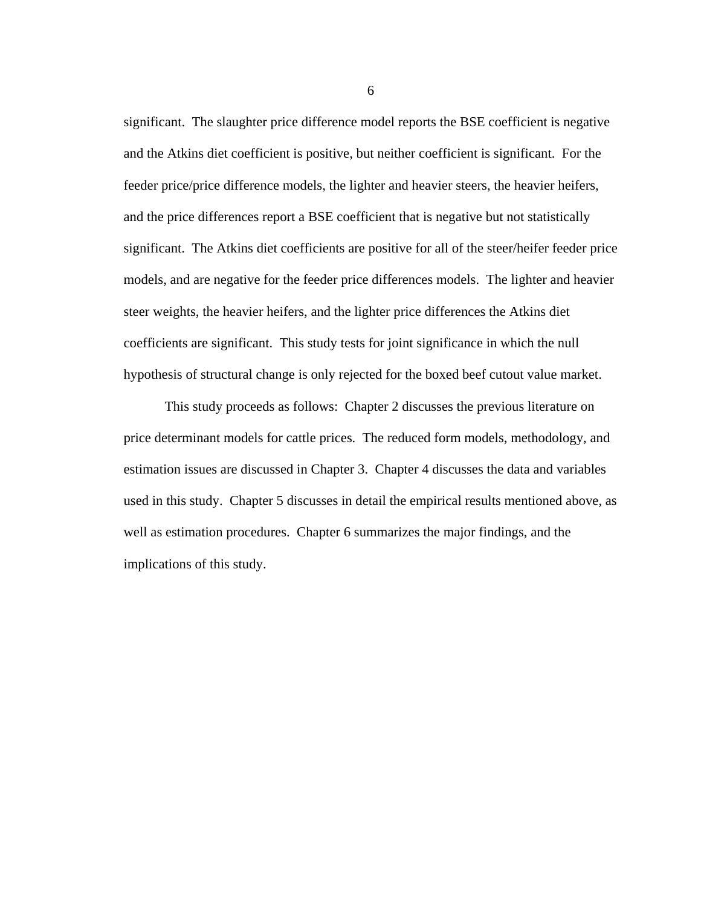significant. The slaughter price difference model reports the BSE coefficient is negative and the Atkins diet coefficient is positive, but neither coefficient is significant. For the feeder price/price difference models, the lighter and heavier steers, the heavier heifers, and the price differences report a BSE coefficient that is negative but not statistically significant. The Atkins diet coefficients are positive for all of the steer/heifer feeder price models, and are negative for the feeder price differences models. The lighter and heavier steer weights, the heavier heifers, and the lighter price differences the Atkins diet coefficients are significant. This study tests for joint significance in which the null hypothesis of structural change is only rejected for the boxed beef cutout value market.

 This study proceeds as follows: Chapter 2 discusses the previous literature on price determinant models for cattle prices. The reduced form models, methodology, and estimation issues are discussed in Chapter 3. Chapter 4 discusses the data and variables used in this study. Chapter 5 discusses in detail the empirical results mentioned above, as well as estimation procedures. Chapter 6 summarizes the major findings, and the implications of this study.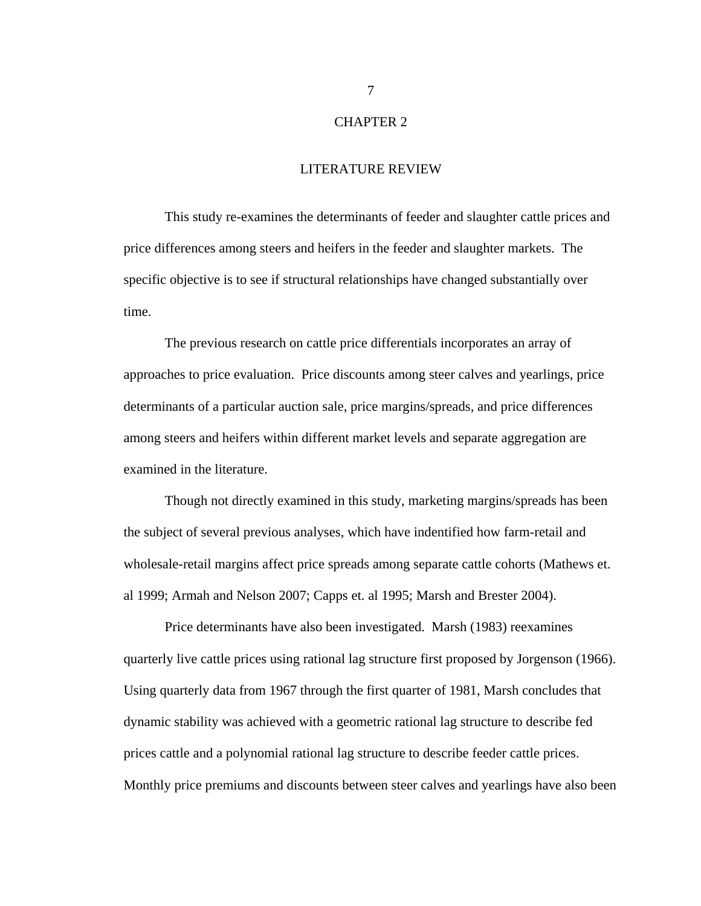# CHAPTER 2

#### LITERATURE REVIEW

 This study re-examines the determinants of feeder and slaughter cattle prices and price differences among steers and heifers in the feeder and slaughter markets. The specific objective is to see if structural relationships have changed substantially over time.

 The previous research on cattle price differentials incorporates an array of approaches to price evaluation. Price discounts among steer calves and yearlings, price determinants of a particular auction sale, price margins/spreads, and price differences among steers and heifers within different market levels and separate aggregation are examined in the literature.

 Though not directly examined in this study, marketing margins/spreads has been the subject of several previous analyses, which have indentified how farm-retail and wholesale-retail margins affect price spreads among separate cattle cohorts (Mathews et. al 1999; Armah and Nelson 2007; Capps et. al 1995; Marsh and Brester 2004).

Price determinants have also been investigated. Marsh (1983) reexamines quarterly live cattle prices using rational lag structure first proposed by Jorgenson (1966). Using quarterly data from 1967 through the first quarter of 1981, Marsh concludes that dynamic stability was achieved with a geometric rational lag structure to describe fed prices cattle and a polynomial rational lag structure to describe feeder cattle prices. Monthly price premiums and discounts between steer calves and yearlings have also been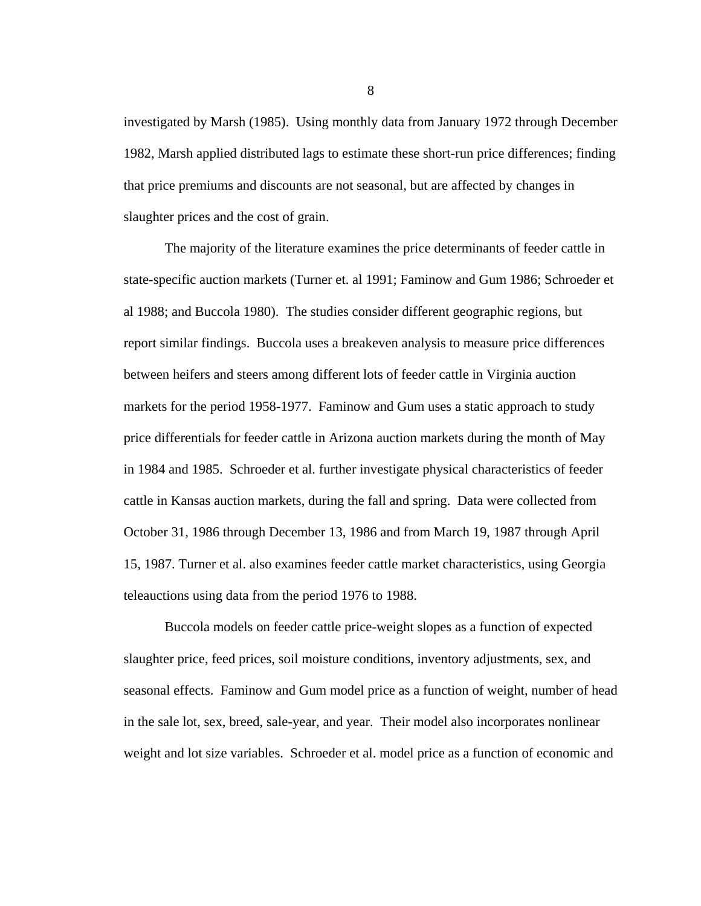investigated by Marsh (1985). Using monthly data from January 1972 through December 1982, Marsh applied distributed lags to estimate these short-run price differences; finding that price premiums and discounts are not seasonal, but are affected by changes in slaughter prices and the cost of grain.

The majority of the literature examines the price determinants of feeder cattle in state-specific auction markets (Turner et. al 1991; Faminow and Gum 1986; Schroeder et al 1988; and Buccola 1980). The studies consider different geographic regions, but report similar findings. Buccola uses a breakeven analysis to measure price differences between heifers and steers among different lots of feeder cattle in Virginia auction markets for the period 1958-1977. Faminow and Gum uses a static approach to study price differentials for feeder cattle in Arizona auction markets during the month of May in 1984 and 1985. Schroeder et al. further investigate physical characteristics of feeder cattle in Kansas auction markets, during the fall and spring. Data were collected from October 31, 1986 through December 13, 1986 and from March 19, 1987 through April 15, 1987. Turner et al. also examines feeder cattle market characteristics, using Georgia teleauctions using data from the period 1976 to 1988.

Buccola models on feeder cattle price-weight slopes as a function of expected slaughter price, feed prices, soil moisture conditions, inventory adjustments, sex, and seasonal effects. Faminow and Gum model price as a function of weight, number of head in the sale lot, sex, breed, sale-year, and year. Their model also incorporates nonlinear weight and lot size variables. Schroeder et al. model price as a function of economic and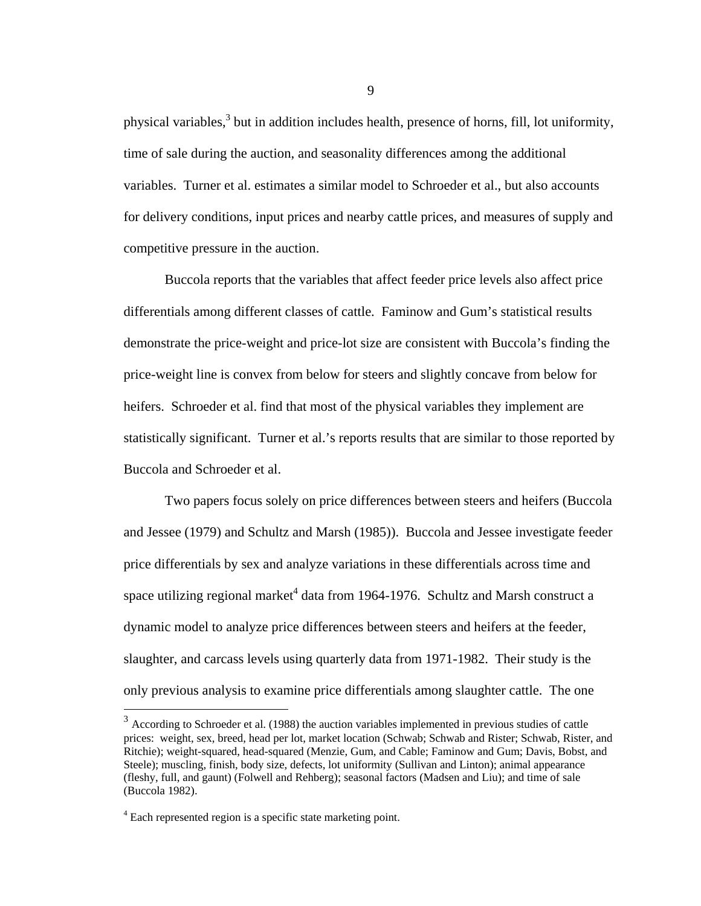physical variables,<sup>3</sup> but in addition includes health, presence of horns, fill, lot uniformity, time of sale during the auction, and seasonality differences among the additional variables. Turner et al. estimates a similar model to Schroeder et al., but also accounts for delivery conditions, input prices and nearby cattle prices, and measures of supply and competitive pressure in the auction.

Buccola reports that the variables that affect feeder price levels also affect price differentials among different classes of cattle. Faminow and Gum's statistical results demonstrate the price-weight and price-lot size are consistent with Buccola's finding the price-weight line is convex from below for steers and slightly concave from below for heifers. Schroeder et al. find that most of the physical variables they implement are statistically significant. Turner et al.'s reports results that are similar to those reported by Buccola and Schroeder et al.

Two papers focus solely on price differences between steers and heifers (Buccola and Jessee (1979) and Schultz and Marsh (1985)). Buccola and Jessee investigate feeder price differentials by sex and analyze variations in these differentials across time and space utilizing regional market $^4$  data from 1964-1976. Schultz and Marsh construct a dynamic model to analyze price differences between steers and heifers at the feeder, slaughter, and carcass levels using quarterly data from 1971-1982. Their study is the only previous analysis to examine price differentials among slaughter cattle. The one

 $\overline{a}$ 

 $3 \text{ According to Schroeder et al.}$  (1988) the auction variables implemented in previous studies of cattle prices: weight, sex, breed, head per lot, market location (Schwab; Schwab and Rister; Schwab, Rister, and Ritchie); weight-squared, head-squared (Menzie, Gum, and Cable; Faminow and Gum; Davis, Bobst, and Steele); muscling, finish, body size, defects, lot uniformity (Sullivan and Linton); animal appearance (fleshy, full, and gaunt) (Folwell and Rehberg); seasonal factors (Madsen and Liu); and time of sale (Buccola 1982).

<sup>&</sup>lt;sup>4</sup> Each represented region is a specific state marketing point.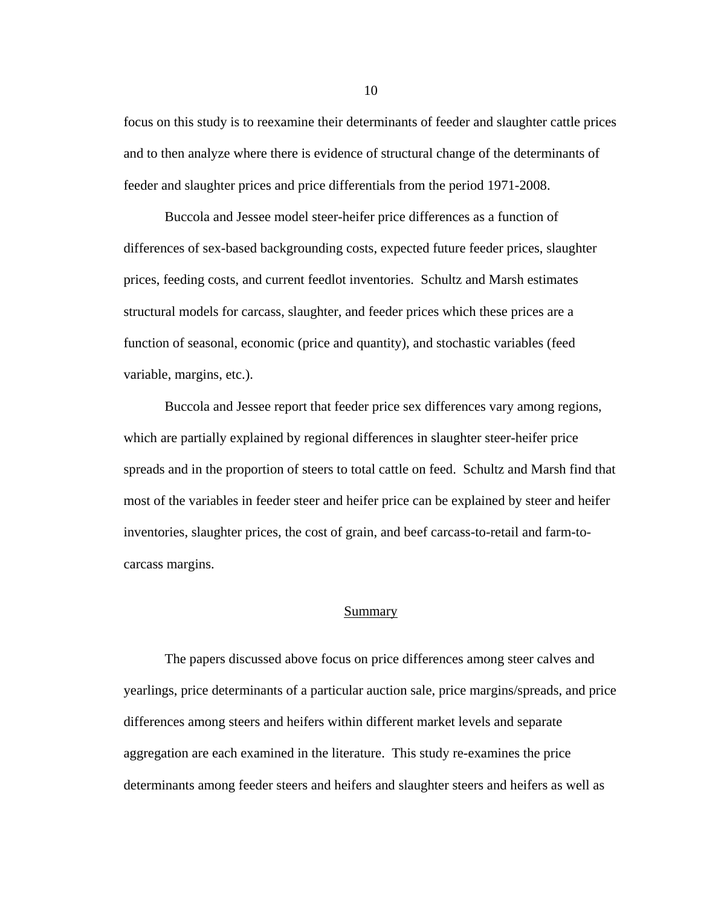focus on this study is to reexamine their determinants of feeder and slaughter cattle prices and to then analyze where there is evidence of structural change of the determinants of feeder and slaughter prices and price differentials from the period 1971-2008.

Buccola and Jessee model steer-heifer price differences as a function of differences of sex-based backgrounding costs, expected future feeder prices, slaughter prices, feeding costs, and current feedlot inventories. Schultz and Marsh estimates structural models for carcass, slaughter, and feeder prices which these prices are a function of seasonal, economic (price and quantity), and stochastic variables (feed variable, margins, etc.).

Buccola and Jessee report that feeder price sex differences vary among regions, which are partially explained by regional differences in slaughter steer-heifer price spreads and in the proportion of steers to total cattle on feed. Schultz and Marsh find that most of the variables in feeder steer and heifer price can be explained by steer and heifer inventories, slaughter prices, the cost of grain, and beef carcass-to-retail and farm-tocarcass margins.

# Summary

The papers discussed above focus on price differences among steer calves and yearlings, price determinants of a particular auction sale, price margins/spreads, and price differences among steers and heifers within different market levels and separate aggregation are each examined in the literature. This study re-examines the price determinants among feeder steers and heifers and slaughter steers and heifers as well as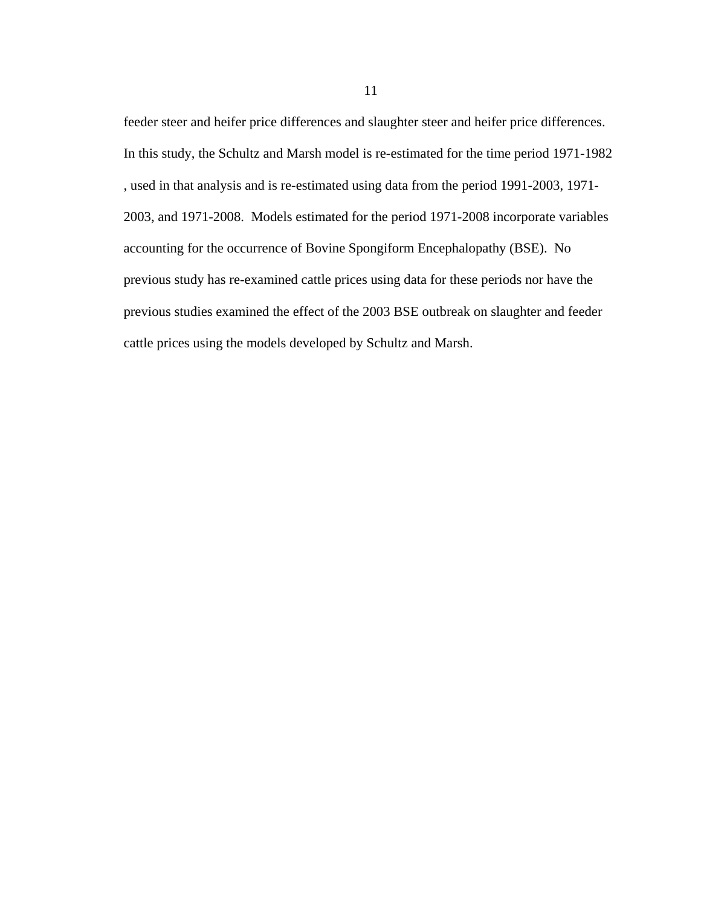feeder steer and heifer price differences and slaughter steer and heifer price differences. In this study, the Schultz and Marsh model is re-estimated for the time period 1971-1982 , used in that analysis and is re-estimated using data from the period 1991-2003, 1971- 2003, and 1971-2008. Models estimated for the period 1971-2008 incorporate variables accounting for the occurrence of Bovine Spongiform Encephalopathy (BSE). No previous study has re-examined cattle prices using data for these periods nor have the previous studies examined the effect of the 2003 BSE outbreak on slaughter and feeder cattle prices using the models developed by Schultz and Marsh.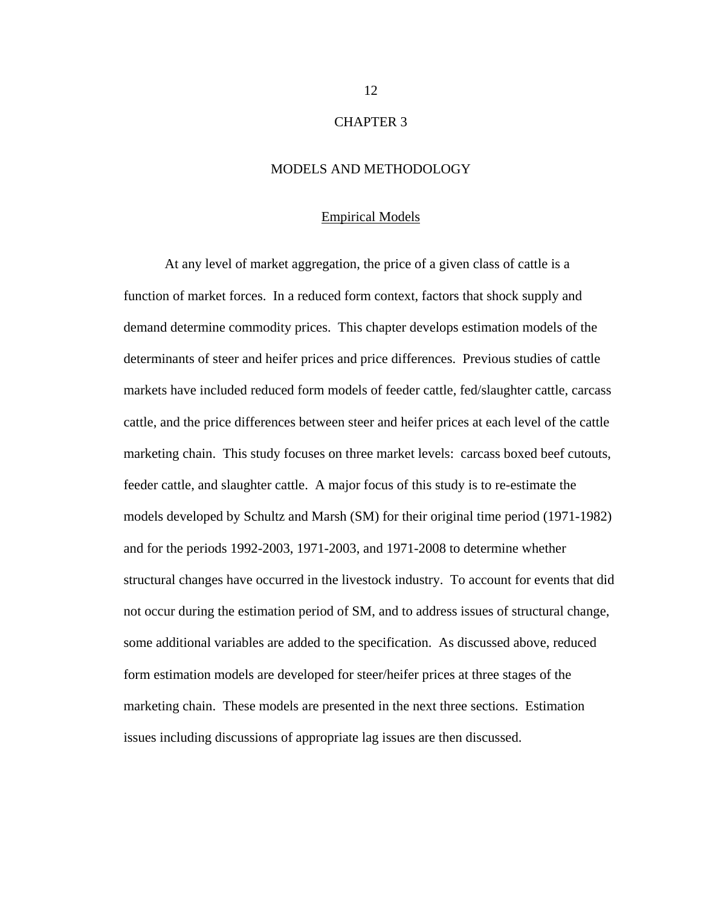# CHAPTER 3

# MODELS AND METHODOLOGY

#### Empirical Models

At any level of market aggregation, the price of a given class of cattle is a function of market forces. In a reduced form context, factors that shock supply and demand determine commodity prices. This chapter develops estimation models of the determinants of steer and heifer prices and price differences. Previous studies of cattle markets have included reduced form models of feeder cattle, fed/slaughter cattle, carcass cattle, and the price differences between steer and heifer prices at each level of the cattle marketing chain. This study focuses on three market levels: carcass boxed beef cutouts, feeder cattle, and slaughter cattle. A major focus of this study is to re-estimate the models developed by Schultz and Marsh (SM) for their original time period (1971-1982) and for the periods 1992-2003, 1971-2003, and 1971-2008 to determine whether structural changes have occurred in the livestock industry. To account for events that did not occur during the estimation period of SM, and to address issues of structural change, some additional variables are added to the specification. As discussed above, reduced form estimation models are developed for steer/heifer prices at three stages of the marketing chain. These models are presented in the next three sections. Estimation issues including discussions of appropriate lag issues are then discussed.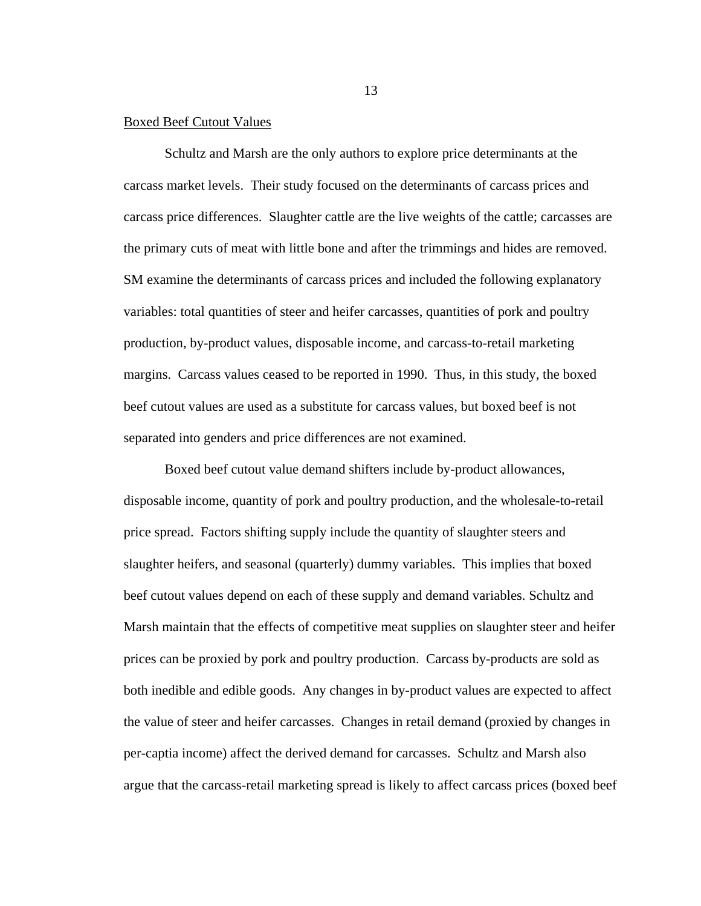#### Boxed Beef Cutout Values

Schultz and Marsh are the only authors to explore price determinants at the carcass market levels. Their study focused on the determinants of carcass prices and carcass price differences. Slaughter cattle are the live weights of the cattle; carcasses are the primary cuts of meat with little bone and after the trimmings and hides are removed. SM examine the determinants of carcass prices and included the following explanatory variables: total quantities of steer and heifer carcasses, quantities of pork and poultry production, by-product values, disposable income, and carcass-to-retail marketing margins. Carcass values ceased to be reported in 1990. Thus, in this study, the boxed beef cutout values are used as a substitute for carcass values, but boxed beef is not separated into genders and price differences are not examined.

Boxed beef cutout value demand shifters include by-product allowances, disposable income, quantity of pork and poultry production, and the wholesale-to-retail price spread. Factors shifting supply include the quantity of slaughter steers and slaughter heifers, and seasonal (quarterly) dummy variables. This implies that boxed beef cutout values depend on each of these supply and demand variables. Schultz and Marsh maintain that the effects of competitive meat supplies on slaughter steer and heifer prices can be proxied by pork and poultry production. Carcass by-products are sold as both inedible and edible goods. Any changes in by-product values are expected to affect the value of steer and heifer carcasses. Changes in retail demand (proxied by changes in per-captia income) affect the derived demand for carcasses. Schultz and Marsh also argue that the carcass-retail marketing spread is likely to affect carcass prices (boxed beef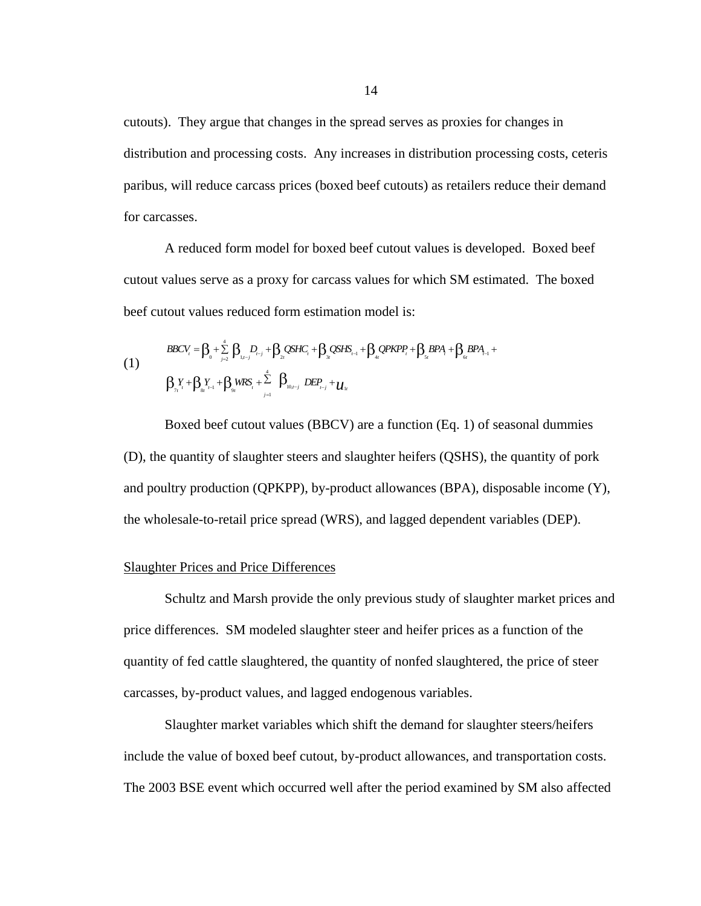cutouts). They argue that changes in the spread serves as proxies for changes in distribution and processing costs. Any increases in distribution processing costs, ceteris paribus, will reduce carcass prices (boxed beef cutouts) as retailers reduce their demand for carcasses.

A reduced form model for boxed beef cutout values is developed. Boxed beef cutout values serve as a proxy for carcass values for which SM estimated. The boxed beef cutout values reduced form estimation model is:

(1)  
\n
$$
BBCV_{i} = \beta_{0} + \sum_{j=2}^{4} \beta_{1,j-j} D_{i-j} + \beta_{2i} QSHC_{i} + \beta_{3i} QSHS_{i-1} + \beta_{4i} QPKPP_{i} + \beta_{5i} BPA_{i} + \beta_{6i} BPA_{i-1} + \beta_{7i} PAPA_{i} + \beta_{8i} PAPA_{i-1} + \sum_{j=1}^{4} \beta_{10i-j} DEP_{i-j} + \mathcal{U}_{1i}
$$

Boxed beef cutout values (BBCV) are a function (Eq. 1) of seasonal dummies (D), the quantity of slaughter steers and slaughter heifers (QSHS), the quantity of pork and poultry production (QPKPP), by-product allowances (BPA), disposable income (Y), the wholesale-to-retail price spread (WRS), and lagged dependent variables (DEP).

# Slaughter Prices and Price Differences

 Schultz and Marsh provide the only previous study of slaughter market prices and price differences. SM modeled slaughter steer and heifer prices as a function of the quantity of fed cattle slaughtered, the quantity of nonfed slaughtered, the price of steer carcasses, by-product values, and lagged endogenous variables.

Slaughter market variables which shift the demand for slaughter steers/heifers include the value of boxed beef cutout, by-product allowances, and transportation costs. The 2003 BSE event which occurred well after the period examined by SM also affected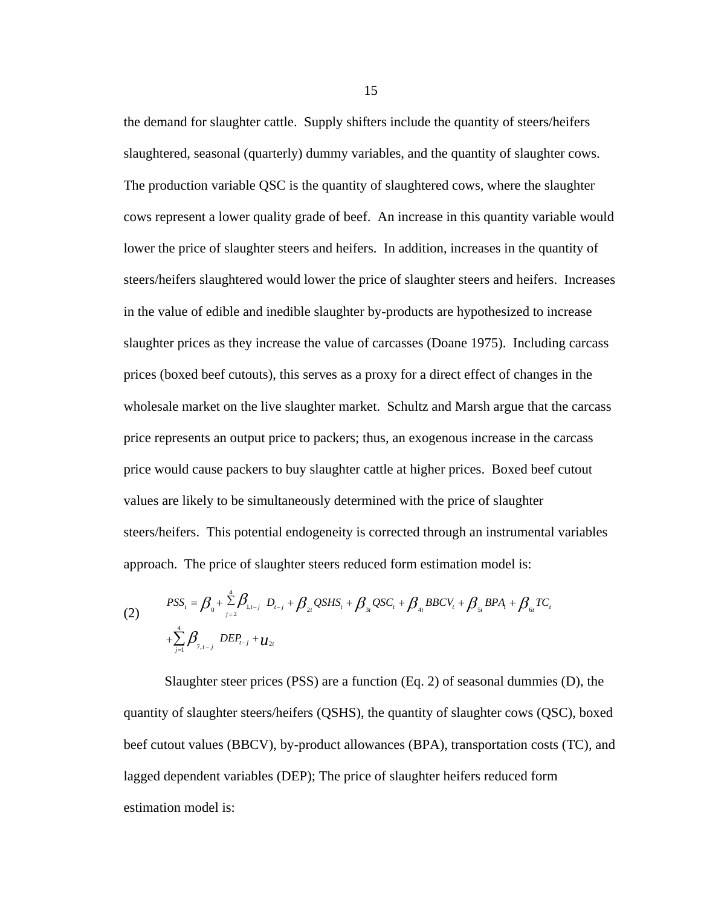the demand for slaughter cattle. Supply shifters include the quantity of steers/heifers slaughtered, seasonal (quarterly) dummy variables, and the quantity of slaughter cows. The production variable QSC is the quantity of slaughtered cows, where the slaughter cows represent a lower quality grade of beef. An increase in this quantity variable would lower the price of slaughter steers and heifers. In addition, increases in the quantity of steers/heifers slaughtered would lower the price of slaughter steers and heifers. Increases in the value of edible and inedible slaughter by-products are hypothesized to increase slaughter prices as they increase the value of carcasses (Doane 1975). Including carcass prices (boxed beef cutouts), this serves as a proxy for a direct effect of changes in the wholesale market on the live slaughter market. Schultz and Marsh argue that the carcass price represents an output price to packers; thus, an exogenous increase in the carcass price would cause packers to buy slaughter cattle at higher prices. Boxed beef cutout values are likely to be simultaneously determined with the price of slaughter steers/heifers. This potential endogeneity is corrected through an instrumental variables approach. The price of slaughter steers reduced form estimation model is:

(2) 
$$
PSS_{t} = \beta_{0} + \sum_{j=2}^{4} \beta_{1,t-j} D_{t-j} + \beta_{2t} QSHS_{t} + \beta_{3t} QSC_{t} + \beta_{4t} BBCV_{t} + \beta_{5t} BPA_{t} + \beta_{6t} TC_{t} + \sum_{j=1}^{4} \beta_{7,t-j} DEP_{t-j} + u_{2t}
$$

Slaughter steer prices (PSS) are a function (Eq. 2) of seasonal dummies (D), the quantity of slaughter steers/heifers (QSHS), the quantity of slaughter cows (QSC), boxed beef cutout values (BBCV), by-product allowances (BPA), transportation costs (TC), and lagged dependent variables (DEP); The price of slaughter heifers reduced form estimation model is: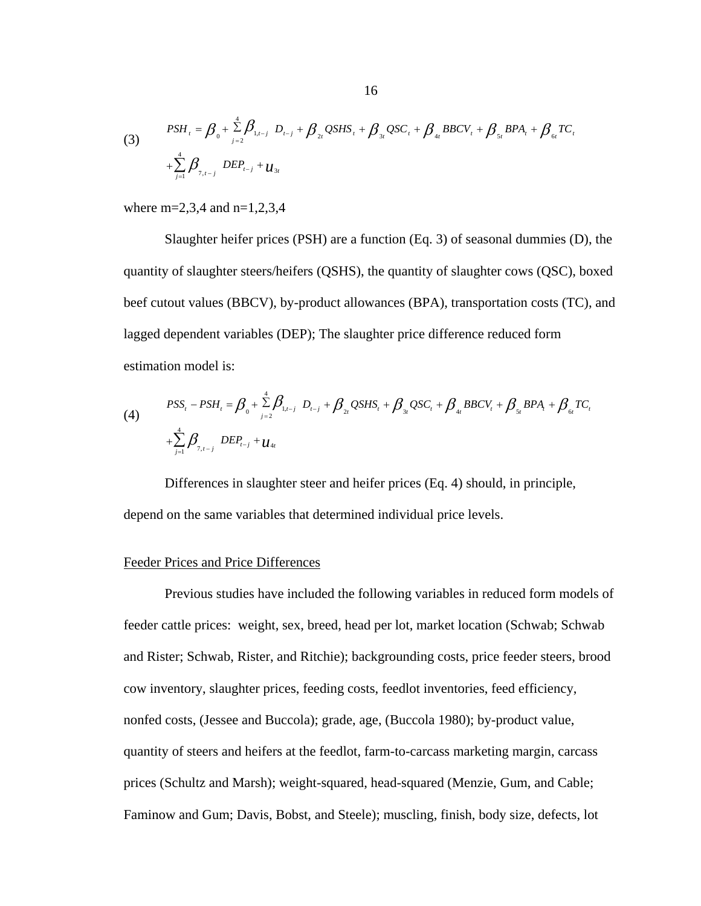(3) 
$$
PSH_{t} = \beta_{0} + \sum_{j=2}^{4} \beta_{1,t-j} D_{t-j} + \beta_{2t} QSHS_{t} + \beta_{3t} QSC_{t} + \beta_{4t} BBCV_{t} + \beta_{5t} BPA_{t} + \beta_{6t} TC_{t} + \sum_{j=1}^{4} \beta_{7,t-j} DEP_{t-j} + \mu_{3t}
$$

where m=2,3,4 and n=1,2,3,4

Slaughter heifer prices (PSH) are a function (Eq. 3) of seasonal dummies (D), the quantity of slaughter steers/heifers (QSHS), the quantity of slaughter cows (QSC), boxed beef cutout values (BBCV), by-product allowances (BPA), transportation costs (TC), and lagged dependent variables (DEP); The slaughter price difference reduced form estimation model is:

(4) 
$$
PSS_{t} - PSH_{t} = \beta_{0} + \sum_{j=2}^{4} \beta_{1,t-j} D_{t-j} + \beta_{2t} QSHS_{t} + \beta_{3t} QSC_{t} + \beta_{4t} BBCV_{t} + \beta_{5t} BPA_{t} + \beta_{6t} TC_{t} + \sum_{j=1}^{4} \beta_{7,t-j} DEP_{t-j} + u_{4t}
$$

Differences in slaughter steer and heifer prices (Eq. 4) should, in principle, depend on the same variables that determined individual price levels.

#### Feeder Prices and Price Differences

Previous studies have included the following variables in reduced form models of feeder cattle prices: weight, sex, breed, head per lot, market location (Schwab; Schwab and Rister; Schwab, Rister, and Ritchie); backgrounding costs, price feeder steers, brood cow inventory, slaughter prices, feeding costs, feedlot inventories, feed efficiency, nonfed costs, (Jessee and Buccola); grade, age, (Buccola 1980); by-product value, quantity of steers and heifers at the feedlot, farm-to-carcass marketing margin, carcass prices (Schultz and Marsh); weight-squared, head-squared (Menzie, Gum, and Cable; Faminow and Gum; Davis, Bobst, and Steele); muscling, finish, body size, defects, lot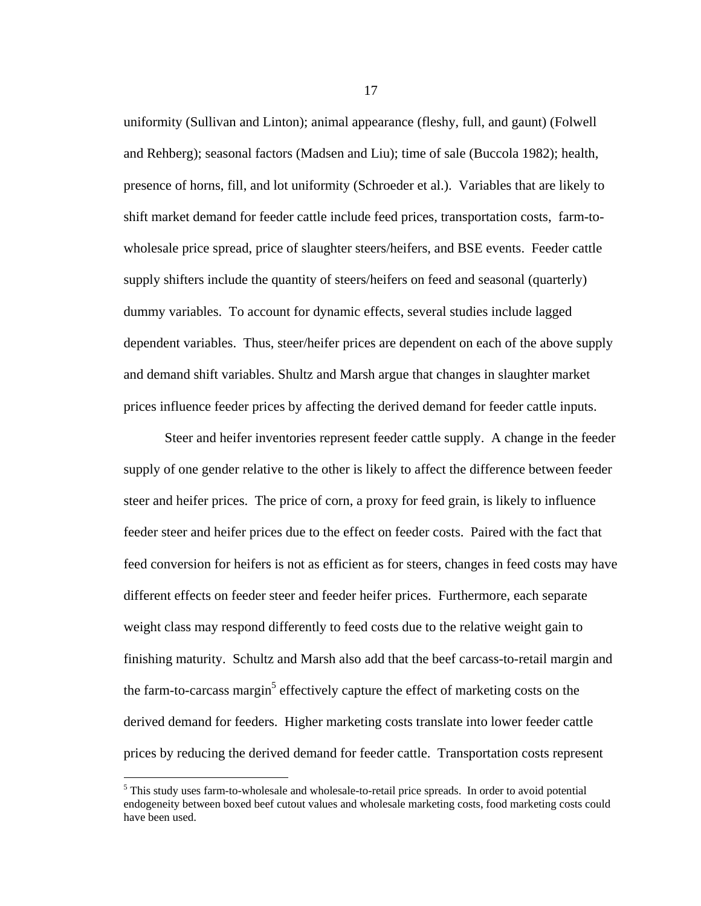uniformity (Sullivan and Linton); animal appearance (fleshy, full, and gaunt) (Folwell and Rehberg); seasonal factors (Madsen and Liu); time of sale (Buccola 1982); health, presence of horns, fill, and lot uniformity (Schroeder et al.). Variables that are likely to shift market demand for feeder cattle include feed prices, transportation costs, farm-towholesale price spread, price of slaughter steers/heifers, and BSE events. Feeder cattle supply shifters include the quantity of steers/heifers on feed and seasonal (quarterly) dummy variables. To account for dynamic effects, several studies include lagged dependent variables. Thus, steer/heifer prices are dependent on each of the above supply and demand shift variables. Shultz and Marsh argue that changes in slaughter market prices influence feeder prices by affecting the derived demand for feeder cattle inputs.

Steer and heifer inventories represent feeder cattle supply. A change in the feeder supply of one gender relative to the other is likely to affect the difference between feeder steer and heifer prices. The price of corn, a proxy for feed grain, is likely to influence feeder steer and heifer prices due to the effect on feeder costs. Paired with the fact that feed conversion for heifers is not as efficient as for steers, changes in feed costs may have different effects on feeder steer and feeder heifer prices. Furthermore, each separate weight class may respond differently to feed costs due to the relative weight gain to finishing maturity. Schultz and Marsh also add that the beef carcass-to-retail margin and the farm-to-carcass margin<sup>5</sup> effectively capture the effect of marketing costs on the derived demand for feeders. Higher marketing costs translate into lower feeder cattle prices by reducing the derived demand for feeder cattle. Transportation costs represent

 $\overline{a}$ 

<sup>&</sup>lt;sup>5</sup> This study uses farm-to-wholesale and wholesale-to-retail price spreads. In order to avoid potential endogeneity between boxed beef cutout values and wholesale marketing costs, food marketing costs could have been used.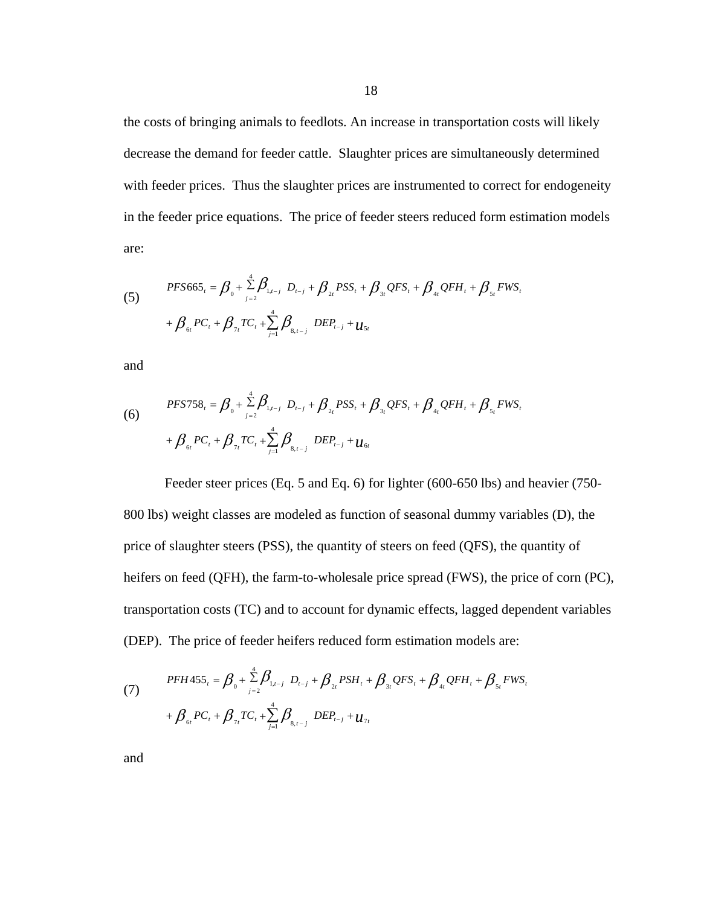the costs of bringing animals to feedlots. An increase in transportation costs will likely decrease the demand for feeder cattle. Slaughter prices are simultaneously determined with feeder prices. Thus the slaughter prices are instrumented to correct for endogeneity in the feeder price equations. The price of feeder steers reduced form estimation models are:

(5) 
$$
PFS665_{t} = \beta_{0} + \sum_{j=2}^{4} \beta_{1,t-j} D_{t-j} + \beta_{2t} PSS_{t} + \beta_{3t} QFS_{t} + \beta_{4t} QFH_{t} + \beta_{5t} FWS_{t}
$$

$$
+ \beta_{6t} PC_{t} + \beta_{7t} TC_{t} + \sum_{j=1}^{4} \beta_{8,t-j} DEP_{t-j} + \mu_{5t}
$$

and

(6) 
$$
PFS758_{t} = \beta_{0} + \sum_{j=2}^{4} \beta_{1,t-j} D_{t-j} + \beta_{2t} PSS_{t} + \beta_{3t} QFS_{t} + \beta_{4t} QFH_{t} + \beta_{5t} FWS_{t}
$$

$$
+ \beta_{6t} PC_{t} + \beta_{7t} TC_{t} + \sum_{j=1}^{4} \beta_{8,t-j} DEP_{t-j} + u_{6t}
$$

Feeder steer prices (Eq. 5 and Eq. 6) for lighter (600-650 lbs) and heavier (750- 800 lbs) weight classes are modeled as function of seasonal dummy variables (D), the price of slaughter steers (PSS), the quantity of steers on feed (QFS), the quantity of heifers on feed (QFH), the farm-to-wholesale price spread (FWS), the price of corn (PC), transportation costs (TC) and to account for dynamic effects, lagged dependent variables (DEP). The price of feeder heifers reduced form estimation models are:

(7) 
$$
PFH455_{t} = \beta_{0} + \sum_{j=2}^{4} \beta_{1,t-j} D_{t-j} + \beta_{2t} PSH_{t} + \beta_{3t} QFS_{t} + \beta_{4t} QFH_{t} + \beta_{5t} FWS_{t}
$$

$$
+ \beta_{6t} PC_{t} + \beta_{7t} TC_{t} + \sum_{j=1}^{4} \beta_{8,t-j} DEP_{t-j} + U_{7t}
$$

and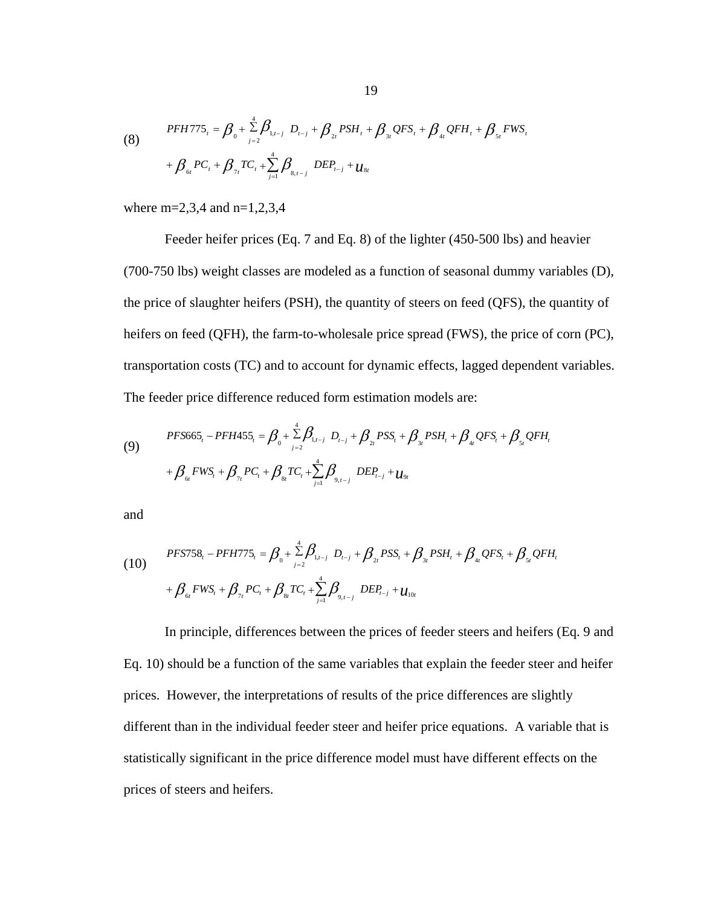(8) 
$$
PFHT75_{t} = \beta_{0} + \sum_{j=2}^{4} \beta_{1,t-j} D_{t-j} + \beta_{2t} PSH_{t} + \beta_{3t} QFS_{t} + \beta_{4t} QFH_{t} + \beta_{5t} FWS_{t}
$$

$$
+ \beta_{6t} PC_{t} + \beta_{7t} TC_{t} + \sum_{j=1}^{4} \beta_{8,t-j} DEP_{t-j} + \mu_{8t}
$$

where m=2,3,4 and n=1,2,3,4

Feeder heifer prices (Eq. 7 and Eq. 8) of the lighter (450-500 lbs) and heavier (700-750 lbs) weight classes are modeled as a function of seasonal dummy variables (D), the price of slaughter heifers (PSH), the quantity of steers on feed (QFS), the quantity of heifers on feed (QFH), the farm-to-wholesale price spread (FWS), the price of corn (PC), transportation costs (TC) and to account for dynamic effects, lagged dependent variables. The feeder price difference reduced form estimation models are:

(9) 
$$
PFS665_{t} - PFH455_{t} = \beta_{0} + \sum_{j=2}^{4} \beta_{1,t-j} D_{t-j} + \beta_{2t} PSS_{t} + \beta_{3t} PSH_{t} + \beta_{4t} QFS_{t} + \beta_{5t} QFH_{t}
$$

$$
+ \beta_{6t} FWS_{t} + \beta_{7t} PC_{t} + \beta_{8t} TC_{t} + \sum_{j=1}^{4} \beta_{9,t-j} DEP_{t-j} + U_{9t}
$$

and

(10) 
$$
PFS758_{t} - PFH775_{t} = \beta_{0} + \sum_{j=2}^{4} \beta_{1,t-j} D_{t-j} + \beta_{2t} PSS_{t} + \beta_{3t} PSH_{t} + \beta_{4t} QFS_{t} + \beta_{5t} QFH_{t}
$$

$$
+ \beta_{6t} FWS_{t} + \beta_{7t} PC_{t} + \beta_{8t} TC_{t} + \sum_{j=1}^{4} \beta_{9,t-j} DEP_{t-j} + u_{10t}
$$

In principle, differences between the prices of feeder steers and heifers (Eq. 9 and Eq. 10) should be a function of the same variables that explain the feeder steer and heifer prices. However, the interpretations of results of the price differences are slightly different than in the individual feeder steer and heifer price equations. A variable that is statistically significant in the price difference model must have different effects on the prices of steers and heifers.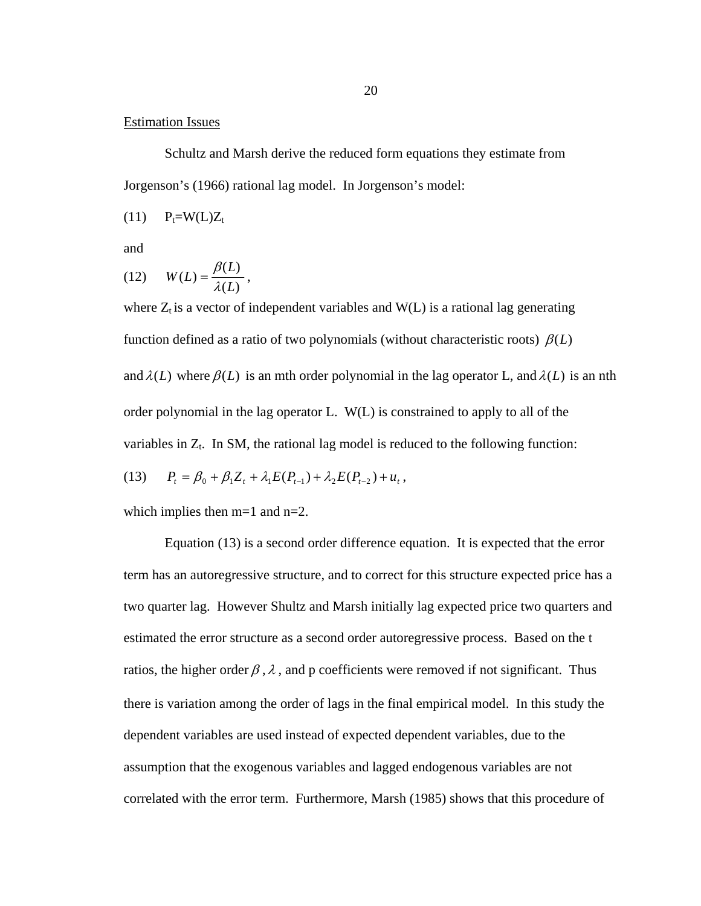# Estimation Issues

Schultz and Marsh derive the reduced form equations they estimate from Jorgenson's (1966) rational lag model. In Jorgenson's model:

 $(11)$   $P_t = W(L)Z_t$ 

and

$$
(12) \qquad W(L) = \frac{\beta(L)}{\lambda(L)},
$$

where  $Z_t$  is a vector of independent variables and  $W(L)$  is a rational lag generating function defined as a ratio of two polynomials (without characteristic roots)  $\beta(L)$ and  $\lambda(L)$  where  $\beta(L)$  is an mth order polynomial in the lag operator L, and  $\lambda(L)$  is an nth order polynomial in the lag operator L. W(L) is constrained to apply to all of the variables in  $Z_t$ . In SM, the rational lag model is reduced to the following function:

(13) 
$$
P_t = \beta_0 + \beta_1 Z_t + \lambda_1 E(P_{t-1}) + \lambda_2 E(P_{t-2}) + u_t,
$$

which implies then m=1 and n=2.

Equation (13) is a second order difference equation. It is expected that the error term has an autoregressive structure, and to correct for this structure expected price has a two quarter lag. However Shultz and Marsh initially lag expected price two quarters and estimated the error structure as a second order autoregressive process. Based on the t ratios, the higher order  $\beta$ ,  $\lambda$ , and p coefficients were removed if not significant. Thus there is variation among the order of lags in the final empirical model. In this study the dependent variables are used instead of expected dependent variables, due to the assumption that the exogenous variables and lagged endogenous variables are not correlated with the error term. Furthermore, Marsh (1985) shows that this procedure of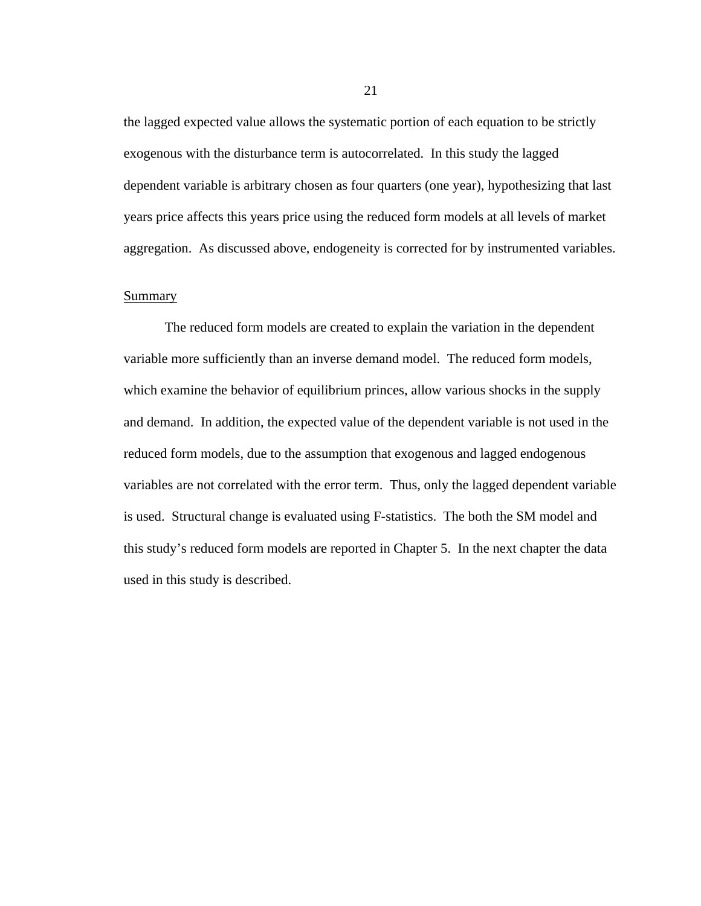the lagged expected value allows the systematic portion of each equation to be strictly exogenous with the disturbance term is autocorrelated. In this study the lagged dependent variable is arbitrary chosen as four quarters (one year), hypothesizing that last years price affects this years price using the reduced form models at all levels of market aggregation. As discussed above, endogeneity is corrected for by instrumented variables.

# **Summary**

The reduced form models are created to explain the variation in the dependent variable more sufficiently than an inverse demand model. The reduced form models, which examine the behavior of equilibrium princes, allow various shocks in the supply and demand. In addition, the expected value of the dependent variable is not used in the reduced form models, due to the assumption that exogenous and lagged endogenous variables are not correlated with the error term. Thus, only the lagged dependent variable is used. Structural change is evaluated using F-statistics. The both the SM model and this study's reduced form models are reported in Chapter 5. In the next chapter the data used in this study is described.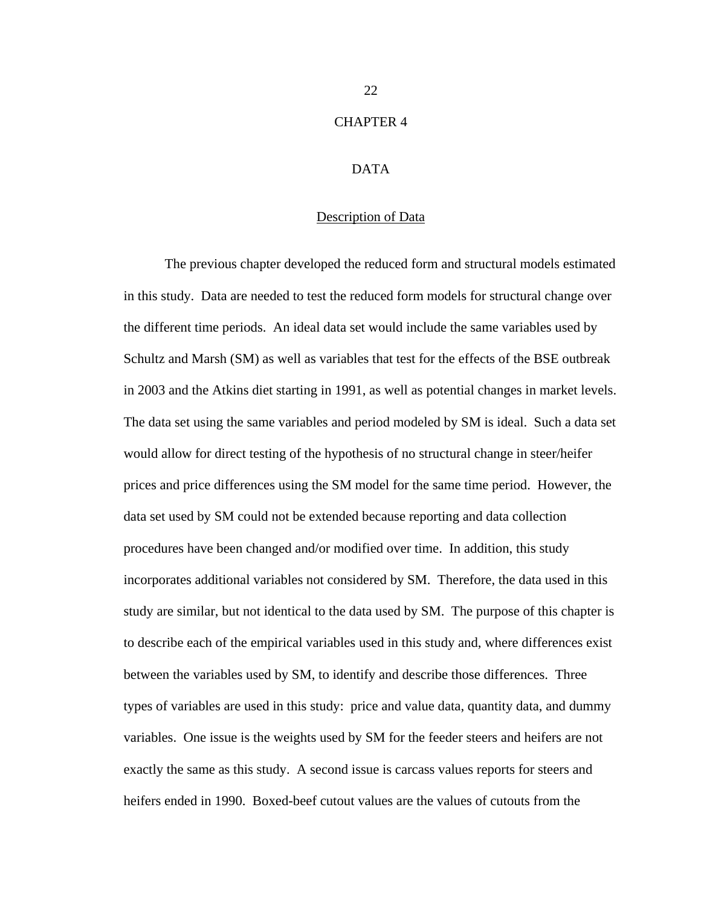# CHAPTER 4

# DATA

# Description of Data

The previous chapter developed the reduced form and structural models estimated in this study. Data are needed to test the reduced form models for structural change over the different time periods. An ideal data set would include the same variables used by Schultz and Marsh (SM) as well as variables that test for the effects of the BSE outbreak in 2003 and the Atkins diet starting in 1991, as well as potential changes in market levels. The data set using the same variables and period modeled by SM is ideal. Such a data set would allow for direct testing of the hypothesis of no structural change in steer/heifer prices and price differences using the SM model for the same time period. However, the data set used by SM could not be extended because reporting and data collection procedures have been changed and/or modified over time. In addition, this study incorporates additional variables not considered by SM. Therefore, the data used in this study are similar, but not identical to the data used by SM. The purpose of this chapter is to describe each of the empirical variables used in this study and, where differences exist between the variables used by SM, to identify and describe those differences. Three types of variables are used in this study: price and value data, quantity data, and dummy variables. One issue is the weights used by SM for the feeder steers and heifers are not exactly the same as this study. A second issue is carcass values reports for steers and heifers ended in 1990. Boxed-beef cutout values are the values of cutouts from the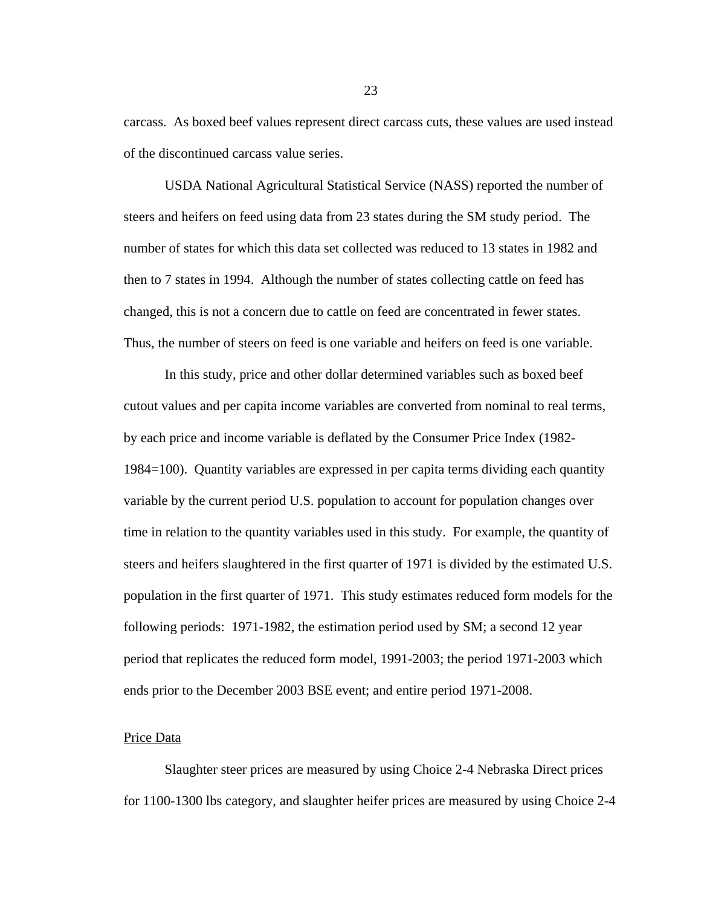carcass. As boxed beef values represent direct carcass cuts, these values are used instead of the discontinued carcass value series.

USDA National Agricultural Statistical Service (NASS) reported the number of steers and heifers on feed using data from 23 states during the SM study period. The number of states for which this data set collected was reduced to 13 states in 1982 and then to 7 states in 1994. Although the number of states collecting cattle on feed has changed, this is not a concern due to cattle on feed are concentrated in fewer states. Thus, the number of steers on feed is one variable and heifers on feed is one variable.

In this study, price and other dollar determined variables such as boxed beef cutout values and per capita income variables are converted from nominal to real terms, by each price and income variable is deflated by the Consumer Price Index (1982- 1984=100). Quantity variables are expressed in per capita terms dividing each quantity variable by the current period U.S. population to account for population changes over time in relation to the quantity variables used in this study. For example, the quantity of steers and heifers slaughtered in the first quarter of 1971 is divided by the estimated U.S. population in the first quarter of 1971. This study estimates reduced form models for the following periods: 1971-1982, the estimation period used by SM; a second 12 year period that replicates the reduced form model, 1991-2003; the period 1971-2003 which ends prior to the December 2003 BSE event; and entire period 1971-2008.

#### Price Data

 Slaughter steer prices are measured by using Choice 2-4 Nebraska Direct prices for 1100-1300 lbs category, and slaughter heifer prices are measured by using Choice 2-4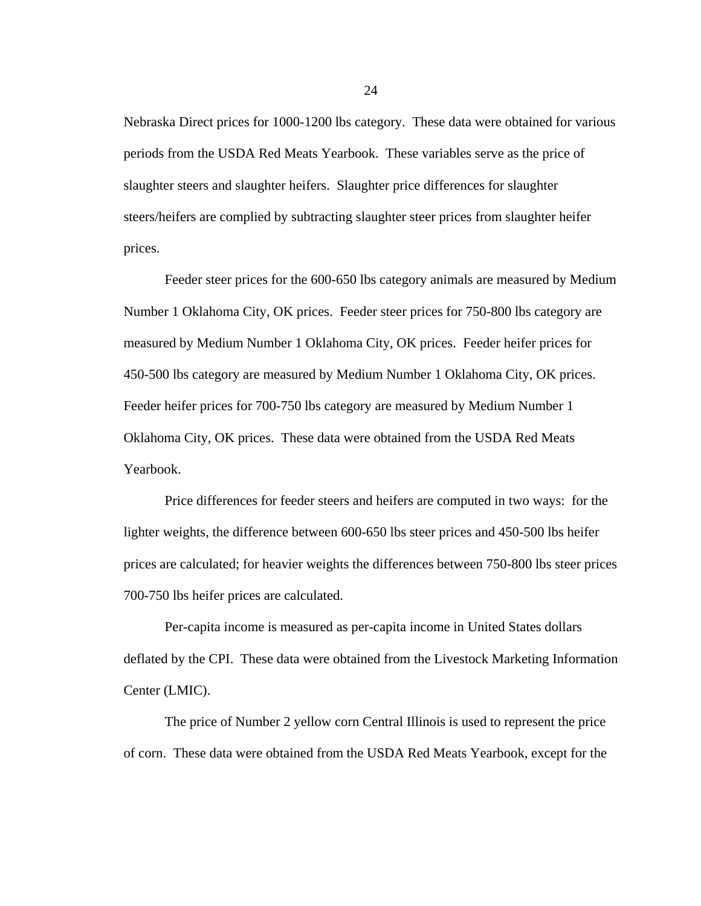Nebraska Direct prices for 1000-1200 lbs category. These data were obtained for various periods from the USDA Red Meats Yearbook. These variables serve as the price of slaughter steers and slaughter heifers. Slaughter price differences for slaughter steers/heifers are complied by subtracting slaughter steer prices from slaughter heifer prices.

 Feeder steer prices for the 600-650 lbs category animals are measured by Medium Number 1 Oklahoma City, OK prices. Feeder steer prices for 750-800 lbs category are measured by Medium Number 1 Oklahoma City, OK prices. Feeder heifer prices for 450-500 lbs category are measured by Medium Number 1 Oklahoma City, OK prices. Feeder heifer prices for 700-750 lbs category are measured by Medium Number 1 Oklahoma City, OK prices. These data were obtained from the USDA Red Meats Yearbook.

 Price differences for feeder steers and heifers are computed in two ways: for the lighter weights, the difference between 600-650 lbs steer prices and 450-500 lbs heifer prices are calculated; for heavier weights the differences between 750-800 lbs steer prices 700-750 lbs heifer prices are calculated.

 Per-capita income is measured as per-capita income in United States dollars deflated by the CPI. These data were obtained from the Livestock Marketing Information Center (LMIC).

 The price of Number 2 yellow corn Central Illinois is used to represent the price of corn. These data were obtained from the USDA Red Meats Yearbook, except for the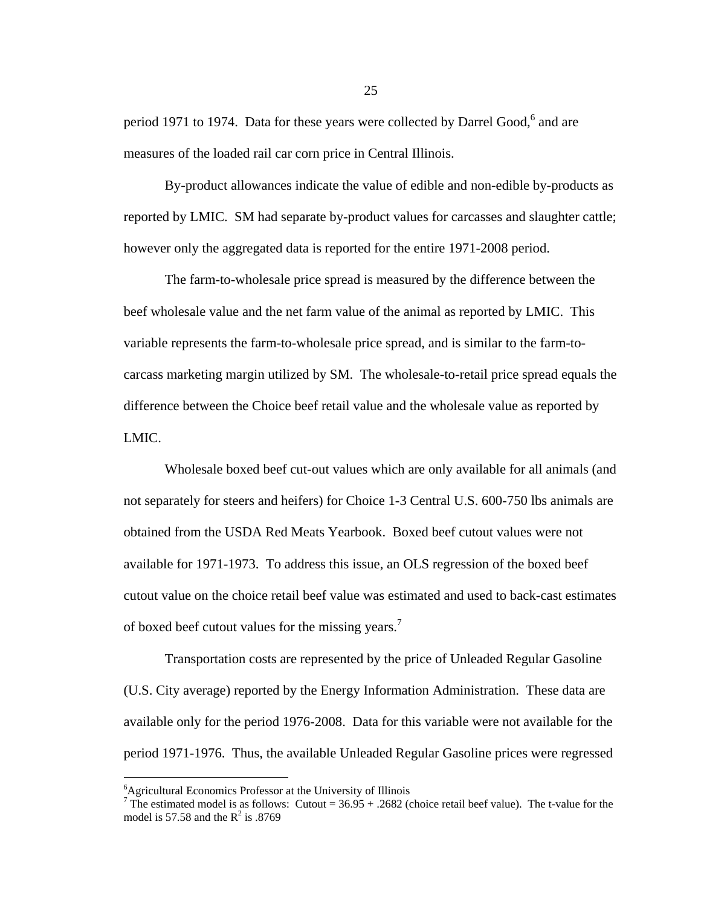period 1971 to 1974. Data for these years were collected by Darrel Good, $6$  and are measures of the loaded rail car corn price in Central Illinois.

 By-product allowances indicate the value of edible and non-edible by-products as reported by LMIC. SM had separate by-product values for carcasses and slaughter cattle; however only the aggregated data is reported for the entire 1971-2008 period.

 The farm-to-wholesale price spread is measured by the difference between the beef wholesale value and the net farm value of the animal as reported by LMIC. This variable represents the farm-to-wholesale price spread, and is similar to the farm-tocarcass marketing margin utilized by SM. The wholesale-to-retail price spread equals the difference between the Choice beef retail value and the wholesale value as reported by LMIC.

 Wholesale boxed beef cut-out values which are only available for all animals (and not separately for steers and heifers) for Choice 1-3 Central U.S. 600-750 lbs animals are obtained from the USDA Red Meats Yearbook. Boxed beef cutout values were not available for 1971-1973. To address this issue, an OLS regression of the boxed beef cutout value on the choice retail beef value was estimated and used to back-cast estimates of boxed beef cutout values for the missing years.<sup>7</sup>

 Transportation costs are represented by the price of Unleaded Regular Gasoline (U.S. City average) reported by the Energy Information Administration. These data are available only for the period 1976-2008. Data for this variable were not available for the period 1971-1976. Thus, the available Unleaded Regular Gasoline prices were regressed

 $\overline{a}$ 

<sup>6</sup> Agricultural Economics Professor at the University of Illinois

<sup>&</sup>lt;sup>7</sup> The estimated model is as follows: Cutout =  $36.95 + .2682$  (choice retail beef value). The t-value for the model is 57.58 and the  $R^2$  is .8769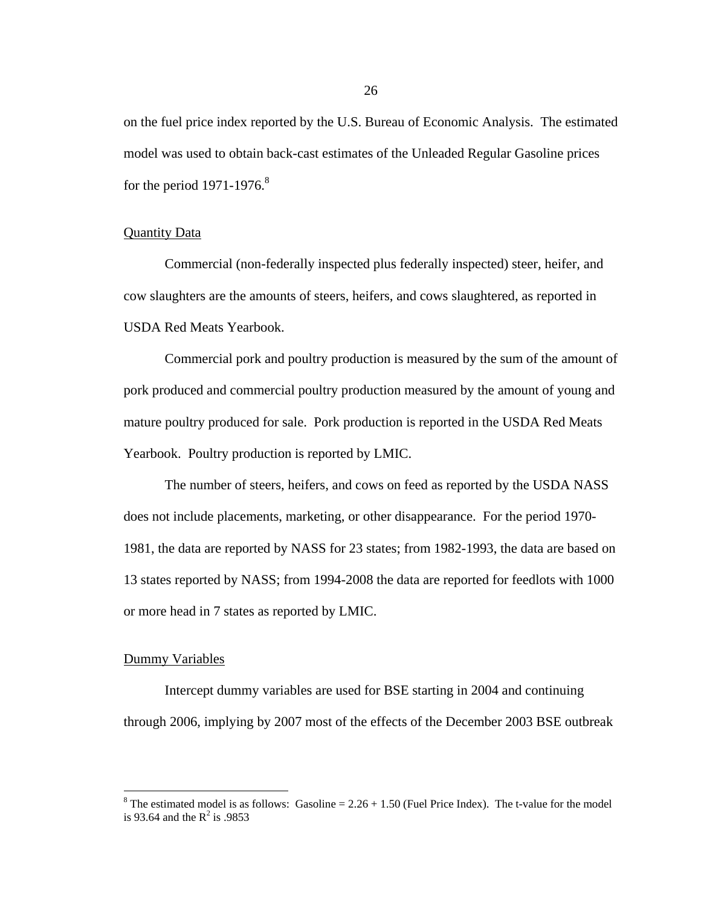on the fuel price index reported by the U.S. Bureau of Economic Analysis. The estimated model was used to obtain back-cast estimates of the Unleaded Regular Gasoline prices for the period  $1971-1976$ .<sup>8</sup>

#### Quantity Data

 Commercial (non-federally inspected plus federally inspected) steer, heifer, and cow slaughters are the amounts of steers, heifers, and cows slaughtered, as reported in USDA Red Meats Yearbook.

Commercial pork and poultry production is measured by the sum of the amount of pork produced and commercial poultry production measured by the amount of young and mature poultry produced for sale. Pork production is reported in the USDA Red Meats Yearbook. Poultry production is reported by LMIC.

The number of steers, heifers, and cows on feed as reported by the USDA NASS does not include placements, marketing, or other disappearance. For the period 1970- 1981, the data are reported by NASS for 23 states; from 1982-1993, the data are based on 13 states reported by NASS; from 1994-2008 the data are reported for feedlots with 1000 or more head in 7 states as reported by LMIC.

#### Dummy Variables

 $\overline{a}$ 

 Intercept dummy variables are used for BSE starting in 2004 and continuing through 2006, implying by 2007 most of the effects of the December 2003 BSE outbreak

<sup>&</sup>lt;sup>8</sup> The estimated model is as follows: Gasoline =  $2.26 + 1.50$  (Fuel Price Index). The t-value for the model is 93.64 and the  $R^2$  is .9853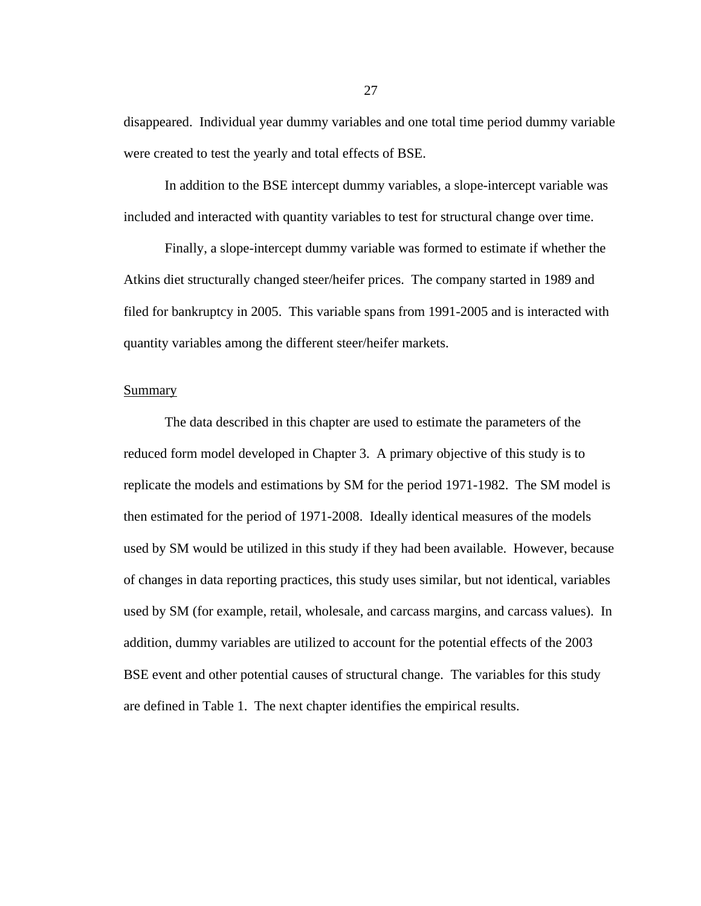disappeared. Individual year dummy variables and one total time period dummy variable were created to test the yearly and total effects of BSE.

In addition to the BSE intercept dummy variables, a slope-intercept variable was included and interacted with quantity variables to test for structural change over time.

 Finally, a slope-intercept dummy variable was formed to estimate if whether the Atkins diet structurally changed steer/heifer prices. The company started in 1989 and filed for bankruptcy in 2005. This variable spans from 1991-2005 and is interacted with quantity variables among the different steer/heifer markets.

# Summary

 The data described in this chapter are used to estimate the parameters of the reduced form model developed in Chapter 3. A primary objective of this study is to replicate the models and estimations by SM for the period 1971-1982. The SM model is then estimated for the period of 1971-2008. Ideally identical measures of the models used by SM would be utilized in this study if they had been available. However, because of changes in data reporting practices, this study uses similar, but not identical, variables used by SM (for example, retail, wholesale, and carcass margins, and carcass values). In addition, dummy variables are utilized to account for the potential effects of the 2003 BSE event and other potential causes of structural change. The variables for this study are defined in Table 1. The next chapter identifies the empirical results.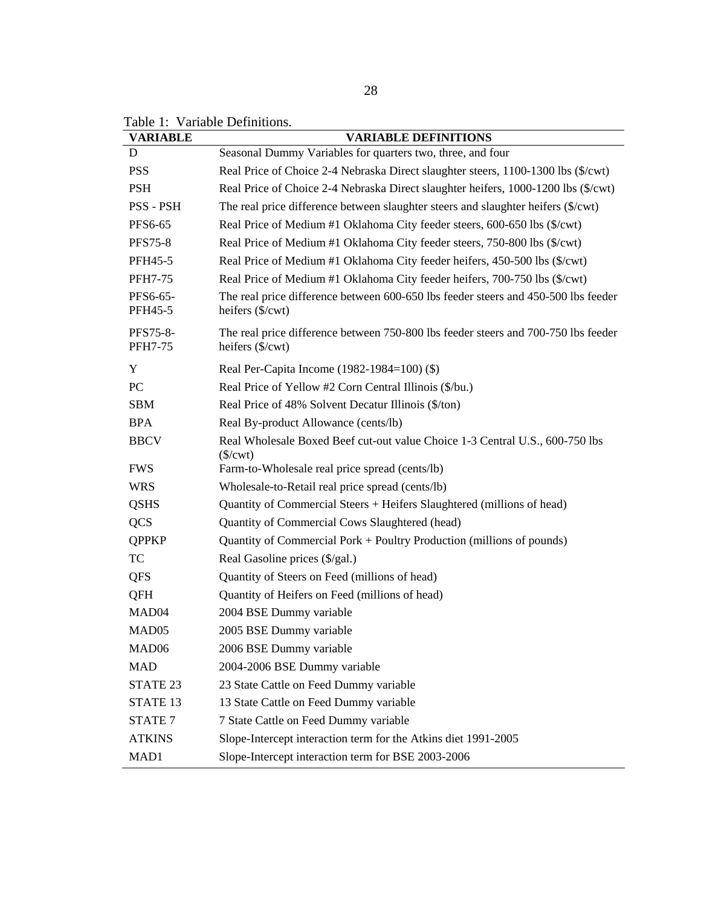| <b>VARIABLE</b>            | <b>VARIABLE DEFINITIONS</b>                                                                                            |
|----------------------------|------------------------------------------------------------------------------------------------------------------------|
| D                          | Seasonal Dummy Variables for quarters two, three, and four                                                             |
| <b>PSS</b>                 | Real Price of Choice 2-4 Nebraska Direct slaughter steers, 1100-1300 lbs (\$/cwt)                                      |
| <b>PSH</b>                 | Real Price of Choice 2-4 Nebraska Direct slaughter heifers, 1000-1200 lbs (\$/cwt)                                     |
| PSS - PSH                  | The real price difference between slaughter steers and slaughter heifers (\$/cwt)                                      |
| <b>PFS6-65</b>             | Real Price of Medium #1 Oklahoma City feeder steers, 600-650 lbs (\$/cwt)                                              |
| <b>PFS75-8</b>             | Real Price of Medium #1 Oklahoma City feeder steers, 750-800 lbs (\$/cwt)                                              |
| PFH45-5                    | Real Price of Medium #1 Oklahoma City feeder heifers, 450-500 lbs (\$/cwt)                                             |
| <b>PFH7-75</b>             | Real Price of Medium #1 Oklahoma City feeder heifers, 700-750 lbs (\$/cwt)                                             |
| PFS6-65-<br>PFH45-5        | The real price difference between 600-650 lbs feeder steers and 450-500 lbs feeder<br>heifers $(\sqrt[6]{\text{cwt}})$ |
| PFS75-8-<br><b>PFH7-75</b> | The real price difference between 750-800 lbs feeder steers and 700-750 lbs feeder<br>heifers (\$/cwt)                 |
| Y                          | Real Per-Capita Income (1982-1984=100) (\$)                                                                            |
| PC                         | Real Price of Yellow #2 Corn Central Illinois (\$/bu.)                                                                 |
| <b>SBM</b>                 | Real Price of 48% Solvent Decatur Illinois (\$/ton)                                                                    |
| <b>BPA</b>                 | Real By-product Allowance (cents/lb)                                                                                   |
| <b>BBCV</b>                | Real Wholesale Boxed Beef cut-out value Choice 1-3 Central U.S., 600-750 lbs<br>$(\frac{\sqrt{2}}{2})$                 |
| <b>FWS</b>                 | Farm-to-Wholesale real price spread (cents/lb)                                                                         |
| <b>WRS</b>                 | Wholesale-to-Retail real price spread (cents/lb)                                                                       |
| <b>QSHS</b>                | Quantity of Commercial Steers + Heifers Slaughtered (millions of head)                                                 |
| <b>QCS</b>                 | Quantity of Commercial Cows Slaughtered (head)                                                                         |
| <b>QPPKP</b>               | Quantity of Commercial Pork + Poultry Production (millions of pounds)                                                  |
| TC                         | Real Gasoline prices (\$/gal.)                                                                                         |
| <b>QFS</b>                 | Quantity of Steers on Feed (millions of head)                                                                          |
| QFH                        | Quantity of Heifers on Feed (millions of head)                                                                         |
| MAD <sub>04</sub>          | 2004 BSE Dummy variable                                                                                                |
| MAD <sub>05</sub>          | 2005 BSE Dummy variable                                                                                                |
| MAD <sub>06</sub>          | 2006 BSE Dummy variable                                                                                                |
| <b>MAD</b>                 | 2004-2006 BSE Dummy variable                                                                                           |
| STATE 23                   | 23 State Cattle on Feed Dummy variable                                                                                 |
| STATE <sub>13</sub>        | 13 State Cattle on Feed Dummy variable                                                                                 |
| STATE <sub>7</sub>         | 7 State Cattle on Feed Dummy variable                                                                                  |
| <b>ATKINS</b>              | Slope-Intercept interaction term for the Atkins diet 1991-2005                                                         |
| MAD1                       | Slope-Intercept interaction term for BSE 2003-2006                                                                     |

Table 1: Variable Definitions.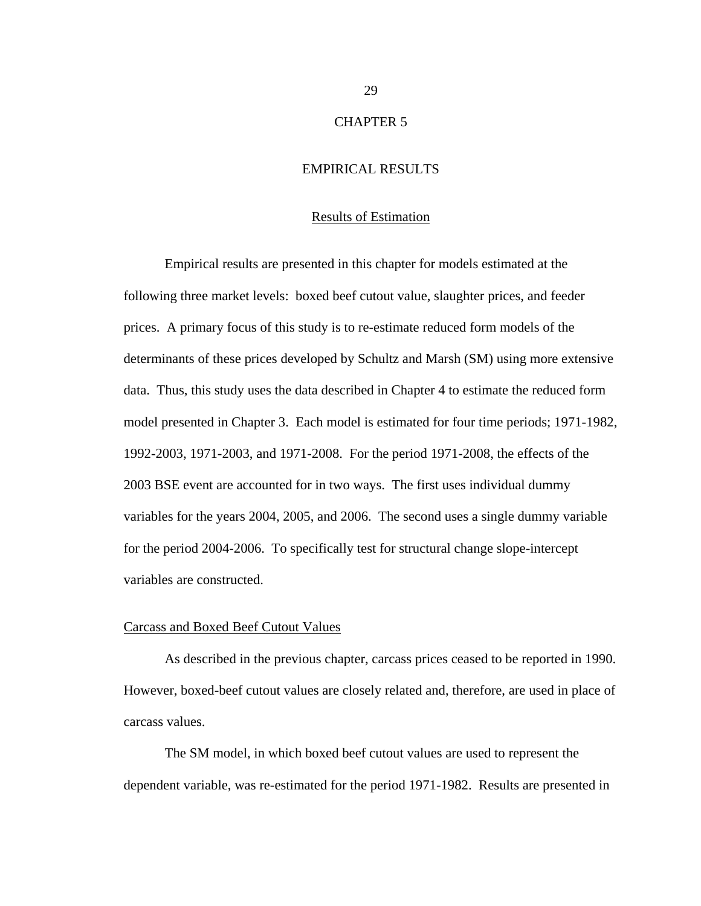# CHAPTER 5

# EMPIRICAL RESULTS

#### Results of Estimation

Empirical results are presented in this chapter for models estimated at the following three market levels: boxed beef cutout value, slaughter prices, and feeder prices. A primary focus of this study is to re-estimate reduced form models of the determinants of these prices developed by Schultz and Marsh (SM) using more extensive data. Thus, this study uses the data described in Chapter 4 to estimate the reduced form model presented in Chapter 3. Each model is estimated for four time periods; 1971-1982, 1992-2003, 1971-2003, and 1971-2008. For the period 1971-2008, the effects of the 2003 BSE event are accounted for in two ways. The first uses individual dummy variables for the years 2004, 2005, and 2006. The second uses a single dummy variable for the period 2004-2006. To specifically test for structural change slope-intercept variables are constructed.

#### Carcass and Boxed Beef Cutout Values

As described in the previous chapter, carcass prices ceased to be reported in 1990. However, boxed-beef cutout values are closely related and, therefore, are used in place of carcass values.

The SM model, in which boxed beef cutout values are used to represent the dependent variable, was re-estimated for the period 1971-1982. Results are presented in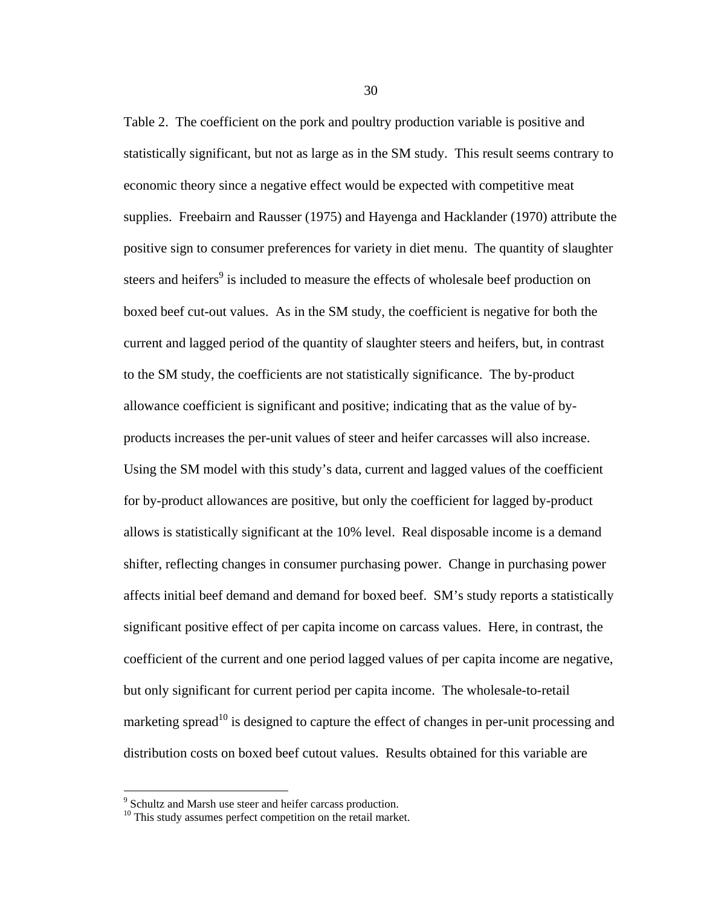Table 2. The coefficient on the pork and poultry production variable is positive and statistically significant, but not as large as in the SM study. This result seems contrary to economic theory since a negative effect would be expected with competitive meat supplies. Freebairn and Rausser (1975) and Hayenga and Hacklander (1970) attribute the positive sign to consumer preferences for variety in diet menu. The quantity of slaughter steers and heifers<sup>9</sup> is included to measure the effects of wholesale beef production on boxed beef cut-out values. As in the SM study, the coefficient is negative for both the current and lagged period of the quantity of slaughter steers and heifers, but, in contrast to the SM study, the coefficients are not statistically significance. The by-product allowance coefficient is significant and positive; indicating that as the value of byproducts increases the per-unit values of steer and heifer carcasses will also increase. Using the SM model with this study's data, current and lagged values of the coefficient for by-product allowances are positive, but only the coefficient for lagged by-product allows is statistically significant at the 10% level. Real disposable income is a demand shifter, reflecting changes in consumer purchasing power. Change in purchasing power affects initial beef demand and demand for boxed beef. SM's study reports a statistically significant positive effect of per capita income on carcass values. Here, in contrast, the coefficient of the current and one period lagged values of per capita income are negative, but only significant for current period per capita income. The wholesale-to-retail marketing spread<sup>10</sup> is designed to capture the effect of changes in per-unit processing and distribution costs on boxed beef cutout values. Results obtained for this variable are

Schultz and Marsh use steer and heifer carcass production.

 $10$  This study assumes perfect competition on the retail market.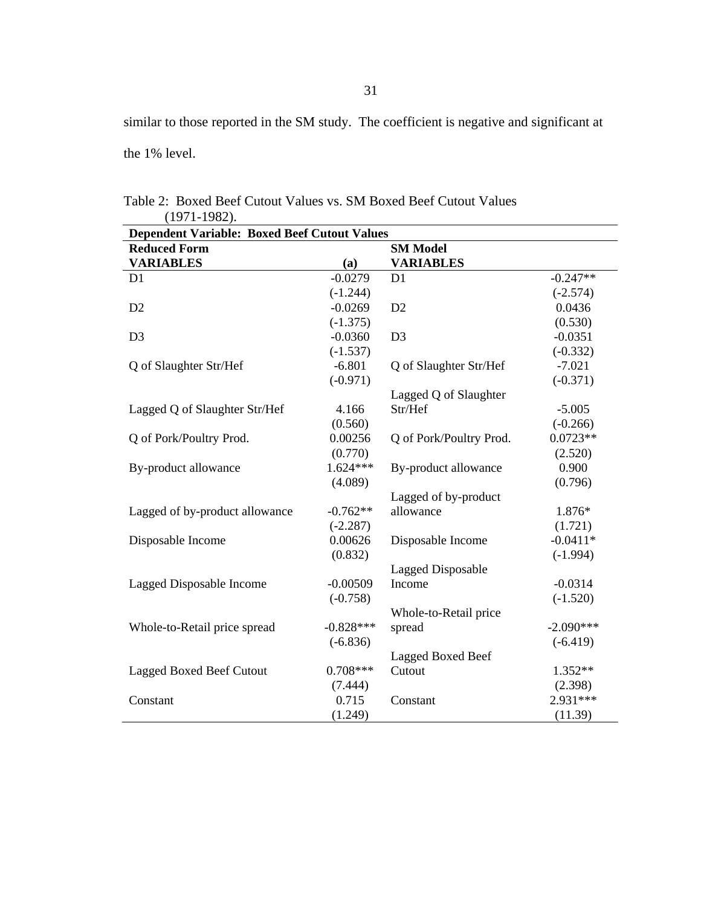similar to those reported in the SM study. The coefficient is negative and significant at the 1% level.

| <b>Dependent Variable: Boxed Beef Cutout Values</b> |             |                          |             |  |
|-----------------------------------------------------|-------------|--------------------------|-------------|--|
| <b>Reduced Form</b>                                 |             | <b>SM Model</b>          |             |  |
| <b>VARIABLES</b>                                    | (a)         | <b>VARIABLES</b>         |             |  |
| D1                                                  | $-0.0279$   | D1                       | $-0.247**$  |  |
|                                                     | $(-1.244)$  |                          | $(-2.574)$  |  |
| D2                                                  | $-0.0269$   | D2                       | 0.0436      |  |
|                                                     | $(-1.375)$  |                          | (0.530)     |  |
| D <sub>3</sub>                                      | $-0.0360$   | D <sub>3</sub>           | $-0.0351$   |  |
|                                                     | $(-1.537)$  |                          | $(-0.332)$  |  |
| Q of Slaughter Str/Hef                              | $-6.801$    | Q of Slaughter Str/Hef   | $-7.021$    |  |
|                                                     | $(-0.971)$  |                          | $(-0.371)$  |  |
|                                                     |             | Lagged Q of Slaughter    |             |  |
| Lagged Q of Slaughter Str/Hef                       | 4.166       | Str/Hef                  | $-5.005$    |  |
|                                                     | (0.560)     |                          | $(-0.266)$  |  |
| Q of Pork/Poultry Prod.                             | 0.00256     | Q of Pork/Poultry Prod.  | $0.0723**$  |  |
|                                                     | (0.770)     |                          | (2.520)     |  |
| By-product allowance                                | $1.624***$  | By-product allowance     | 0.900       |  |
|                                                     | (4.089)     |                          | (0.796)     |  |
|                                                     |             | Lagged of by-product     |             |  |
| Lagged of by-product allowance                      | $-0.762**$  | allowance                | 1.876*      |  |
|                                                     | $(-2.287)$  |                          | (1.721)     |  |
| Disposable Income                                   | 0.00626     | Disposable Income        | $-0.0411*$  |  |
|                                                     | (0.832)     |                          | $(-1.994)$  |  |
|                                                     |             | <b>Lagged Disposable</b> |             |  |
| Lagged Disposable Income                            | $-0.00509$  | Income                   | $-0.0314$   |  |
|                                                     | $(-0.758)$  |                          | $(-1.520)$  |  |
|                                                     |             | Whole-to-Retail price    |             |  |
| Whole-to-Retail price spread                        | $-0.828***$ | spread                   | $-2.090***$ |  |
|                                                     | $(-6.836)$  |                          | $(-6.419)$  |  |
|                                                     |             | Lagged Boxed Beef        |             |  |
| <b>Lagged Boxed Beef Cutout</b>                     | $0.708***$  | Cutout                   | $1.352**$   |  |
|                                                     | (7.444)     |                          | (2.398)     |  |
| Constant                                            | 0.715       | Constant                 | $2.931***$  |  |
|                                                     | (1.249)     |                          | (11.39)     |  |

Table 2: Boxed Beef Cutout Values vs. SM Boxed Beef Cutout Values (1971-1982).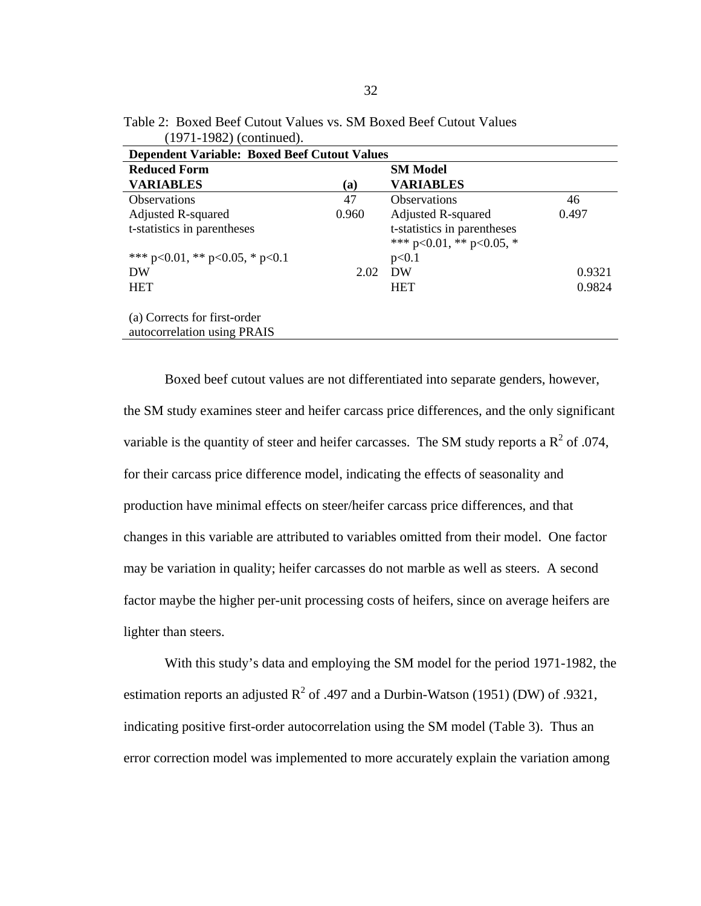| .1771-1704) (CONTINUU).                                     |                                                     |                                                               |        |  |  |
|-------------------------------------------------------------|-----------------------------------------------------|---------------------------------------------------------------|--------|--|--|
|                                                             | <b>Dependent Variable: Boxed Beef Cutout Values</b> |                                                               |        |  |  |
| <b>Reduced Form</b>                                         |                                                     | <b>SM Model</b>                                               |        |  |  |
| <b>VARIABLES</b>                                            | (a)                                                 | VARIABLES                                                     |        |  |  |
| <b>Observations</b>                                         | 47                                                  | <b>Observations</b>                                           | 46     |  |  |
| Adjusted R-squared                                          | 0.960                                               | Adjusted R-squared                                            | 0.497  |  |  |
| t-statistics in parentheses                                 |                                                     | t-statistics in parentheses<br>*** $p<0.01$ , ** $p<0.05$ , * |        |  |  |
| *** $p<0.01$ , ** $p<0.05$ , * $p<0.1$                      |                                                     | p<0.1                                                         |        |  |  |
| DW                                                          | 2.02                                                | DW                                                            | 0.9321 |  |  |
| <b>HET</b>                                                  |                                                     | <b>HET</b>                                                    | 0.9824 |  |  |
| (a) Corrects for first-order<br>autocorrelation using PRAIS |                                                     |                                                               |        |  |  |

Table 2: Boxed Beef Cutout Values vs. SM Boxed Beef Cutout Values  $(1071, 1082)$  (continued)

Boxed beef cutout values are not differentiated into separate genders, however, the SM study examines steer and heifer carcass price differences, and the only significant variable is the quantity of steer and heifer carcasses. The SM study reports a  $R^2$  of .074, for their carcass price difference model, indicating the effects of seasonality and production have minimal effects on steer/heifer carcass price differences, and that changes in this variable are attributed to variables omitted from their model. One factor may be variation in quality; heifer carcasses do not marble as well as steers. A second factor maybe the higher per-unit processing costs of heifers, since on average heifers are lighter than steers.

With this study's data and employing the SM model for the period 1971-1982, the estimation reports an adjusted  $R^2$  of .497 and a Durbin-Watson (1951) (DW) of .9321, indicating positive first-order autocorrelation using the SM model (Table 3). Thus an error correction model was implemented to more accurately explain the variation among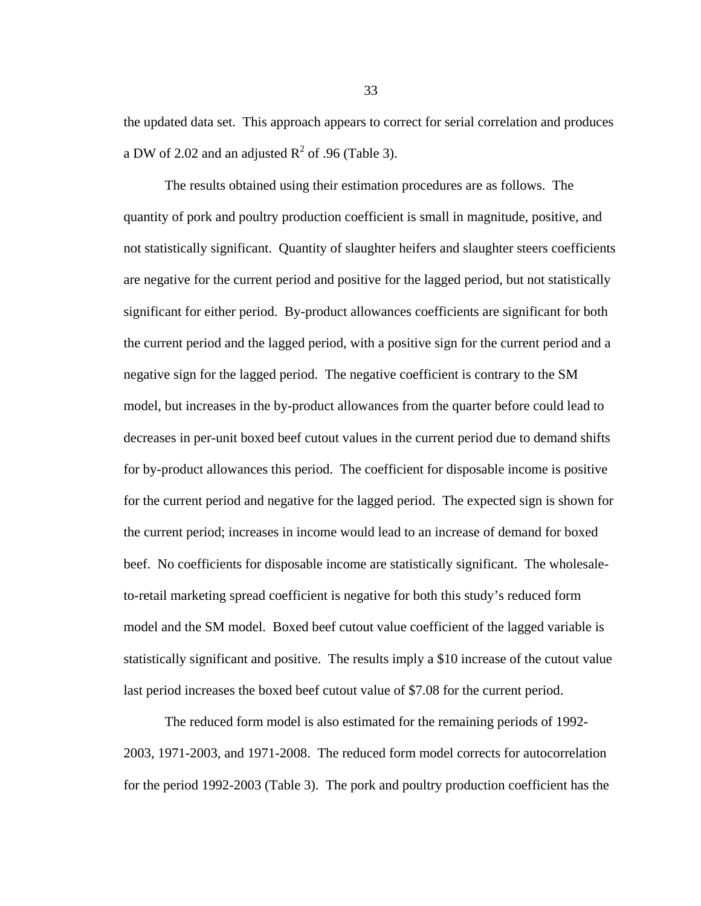the updated data set. This approach appears to correct for serial correlation and produces a DW of 2.02 and an adjusted  $R^2$  of .96 (Table 3).

The results obtained using their estimation procedures are as follows. The quantity of pork and poultry production coefficient is small in magnitude, positive, and not statistically significant. Quantity of slaughter heifers and slaughter steers coefficients are negative for the current period and positive for the lagged period, but not statistically significant for either period. By-product allowances coefficients are significant for both the current period and the lagged period, with a positive sign for the current period and a negative sign for the lagged period. The negative coefficient is contrary to the SM model, but increases in the by-product allowances from the quarter before could lead to decreases in per-unit boxed beef cutout values in the current period due to demand shifts for by-product allowances this period. The coefficient for disposable income is positive for the current period and negative for the lagged period. The expected sign is shown for the current period; increases in income would lead to an increase of demand for boxed beef. No coefficients for disposable income are statistically significant. The wholesaleto-retail marketing spread coefficient is negative for both this study's reduced form model and the SM model. Boxed beef cutout value coefficient of the lagged variable is statistically significant and positive. The results imply a \$10 increase of the cutout value last period increases the boxed beef cutout value of \$7.08 for the current period.

The reduced form model is also estimated for the remaining periods of 1992- 2003, 1971-2003, and 1971-2008. The reduced form model corrects for autocorrelation for the period 1992-2003 (Table 3). The pork and poultry production coefficient has the

33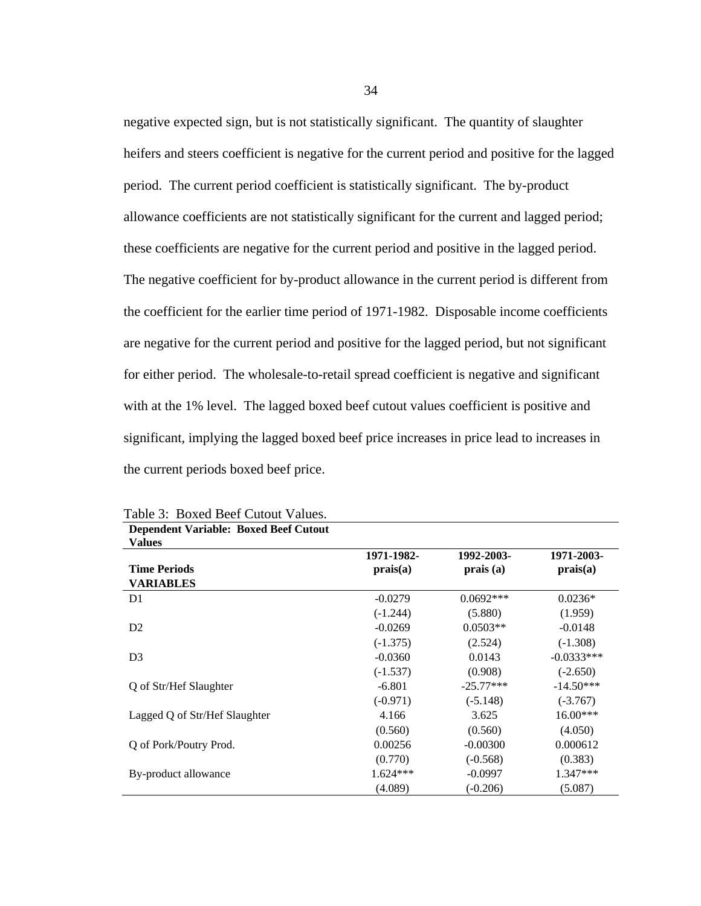negative expected sign, but is not statistically significant. The quantity of slaughter heifers and steers coefficient is negative for the current period and positive for the lagged period. The current period coefficient is statistically significant. The by-product allowance coefficients are not statistically significant for the current and lagged period; these coefficients are negative for the current period and positive in the lagged period. The negative coefficient for by-product allowance in the current period is different from the coefficient for the earlier time period of 1971-1982. Disposable income coefficients are negative for the current period and positive for the lagged period, but not significant for either period. The wholesale-to-retail spread coefficient is negative and significant with at the 1% level. The lagged boxed beef cutout values coefficient is positive and significant, implying the lagged boxed beef price increases in price lead to increases in the current periods boxed beef price.

| <b>Dependent Variable: Boxed Beef Cutout</b> |            |             |              |
|----------------------------------------------|------------|-------------|--------------|
| <b>Values</b>                                |            |             |              |
|                                              | 1971-1982- | 1992-2003-  | 1971-2003-   |
| <b>Time Periods</b>                          | prais(a)   | prais(a)    | prais(a)     |
| <b>VARIABLES</b>                             |            |             |              |
| D <sub>1</sub>                               | $-0.0279$  | $0.0692***$ | $0.0236*$    |
|                                              | $(-1.244)$ | (5.880)     | (1.959)      |
| D2                                           | $-0.0269$  | $0.0503**$  | $-0.0148$    |
|                                              | $(-1.375)$ | (2.524)     | $(-1.308)$   |
| D <sub>3</sub>                               | $-0.0360$  | 0.0143      | $-0.0333***$ |
|                                              | $(-1.537)$ | (0.908)     | $(-2.650)$   |
| Q of Str/Hef Slaughter                       | $-6.801$   | $-25.77***$ | $-14.50***$  |
|                                              | $(-0.971)$ | $(-5.148)$  | $(-3.767)$   |
| Lagged Q of Str/Hef Slaughter                | 4.166      | 3.625       | $16.00***$   |
|                                              | (0.560)    | (0.560)     | (4.050)      |
| Q of Pork/Poutry Prod.                       | 0.00256    | $-0.00300$  | 0.000612     |
|                                              | (0.770)    | $(-0.568)$  | (0.383)      |
| By-product allowance                         | $1.624***$ | $-0.0997$   | $1.347***$   |
|                                              | (4.089)    | $(-0.206)$  | (5.087)      |

Table 3: Boxed Beef Cutout Values.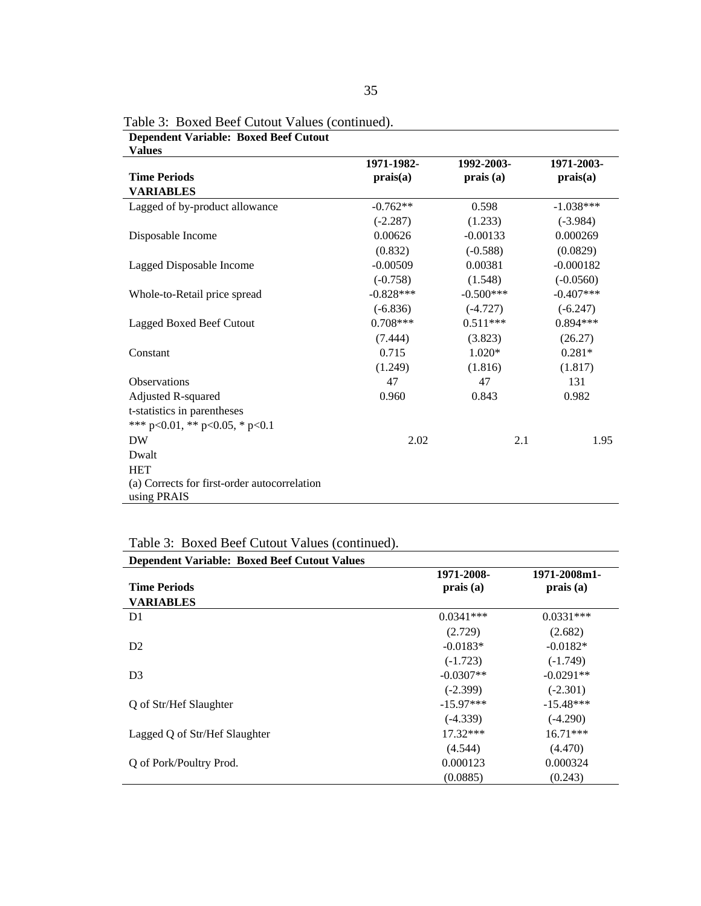| Values                                                      |             |             |              |
|-------------------------------------------------------------|-------------|-------------|--------------|
|                                                             | 1971-1982-  | 1992-2003-  | 1971-2003-   |
| <b>Time Periods</b>                                         | prais(a)    | prais(a)    | prais(a)     |
| <b>VARIABLES</b>                                            |             |             |              |
| Lagged of by-product allowance                              | $-0.762**$  | 0.598       | $-1.038***$  |
|                                                             | $(-2.287)$  | (1.233)     | $(-3.984)$   |
| Disposable Income                                           | 0.00626     | $-0.00133$  | 0.000269     |
|                                                             | (0.832)     | $(-0.588)$  | (0.0829)     |
| Lagged Disposable Income                                    | $-0.00509$  | 0.00381     | $-0.000182$  |
|                                                             | $(-0.758)$  | (1.548)     | $(-0.0560)$  |
| Whole-to-Retail price spread                                | $-0.828***$ | $-0.500***$ | $-0.407$ *** |
|                                                             | $(-6.836)$  | $(-4.727)$  | $(-6.247)$   |
| Lagged Boxed Beef Cutout                                    | $0.708***$  | $0.511***$  | $0.894***$   |
|                                                             | (7.444)     | (3.823)     | (26.27)      |
| Constant                                                    | 0.715       | $1.020*$    | $0.281*$     |
|                                                             | (1.249)     | (1.816)     | (1.817)      |
| <b>Observations</b>                                         | 47          | 47          | 131          |
| Adjusted R-squared                                          | 0.960       | 0.843       | 0.982        |
| t-statistics in parentheses                                 |             |             |              |
| *** $p<0.01$ , ** $p<0.05$ , * $p<0.1$                      |             |             |              |
| DW                                                          | 2.02        | 2.1         | 1.95         |
| Dwalt                                                       |             |             |              |
| <b>HET</b>                                                  |             |             |              |
| (a) Corrects for first-order autocorrelation<br>using PRAIS |             |             |              |

Table 3: Boxed Beef Cutout Values (continued).

**Dependent Variable: Boxed Beef Cutout** 

| Table 3: Boxed Beef Cutout Values (continued). |  |  |
|------------------------------------------------|--|--|
|------------------------------------------------|--|--|

| <b>Dependent Variable: Boxed Beef Cutout Values</b> |             |              |
|-----------------------------------------------------|-------------|--------------|
|                                                     | 1971-2008-  | 1971-2008m1- |
| <b>Time Periods</b>                                 | prais(a)    | prais(a)     |
| <b>VARIABLES</b>                                    |             |              |
| D1                                                  | $0.0341***$ | $0.0331***$  |
|                                                     | (2.729)     | (2.682)      |
| D <sub>2</sub>                                      | $-0.0183*$  | $-0.0182*$   |
|                                                     | $(-1.723)$  | $(-1.749)$   |
| D <sub>3</sub>                                      | $-0.0307**$ | $-0.0291**$  |
|                                                     | $(-2.399)$  | $(-2.301)$   |
| O of Str/Hef Slaughter                              | $-15.97***$ | $-15.48***$  |
|                                                     | $(-4.339)$  | $(-4.290)$   |
| Lagged Q of Str/Hef Slaughter                       | $17.32***$  | $16.71***$   |
|                                                     | (4.544)     | (4.470)      |
| Q of Pork/Poultry Prod.                             | 0.000123    | 0.000324     |
|                                                     | (0.0885)    | (0.243)      |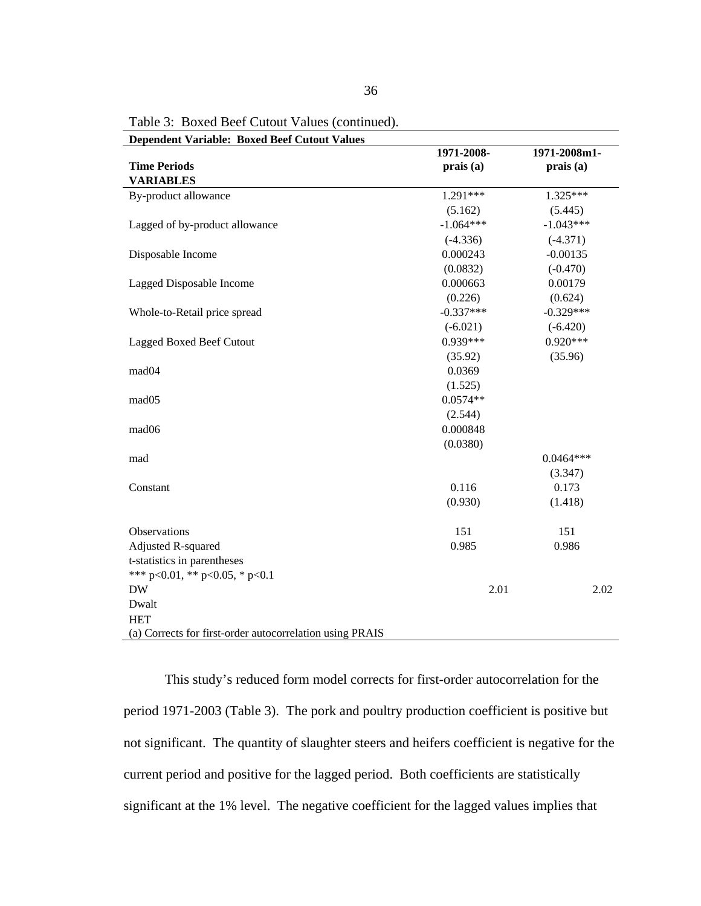| <b>Dependent Variable: Boxed Beef Cutout Values</b>      | 1971-2008-  | 1971-2008m1- |
|----------------------------------------------------------|-------------|--------------|
| <b>Time Periods</b>                                      | prais (a)   | prais (a)    |
| <b>VARIABLES</b>                                         |             |              |
| By-product allowance                                     | 1.291***    | 1.325***     |
|                                                          | (5.162)     | (5.445)      |
| Lagged of by-product allowance                           | $-1.064***$ | $-1.043***$  |
|                                                          | $(-4.336)$  | $(-4.371)$   |
| Disposable Income                                        | 0.000243    | $-0.00135$   |
|                                                          | (0.0832)    | $(-0.470)$   |
| Lagged Disposable Income                                 | 0.000663    | 0.00179      |
|                                                          | (0.226)     | (0.624)      |
| Whole-to-Retail price spread                             | $-0.337***$ | $-0.329***$  |
|                                                          | $(-6.021)$  | $(-6.420)$   |
| <b>Lagged Boxed Beef Cutout</b>                          | $0.939***$  | $0.920***$   |
|                                                          | (35.92)     | (35.96)      |
| mad04                                                    | 0.0369      |              |
|                                                          | (1.525)     |              |
| mad05                                                    | $0.0574**$  |              |
|                                                          | (2.544)     |              |
| mad <sub>06</sub>                                        | 0.000848    |              |
|                                                          | (0.0380)    |              |
| mad                                                      |             | $0.0464***$  |
|                                                          |             | (3.347)      |
| Constant                                                 | 0.116       | 0.173        |
|                                                          | (0.930)     | (1.418)      |
| Observations                                             | 151         | 151          |
| Adjusted R-squared                                       | 0.985       | 0.986        |
| t-statistics in parentheses                              |             |              |
| *** p<0.01, ** p<0.05, * p<0.1                           |             |              |
| <b>DW</b>                                                | 2.01        | 2.02         |
| Dwalt                                                    |             |              |
| <b>HET</b>                                               |             |              |
| (a) Corrects for first-order autocorrelation using PRAIS |             |              |

Table 3: Boxed Beef Cutout Values (continued).

This study's reduced form model corrects for first-order autocorrelation for the period 1971-2003 (Table 3). The pork and poultry production coefficient is positive but not significant. The quantity of slaughter steers and heifers coefficient is negative for the current period and positive for the lagged period. Both coefficients are statistically significant at the 1% level. The negative coefficient for the lagged values implies that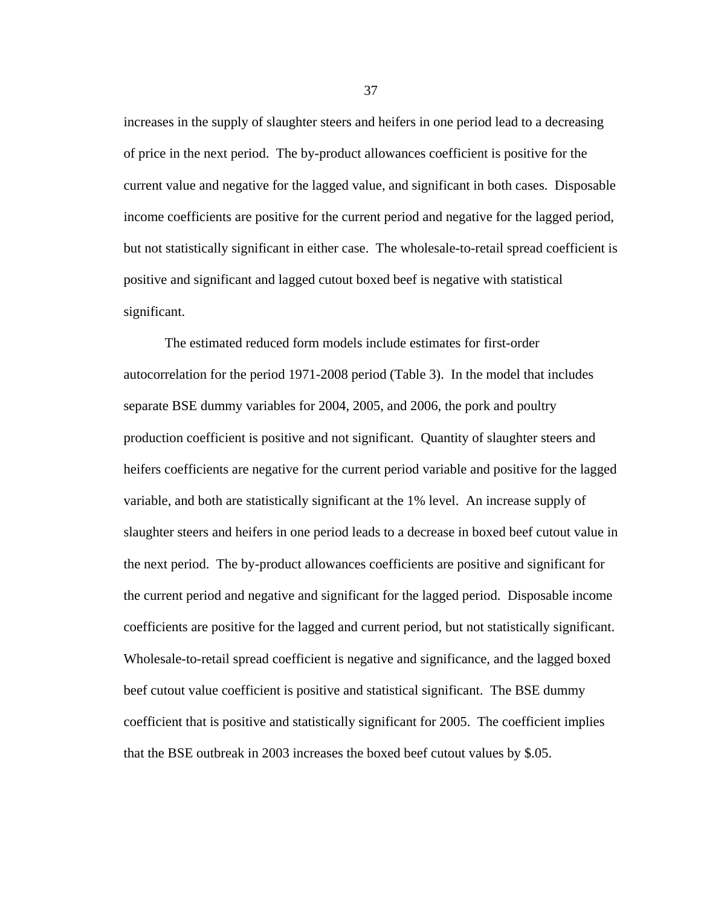increases in the supply of slaughter steers and heifers in one period lead to a decreasing of price in the next period. The by-product allowances coefficient is positive for the current value and negative for the lagged value, and significant in both cases. Disposable income coefficients are positive for the current period and negative for the lagged period, but not statistically significant in either case. The wholesale-to-retail spread coefficient is positive and significant and lagged cutout boxed beef is negative with statistical significant.

The estimated reduced form models include estimates for first-order autocorrelation for the period 1971-2008 period (Table 3). In the model that includes separate BSE dummy variables for 2004, 2005, and 2006, the pork and poultry production coefficient is positive and not significant. Quantity of slaughter steers and heifers coefficients are negative for the current period variable and positive for the lagged variable, and both are statistically significant at the 1% level. An increase supply of slaughter steers and heifers in one period leads to a decrease in boxed beef cutout value in the next period. The by-product allowances coefficients are positive and significant for the current period and negative and significant for the lagged period. Disposable income coefficients are positive for the lagged and current period, but not statistically significant. Wholesale-to-retail spread coefficient is negative and significance, and the lagged boxed beef cutout value coefficient is positive and statistical significant. The BSE dummy coefficient that is positive and statistically significant for 2005. The coefficient implies that the BSE outbreak in 2003 increases the boxed beef cutout values by \$.05.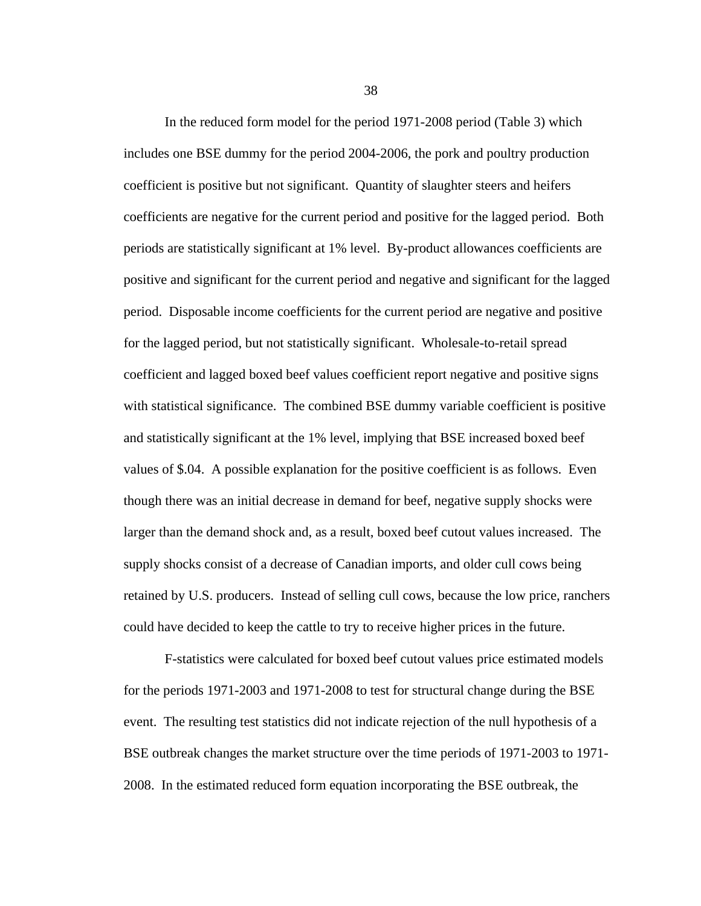In the reduced form model for the period 1971-2008 period (Table 3) which includes one BSE dummy for the period 2004-2006, the pork and poultry production coefficient is positive but not significant. Quantity of slaughter steers and heifers coefficients are negative for the current period and positive for the lagged period. Both periods are statistically significant at 1% level. By-product allowances coefficients are positive and significant for the current period and negative and significant for the lagged period. Disposable income coefficients for the current period are negative and positive for the lagged period, but not statistically significant. Wholesale-to-retail spread coefficient and lagged boxed beef values coefficient report negative and positive signs with statistical significance. The combined BSE dummy variable coefficient is positive and statistically significant at the 1% level, implying that BSE increased boxed beef values of \$.04. A possible explanation for the positive coefficient is as follows. Even though there was an initial decrease in demand for beef, negative supply shocks were larger than the demand shock and, as a result, boxed beef cutout values increased. The supply shocks consist of a decrease of Canadian imports, and older cull cows being retained by U.S. producers. Instead of selling cull cows, because the low price, ranchers could have decided to keep the cattle to try to receive higher prices in the future.

F-statistics were calculated for boxed beef cutout values price estimated models for the periods 1971-2003 and 1971-2008 to test for structural change during the BSE event. The resulting test statistics did not indicate rejection of the null hypothesis of a BSE outbreak changes the market structure over the time periods of 1971-2003 to 1971- 2008. In the estimated reduced form equation incorporating the BSE outbreak, the

38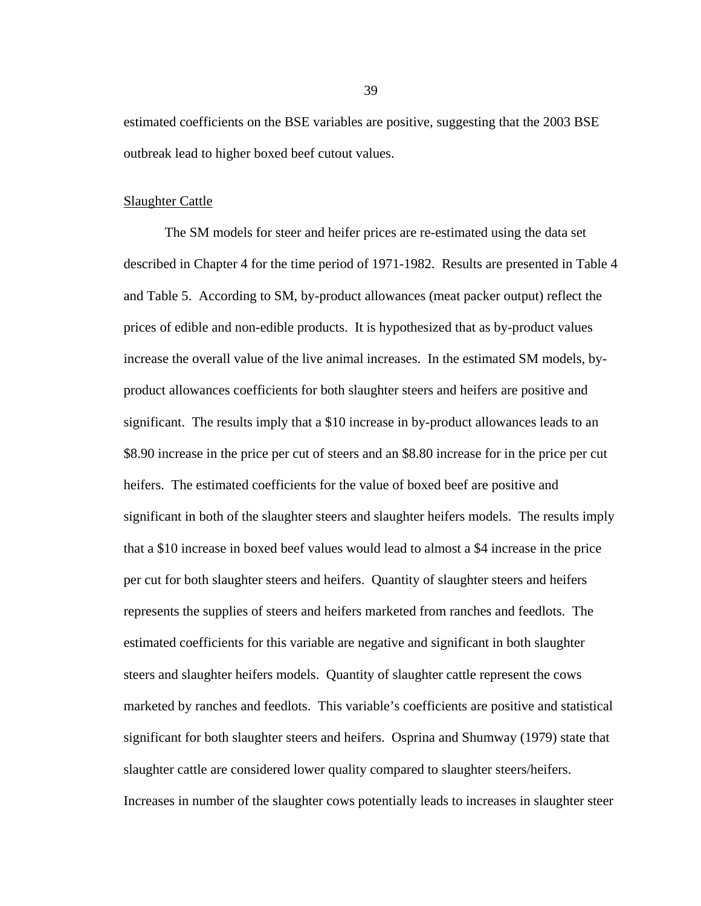estimated coefficients on the BSE variables are positive, suggesting that the 2003 BSE outbreak lead to higher boxed beef cutout values.

### Slaughter Cattle

The SM models for steer and heifer prices are re-estimated using the data set described in Chapter 4 for the time period of 1971-1982. Results are presented in Table 4 and Table 5. According to SM, by-product allowances (meat packer output) reflect the prices of edible and non-edible products. It is hypothesized that as by-product values increase the overall value of the live animal increases. In the estimated SM models, byproduct allowances coefficients for both slaughter steers and heifers are positive and significant. The results imply that a \$10 increase in by-product allowances leads to an \$8.90 increase in the price per cut of steers and an \$8.80 increase for in the price per cut heifers. The estimated coefficients for the value of boxed beef are positive and significant in both of the slaughter steers and slaughter heifers models. The results imply that a \$10 increase in boxed beef values would lead to almost a \$4 increase in the price per cut for both slaughter steers and heifers. Quantity of slaughter steers and heifers represents the supplies of steers and heifers marketed from ranches and feedlots. The estimated coefficients for this variable are negative and significant in both slaughter steers and slaughter heifers models. Quantity of slaughter cattle represent the cows marketed by ranches and feedlots. This variable's coefficients are positive and statistical significant for both slaughter steers and heifers. Osprina and Shumway (1979) state that slaughter cattle are considered lower quality compared to slaughter steers/heifers. Increases in number of the slaughter cows potentially leads to increases in slaughter steer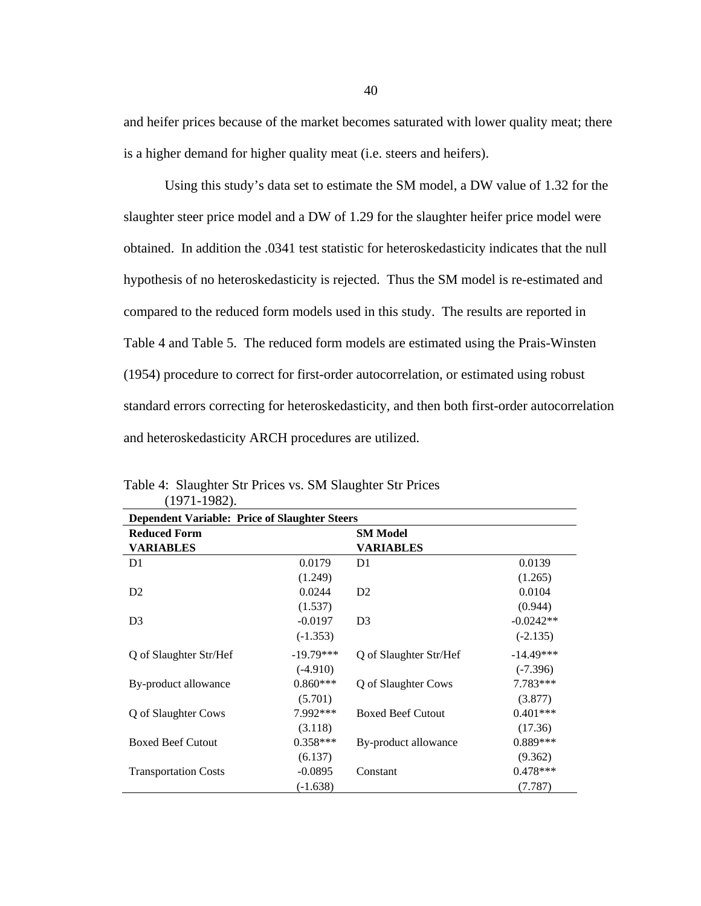and heifer prices because of the market becomes saturated with lower quality meat; there is a higher demand for higher quality meat (i.e. steers and heifers).

Using this study's data set to estimate the SM model, a DW value of 1.32 for the slaughter steer price model and a DW of 1.29 for the slaughter heifer price model were obtained. In addition the .0341 test statistic for heteroskedasticity indicates that the null hypothesis of no heteroskedasticity is rejected. Thus the SM model is re-estimated and compared to the reduced form models used in this study. The results are reported in Table 4 and Table 5. The reduced form models are estimated using the Prais-Winsten (1954) procedure to correct for first-order autocorrelation, or estimated using robust standard errors correcting for heteroskedasticity, and then both first-order autocorrelation and heteroskedasticity ARCH procedures are utilized.

| <b>Dependent Variable: Price of Slaughter Steers</b> |             |                          |             |
|------------------------------------------------------|-------------|--------------------------|-------------|
| <b>Reduced Form</b>                                  |             | <b>SM Model</b>          |             |
| <b>VARIABLES</b>                                     |             | <b>VARIABLES</b>         |             |
| D <sub>1</sub>                                       | 0.0179      | D <sub>1</sub>           | 0.0139      |
|                                                      | (1.249)     |                          | (1.265)     |
| D <sub>2</sub>                                       | 0.0244      | D <sub>2</sub>           | 0.0104      |
|                                                      | (1.537)     |                          | (0.944)     |
| D <sub>3</sub>                                       | $-0.0197$   | D <sub>3</sub>           | $-0.0242**$ |
|                                                      | $(-1.353)$  |                          | $(-2.135)$  |
| Q of Slaughter Str/Hef                               | $-19.79***$ | Q of Slaughter Str/Hef   | $-14.49***$ |
|                                                      | $(-4.910)$  |                          | $(-7.396)$  |
| By-product allowance                                 | $0.860***$  | Q of Slaughter Cows      | 7.783***    |
|                                                      | (5.701)     |                          | (3.877)     |
| Q of Slaughter Cows                                  | 7.992***    | <b>Boxed Beef Cutout</b> | $0.401***$  |
|                                                      | (3.118)     |                          | (17.36)     |
| <b>Boxed Beef Cutout</b>                             | $0.358***$  | By-product allowance     | $0.889***$  |
|                                                      | (6.137)     |                          | (9.362)     |
| <b>Transportation Costs</b>                          | $-0.0895$   | Constant                 | $0.478***$  |
|                                                      | $(-1.638)$  |                          | (7.787)     |

Table 4: Slaughter Str Prices vs. SM Slaughter Str Prices (1971-1982).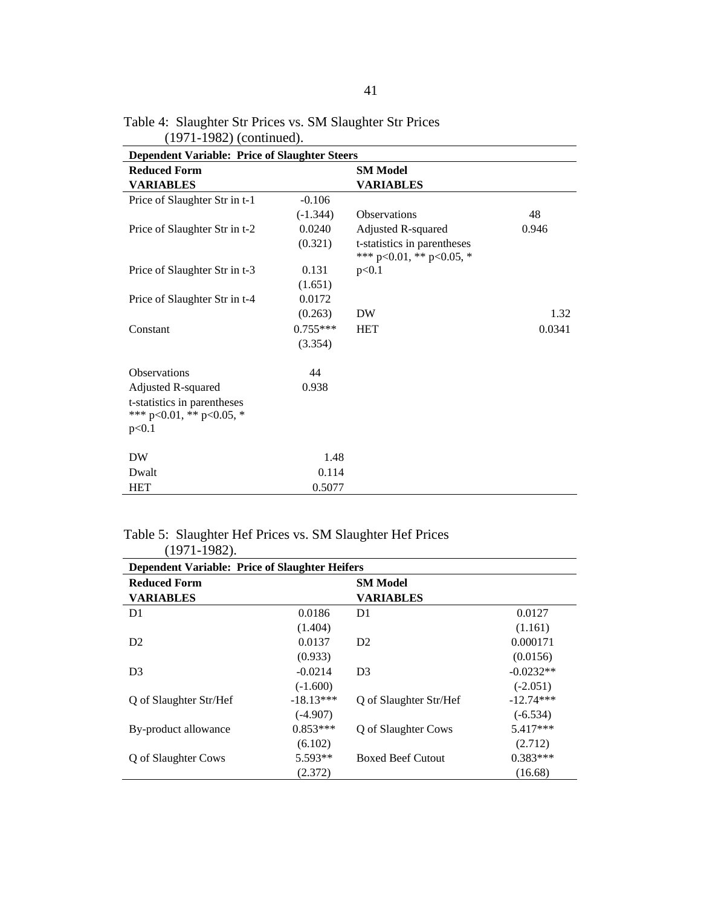| <b>Dependent Variable: Price of Slaughter Steers</b>    |            |                                                         |        |
|---------------------------------------------------------|------------|---------------------------------------------------------|--------|
| <b>Reduced Form</b>                                     |            | <b>SM Model</b>                                         |        |
| <b>VARIABLES</b>                                        |            | <b>VARIABLES</b>                                        |        |
| Price of Slaughter Str in t-1                           | $-0.106$   |                                                         |        |
|                                                         | $(-1.344)$ | Observations                                            | 48     |
| Price of Slaughter Str in t-2                           | 0.0240     | Adjusted R-squared                                      | 0.946  |
|                                                         | (0.321)    | t-statistics in parentheses<br>*** p<0.01, ** p<0.05, * |        |
| Price of Slaughter Str in t-3                           | 0.131      | p<0.1                                                   |        |
|                                                         | (1.651)    |                                                         |        |
| Price of Slaughter Str in t-4                           | 0.0172     |                                                         |        |
|                                                         | (0.263)    | <b>DW</b>                                               | 1.32   |
| Constant                                                | $0.755***$ | <b>HET</b>                                              | 0.0341 |
|                                                         | (3.354)    |                                                         |        |
| <b>Observations</b>                                     | 44         |                                                         |        |
| Adjusted R-squared                                      | 0.938      |                                                         |        |
| t-statistics in parentheses<br>*** p<0.01, ** p<0.05, * |            |                                                         |        |
| p<0.1                                                   |            |                                                         |        |
| DW                                                      | 1.48       |                                                         |        |
| Dwalt                                                   | 0.114      |                                                         |        |
| <b>HET</b>                                              | 0.5077     |                                                         |        |

41

Table 4: Slaughter Str Prices vs. SM Slaughter Str Prices (1971-1982) (continued).

# Table 5: Slaughter Hef Prices vs. SM Slaughter Hef Prices

| $(1971-1982)$ .                                       |             |                          |             |
|-------------------------------------------------------|-------------|--------------------------|-------------|
| <b>Dependent Variable: Price of Slaughter Heifers</b> |             |                          |             |
| <b>Reduced Form</b>                                   |             | <b>SM Model</b>          |             |
| <b>VARIABLES</b>                                      |             | <b>VARIABLES</b>         |             |
| D <sub>1</sub>                                        | 0.0186      | D1                       | 0.0127      |
|                                                       | (1.404)     |                          | (1.161)     |
| D <sub>2</sub>                                        | 0.0137      | D <sub>2</sub>           | 0.000171    |
|                                                       | (0.933)     |                          | (0.0156)    |
| D <sub>3</sub>                                        | $-0.0214$   | D <sub>3</sub>           | $-0.0232**$ |
|                                                       | $(-1.600)$  |                          | $(-2.051)$  |
| Q of Slaughter Str/Hef                                | $-18.13***$ | Q of Slaughter Str/Hef   | $-12.74***$ |
|                                                       | $(-4.907)$  |                          | $(-6.534)$  |
| By-product allowance                                  | $0.853***$  | Q of Slaughter Cows      | $5.417***$  |
|                                                       | (6.102)     |                          | (2.712)     |
| Q of Slaughter Cows                                   | 5.593**     | <b>Boxed Beef Cutout</b> | $0.383***$  |
|                                                       | (2.372)     |                          | (16.68)     |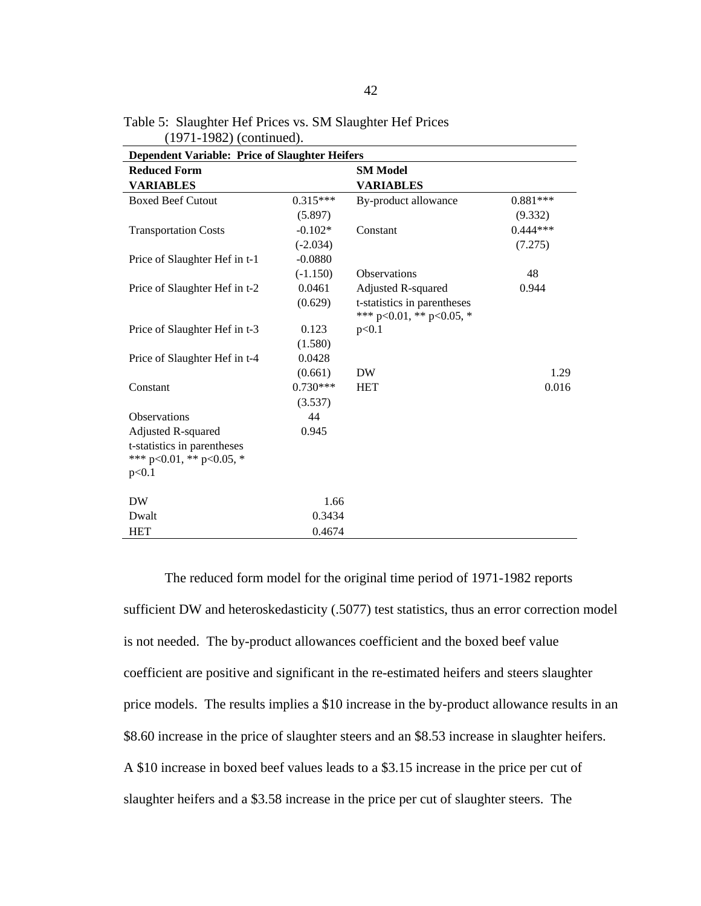| <b>Dependent Variable: Price of Slaughter Heifers</b> |            |                                                         |            |
|-------------------------------------------------------|------------|---------------------------------------------------------|------------|
| <b>Reduced Form</b>                                   |            | <b>SM Model</b>                                         |            |
| <b>VARIABLES</b>                                      |            | <b>VARIABLES</b>                                        |            |
| <b>Boxed Beef Cutout</b>                              | $0.315***$ | By-product allowance                                    | $0.881***$ |
|                                                       | (5.897)    |                                                         | (9.332)    |
| <b>Transportation Costs</b>                           | $-0.102*$  | Constant                                                | $0.444***$ |
|                                                       | $(-2.034)$ |                                                         | (7.275)    |
| Price of Slaughter Hef in t-1                         | $-0.0880$  |                                                         |            |
|                                                       | $(-1.150)$ | <b>Observations</b>                                     | 48         |
| Price of Slaughter Hef in t-2                         | 0.0461     | Adjusted R-squared                                      | 0.944      |
|                                                       | (0.629)    | t-statistics in parentheses<br>*** p<0.01, ** p<0.05, * |            |
| Price of Slaughter Hef in t-3                         | 0.123      | p<0.1                                                   |            |
|                                                       | (1.580)    |                                                         |            |
| Price of Slaughter Hef in t-4                         | 0.0428     |                                                         |            |
|                                                       | (0.661)    | <b>DW</b>                                               | 1.29       |
| Constant                                              | $0.730***$ | <b>HET</b>                                              | 0.016      |
|                                                       | (3.537)    |                                                         |            |
| <b>Observations</b>                                   | 44         |                                                         |            |
| Adjusted R-squared                                    | 0.945      |                                                         |            |
| t-statistics in parentheses                           |            |                                                         |            |
| *** p<0.01, ** p<0.05, *                              |            |                                                         |            |
| p<0.1                                                 |            |                                                         |            |
| <b>DW</b>                                             | 1.66       |                                                         |            |
| Dwalt                                                 | 0.3434     |                                                         |            |
| <b>HET</b>                                            | 0.4674     |                                                         |            |

Table 5: Slaughter Hef Prices vs. SM Slaughter Hef Prices (1971-1982) (continued).

The reduced form model for the original time period of 1971-1982 reports sufficient DW and heteroskedasticity (.5077) test statistics, thus an error correction model is not needed. The by-product allowances coefficient and the boxed beef value coefficient are positive and significant in the re-estimated heifers and steers slaughter price models. The results implies a \$10 increase in the by-product allowance results in an \$8.60 increase in the price of slaughter steers and an \$8.53 increase in slaughter heifers. A \$10 increase in boxed beef values leads to a \$3.15 increase in the price per cut of slaughter heifers and a \$3.58 increase in the price per cut of slaughter steers. The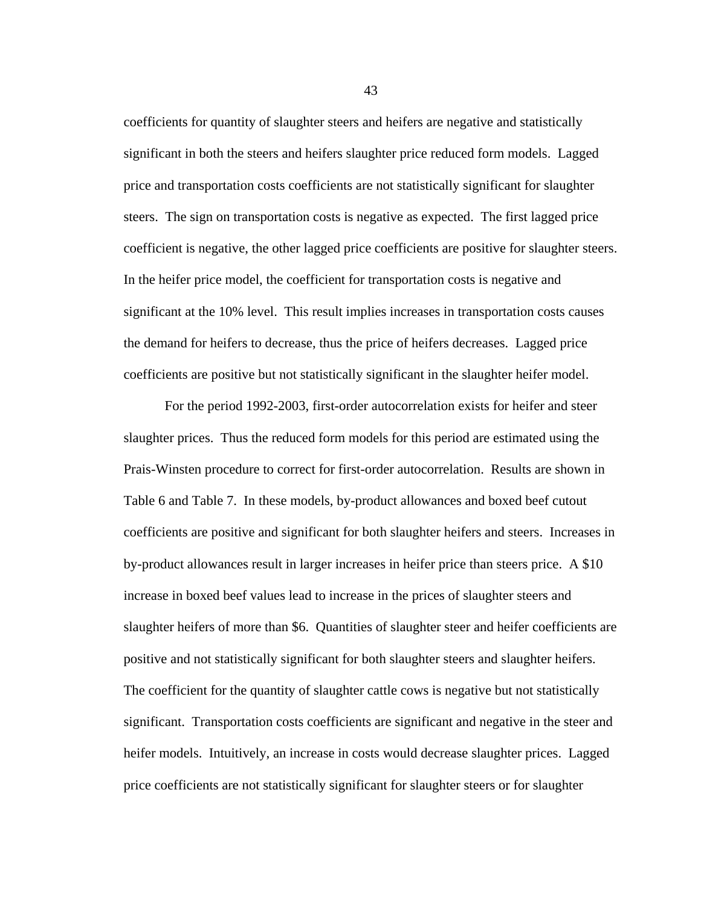coefficients for quantity of slaughter steers and heifers are negative and statistically significant in both the steers and heifers slaughter price reduced form models. Lagged price and transportation costs coefficients are not statistically significant for slaughter steers. The sign on transportation costs is negative as expected. The first lagged price coefficient is negative, the other lagged price coefficients are positive for slaughter steers. In the heifer price model, the coefficient for transportation costs is negative and significant at the 10% level. This result implies increases in transportation costs causes the demand for heifers to decrease, thus the price of heifers decreases. Lagged price coefficients are positive but not statistically significant in the slaughter heifer model.

For the period 1992-2003, first-order autocorrelation exists for heifer and steer slaughter prices. Thus the reduced form models for this period are estimated using the Prais-Winsten procedure to correct for first-order autocorrelation. Results are shown in Table 6 and Table 7. In these models, by-product allowances and boxed beef cutout coefficients are positive and significant for both slaughter heifers and steers. Increases in by-product allowances result in larger increases in heifer price than steers price. A \$10 increase in boxed beef values lead to increase in the prices of slaughter steers and slaughter heifers of more than \$6. Quantities of slaughter steer and heifer coefficients are positive and not statistically significant for both slaughter steers and slaughter heifers. The coefficient for the quantity of slaughter cattle cows is negative but not statistically significant. Transportation costs coefficients are significant and negative in the steer and heifer models. Intuitively, an increase in costs would decrease slaughter prices. Lagged price coefficients are not statistically significant for slaughter steers or for slaughter

43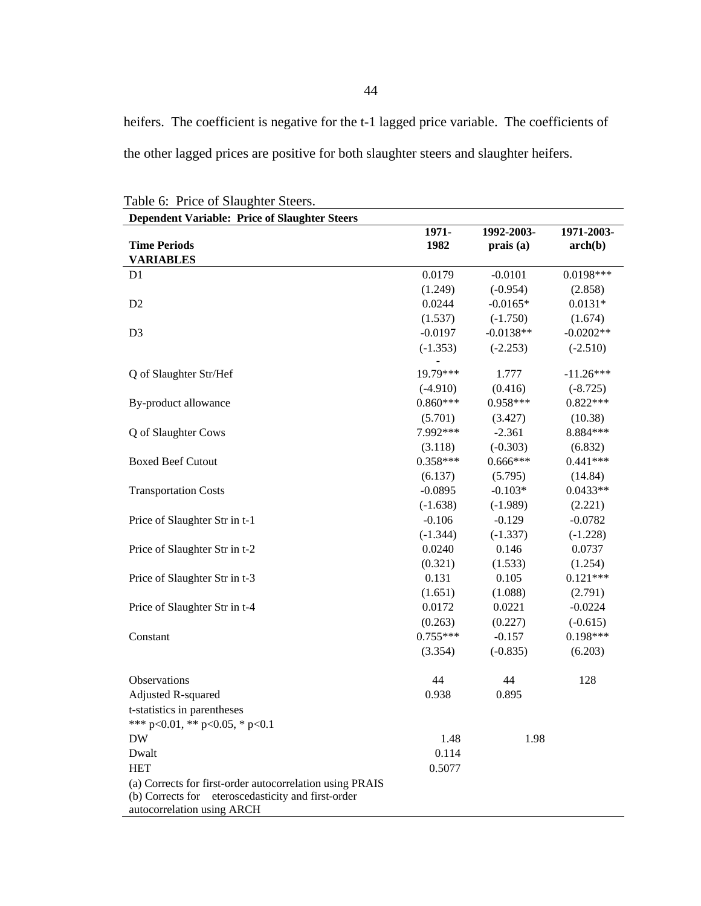heifers. The coefficient is negative for the t-1 lagged price variable. The coefficients of the other lagged prices are positive for both slaughter steers and slaughter heifers.

| <b>Dependent Variable: Price of Slaughter Steers</b>     |            |             |             |
|----------------------------------------------------------|------------|-------------|-------------|
|                                                          | 1971-      | 1992-2003-  | 1971-2003-  |
| <b>Time Periods</b>                                      | 1982       | prais(a)    | arch(b)     |
| <b>VARIABLES</b>                                         |            |             |             |
| D <sub>1</sub>                                           | 0.0179     | $-0.0101$   | 0.0198***   |
|                                                          | (1.249)    | $(-0.954)$  | (2.858)     |
| D <sub>2</sub>                                           | 0.0244     | $-0.0165*$  | $0.0131*$   |
|                                                          | (1.537)    | $(-1.750)$  | (1.674)     |
| D <sub>3</sub>                                           | $-0.0197$  | $-0.0138**$ | $-0.0202**$ |
|                                                          | $(-1.353)$ | $(-2.253)$  | $(-2.510)$  |
| Q of Slaughter Str/Hef                                   | 19.79***   | 1.777       | $-11.26***$ |
|                                                          | $(-4.910)$ | (0.416)     | $(-8.725)$  |
| By-product allowance                                     | $0.860***$ | 0.958***    | $0.822***$  |
|                                                          | (5.701)    | (3.427)     | (10.38)     |
| Q of Slaughter Cows                                      | 7.992***   | $-2.361$    | 8.884 ***   |
|                                                          | (3.118)    | $(-0.303)$  | (6.832)     |
| <b>Boxed Beef Cutout</b>                                 | $0.358***$ | $0.666***$  | $0.441***$  |
|                                                          | (6.137)    | (5.795)     | (14.84)     |
| <b>Transportation Costs</b>                              | $-0.0895$  | $-0.103*$   | $0.0433**$  |
|                                                          | $(-1.638)$ | $(-1.989)$  | (2.221)     |
| Price of Slaughter Str in t-1                            | $-0.106$   | $-0.129$    | $-0.0782$   |
|                                                          | $(-1.344)$ | $(-1.337)$  | $(-1.228)$  |
| Price of Slaughter Str in t-2                            | 0.0240     | 0.146       | 0.0737      |
|                                                          | (0.321)    | (1.533)     | (1.254)     |
| Price of Slaughter Str in t-3                            | 0.131      | 0.105       | $0.121***$  |
|                                                          | (1.651)    | (1.088)     | (2.791)     |
| Price of Slaughter Str in t-4                            | 0.0172     | 0.0221      | $-0.0224$   |
|                                                          | (0.263)    | (0.227)     | $(-0.615)$  |
| Constant                                                 | $0.755***$ | $-0.157$    | $0.198***$  |
|                                                          | (3.354)    | $(-0.835)$  | (6.203)     |
| Observations                                             | 44         | 44          | 128         |
| Adjusted R-squared                                       | 0.938      | 0.895       |             |
| t-statistics in parentheses                              |            |             |             |
| *** p<0.01, ** p<0.05, * p<0.1                           |            |             |             |
| <b>DW</b>                                                | 1.48       | 1.98        |             |
| Dwalt                                                    | 0.114      |             |             |
| <b>HET</b>                                               | 0.5077     |             |             |
| (a) Corrects for first-order autocorrelation using PRAIS |            |             |             |
| (b) Corrects for eteroscedasticity and first-order       |            |             |             |
| autocorrelation using ARCH                               |            |             |             |

Table 6: Price of Slaughter Steers.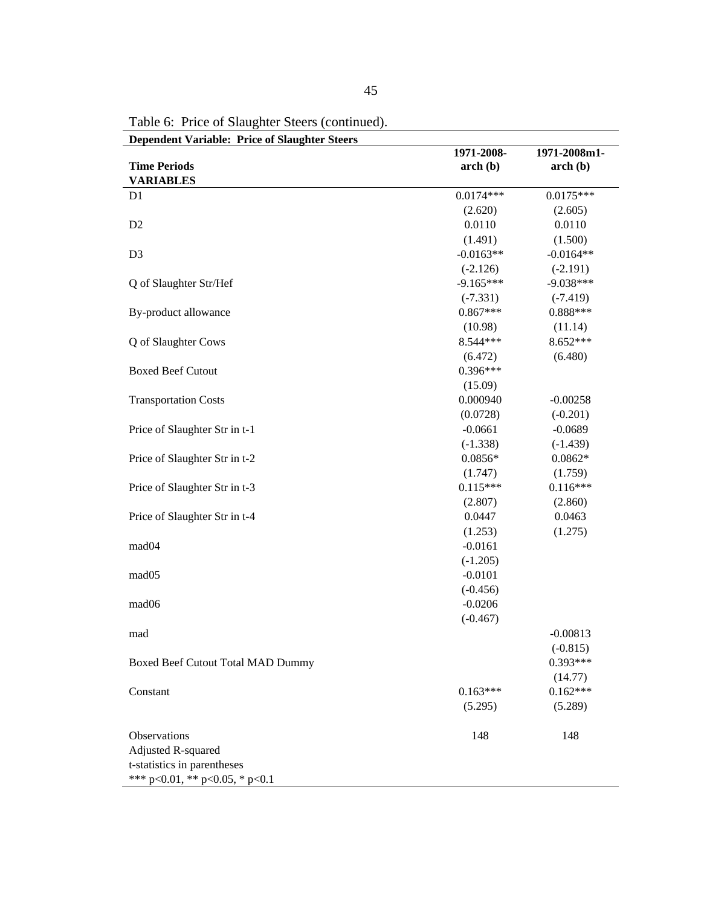|                                        | 1971-2008-  | 1971-2008m1- |
|----------------------------------------|-------------|--------------|
| <b>Time Periods</b>                    | $\arch(b)$  | $\arch(b)$   |
| <b>VARIABLES</b>                       |             |              |
| D1                                     | $0.0174***$ | $0.0175***$  |
|                                        | (2.620)     | (2.605)      |
| D2                                     | 0.0110      | 0.0110       |
|                                        | (1.491)     | (1.500)      |
| D <sub>3</sub>                         | $-0.0163**$ | $-0.0164**$  |
|                                        | $(-2.126)$  | $(-2.191)$   |
| Q of Slaughter Str/Hef                 | $-9.165***$ | $-9.038***$  |
|                                        | $(-7.331)$  | $(-7.419)$   |
| By-product allowance                   | $0.867***$  | $0.888***$   |
|                                        | (10.98)     | (11.14)      |
| Q of Slaughter Cows                    | 8.544***    | 8.652***     |
|                                        | (6.472)     | (6.480)      |
| <b>Boxed Beef Cutout</b>               | $0.396***$  |              |
|                                        | (15.09)     |              |
| <b>Transportation Costs</b>            | 0.000940    | $-0.00258$   |
|                                        | (0.0728)    | $(-0.201)$   |
| Price of Slaughter Str in t-1          | $-0.0661$   | $-0.0689$    |
|                                        | $(-1.338)$  | $(-1.439)$   |
| Price of Slaughter Str in t-2          | $0.0856*$   | $0.0862*$    |
|                                        | (1.747)     | (1.759)      |
| Price of Slaughter Str in t-3          | $0.115***$  | $0.116***$   |
|                                        | (2.807)     | (2.860)      |
| Price of Slaughter Str in t-4          | 0.0447      | 0.0463       |
|                                        | (1.253)     | (1.275)      |
| mad04                                  | $-0.0161$   |              |
|                                        | $(-1.205)$  |              |
| mad05                                  | $-0.0101$   |              |
|                                        | $(-0.456)$  |              |
| mad06                                  | $-0.0206$   |              |
|                                        | $(-0.467)$  |              |
| mad                                    |             | $-0.00813$   |
|                                        |             | $(-0.815)$   |
| Boxed Beef Cutout Total MAD Dummy      |             | $0.393***$   |
|                                        |             | (14.77)      |
| Constant                               | $0.163***$  | $0.162***$   |
|                                        | (5.295)     | (5.289)      |
| Observations                           | 148         | 148          |
| <b>Adjusted R-squared</b>              |             |              |
| t-statistics in parentheses            |             |              |
| *** $p<0.01$ , ** $p<0.05$ , * $p<0.1$ |             |              |

Table 6: Price of Slaughter Steers (continued).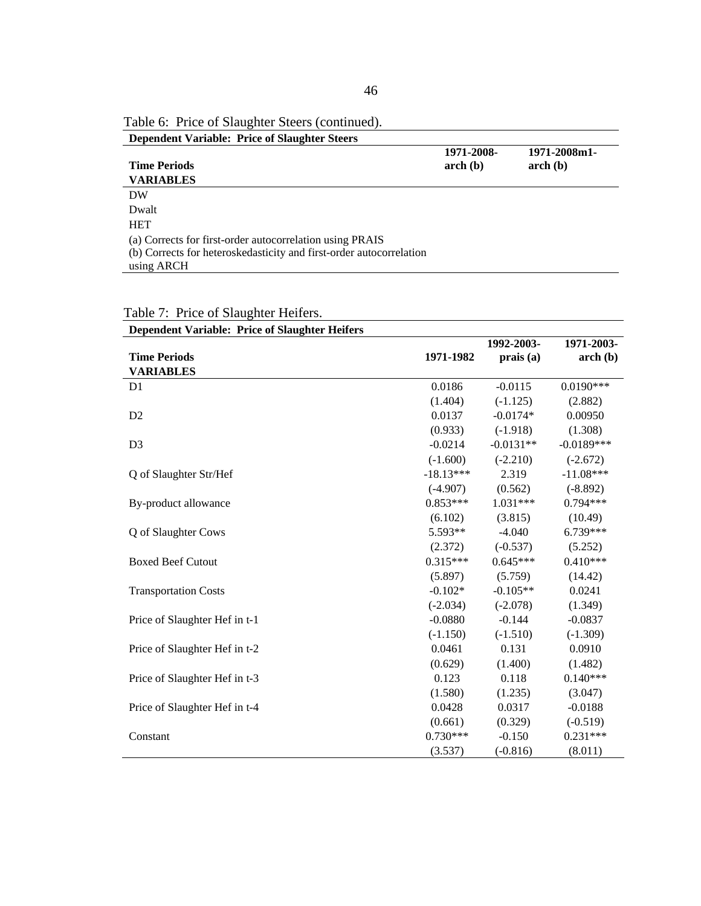| Table 6: Price of Slaughter Steers (continued).                                                                                 |                          |                         |
|---------------------------------------------------------------------------------------------------------------------------------|--------------------------|-------------------------|
| <b>Dependent Variable: Price of Slaughter Steers</b>                                                                            |                          |                         |
| <b>Time Periods</b>                                                                                                             | 1971-2008-<br>$\arch(b)$ | 1971-2008m1-<br>arch(b) |
| <b>VARIABLES</b>                                                                                                                |                          |                         |
| DW                                                                                                                              |                          |                         |
| Dwalt                                                                                                                           |                          |                         |
| <b>HET</b>                                                                                                                      |                          |                         |
| (a) Corrects for first-order autocorrelation using PRAIS<br>(b) Corrects for heteroskedasticity and first-order autocorrelation |                          |                         |
| using ARCH                                                                                                                      |                          |                         |

| <b>Dependent Variable: Price of Slaughter Heifers</b> |             |             |              |
|-------------------------------------------------------|-------------|-------------|--------------|
|                                                       |             | 1992-2003-  | 1971-2003-   |
| <b>Time Periods</b>                                   | 1971-1982   | prais(a)    | $\arch(b)$   |
| <b>VARIABLES</b>                                      |             |             |              |
| D <sub>1</sub>                                        | 0.0186      | $-0.0115$   | $0.0190***$  |
|                                                       | (1.404)     | $(-1.125)$  | (2.882)      |
| D2                                                    | 0.0137      | $-0.0174*$  | 0.00950      |
|                                                       | (0.933)     | $(-1.918)$  | (1.308)      |
| D <sub>3</sub>                                        | $-0.0214$   | $-0.0131**$ | $-0.0189***$ |
|                                                       | $(-1.600)$  | $(-2.210)$  | $(-2.672)$   |
| Q of Slaughter Str/Hef                                | $-18.13***$ | 2.319       | $-11.08***$  |
|                                                       | $(-4.907)$  | (0.562)     | $(-8.892)$   |
| By-product allowance                                  | $0.853***$  | $1.031***$  | $0.794***$   |
|                                                       | (6.102)     | (3.815)     | (10.49)      |
| Q of Slaughter Cows                                   | 5.593**     | $-4.040$    | 6.739***     |
|                                                       | (2.372)     | $(-0.537)$  | (5.252)      |
| <b>Boxed Beef Cutout</b>                              | $0.315***$  | $0.645***$  | $0.410***$   |
|                                                       | (5.897)     | (5.759)     | (14.42)      |
| <b>Transportation Costs</b>                           | $-0.102*$   | $-0.105**$  | 0.0241       |
|                                                       | $(-2.034)$  | $(-2.078)$  | (1.349)      |
| Price of Slaughter Hef in t-1                         | $-0.0880$   | $-0.144$    | $-0.0837$    |
|                                                       | $(-1.150)$  | $(-1.510)$  | $(-1.309)$   |
| Price of Slaughter Hef in t-2                         | 0.0461      | 0.131       | 0.0910       |
|                                                       | (0.629)     | (1.400)     | (1.482)      |
| Price of Slaughter Hef in t-3                         | 0.123       | 0.118       | $0.140***$   |
|                                                       | (1.580)     | (1.235)     | (3.047)      |
| Price of Slaughter Hef in t-4                         | 0.0428      | 0.0317      | $-0.0188$    |
|                                                       | (0.661)     | (0.329)     | $(-0.519)$   |
| Constant                                              | $0.730***$  | $-0.150$    | $0.231***$   |
|                                                       | (3.537)     | $(-0.816)$  | (8.011)      |

Table 7: Price of Slaughter Heifers.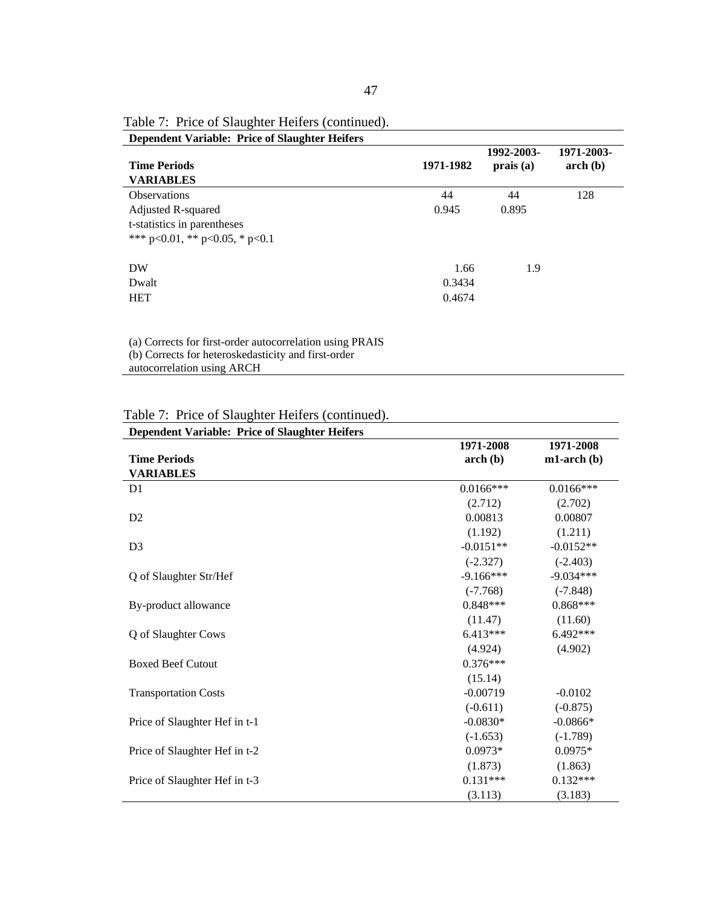| <b>Dependent Variable: Price of Slaughter Heifers</b> |           |                        |                          |
|-------------------------------------------------------|-----------|------------------------|--------------------------|
| <b>Time Periods</b><br><b>VARIABLES</b>               | 1971-1982 | 1992-2003-<br>prais(a) | 1971-2003-<br>$\arch(b)$ |
| <b>Observations</b>                                   | 44        | 44                     | 128                      |
| Adjusted R-squared                                    | 0.945     | 0.895                  |                          |
| t-statistics in parentheses                           |           |                        |                          |
| *** $p<0.01$ , ** $p<0.05$ , * $p<0.1$                |           |                        |                          |
| DW                                                    | 1.66      | 1.9                    |                          |
| Dwalt                                                 | 0.3434    |                        |                          |
| <b>HET</b>                                            | 0.4674    |                        |                          |
|                                                       |           |                        |                          |
|                                                       |           |                        |                          |

Table 7: Price of Slaughter Heifers (continued).

(a) Corrects for first-order autocorrelation using PRAIS (b) Corrects for heteroskedasticity and first-order autocorrelation using ARCH

Table 7: Price of Slaughter Heifers (continued).

| <b>Dependent Variable: Price of Slaughter Heifers</b> |              |              |
|-------------------------------------------------------|--------------|--------------|
|                                                       | 1971-2008    | 1971-2008    |
| <b>Time Periods</b>                                   | $\arch(b)$   | $ml-arch(b)$ |
| <b>VARIABLES</b>                                      |              |              |
| D <sub>1</sub>                                        | $0.0166$ *** | $0.0166$ *** |
|                                                       | (2.712)      | (2.702)      |
| D2                                                    | 0.00813      | 0.00807      |
|                                                       | (1.192)      | (1.211)      |
| D <sub>3</sub>                                        | $-0.0151**$  | $-0.0152**$  |
|                                                       | $(-2.327)$   | $(-2.403)$   |
| Q of Slaughter Str/Hef                                | $-9.166***$  | $-9.034***$  |
|                                                       | $(-7.768)$   | $(-7.848)$   |
| By-product allowance                                  | $0.848***$   | $0.868***$   |
|                                                       | (11.47)      | (11.60)      |
| Q of Slaughter Cows                                   | $6.413***$   | $6.492***$   |
|                                                       | (4.924)      | (4.902)      |
| <b>Boxed Beef Cutout</b>                              | $0.376***$   |              |
|                                                       | (15.14)      |              |
| <b>Transportation Costs</b>                           | $-0.00719$   | $-0.0102$    |
|                                                       | $(-0.611)$   | $(-0.875)$   |
| Price of Slaughter Hef in t-1                         | $-0.0830*$   | $-0.0866*$   |
|                                                       | $(-1.653)$   | $(-1.789)$   |
| Price of Slaughter Hef in t-2                         | $0.0973*$    | $0.0975*$    |
|                                                       | (1.873)      | (1.863)      |
| Price of Slaughter Hef in t-3                         | $0.131***$   | $0.132***$   |
|                                                       | (3.113)      | (3.183)      |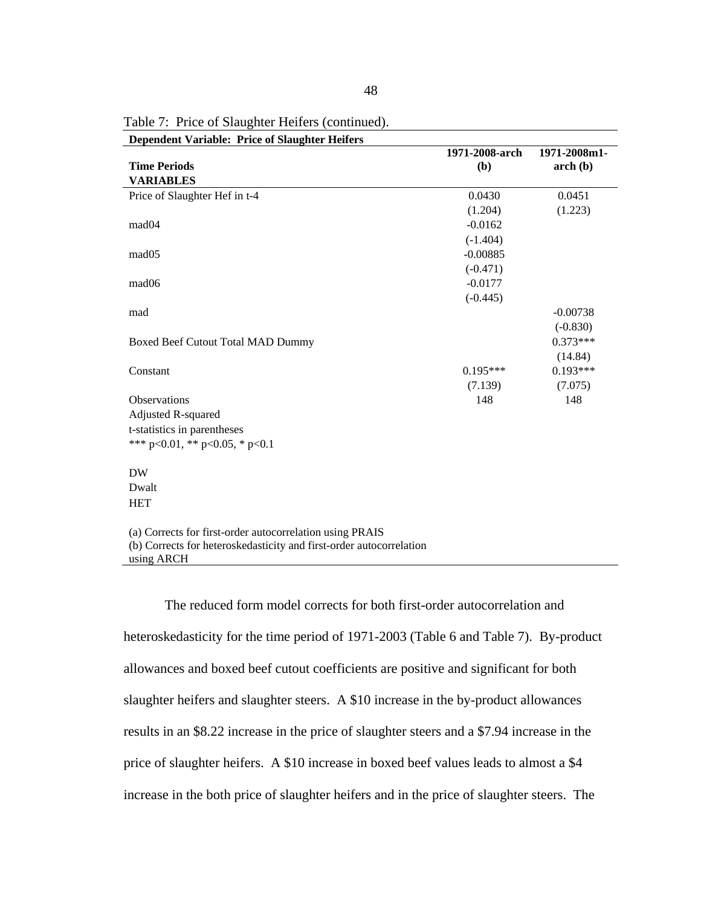| <b>Dependent Variable: Price of Slaughter Heifers</b>               |                |              |
|---------------------------------------------------------------------|----------------|--------------|
|                                                                     | 1971-2008-arch | 1971-2008m1- |
| <b>Time Periods</b>                                                 | (b)            | $\arch(b)$   |
| <b>VARIABLES</b>                                                    |                |              |
| Price of Slaughter Hef in t-4                                       | 0.0430         | 0.0451       |
|                                                                     | (1.204)        | (1.223)      |
| mad <sub>04</sub>                                                   | $-0.0162$      |              |
|                                                                     | $(-1.404)$     |              |
| mad <sub>05</sub>                                                   | $-0.00885$     |              |
|                                                                     | $(-0.471)$     |              |
| mad <sub>06</sub>                                                   | $-0.0177$      |              |
|                                                                     | $(-0.445)$     |              |
| mad                                                                 |                | $-0.00738$   |
|                                                                     |                | $(-0.830)$   |
| Boxed Beef Cutout Total MAD Dummy                                   |                | $0.373***$   |
|                                                                     |                | (14.84)      |
| Constant                                                            | $0.195***$     | $0.193***$   |
|                                                                     | (7.139)        | (7.075)      |
| <b>Observations</b>                                                 | 148            | 148          |
| Adjusted R-squared                                                  |                |              |
| t-statistics in parentheses                                         |                |              |
| *** p<0.01, ** p<0.05, * p<0.1                                      |                |              |
|                                                                     |                |              |
| <b>DW</b>                                                           |                |              |
| Dwalt                                                               |                |              |
| <b>HET</b>                                                          |                |              |
|                                                                     |                |              |
| (a) Corrects for first-order autocorrelation using PRAIS            |                |              |
| (b) Corrects for heteroskedasticity and first-order autocorrelation |                |              |
| using ARCH                                                          |                |              |

Table 7: Price of Slaughter Heifers (continued).

The reduced form model corrects for both first-order autocorrelation and heteroskedasticity for the time period of 1971-2003 (Table 6 and Table 7). By-product allowances and boxed beef cutout coefficients are positive and significant for both slaughter heifers and slaughter steers. A \$10 increase in the by-product allowances results in an \$8.22 increase in the price of slaughter steers and a \$7.94 increase in the price of slaughter heifers. A \$10 increase in boxed beef values leads to almost a \$4 increase in the both price of slaughter heifers and in the price of slaughter steers. The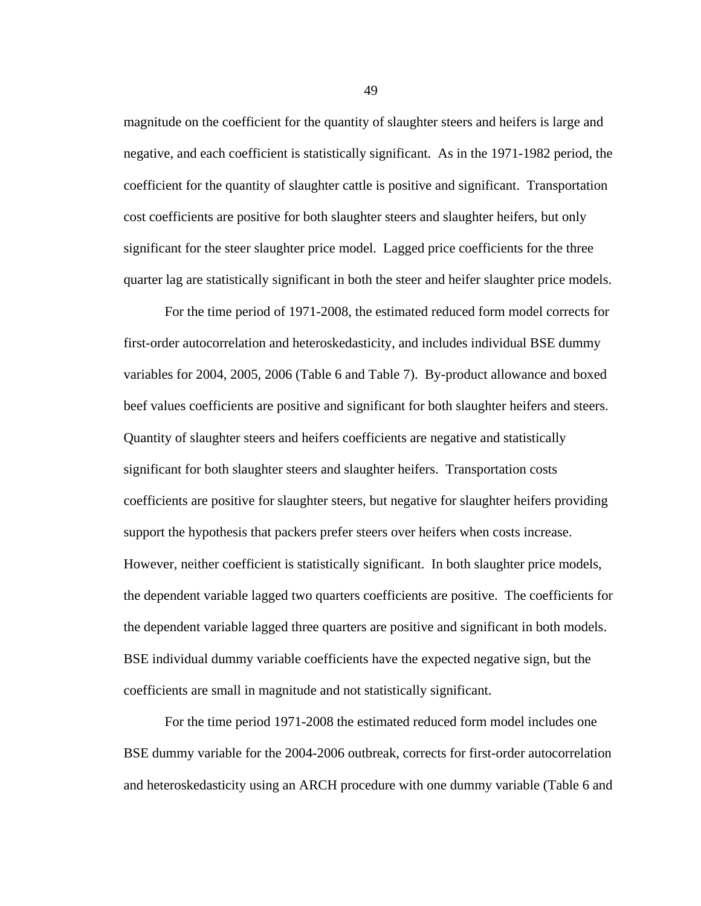magnitude on the coefficient for the quantity of slaughter steers and heifers is large and negative, and each coefficient is statistically significant. As in the 1971-1982 period, the coefficient for the quantity of slaughter cattle is positive and significant. Transportation cost coefficients are positive for both slaughter steers and slaughter heifers, but only significant for the steer slaughter price model. Lagged price coefficients for the three quarter lag are statistically significant in both the steer and heifer slaughter price models.

For the time period of 1971-2008, the estimated reduced form model corrects for first-order autocorrelation and heteroskedasticity, and includes individual BSE dummy variables for 2004, 2005, 2006 (Table 6 and Table 7). By-product allowance and boxed beef values coefficients are positive and significant for both slaughter heifers and steers. Quantity of slaughter steers and heifers coefficients are negative and statistically significant for both slaughter steers and slaughter heifers. Transportation costs coefficients are positive for slaughter steers, but negative for slaughter heifers providing support the hypothesis that packers prefer steers over heifers when costs increase. However, neither coefficient is statistically significant. In both slaughter price models, the dependent variable lagged two quarters coefficients are positive. The coefficients for the dependent variable lagged three quarters are positive and significant in both models. BSE individual dummy variable coefficients have the expected negative sign, but the coefficients are small in magnitude and not statistically significant.

For the time period 1971-2008 the estimated reduced form model includes one BSE dummy variable for the 2004-2006 outbreak, corrects for first-order autocorrelation and heteroskedasticity using an ARCH procedure with one dummy variable (Table 6 and

49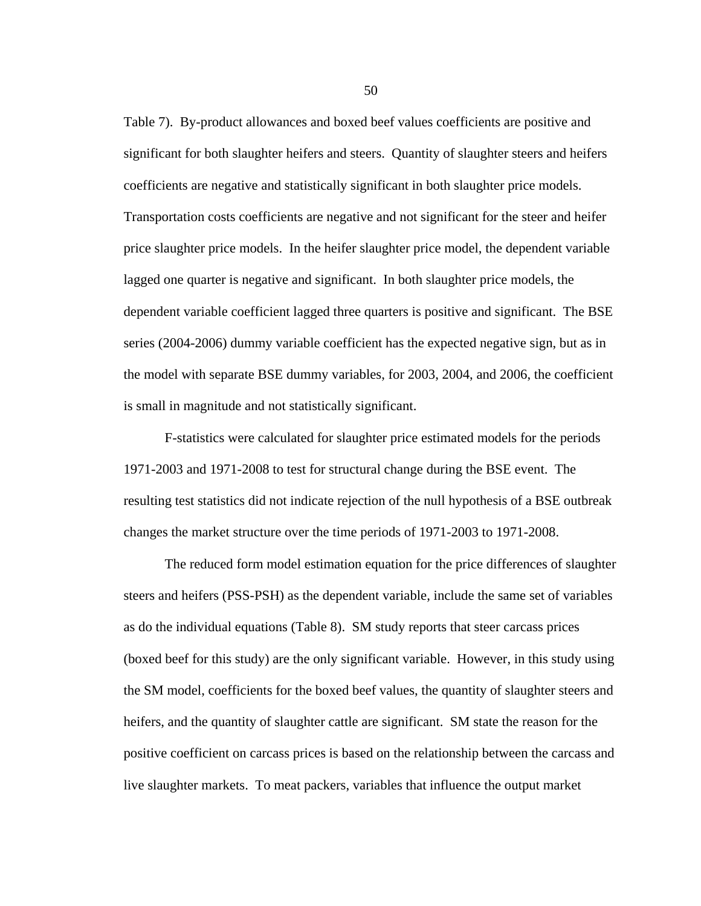Table 7). By-product allowances and boxed beef values coefficients are positive and significant for both slaughter heifers and steers. Quantity of slaughter steers and heifers coefficients are negative and statistically significant in both slaughter price models. Transportation costs coefficients are negative and not significant for the steer and heifer price slaughter price models. In the heifer slaughter price model, the dependent variable lagged one quarter is negative and significant. In both slaughter price models, the dependent variable coefficient lagged three quarters is positive and significant. The BSE series (2004-2006) dummy variable coefficient has the expected negative sign, but as in the model with separate BSE dummy variables, for 2003, 2004, and 2006, the coefficient is small in magnitude and not statistically significant.

F-statistics were calculated for slaughter price estimated models for the periods 1971-2003 and 1971-2008 to test for structural change during the BSE event. The resulting test statistics did not indicate rejection of the null hypothesis of a BSE outbreak changes the market structure over the time periods of 1971-2003 to 1971-2008.

The reduced form model estimation equation for the price differences of slaughter steers and heifers (PSS-PSH) as the dependent variable, include the same set of variables as do the individual equations (Table 8). SM study reports that steer carcass prices (boxed beef for this study) are the only significant variable. However, in this study using the SM model, coefficients for the boxed beef values, the quantity of slaughter steers and heifers, and the quantity of slaughter cattle are significant. SM state the reason for the positive coefficient on carcass prices is based on the relationship between the carcass and live slaughter markets. To meat packers, variables that influence the output market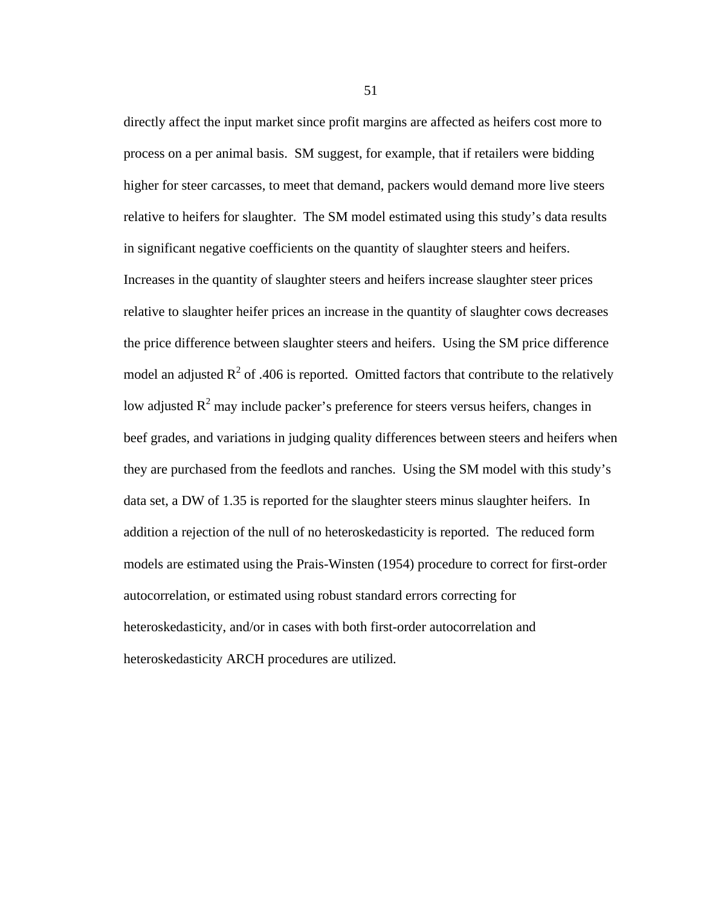directly affect the input market since profit margins are affected as heifers cost more to process on a per animal basis. SM suggest, for example, that if retailers were bidding higher for steer carcasses, to meet that demand, packers would demand more live steers relative to heifers for slaughter. The SM model estimated using this study's data results in significant negative coefficients on the quantity of slaughter steers and heifers. Increases in the quantity of slaughter steers and heifers increase slaughter steer prices relative to slaughter heifer prices an increase in the quantity of slaughter cows decreases the price difference between slaughter steers and heifers. Using the SM price difference model an adjusted  $R^2$  of .406 is reported. Omitted factors that contribute to the relatively low adjusted  $R^2$  may include packer's preference for steers versus heifers, changes in beef grades, and variations in judging quality differences between steers and heifers when they are purchased from the feedlots and ranches. Using the SM model with this study's data set, a DW of 1.35 is reported for the slaughter steers minus slaughter heifers. In addition a rejection of the null of no heteroskedasticity is reported. The reduced form models are estimated using the Prais-Winsten (1954) procedure to correct for first-order autocorrelation, or estimated using robust standard errors correcting for heteroskedasticity, and/or in cases with both first-order autocorrelation and heteroskedasticity ARCH procedures are utilized.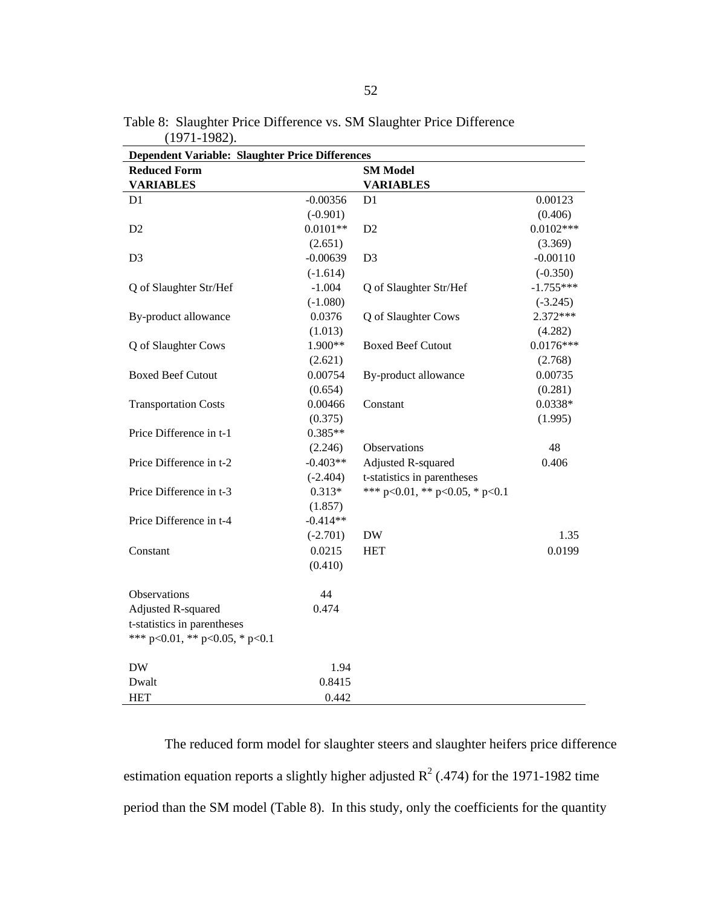| <b>Dependent Variable: Slaughter Price Differences</b> |            |                                        |             |
|--------------------------------------------------------|------------|----------------------------------------|-------------|
| <b>Reduced Form</b>                                    |            | <b>SM Model</b>                        |             |
| <b>VARIABLES</b>                                       |            | <b>VARIABLES</b>                       |             |
| D <sub>1</sub>                                         | $-0.00356$ | D <sub>1</sub>                         | 0.00123     |
|                                                        | $(-0.901)$ |                                        | (0.406)     |
| D <sub>2</sub>                                         | $0.0101**$ | D <sub>2</sub>                         | $0.0102***$ |
|                                                        | (2.651)    |                                        | (3.369)     |
| D <sub>3</sub>                                         | $-0.00639$ | D <sub>3</sub>                         | $-0.00110$  |
|                                                        | $(-1.614)$ |                                        | $(-0.350)$  |
| Q of Slaughter Str/Hef                                 | $-1.004$   | Q of Slaughter Str/Hef                 | $-1.755***$ |
|                                                        | $(-1.080)$ |                                        | $(-3.245)$  |
| By-product allowance                                   | 0.0376     | Q of Slaughter Cows                    | 2.372***    |
|                                                        | (1.013)    |                                        | (4.282)     |
| Q of Slaughter Cows                                    | 1.900**    | <b>Boxed Beef Cutout</b>               | $0.0176***$ |
|                                                        | (2.621)    |                                        | (2.768)     |
| <b>Boxed Beef Cutout</b>                               | 0.00754    | By-product allowance                   | 0.00735     |
|                                                        | (0.654)    |                                        | (0.281)     |
| <b>Transportation Costs</b>                            | 0.00466    | Constant                               | 0.0338*     |
|                                                        | (0.375)    |                                        | (1.995)     |
| Price Difference in t-1                                | $0.385**$  |                                        |             |
|                                                        | (2.246)    | Observations                           | 48          |
| Price Difference in t-2                                | $-0.403**$ | Adjusted R-squared                     | 0.406       |
|                                                        | $(-2.404)$ | t-statistics in parentheses            |             |
| Price Difference in t-3                                | $0.313*$   | *** $p<0.01$ , ** $p<0.05$ , * $p<0.1$ |             |
|                                                        | (1.857)    |                                        |             |
| Price Difference in t-4                                | $-0.414**$ |                                        |             |
|                                                        | $(-2.701)$ | $\rm{DW}$                              | 1.35        |
| Constant                                               | 0.0215     | <b>HET</b>                             | 0.0199      |
|                                                        | (0.410)    |                                        |             |
|                                                        |            |                                        |             |
| Observations                                           | 44         |                                        |             |
| Adjusted R-squared                                     | 0.474      |                                        |             |
| t-statistics in parentheses                            |            |                                        |             |
| *** p<0.01, ** p<0.05, * p<0.1                         |            |                                        |             |
|                                                        |            |                                        |             |
| <b>DW</b>                                              | 1.94       |                                        |             |
| Dwalt                                                  | 0.8415     |                                        |             |
| <b>HET</b>                                             | 0.442      |                                        |             |

Table 8: Slaughter Price Difference vs. SM Slaughter Price Difference (1971-1982).

The reduced form model for slaughter steers and slaughter heifers price difference estimation equation reports a slightly higher adjusted  $R^2$  (.474) for the 1971-1982 time period than the SM model (Table 8). In this study, only the coefficients for the quantity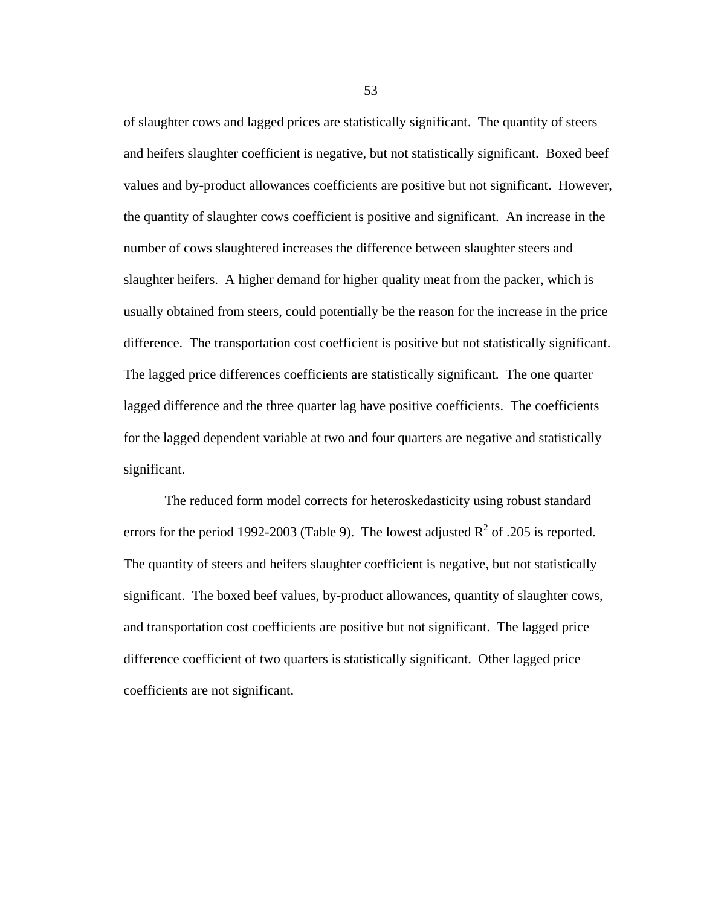of slaughter cows and lagged prices are statistically significant. The quantity of steers and heifers slaughter coefficient is negative, but not statistically significant. Boxed beef values and by-product allowances coefficients are positive but not significant. However, the quantity of slaughter cows coefficient is positive and significant. An increase in the number of cows slaughtered increases the difference between slaughter steers and slaughter heifers. A higher demand for higher quality meat from the packer, which is usually obtained from steers, could potentially be the reason for the increase in the price difference. The transportation cost coefficient is positive but not statistically significant. The lagged price differences coefficients are statistically significant. The one quarter lagged difference and the three quarter lag have positive coefficients. The coefficients for the lagged dependent variable at two and four quarters are negative and statistically significant.

The reduced form model corrects for heteroskedasticity using robust standard errors for the period 1992-2003 (Table 9). The lowest adjusted  $R^2$  of .205 is reported. The quantity of steers and heifers slaughter coefficient is negative, but not statistically significant. The boxed beef values, by-product allowances, quantity of slaughter cows, and transportation cost coefficients are positive but not significant. The lagged price difference coefficient of two quarters is statistically significant. Other lagged price coefficients are not significant.

53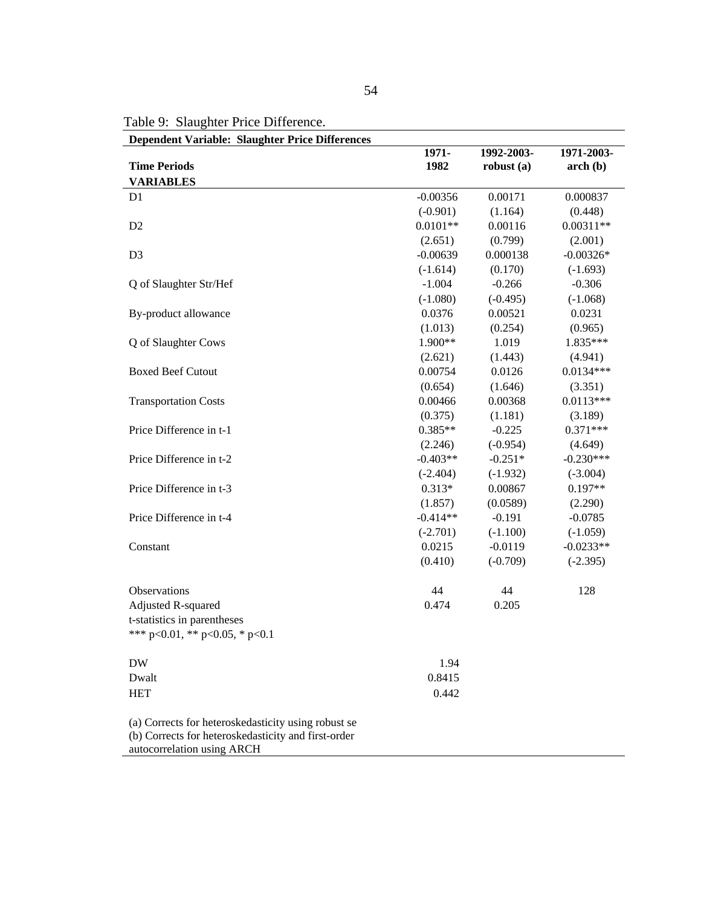Table 9: Slaughter Price Difference.

**Dependent Variable: Slaughter Price Differences** 

|                                                                                                                                          | 1971-      | 1992-2003-   | 1971-2003-  |
|------------------------------------------------------------------------------------------------------------------------------------------|------------|--------------|-------------|
| <b>Time Periods</b>                                                                                                                      | 1982       | robust $(a)$ | $\arch(b)$  |
| <b>VARIABLES</b>                                                                                                                         |            |              |             |
| D <sub>1</sub>                                                                                                                           | $-0.00356$ | 0.00171      | 0.000837    |
|                                                                                                                                          | $(-0.901)$ | (1.164)      | (0.448)     |
| D <sub>2</sub>                                                                                                                           | $0.0101**$ | 0.00116      | $0.00311**$ |
|                                                                                                                                          | (2.651)    | (0.799)      | (2.001)     |
| D <sub>3</sub>                                                                                                                           | $-0.00639$ | 0.000138     | $-0.00326*$ |
|                                                                                                                                          | $(-1.614)$ | (0.170)      | $(-1.693)$  |
| Q of Slaughter Str/Hef                                                                                                                   | $-1.004$   | $-0.266$     | $-0.306$    |
|                                                                                                                                          | $(-1.080)$ | $(-0.495)$   | $(-1.068)$  |
| By-product allowance                                                                                                                     | 0.0376     | 0.00521      | 0.0231      |
|                                                                                                                                          | (1.013)    | (0.254)      | (0.965)     |
| Q of Slaughter Cows                                                                                                                      | 1.900**    | 1.019        | 1.835***    |
|                                                                                                                                          | (2.621)    | (1.443)      | (4.941)     |
| <b>Boxed Beef Cutout</b>                                                                                                                 | 0.00754    | 0.0126       | $0.0134***$ |
|                                                                                                                                          | (0.654)    | (1.646)      | (3.351)     |
| <b>Transportation Costs</b>                                                                                                              | 0.00466    | 0.00368      | $0.0113***$ |
|                                                                                                                                          | (0.375)    | (1.181)      | (3.189)     |
| Price Difference in t-1                                                                                                                  | $0.385**$  | $-0.225$     | $0.371***$  |
|                                                                                                                                          | (2.246)    | $(-0.954)$   | (4.649)     |
| Price Difference in t-2                                                                                                                  | $-0.403**$ | $-0.251*$    | $-0.230***$ |
|                                                                                                                                          | $(-2.404)$ | $(-1.932)$   | $(-3.004)$  |
| Price Difference in t-3                                                                                                                  | $0.313*$   | 0.00867      | $0.197**$   |
|                                                                                                                                          | (1.857)    | (0.0589)     | (2.290)     |
| Price Difference in t-4                                                                                                                  | $-0.414**$ | $-0.191$     | $-0.0785$   |
|                                                                                                                                          | $(-2.701)$ | $(-1.100)$   | $(-1.059)$  |
| Constant                                                                                                                                 | 0.0215     | $-0.0119$    | $-0.0233**$ |
|                                                                                                                                          | (0.410)    | $(-0.709)$   | $(-2.395)$  |
| Observations                                                                                                                             | 44         | 44           | 128         |
| Adjusted R-squared                                                                                                                       | 0.474      | 0.205        |             |
| t-statistics in parentheses                                                                                                              |            |              |             |
| *** p<0.01, ** p<0.05, * p<0.1                                                                                                           |            |              |             |
| <b>DW</b>                                                                                                                                | 1.94       |              |             |
| Dwalt                                                                                                                                    | 0.8415     |              |             |
| <b>HET</b>                                                                                                                               | 0.442      |              |             |
| (a) Corrects for heteroskedasticity using robust se<br>(b) Corrects for heteroskedasticity and first-order<br>autocorrelation using ARCH |            |              |             |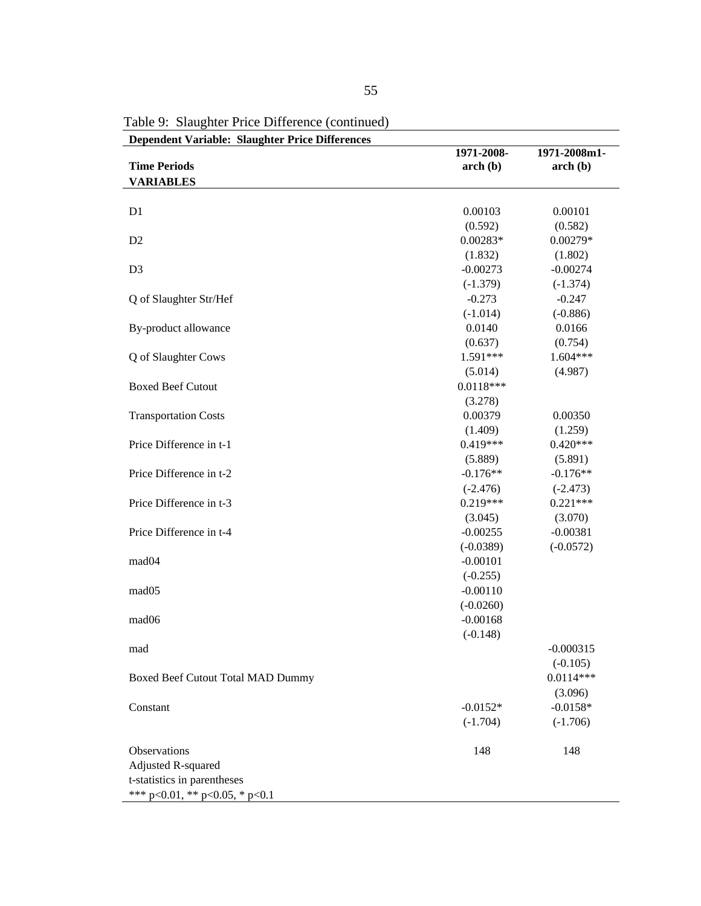| <b>Dependent Variable: Slaughter Price Differences</b> | 1971-2008-  | 1971-2008m1- |
|--------------------------------------------------------|-------------|--------------|
| <b>Time Periods</b>                                    | $\arch(b)$  | arch(b)      |
| <b>VARIABLES</b>                                       |             |              |
|                                                        |             |              |
| D <sub>1</sub>                                         | 0.00103     | 0.00101      |
|                                                        | (0.592)     | (0.582)      |
| D2                                                     | $0.00283*$  | $0.00279*$   |
|                                                        | (1.832)     | (1.802)      |
| D <sub>3</sub>                                         | $-0.00273$  | $-0.00274$   |
|                                                        | $(-1.379)$  | $(-1.374)$   |
| Q of Slaughter Str/Hef                                 | $-0.273$    | $-0.247$     |
|                                                        | $(-1.014)$  | $(-0.886)$   |
| By-product allowance                                   | 0.0140      | 0.0166       |
|                                                        | (0.637)     | (0.754)      |
| Q of Slaughter Cows                                    | 1.591***    | $1.604***$   |
|                                                        | (5.014)     | (4.987)      |
| <b>Boxed Beef Cutout</b>                               | $0.0118***$ |              |
|                                                        | (3.278)     |              |
| <b>Transportation Costs</b>                            | 0.00379     | 0.00350      |
|                                                        | (1.409)     | (1.259)      |
| Price Difference in t-1                                | $0.419***$  | $0.420***$   |
|                                                        | (5.889)     | (5.891)      |
| Price Difference in t-2                                | $-0.176**$  | $-0.176**$   |
|                                                        | $(-2.476)$  | $(-2.473)$   |
| Price Difference in t-3                                | $0.219***$  | $0.221***$   |
|                                                        | (3.045)     | (3.070)      |
| Price Difference in t-4                                | $-0.00255$  | $-0.00381$   |
|                                                        | $(-0.0389)$ | $(-0.0572)$  |
| mad04                                                  | $-0.00101$  |              |
|                                                        | $(-0.255)$  |              |
| mad05                                                  | $-0.00110$  |              |
|                                                        | $(-0.0260)$ |              |
| mad06                                                  | $-0.00168$  |              |
|                                                        | $(-0.148)$  |              |
|                                                        |             |              |
| mad                                                    |             | $-0.000315$  |
|                                                        |             | $(-0.105)$   |
| Boxed Beef Cutout Total MAD Dummy                      |             | $0.0114***$  |
|                                                        |             | (3.096)      |
| Constant                                               | $-0.0152*$  | $-0.0158*$   |
|                                                        | $(-1.704)$  | $(-1.706)$   |
| Observations                                           | 148         | 148          |
| <b>Adjusted R-squared</b>                              |             |              |
| t-statistics in parentheses                            |             |              |
| *** $p<0.01$ , ** $p<0.05$ , * $p<0.1$                 |             |              |

Table 9: Slaughter Price Difference (continued)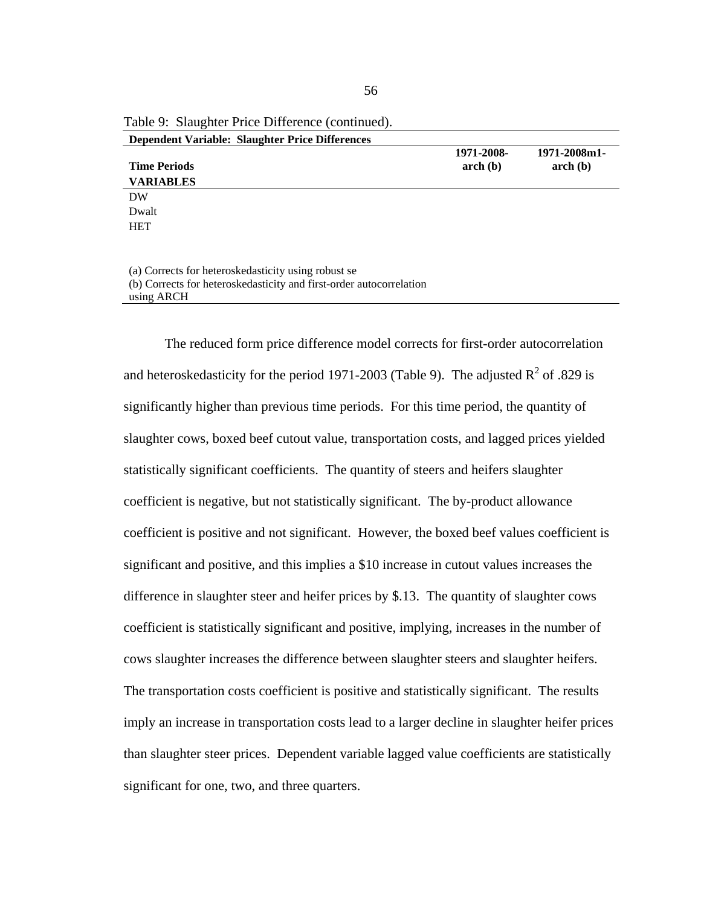| <b>Dependent Variable: Slaughter Price Differences</b>                                                                     |                          |                                                        |
|----------------------------------------------------------------------------------------------------------------------------|--------------------------|--------------------------------------------------------|
| <b>Time Periods</b><br><b>VARIABLES</b>                                                                                    | 1971-2008-<br>$\arch(b)$ | 1971-2008m1-<br>$\mathbf{arch}\left(\mathbf{b}\right)$ |
| DW                                                                                                                         |                          |                                                        |
| Dwalt                                                                                                                      |                          |                                                        |
| <b>HET</b>                                                                                                                 |                          |                                                        |
|                                                                                                                            |                          |                                                        |
| (a) Corrects for heteroskedasticity using robust se<br>(b) Corrects for heteroskedesticity and first order autocorrelation |                          |                                                        |

Table 9: Slaughter Price Difference (continued).

(b) Corrects for heteroskedasticity and first-order autocorrelation using ARCH

The reduced form price difference model corrects for first-order autocorrelation and heteroskedasticity for the period 1971-2003 (Table 9). The adjusted  $R^2$  of .829 is significantly higher than previous time periods. For this time period, the quantity of slaughter cows, boxed beef cutout value, transportation costs, and lagged prices yielded statistically significant coefficients. The quantity of steers and heifers slaughter coefficient is negative, but not statistically significant. The by-product allowance coefficient is positive and not significant. However, the boxed beef values coefficient is significant and positive, and this implies a \$10 increase in cutout values increases the difference in slaughter steer and heifer prices by \$.13. The quantity of slaughter cows coefficient is statistically significant and positive, implying, increases in the number of cows slaughter increases the difference between slaughter steers and slaughter heifers. The transportation costs coefficient is positive and statistically significant. The results imply an increase in transportation costs lead to a larger decline in slaughter heifer prices than slaughter steer prices. Dependent variable lagged value coefficients are statistically significant for one, two, and three quarters.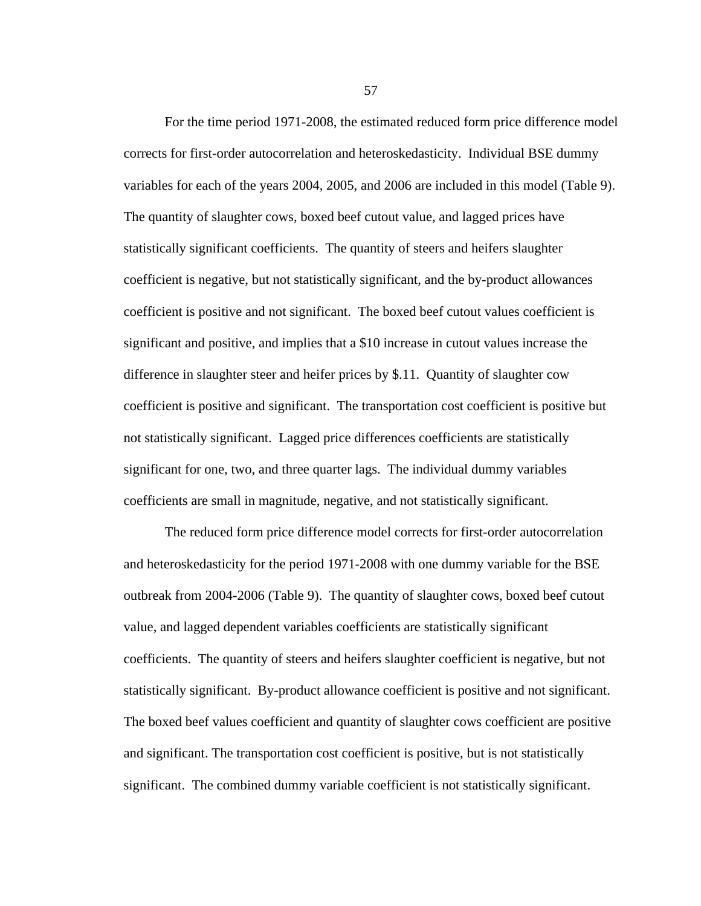For the time period 1971-2008, the estimated reduced form price difference model corrects for first-order autocorrelation and heteroskedasticity. Individual BSE dummy variables for each of the years 2004, 2005, and 2006 are included in this model (Table 9). The quantity of slaughter cows, boxed beef cutout value, and lagged prices have statistically significant coefficients. The quantity of steers and heifers slaughter coefficient is negative, but not statistically significant, and the by-product allowances coefficient is positive and not significant. The boxed beef cutout values coefficient is significant and positive, and implies that a \$10 increase in cutout values increase the difference in slaughter steer and heifer prices by \$.11. Quantity of slaughter cow coefficient is positive and significant. The transportation cost coefficient is positive but not statistically significant. Lagged price differences coefficients are statistically significant for one, two, and three quarter lags. The individual dummy variables coefficients are small in magnitude, negative, and not statistically significant.

The reduced form price difference model corrects for first-order autocorrelation and heteroskedasticity for the period 1971-2008 with one dummy variable for the BSE outbreak from 2004-2006 (Table 9). The quantity of slaughter cows, boxed beef cutout value, and lagged dependent variables coefficients are statistically significant coefficients. The quantity of steers and heifers slaughter coefficient is negative, but not statistically significant. By-product allowance coefficient is positive and not significant. The boxed beef values coefficient and quantity of slaughter cows coefficient are positive and significant. The transportation cost coefficient is positive, but is not statistically significant. The combined dummy variable coefficient is not statistically significant.

57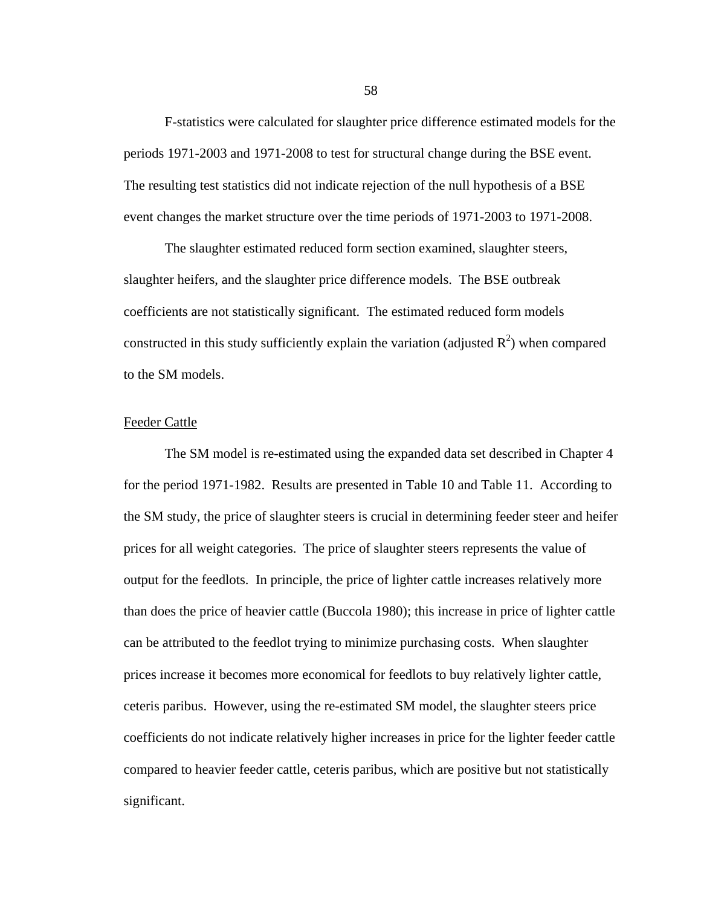F-statistics were calculated for slaughter price difference estimated models for the periods 1971-2003 and 1971-2008 to test for structural change during the BSE event. The resulting test statistics did not indicate rejection of the null hypothesis of a BSE event changes the market structure over the time periods of 1971-2003 to 1971-2008.

The slaughter estimated reduced form section examined, slaughter steers, slaughter heifers, and the slaughter price difference models. The BSE outbreak coefficients are not statistically significant. The estimated reduced form models constructed in this study sufficiently explain the variation (adjusted  $R^2$ ) when compared to the SM models.

## Feeder Cattle

The SM model is re-estimated using the expanded data set described in Chapter 4 for the period 1971-1982. Results are presented in Table 10 and Table 11. According to the SM study, the price of slaughter steers is crucial in determining feeder steer and heifer prices for all weight categories. The price of slaughter steers represents the value of output for the feedlots. In principle, the price of lighter cattle increases relatively more than does the price of heavier cattle (Buccola 1980); this increase in price of lighter cattle can be attributed to the feedlot trying to minimize purchasing costs. When slaughter prices increase it becomes more economical for feedlots to buy relatively lighter cattle, ceteris paribus. However, using the re-estimated SM model, the slaughter steers price coefficients do not indicate relatively higher increases in price for the lighter feeder cattle compared to heavier feeder cattle, ceteris paribus, which are positive but not statistically significant.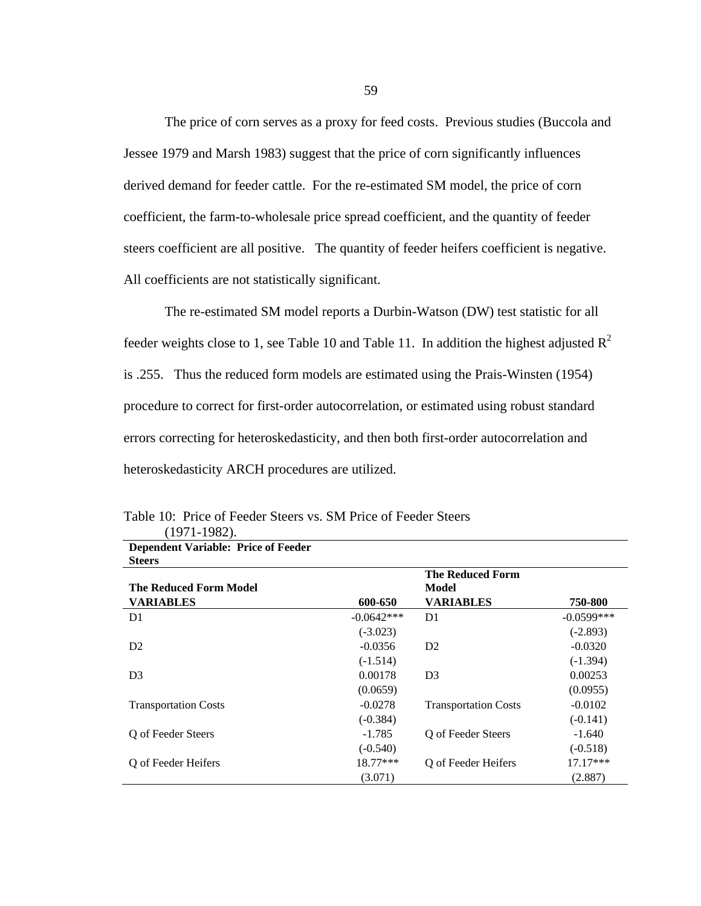The price of corn serves as a proxy for feed costs. Previous studies (Buccola and Jessee 1979 and Marsh 1983) suggest that the price of corn significantly influences derived demand for feeder cattle. For the re-estimated SM model, the price of corn coefficient, the farm-to-wholesale price spread coefficient, and the quantity of feeder steers coefficient are all positive. The quantity of feeder heifers coefficient is negative. All coefficients are not statistically significant.

The re-estimated SM model reports a Durbin-Watson (DW) test statistic for all feeder weights close to 1, see Table 10 and Table 11. In addition the highest adjusted  $\mathbb{R}^2$ is .255. Thus the reduced form models are estimated using the Prais-Winsten (1954) procedure to correct for first-order autocorrelation, or estimated using robust standard errors correcting for heteroskedasticity, and then both first-order autocorrelation and heteroskedasticity ARCH procedures are utilized.

| <b>Dependent Variable: Price of Feeder</b> |              |                             |              |
|--------------------------------------------|--------------|-----------------------------|--------------|
| <b>Steers</b>                              |              |                             |              |
|                                            |              | <b>The Reduced Form</b>     |              |
| <b>The Reduced Form Model</b>              |              | Model                       |              |
| <b>VARIABLES</b>                           | 600-650      | <b>VARIABLES</b>            | 750-800      |
| D <sub>1</sub>                             | $-0.0642***$ | D1                          | $-0.0599***$ |
|                                            | $(-3.023)$   |                             | $(-2.893)$   |
| D <sub>2</sub>                             | $-0.0356$    | D <sub>2</sub>              | $-0.0320$    |
|                                            | $(-1.514)$   |                             | $(-1.394)$   |
| D <sub>3</sub>                             | 0.00178      | D <sub>3</sub>              | 0.00253      |
|                                            | (0.0659)     |                             | (0.0955)     |
| <b>Transportation Costs</b>                | $-0.0278$    | <b>Transportation Costs</b> | $-0.0102$    |
|                                            | $(-0.384)$   |                             | $(-0.141)$   |
| Q of Feeder Steers                         | $-1.785$     | Q of Feeder Steers          | $-1.640$     |
|                                            | $(-0.540)$   |                             | $(-0.518)$   |
| O of Feeder Heifers                        | 18.77***     | O of Feeder Heifers         | $17.17***$   |
|                                            | (3.071)      |                             | (2.887)      |

Table 10: Price of Feeder Steers vs. SM Price of Feeder Steers (1971-1982).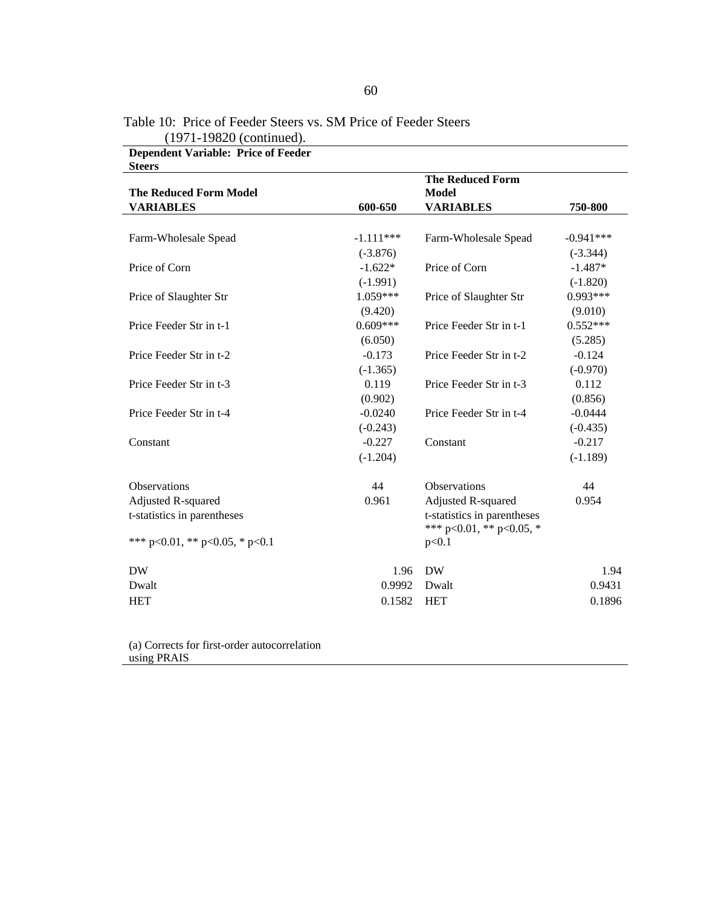| <b>Steers</b>                          |             |                                  |             |
|----------------------------------------|-------------|----------------------------------|-------------|
| <b>The Reduced Form Model</b>          |             | <b>The Reduced Form</b><br>Model |             |
| <b>VARIABLES</b>                       | 600-650     | <b>VARIABLES</b>                 | 750-800     |
|                                        |             |                                  |             |
| Farm-Wholesale Spead                   | $-1.111***$ | Farm-Wholesale Spead             | $-0.941***$ |
|                                        | $(-3.876)$  |                                  | $(-3.344)$  |
| Price of Corn                          | $-1.622*$   | Price of Corn                    | $-1.487*$   |
|                                        | $(-1.991)$  |                                  | $(-1.820)$  |
| Price of Slaughter Str                 | $1.059***$  | Price of Slaughter Str           | $0.993***$  |
|                                        | (9.420)     |                                  | (9.010)     |
| Price Feeder Str in t-1                | $0.609***$  | Price Feeder Str in t-1          | $0.552***$  |
|                                        | (6.050)     |                                  | (5.285)     |
| Price Feeder Str in t-2                | $-0.173$    | Price Feeder Str in t-2          | $-0.124$    |
|                                        | $(-1.365)$  |                                  | $(-0.970)$  |
| Price Feeder Str in t-3                | 0.119       | Price Feeder Str in t-3          | 0.112       |
|                                        | (0.902)     |                                  | (0.856)     |
| Price Feeder Str in t-4                | $-0.0240$   | Price Feeder Str in t-4          | $-0.0444$   |
|                                        | $(-0.243)$  |                                  | $(-0.435)$  |
| Constant                               | $-0.227$    | Constant                         | $-0.217$    |
|                                        | $(-1.204)$  |                                  | $(-1.189)$  |
| <b>Observations</b>                    | 44          | <b>Observations</b>              | 44          |
| Adjusted R-squared                     | 0.961       | Adjusted R-squared               | 0.954       |
| t-statistics in parentheses            |             | t-statistics in parentheses      |             |
|                                        |             | *** p<0.01, ** p<0.05, *         |             |
| *** $p<0.01$ , ** $p<0.05$ , * $p<0.1$ |             | p<0.1                            |             |
| <b>DW</b>                              | 1.96        | <b>DW</b>                        | 1.94        |
| Dwalt                                  | 0.9992      | Dwalt                            | 0.9431      |
| <b>HET</b>                             | 0.1582      | <b>HET</b>                       | 0.1896      |
|                                        |             |                                  |             |

Table 10: Price of Feeder Steers vs. SM Price of Feeder Steers (1971-19820 (continued). **Dependent Variable: Price of Feeder** 

(a) Corrects for first-order autocorrelation using PRAIS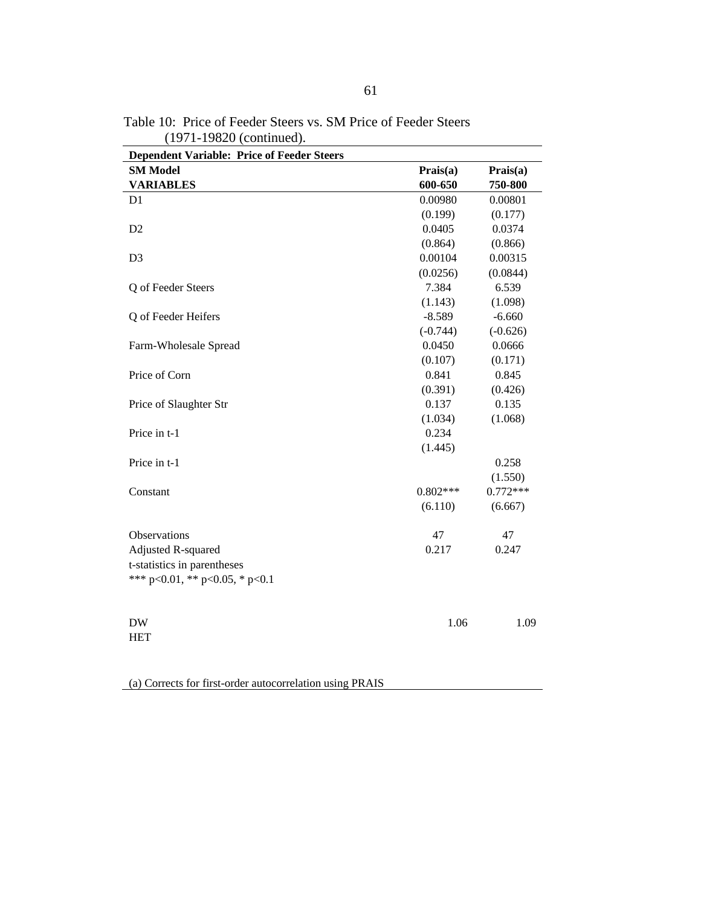| <b>Dependent Variable: Price of Feeder Steers</b>                     |            |            |
|-----------------------------------------------------------------------|------------|------------|
| <b>SM Model</b>                                                       | Prais(a)   | Prais(a)   |
| <b>VARIABLES</b>                                                      | 600-650    | 750-800    |
| D1                                                                    | 0.00980    | 0.00801    |
|                                                                       | (0.199)    | (0.177)    |
| D <sub>2</sub>                                                        | 0.0405     | 0.0374     |
|                                                                       | (0.864)    | (0.866)    |
| D <sub>3</sub>                                                        | 0.00104    | 0.00315    |
|                                                                       | (0.0256)   | (0.0844)   |
| Q of Feeder Steers                                                    | 7.384      | 6.539      |
|                                                                       | (1.143)    | (1.098)    |
| Q of Feeder Heifers                                                   | $-8.589$   | $-6.660$   |
|                                                                       | $(-0.744)$ | $(-0.626)$ |
| Farm-Wholesale Spread                                                 | 0.0450     | 0.0666     |
|                                                                       | (0.107)    | (0.171)    |
| Price of Corn                                                         | 0.841      | 0.845      |
|                                                                       | (0.391)    | (0.426)    |
| Price of Slaughter Str                                                | 0.137      | 0.135      |
|                                                                       | (1.034)    | (1.068)    |
| Price in t-1                                                          | 0.234      |            |
|                                                                       | (1.445)    |            |
| Price in t-1                                                          |            | 0.258      |
|                                                                       |            | (1.550)    |
| Constant                                                              | $0.802***$ | $0.772***$ |
|                                                                       | (6.110)    | (6.667)    |
| Observations                                                          | 47         | 47         |
| Adjusted R-squared                                                    | 0.217      | 0.247      |
| t-statistics in parentheses<br>*** $p<0.01$ , ** $p<0.05$ , * $p<0.1$ |            |            |
|                                                                       |            |            |
| <b>DW</b><br><b>HET</b>                                               | 1.06       | 1.09       |

Table 10: Price of Feeder Steers vs. SM Price of Feeder Steers (1971-19820 (continued).

(a) Corrects for first-order autocorrelation using PRAIS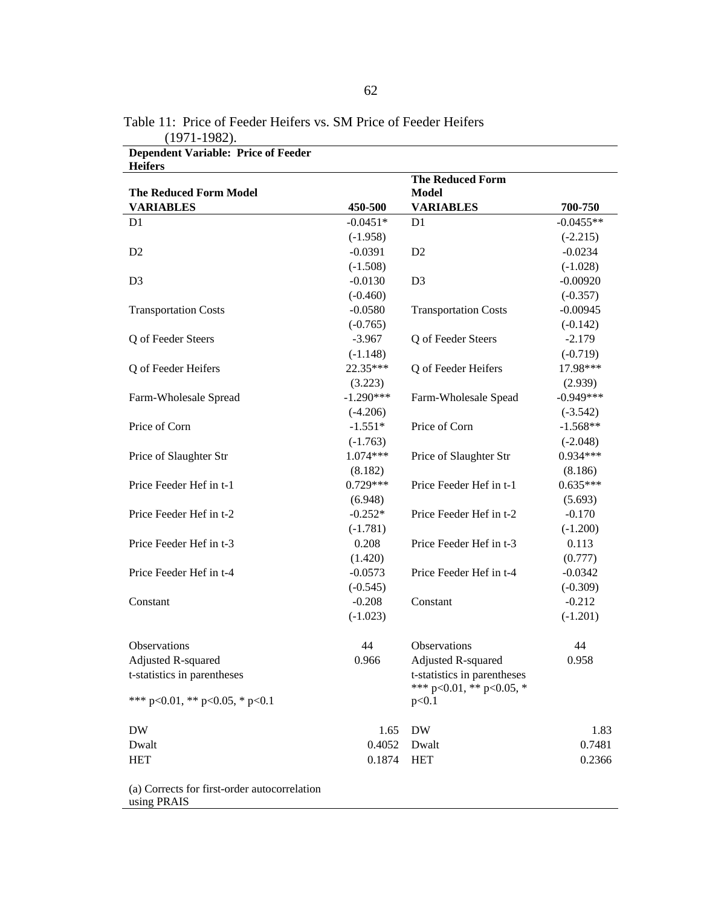| <b>Heifers</b>                 |             |                             |             |
|--------------------------------|-------------|-----------------------------|-------------|
|                                |             | <b>The Reduced Form</b>     |             |
| <b>The Reduced Form Model</b>  |             | <b>Model</b>                |             |
| <b>VARIABLES</b>               | 450-500     | <b>VARIABLES</b>            | 700-750     |
| D <sub>1</sub>                 | $-0.0451*$  | D <sub>1</sub>              | $-0.0455**$ |
|                                | $(-1.958)$  |                             | $(-2.215)$  |
| D <sub>2</sub>                 | $-0.0391$   | D <sub>2</sub>              | $-0.0234$   |
|                                | $(-1.508)$  |                             | $(-1.028)$  |
| D <sub>3</sub>                 | $-0.0130$   | D <sub>3</sub>              | $-0.00920$  |
|                                | $(-0.460)$  |                             | $(-0.357)$  |
| <b>Transportation Costs</b>    | $-0.0580$   | <b>Transportation Costs</b> | $-0.00945$  |
|                                | $(-0.765)$  |                             | $(-0.142)$  |
| Q of Feeder Steers             | $-3.967$    | Q of Feeder Steers          | $-2.179$    |
|                                | $(-1.148)$  |                             | $(-0.719)$  |
| Q of Feeder Heifers            | 22.35***    | Q of Feeder Heifers         | 17.98***    |
|                                | (3.223)     |                             | (2.939)     |
| Farm-Wholesale Spread          | $-1.290***$ | Farm-Wholesale Spead        | $-0.949***$ |
|                                | $(-4.206)$  |                             | $(-3.542)$  |
| Price of Corn                  | $-1.551*$   | Price of Corn               | $-1.568**$  |
|                                | $(-1.763)$  |                             | $(-2.048)$  |
| Price of Slaughter Str         | 1.074***    | Price of Slaughter Str      | $0.934***$  |
|                                | (8.182)     |                             | (8.186)     |
| Price Feeder Hef in t-1        | $0.729***$  | Price Feeder Hef in t-1     | $0.635***$  |
|                                | (6.948)     |                             | (5.693)     |
| Price Feeder Hef in t-2        | $-0.252*$   | Price Feeder Hef in t-2     | $-0.170$    |
|                                | $(-1.781)$  |                             | $(-1.200)$  |
| Price Feeder Hef in t-3        | 0.208       | Price Feeder Hef in t-3     | 0.113       |
|                                | (1.420)     |                             | (0.777)     |
| Price Feeder Hef in t-4        | $-0.0573$   | Price Feeder Hef in t-4     | $-0.0342$   |
|                                | $(-0.545)$  |                             | $(-0.309)$  |
| Constant                       | $-0.208$    | Constant                    | $-0.212$    |
|                                | $(-1.023)$  |                             | $(-1.201)$  |
|                                |             |                             |             |
| Observations                   | 44          | Observations                | 44          |
| Adjusted R-squared             | 0.966       | Adjusted R-squared          | 0.958       |
| t-statistics in parentheses    |             | t-statistics in parentheses |             |
|                                |             | *** p<0.01, ** p<0.05, *    |             |
| *** p<0.01, ** p<0.05, * p<0.1 |             | p<0.1                       |             |
| <b>DW</b>                      | 1.65        | <b>DW</b>                   | 1.83        |
| Dwalt                          | 0.4052      | Dwalt                       | 0.7481      |
| <b>HET</b>                     | 0.1874      | <b>HET</b>                  | 0.2366      |
|                                |             |                             |             |

Table 11: Price of Feeder Heifers vs. SM Price of Feeder Heifers (1971-1982). **Dependent Variable: Price of Feeder** 

(a) Corrects for first-order autocorrelation using PRAIS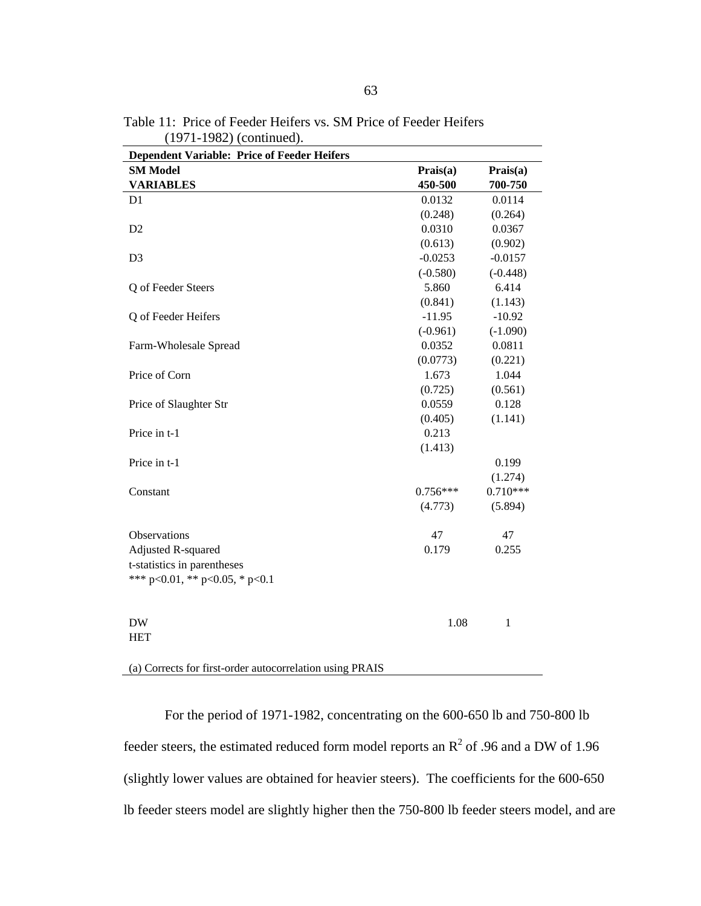| <b>Dependent Variable: Price of Feeder Heifers</b> |            |            |
|----------------------------------------------------|------------|------------|
| <b>SM Model</b>                                    | Prais(a)   | Prais(a)   |
| <b>VARIABLES</b>                                   | 450-500    | 700-750    |
| D1                                                 | 0.0132     | 0.0114     |
|                                                    | (0.248)    | (0.264)    |
| D <sub>2</sub>                                     | 0.0310     | 0.0367     |
|                                                    | (0.613)    | (0.902)    |
| D <sub>3</sub>                                     | $-0.0253$  | $-0.0157$  |
|                                                    | $(-0.580)$ | $(-0.448)$ |
| Q of Feeder Steers                                 | 5.860      | 6.414      |
|                                                    | (0.841)    | (1.143)    |
| Q of Feeder Heifers                                | $-11.95$   | $-10.92$   |
|                                                    | $(-0.961)$ | $(-1.090)$ |
| Farm-Wholesale Spread                              | 0.0352     | 0.0811     |
|                                                    | (0.0773)   | (0.221)    |
| Price of Corn                                      | 1.673      | 1.044      |
|                                                    | (0.725)    | (0.561)    |
| Price of Slaughter Str                             | 0.0559     | 0.128      |
|                                                    | (0.405)    | (1.141)    |
| Price in t-1                                       | 0.213      |            |
|                                                    | (1.413)    |            |
| Price in t-1                                       |            | 0.199      |
|                                                    |            | (1.274)    |
| Constant                                           | $0.756***$ | $0.710***$ |
|                                                    | (4.773)    | (5.894)    |
| Observations                                       | 47         | 47         |
| Adjusted R-squared                                 | 0.179      | 0.255      |
| t-statistics in parentheses                        |            |            |
| *** $p<0.01$ , ** $p<0.05$ , * $p<0.1$             |            |            |
| <b>DW</b>                                          | 1.08       | 1          |
| <b>HET</b>                                         |            |            |

Table 11: Price of Feeder Heifers vs. SM Price of Feeder Heifers (1971-1982) (continued).

(a) Corrects for first-order autocorrelation using PRAIS

For the period of 1971-1982, concentrating on the 600-650 lb and 750-800 lb feeder steers, the estimated reduced form model reports an  $\mathbb{R}^2$  of .96 and a DW of 1.96 (slightly lower values are obtained for heavier steers). The coefficients for the 600-650 lb feeder steers model are slightly higher then the 750-800 lb feeder steers model, and are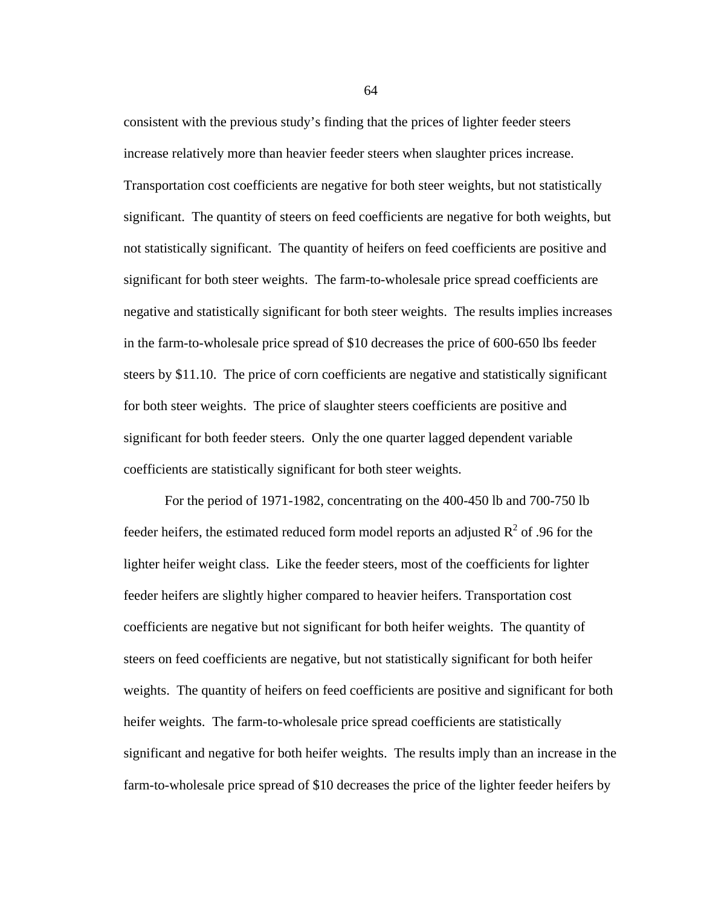consistent with the previous study's finding that the prices of lighter feeder steers increase relatively more than heavier feeder steers when slaughter prices increase. Transportation cost coefficients are negative for both steer weights, but not statistically significant. The quantity of steers on feed coefficients are negative for both weights, but not statistically significant. The quantity of heifers on feed coefficients are positive and significant for both steer weights. The farm-to-wholesale price spread coefficients are negative and statistically significant for both steer weights. The results implies increases in the farm-to-wholesale price spread of \$10 decreases the price of 600-650 lbs feeder steers by \$11.10. The price of corn coefficients are negative and statistically significant for both steer weights. The price of slaughter steers coefficients are positive and significant for both feeder steers. Only the one quarter lagged dependent variable coefficients are statistically significant for both steer weights.

For the period of 1971-1982, concentrating on the 400-450 lb and 700-750 lb feeder heifers, the estimated reduced form model reports an adjusted  $R^2$  of .96 for the lighter heifer weight class. Like the feeder steers, most of the coefficients for lighter feeder heifers are slightly higher compared to heavier heifers. Transportation cost coefficients are negative but not significant for both heifer weights. The quantity of steers on feed coefficients are negative, but not statistically significant for both heifer weights. The quantity of heifers on feed coefficients are positive and significant for both heifer weights. The farm-to-wholesale price spread coefficients are statistically significant and negative for both heifer weights. The results imply than an increase in the farm-to-wholesale price spread of \$10 decreases the price of the lighter feeder heifers by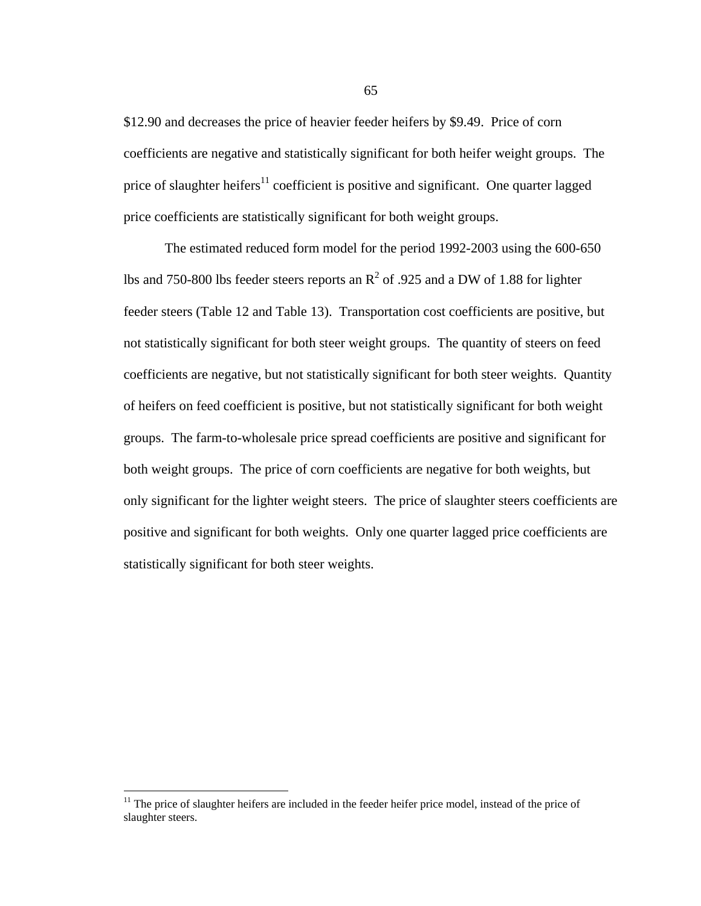\$12.90 and decreases the price of heavier feeder heifers by \$9.49. Price of corn coefficients are negative and statistically significant for both heifer weight groups. The price of slaughter heifers $11$  coefficient is positive and significant. One quarter lagged price coefficients are statistically significant for both weight groups.

The estimated reduced form model for the period 1992-2003 using the 600-650 lbs and 750-800 lbs feeder steers reports an  $R^2$  of .925 and a DW of 1.88 for lighter feeder steers (Table 12 and Table 13). Transportation cost coefficients are positive, but not statistically significant for both steer weight groups. The quantity of steers on feed coefficients are negative, but not statistically significant for both steer weights. Quantity of heifers on feed coefficient is positive, but not statistically significant for both weight groups. The farm-to-wholesale price spread coefficients are positive and significant for both weight groups. The price of corn coefficients are negative for both weights, but only significant for the lighter weight steers. The price of slaughter steers coefficients are positive and significant for both weights. Only one quarter lagged price coefficients are statistically significant for both steer weights.

 $\overline{a}$ 

 $11$  The price of slaughter heifers are included in the feeder heifer price model, instead of the price of slaughter steers.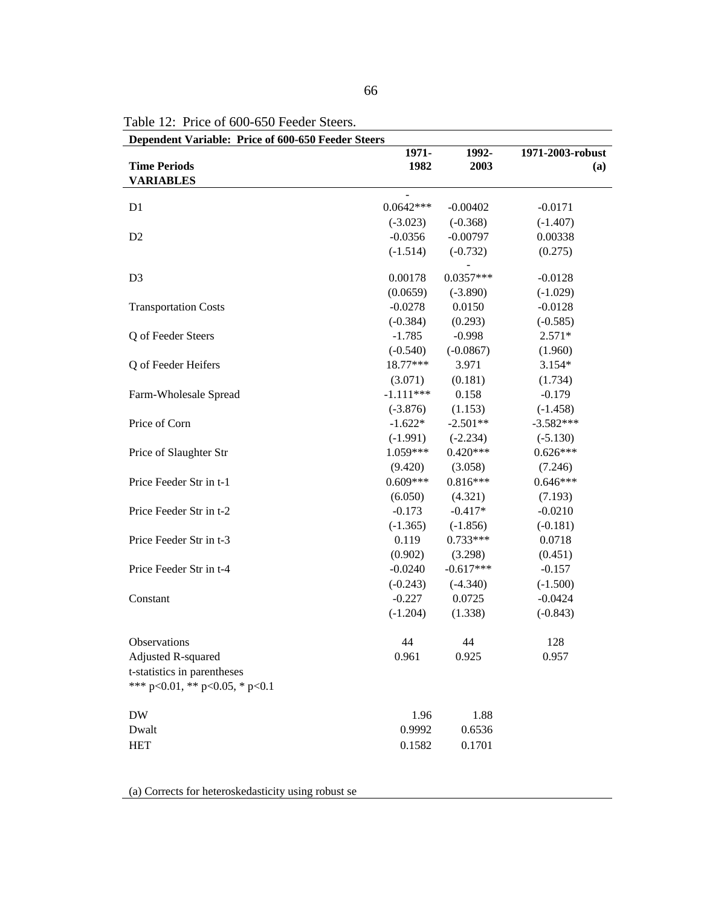| Dependent Variable: Price of 600-650 Feeder Steers |                         |             |                  |
|----------------------------------------------------|-------------------------|-------------|------------------|
|                                                    | 1971-                   | 1992-       | 1971-2003-robust |
| <b>Time Periods</b>                                | 1982                    | 2003        | (a)              |
| <b>VARIABLES</b>                                   |                         |             |                  |
| D1                                                 | $0.0642***$             | $-0.00402$  | $-0.0171$        |
|                                                    |                         |             |                  |
|                                                    | $(-3.023)$<br>$-0.0356$ | $(-0.368)$  | $(-1.407)$       |
| D <sub>2</sub>                                     |                         | $-0.00797$  | 0.00338          |
|                                                    | $(-1.514)$              | $(-0.732)$  | (0.275)          |
| D <sub>3</sub>                                     | 0.00178                 | $0.0357***$ | $-0.0128$        |
|                                                    | (0.0659)                | $(-3.890)$  | $(-1.029)$       |
| <b>Transportation Costs</b>                        | $-0.0278$               | 0.0150      | $-0.0128$        |
|                                                    | $(-0.384)$              | (0.293)     | $(-0.585)$       |
| Q of Feeder Steers                                 | $-1.785$                | $-0.998$    | $2.571*$         |
|                                                    | $(-0.540)$              | $(-0.0867)$ | (1.960)          |
| Q of Feeder Heifers                                | 18.77***                | 3.971       | $3.154*$         |
|                                                    | (3.071)                 | (0.181)     | (1.734)          |
| Farm-Wholesale Spread                              | $-1.111***$             | 0.158       | $-0.179$         |
|                                                    | $(-3.876)$              | (1.153)     | $(-1.458)$       |
| Price of Corn                                      | $-1.622*$               | $-2.501**$  | $-3.582***$      |
|                                                    | $(-1.991)$              | $(-2.234)$  | $(-5.130)$       |
| Price of Slaughter Str                             | $1.059***$              | $0.420***$  | $0.626***$       |
|                                                    | (9.420)                 | (3.058)     | (7.246)          |
| Price Feeder Str in t-1                            | $0.609***$              | $0.816***$  | $0.646***$       |
|                                                    | (6.050)                 | (4.321)     | (7.193)          |
| Price Feeder Str in t-2                            | $-0.173$                | $-0.417*$   | $-0.0210$        |
|                                                    | $(-1.365)$              | $(-1.856)$  | $(-0.181)$       |
| Price Feeder Str in t-3                            | 0.119                   | 0.733***    | 0.0718           |
|                                                    | (0.902)                 | (3.298)     | (0.451)          |
| Price Feeder Str in t-4                            | $-0.0240$               | $-0.617***$ | $-0.157$         |
|                                                    | $(-0.243)$              | $(-4.340)$  | $(-1.500)$       |
| Constant                                           | $-0.227$                | 0.0725      | $-0.0424$        |
|                                                    | $(-1.204)$              | (1.338)     | $(-0.843)$       |
|                                                    |                         |             |                  |
| Observations                                       | 44                      | 44          | 128              |
| Adjusted R-squared                                 | 0.961                   | 0.925       | 0.957            |
| t-statistics in parentheses                        |                         |             |                  |
| *** p<0.01, ** p<0.05, * p<0.1                     |                         |             |                  |
|                                                    |                         |             |                  |
| <b>DW</b>                                          | 1.96                    | 1.88        |                  |
| Dwalt                                              | 0.9992                  | 0.6536      |                  |
| <b>HET</b>                                         | 0.1582                  | 0.1701      |                  |

Table 12: Price of 600-650 Feeder Steers.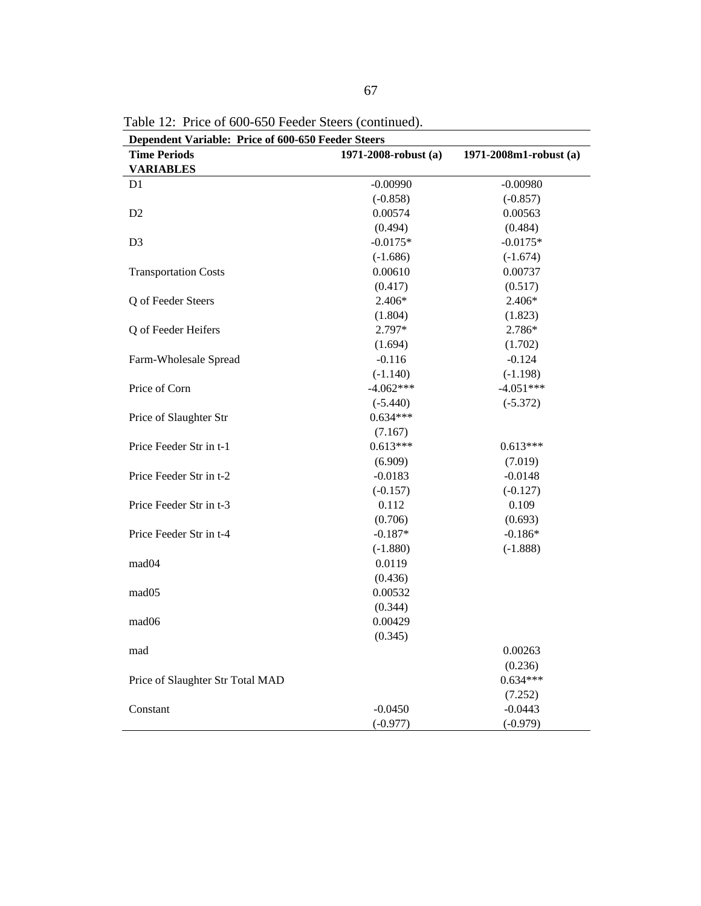| Dependent Variable: Price of 600-650 Feeder Steers |                      |                        |
|----------------------------------------------------|----------------------|------------------------|
| <b>Time Periods</b>                                | 1971-2008-robust (a) | 1971-2008m1-robust (a) |
| <b>VARIABLES</b>                                   |                      |                        |
| D <sub>1</sub>                                     | $-0.00990$           | $-0.00980$             |
|                                                    | $(-0.858)$           | $(-0.857)$             |
| D2                                                 | 0.00574              | 0.00563                |
|                                                    | (0.494)              | (0.484)                |
| D <sub>3</sub>                                     | $-0.0175*$           | $-0.0175*$             |
|                                                    | $(-1.686)$           | $(-1.674)$             |
| <b>Transportation Costs</b>                        | 0.00610              | 0.00737                |
|                                                    | (0.417)              | (0.517)                |
| Q of Feeder Steers                                 | 2.406*               | 2.406*                 |
|                                                    | (1.804)              | (1.823)                |
| Q of Feeder Heifers                                | 2.797*               | 2.786*                 |
|                                                    | (1.694)              | (1.702)                |
| Farm-Wholesale Spread                              | $-0.116$             | $-0.124$               |
|                                                    | $(-1.140)$           | $(-1.198)$             |
| Price of Corn                                      | $-4.062***$          | $-4.051***$            |
|                                                    | $(-5.440)$           | $(-5.372)$             |
| Price of Slaughter Str                             | $0.634***$           |                        |
|                                                    | (7.167)              |                        |
| Price Feeder Str in t-1                            | $0.613***$           | $0.613***$             |
|                                                    | (6.909)              | (7.019)                |
| Price Feeder Str in t-2                            | $-0.0183$            | $-0.0148$              |
|                                                    | $(-0.157)$           | $(-0.127)$             |
| Price Feeder Str in t-3                            | 0.112                | 0.109                  |
|                                                    | (0.706)              | (0.693)                |
| Price Feeder Str in t-4                            | $-0.187*$            | $-0.186*$              |
|                                                    | $(-1.880)$           | $(-1.888)$             |
| mad <sub>04</sub>                                  | 0.0119               |                        |
|                                                    | (0.436)              |                        |
| mad <sub>05</sub>                                  | 0.00532              |                        |
|                                                    | (0.344)              |                        |
| mad <sub>06</sub>                                  | 0.00429              |                        |
|                                                    | (0.345)              |                        |
| mad                                                |                      | 0.00263                |
|                                                    |                      | (0.236)                |
| Price of Slaughter Str Total MAD                   |                      | $0.634***$             |
|                                                    |                      | (7.252)                |
| Constant                                           | $-0.0450$            | $-0.0443$              |
|                                                    | $(-0.977)$           | $(-0.979)$             |

Table 12: Price of 600-650 Feeder Steers (continued).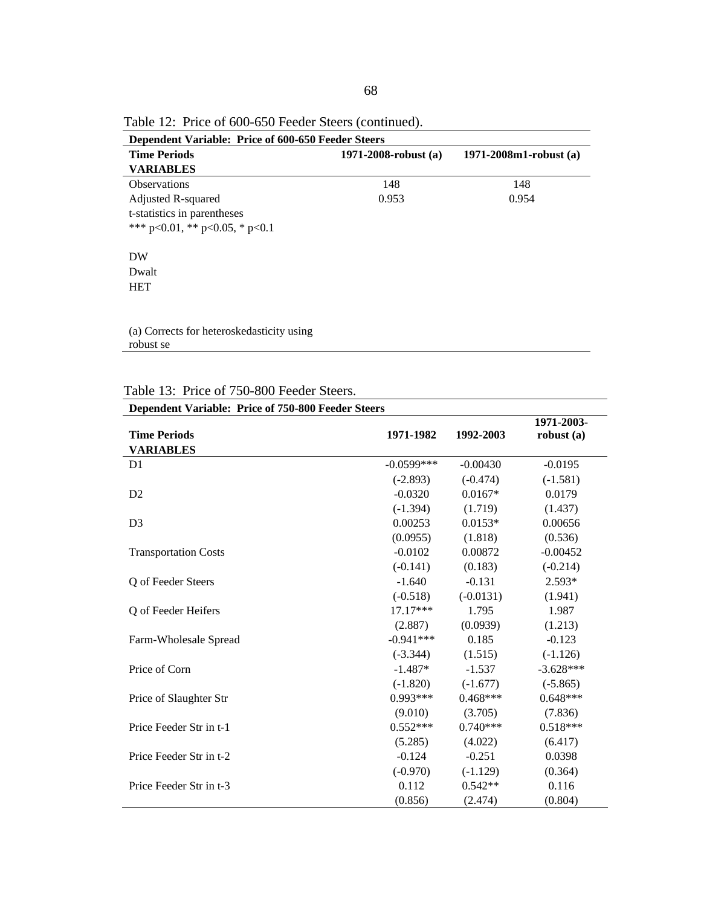| Dependent Variable: Price of 600-650 Feeder Steers |                        |                        |  |  |
|----------------------------------------------------|------------------------|------------------------|--|--|
| <b>Time Periods</b>                                | 1971-2008-robust $(a)$ | 1971-2008m1-robust (a) |  |  |
| <b>VARIABLES</b>                                   |                        |                        |  |  |
| <b>Observations</b>                                | 148                    | 148                    |  |  |
| Adjusted R-squared                                 | 0.953                  | 0.954                  |  |  |
| t-statistics in parentheses                        |                        |                        |  |  |
| *** p<0.01, ** p<0.05, * p<0.1                     |                        |                        |  |  |
|                                                    |                        |                        |  |  |
| DW                                                 |                        |                        |  |  |
| Dwalt                                              |                        |                        |  |  |
| <b>HET</b>                                         |                        |                        |  |  |
|                                                    |                        |                        |  |  |
|                                                    |                        |                        |  |  |
|                                                    |                        |                        |  |  |

Table 12: Price of 600-650 Feeder Steers (continued).

|  |  | Table 13: Price of 750-800 Feeder Steers. |
|--|--|-------------------------------------------|
|--|--|-------------------------------------------|

| Dependent Variable: Price of 750-800 Feeder Steers |              |             |             |
|----------------------------------------------------|--------------|-------------|-------------|
|                                                    |              |             | 1971-2003-  |
| <b>Time Periods</b>                                | 1971-1982    | 1992-2003   | robust(a)   |
| <b>VARIABLES</b>                                   |              |             |             |
| D <sub>1</sub>                                     | $-0.0599***$ | $-0.00430$  | $-0.0195$   |
|                                                    | $(-2.893)$   | $(-0.474)$  | $(-1.581)$  |
| D2                                                 | $-0.0320$    | $0.0167*$   | 0.0179      |
|                                                    | $(-1.394)$   | (1.719)     | (1.437)     |
| D <sub>3</sub>                                     | 0.00253      | $0.0153*$   | 0.00656     |
|                                                    | (0.0955)     | (1.818)     | (0.536)     |
| <b>Transportation Costs</b>                        | $-0.0102$    | 0.00872     | $-0.00452$  |
|                                                    | $(-0.141)$   | (0.183)     | $(-0.214)$  |
| Q of Feeder Steers                                 | $-1.640$     | $-0.131$    | 2.593*      |
|                                                    | $(-0.518)$   | $(-0.0131)$ | (1.941)     |
| Q of Feeder Heifers                                | $17.17***$   | 1.795       | 1.987       |
|                                                    | (2.887)      | (0.0939)    | (1.213)     |
| Farm-Wholesale Spread                              | $-0.941***$  | 0.185       | $-0.123$    |
|                                                    | $(-3.344)$   | (1.515)     | $(-1.126)$  |
| Price of Corn                                      | $-1.487*$    | $-1.537$    | $-3.628***$ |
|                                                    | $(-1.820)$   | $(-1.677)$  | $(-5.865)$  |
| Price of Slaughter Str                             | $0.993***$   | $0.468***$  | $0.648***$  |
|                                                    | (9.010)      | (3.705)     | (7.836)     |
| Price Feeder Str in t-1                            | $0.552***$   | $0.740***$  | $0.518***$  |
|                                                    | (5.285)      | (4.022)     | (6.417)     |
| Price Feeder Str in t-2                            | $-0.124$     | $-0.251$    | 0.0398      |
|                                                    | $(-0.970)$   | $(-1.129)$  | (0.364)     |
| Price Feeder Str in t-3                            | 0.112        | $0.542**$   | 0.116       |
|                                                    | (0.856)      | (2.474)     | (0.804)     |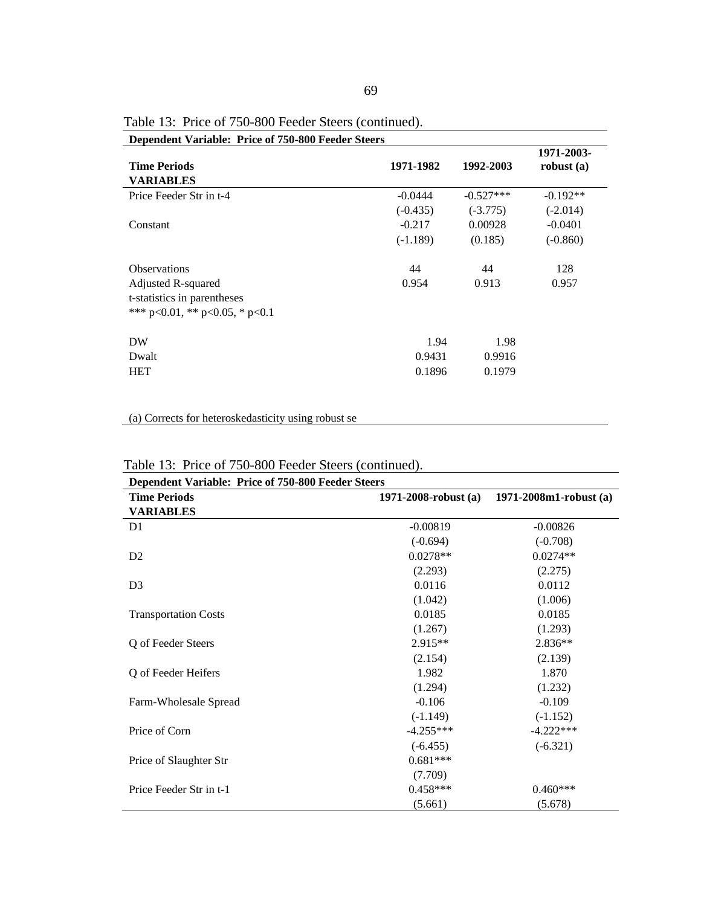| Dependent variable: Frice of 750-600 Feeder Steers |            |             |                            |
|----------------------------------------------------|------------|-------------|----------------------------|
| <b>Time Periods</b><br><b>VARIABLES</b>            | 1971-1982  | 1992-2003   | 1971-2003-<br>robust $(a)$ |
| Price Feeder Str in t-4                            | $-0.0444$  | $-0.527***$ | $-0.192**$                 |
|                                                    | $(-0.435)$ | $(-3.775)$  | $(-2.014)$                 |
| Constant                                           | $-0.217$   | 0.00928     | $-0.0401$                  |
|                                                    | $(-1.189)$ | (0.185)     | $(-0.860)$                 |
| <b>Observations</b>                                | 44         | 44          | 128                        |
| Adjusted R-squared                                 | 0.954      | 0.913       | 0.957                      |
| t-statistics in parentheses                        |            |             |                            |
| *** p<0.01, ** p<0.05, * p<0.1                     |            |             |                            |
| DW                                                 | 1.94       | 1.98        |                            |
| Dwalt                                              | 0.9431     | 0.9916      |                            |
| <b>HET</b>                                         | 0.1896     | 0.1979      |                            |
|                                                    |            |             |                            |

Table 13: Price of 750-800 Feeder Steers (continued).

|  | <b>Dependent Variable: Price of 750-800 Feeder Steers</b> |
|--|-----------------------------------------------------------|
|--|-----------------------------------------------------------|

| Dependent Variable: Price of 750-800 Feeder Steers |                        |                             |
|----------------------------------------------------|------------------------|-----------------------------|
| <b>Time Periods</b>                                | 1971-2008-robust $(a)$ | $1971 - 2008m1$ -robust (a) |
| <b>VARIABLES</b>                                   |                        |                             |
| D1                                                 | $-0.00819$             | $-0.00826$                  |
|                                                    | $(-0.694)$             | $(-0.708)$                  |
| D2                                                 | $0.0278**$             | $0.0274**$                  |
|                                                    | (2.293)                | (2.275)                     |
| D <sub>3</sub>                                     | 0.0116                 | 0.0112                      |
|                                                    | (1.042)                | (1.006)                     |
| <b>Transportation Costs</b>                        | 0.0185                 | 0.0185                      |
|                                                    | (1.267)                | (1.293)                     |
| Q of Feeder Steers                                 | 2.915**                | 2.836**                     |
|                                                    | (2.154)                | (2.139)                     |
| Q of Feeder Heifers                                | 1.982                  | 1.870                       |
|                                                    | (1.294)                | (1.232)                     |
| Farm-Wholesale Spread                              | $-0.106$               | $-0.109$                    |
|                                                    | $(-1.149)$             | $(-1.152)$                  |
| Price of Corn                                      | $-4.255***$            | $-4.222***$                 |
|                                                    | $(-6.455)$             | $(-6.321)$                  |
| Price of Slaughter Str                             | $0.681***$             |                             |
|                                                    | (7.709)                |                             |
| Price Feeder Str in t-1                            | $0.458***$             | $0.460***$                  |
|                                                    | (5.661)                | (5.678)                     |

Table 13: Price of 750-800 Feeder Steers (continued).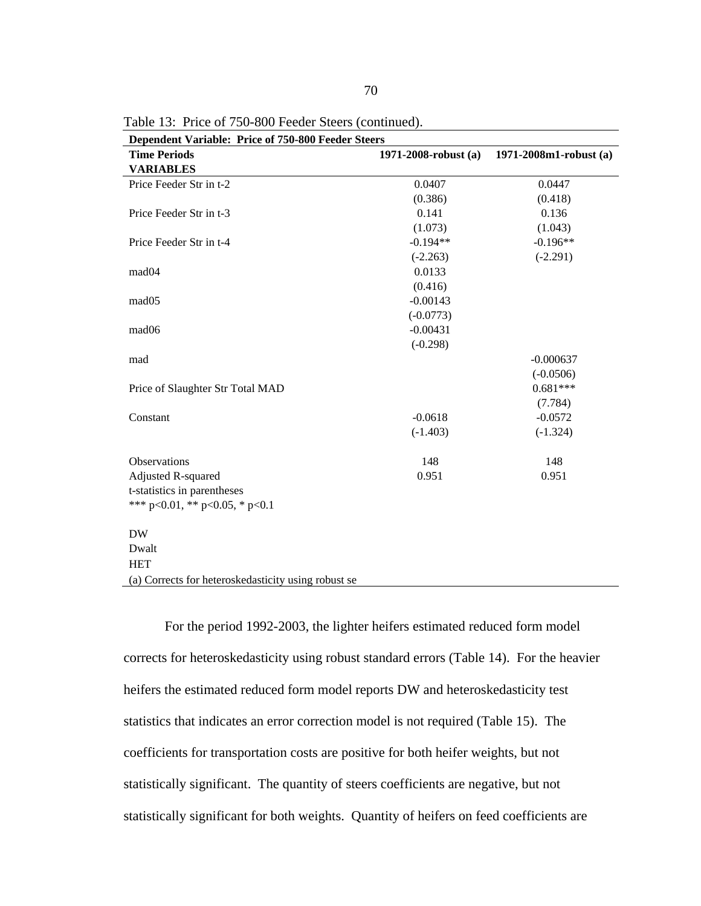| Dependent Variable: Price of 750-800 Feeder Steers  |                           |                             |
|-----------------------------------------------------|---------------------------|-----------------------------|
| <b>Time Periods</b>                                 | $1971 - 2008$ -robust (a) | $1971 - 2008m1$ -robust (a) |
| <b>VARIABLES</b>                                    |                           |                             |
| Price Feeder Str in t-2                             | 0.0407                    | 0.0447                      |
|                                                     | (0.386)                   | (0.418)                     |
| Price Feeder Str in t-3                             | 0.141                     | 0.136                       |
|                                                     | (1.073)                   | (1.043)                     |
| Price Feeder Str in t-4                             | $-0.194**$                | $-0.196**$                  |
|                                                     | $(-2.263)$                | $(-2.291)$                  |
| mad04                                               | 0.0133                    |                             |
|                                                     | (0.416)                   |                             |
| mad <sub>05</sub>                                   | $-0.00143$                |                             |
|                                                     | $(-0.0773)$               |                             |
| mad <sub>06</sub>                                   | $-0.00431$                |                             |
|                                                     | $(-0.298)$                |                             |
| mad                                                 |                           | $-0.000637$                 |
|                                                     |                           | $(-0.0506)$                 |
| Price of Slaughter Str Total MAD                    |                           | $0.681***$                  |
|                                                     |                           | (7.784)                     |
| Constant                                            | $-0.0618$                 | $-0.0572$                   |
|                                                     | $(-1.403)$                | $(-1.324)$                  |
| Observations                                        | 148                       | 148                         |
| Adjusted R-squared                                  | 0.951                     | 0.951                       |
| t-statistics in parentheses                         |                           |                             |
| *** p<0.01, ** p<0.05, * p<0.1                      |                           |                             |
| <b>DW</b>                                           |                           |                             |
| Dwalt                                               |                           |                             |
| <b>HET</b>                                          |                           |                             |
| (a) Corrects for heteroskedasticity using robust se |                           |                             |

Table 13: Price of 750-800 Feeder Steers (continued).

For the period 1992-2003, the lighter heifers estimated reduced form model corrects for heteroskedasticity using robust standard errors (Table 14). For the heavier heifers the estimated reduced form model reports DW and heteroskedasticity test statistics that indicates an error correction model is not required (Table 15). The coefficients for transportation costs are positive for both heifer weights, but not statistically significant. The quantity of steers coefficients are negative, but not statistically significant for both weights. Quantity of heifers on feed coefficients are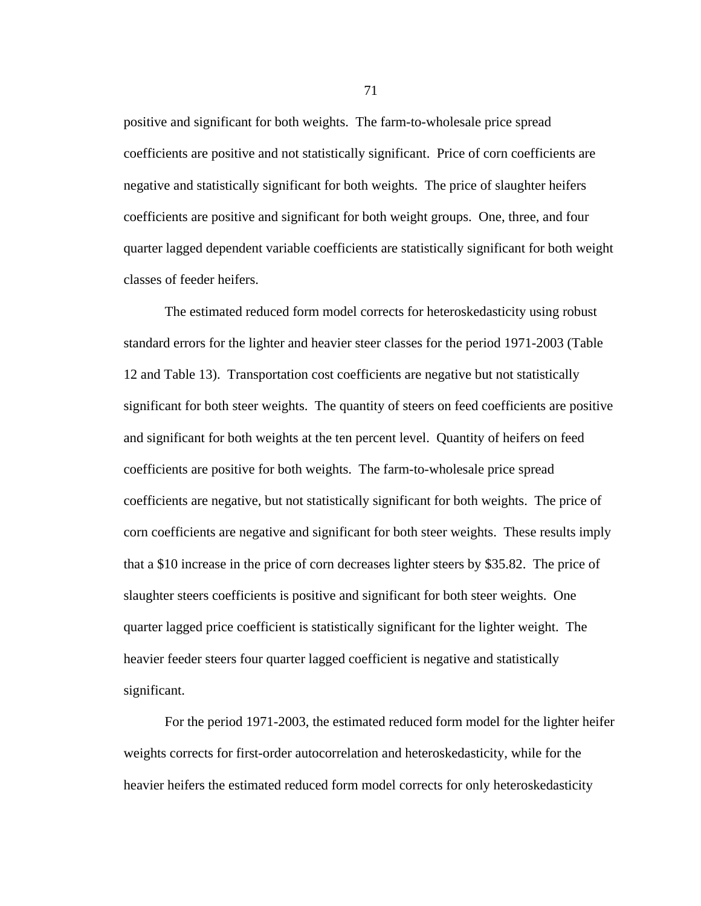positive and significant for both weights. The farm-to-wholesale price spread coefficients are positive and not statistically significant. Price of corn coefficients are negative and statistically significant for both weights. The price of slaughter heifers coefficients are positive and significant for both weight groups. One, three, and four quarter lagged dependent variable coefficients are statistically significant for both weight classes of feeder heifers.

The estimated reduced form model corrects for heteroskedasticity using robust standard errors for the lighter and heavier steer classes for the period 1971-2003 (Table 12 and Table 13). Transportation cost coefficients are negative but not statistically significant for both steer weights. The quantity of steers on feed coefficients are positive and significant for both weights at the ten percent level. Quantity of heifers on feed coefficients are positive for both weights. The farm-to-wholesale price spread coefficients are negative, but not statistically significant for both weights. The price of corn coefficients are negative and significant for both steer weights. These results imply that a \$10 increase in the price of corn decreases lighter steers by \$35.82. The price of slaughter steers coefficients is positive and significant for both steer weights. One quarter lagged price coefficient is statistically significant for the lighter weight. The heavier feeder steers four quarter lagged coefficient is negative and statistically significant.

For the period 1971-2003, the estimated reduced form model for the lighter heifer weights corrects for first-order autocorrelation and heteroskedasticity, while for the heavier heifers the estimated reduced form model corrects for only heteroskedasticity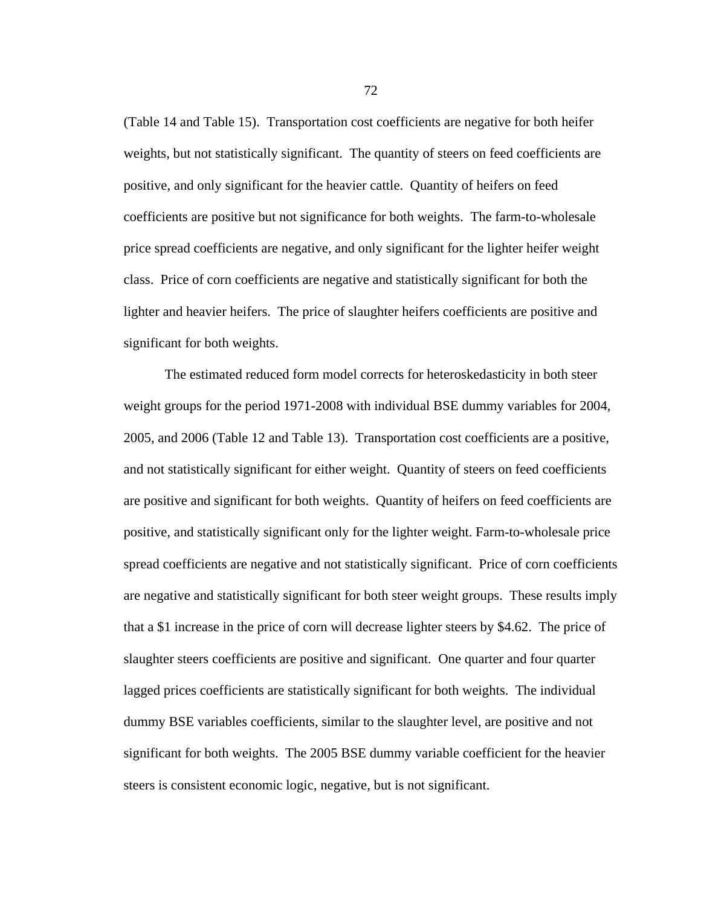(Table 14 and Table 15). Transportation cost coefficients are negative for both heifer weights, but not statistically significant. The quantity of steers on feed coefficients are positive, and only significant for the heavier cattle. Quantity of heifers on feed coefficients are positive but not significance for both weights. The farm-to-wholesale price spread coefficients are negative, and only significant for the lighter heifer weight class. Price of corn coefficients are negative and statistically significant for both the lighter and heavier heifers. The price of slaughter heifers coefficients are positive and significant for both weights.

The estimated reduced form model corrects for heteroskedasticity in both steer weight groups for the period 1971-2008 with individual BSE dummy variables for 2004, 2005, and 2006 (Table 12 and Table 13). Transportation cost coefficients are a positive, and not statistically significant for either weight. Quantity of steers on feed coefficients are positive and significant for both weights. Quantity of heifers on feed coefficients are positive, and statistically significant only for the lighter weight. Farm-to-wholesale price spread coefficients are negative and not statistically significant. Price of corn coefficients are negative and statistically significant for both steer weight groups. These results imply that a \$1 increase in the price of corn will decrease lighter steers by \$4.62. The price of slaughter steers coefficients are positive and significant. One quarter and four quarter lagged prices coefficients are statistically significant for both weights. The individual dummy BSE variables coefficients, similar to the slaughter level, are positive and not significant for both weights. The 2005 BSE dummy variable coefficient for the heavier steers is consistent economic logic, negative, but is not significant.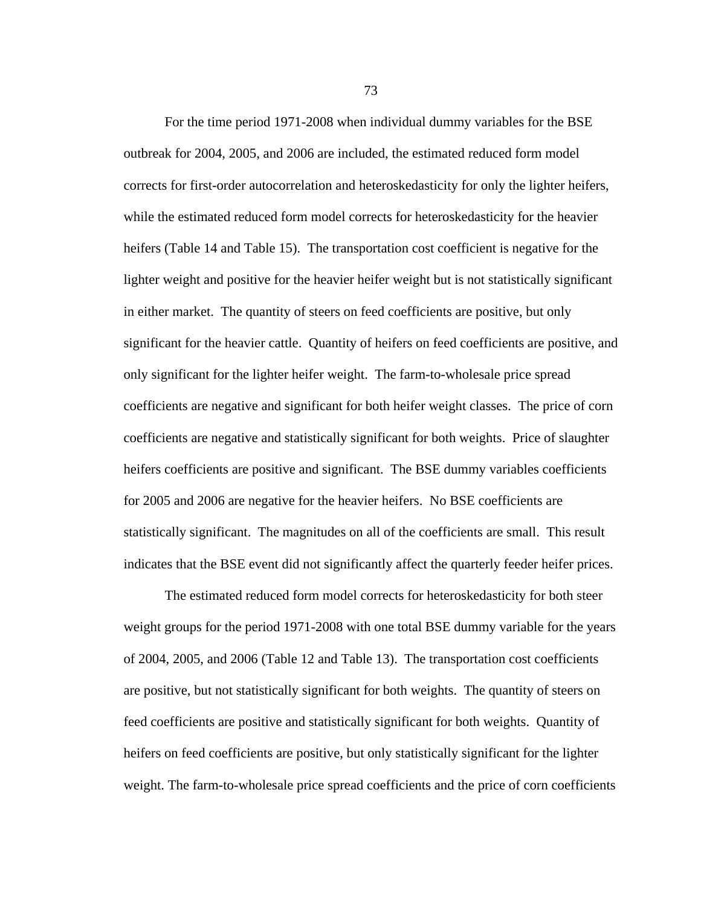For the time period 1971-2008 when individual dummy variables for the BSE outbreak for 2004, 2005, and 2006 are included, the estimated reduced form model corrects for first-order autocorrelation and heteroskedasticity for only the lighter heifers, while the estimated reduced form model corrects for heteroskedasticity for the heavier heifers (Table 14 and Table 15). The transportation cost coefficient is negative for the lighter weight and positive for the heavier heifer weight but is not statistically significant in either market. The quantity of steers on feed coefficients are positive, but only significant for the heavier cattle. Quantity of heifers on feed coefficients are positive, and only significant for the lighter heifer weight. The farm-to-wholesale price spread coefficients are negative and significant for both heifer weight classes. The price of corn coefficients are negative and statistically significant for both weights. Price of slaughter heifers coefficients are positive and significant. The BSE dummy variables coefficients for 2005 and 2006 are negative for the heavier heifers. No BSE coefficients are statistically significant. The magnitudes on all of the coefficients are small. This result indicates that the BSE event did not significantly affect the quarterly feeder heifer prices.

The estimated reduced form model corrects for heteroskedasticity for both steer weight groups for the period 1971-2008 with one total BSE dummy variable for the years of 2004, 2005, and 2006 (Table 12 and Table 13). The transportation cost coefficients are positive, but not statistically significant for both weights. The quantity of steers on feed coefficients are positive and statistically significant for both weights. Quantity of heifers on feed coefficients are positive, but only statistically significant for the lighter weight. The farm-to-wholesale price spread coefficients and the price of corn coefficients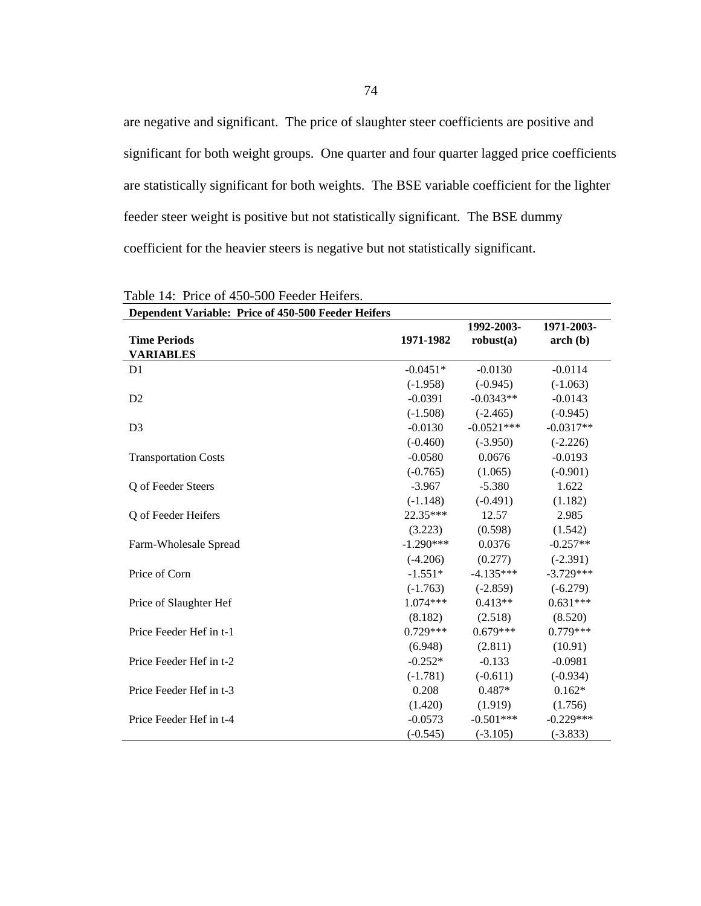are negative and significant. The price of slaughter steer coefficients are positive and significant for both weight groups. One quarter and four quarter lagged price coefficients are statistically significant for both weights. The BSE variable coefficient for the lighter feeder steer weight is positive but not statistically significant. The BSE dummy coefficient for the heavier steers is negative but not statistically significant.

| Dependent variable. The of 450-500 Feeder Heners |             |                         |                          |
|--------------------------------------------------|-------------|-------------------------|--------------------------|
| <b>Time Periods</b>                              | 1971-1982   | 1992-2003-<br>robust(a) | 1971-2003-<br>$\arch(b)$ |
| <b>VARIABLES</b>                                 |             |                         |                          |
|                                                  |             |                         |                          |
| D <sub>1</sub>                                   | $-0.0451*$  | $-0.0130$               | $-0.0114$                |
|                                                  | $(-1.958)$  | $(-0.945)$              | $(-1.063)$               |
| D <sub>2</sub>                                   | $-0.0391$   | $-0.0343**$             | $-0.0143$                |
|                                                  | $(-1.508)$  | $(-2.465)$              | $(-0.945)$               |
| D <sub>3</sub>                                   | $-0.0130$   | $-0.0521***$            | $-0.0317**$              |
|                                                  | $(-0.460)$  | $(-3.950)$              | $(-2.226)$               |
| <b>Transportation Costs</b>                      | $-0.0580$   | 0.0676                  | $-0.0193$                |
|                                                  | $(-0.765)$  | (1.065)                 | $(-0.901)$               |
| Q of Feeder Steers                               | $-3.967$    | $-5.380$                | 1.622                    |
|                                                  | $(-1.148)$  | $(-0.491)$              | (1.182)                  |
| Q of Feeder Heifers                              | 22.35***    | 12.57                   | 2.985                    |
|                                                  | (3.223)     | (0.598)                 | (1.542)                  |
| Farm-Wholesale Spread                            | $-1.290***$ | 0.0376                  | $-0.257**$               |
|                                                  | $(-4.206)$  | (0.277)                 | $(-2.391)$               |
| Price of Corn                                    | $-1.551*$   | $-4.135***$             | $-3.729***$              |
|                                                  | $(-1.763)$  | $(-2.859)$              | $(-6.279)$               |
| Price of Slaughter Hef                           | $1.074***$  | $0.413**$               | $0.631***$               |
|                                                  | (8.182)     | (2.518)                 | (8.520)                  |
| Price Feeder Hef in t-1                          | $0.729***$  | $0.679***$              | $0.779***$               |
|                                                  | (6.948)     | (2.811)                 | (10.91)                  |
| Price Feeder Hef in t-2                          | $-0.252*$   | $-0.133$                | $-0.0981$                |
|                                                  | $(-1.781)$  | $(-0.611)$              | $(-0.934)$               |
| Price Feeder Hef in t-3                          | 0.208       | $0.487*$                | $0.162*$                 |
|                                                  | (1.420)     | (1.919)                 | (1.756)                  |
| Price Feeder Hef in t-4                          | $-0.0573$   | $-0.501***$             | $-0.229***$              |
|                                                  | $(-0.545)$  | $(-3.105)$              | $(-3.833)$               |

Table 14: Price of 450-500 Feeder Heifers. **Dependent Variable: Price of 450-500 Feeder Heifers**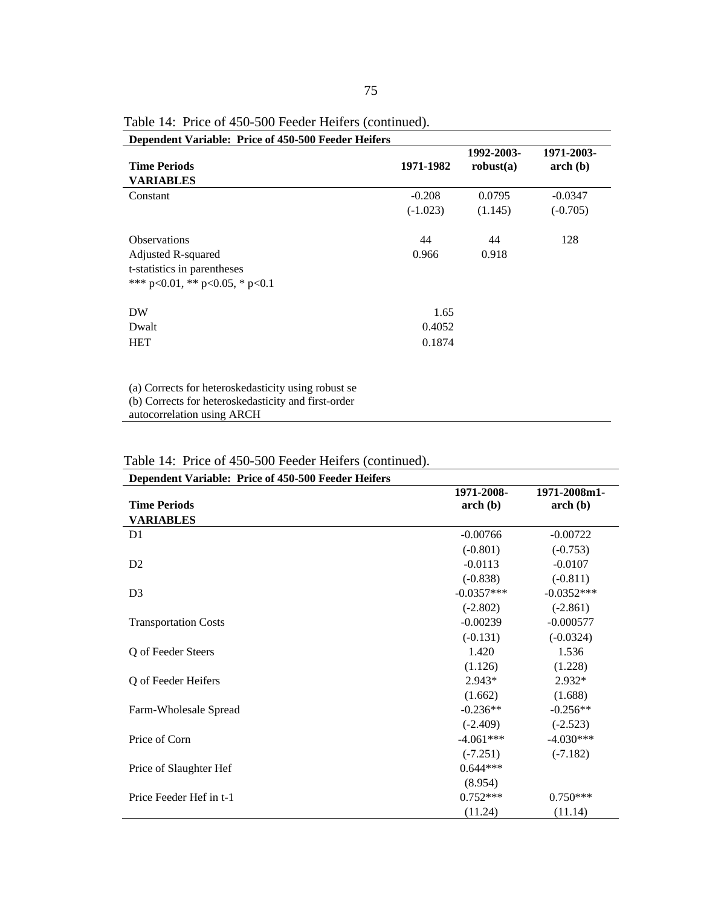| <b>Dependent Variable: Price of 450-500 Feeder Heifers</b>                                                 |            |                         |                          |
|------------------------------------------------------------------------------------------------------------|------------|-------------------------|--------------------------|
| <b>Time Periods</b>                                                                                        | 1971-1982  | 1992-2003-<br>robust(a) | 1971-2003-<br>$\arch(b)$ |
| <b>VARIABLES</b>                                                                                           |            |                         |                          |
| Constant                                                                                                   | $-0.208$   | 0.0795                  | $-0.0347$                |
|                                                                                                            | $(-1.023)$ | (1.145)                 | $(-0.705)$               |
| <b>Observations</b>                                                                                        | 44         | 44                      | 128                      |
| Adjusted R-squared                                                                                         | 0.966      | 0.918                   |                          |
| t-statistics in parentheses                                                                                |            |                         |                          |
| *** p<0.01, ** p<0.05, * p<0.1                                                                             |            |                         |                          |
| <b>DW</b>                                                                                                  | 1.65       |                         |                          |
| Dwalt                                                                                                      | 0.4052     |                         |                          |
| <b>HET</b>                                                                                                 | 0.1874     |                         |                          |
|                                                                                                            |            |                         |                          |
| (a) Corrects for heteroskedasticity using robust se<br>(b) Corrects for heteroskedasticity and first-order |            |                         |                          |

Table 14: Price of 450-500 Feeder Heifers (continued).

autocorrelation using ARCH

| Dependent Variable: Price of 450-500 Feeder Heifers |              |              |
|-----------------------------------------------------|--------------|--------------|
|                                                     | 1971-2008-   | 1971-2008m1- |
| <b>Time Periods</b>                                 | $\arch(b)$   | $\arch(b)$   |
| <b>VARIABLES</b>                                    |              |              |
| D <sub>1</sub>                                      | $-0.00766$   | $-0.00722$   |
|                                                     | $(-0.801)$   | $(-0.753)$   |
| D <sub>2</sub>                                      | $-0.0113$    | $-0.0107$    |
|                                                     | $(-0.838)$   | $(-0.811)$   |
| D <sub>3</sub>                                      | $-0.0357***$ | $-0.0352***$ |
|                                                     | $(-2.802)$   | $(-2.861)$   |
| <b>Transportation Costs</b>                         | $-0.00239$   | $-0.000577$  |
|                                                     | $(-0.131)$   | $(-0.0324)$  |
| Q of Feeder Steers                                  | 1.420        | 1.536        |
|                                                     | (1.126)      | (1.228)      |
| Q of Feeder Heifers                                 | $2.943*$     | $2.932*$     |
|                                                     | (1.662)      | (1.688)      |
| Farm-Wholesale Spread                               | $-0.236**$   | $-0.256**$   |
|                                                     | $(-2.409)$   | $(-2.523)$   |
| Price of Corn                                       | $-4.061***$  | $-4.030***$  |
|                                                     | $(-7.251)$   | $(-7.182)$   |
| Price of Slaughter Hef                              | $0.644***$   |              |
|                                                     | (8.954)      |              |
| Price Feeder Hef in t-1                             | $0.752***$   | $0.750***$   |
|                                                     | (11.24)      | (11.14)      |

Table 14: Price of 450-500 Feeder Heifers (continued).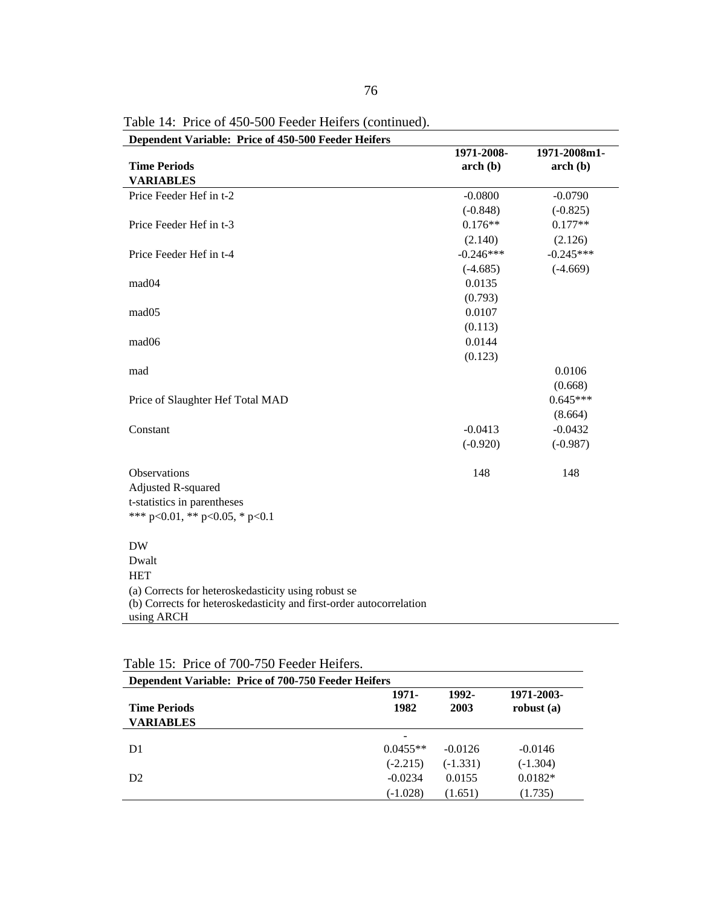| Dependent Variable: Price of 450-500 Feeder Heifers                               | 1971-2008-  | 1971-2008m1- |
|-----------------------------------------------------------------------------------|-------------|--------------|
| <b>Time Periods</b>                                                               | arch(b)     | arch(b)      |
| <b>VARIABLES</b>                                                                  |             |              |
| Price Feeder Hef in t-2                                                           | $-0.0800$   | $-0.0790$    |
|                                                                                   | $(-0.848)$  | $(-0.825)$   |
| Price Feeder Hef in t-3                                                           | $0.176**$   | $0.177**$    |
|                                                                                   | (2.140)     | (2.126)      |
| Price Feeder Hef in t-4                                                           | $-0.246***$ | $-0.245***$  |
|                                                                                   | $(-4.685)$  | $(-4.669)$   |
| mad04                                                                             | 0.0135      |              |
|                                                                                   | (0.793)     |              |
| mad <sub>05</sub>                                                                 | 0.0107      |              |
|                                                                                   | (0.113)     |              |
| mad06                                                                             | 0.0144      |              |
|                                                                                   | (0.123)     |              |
| mad                                                                               |             | 0.0106       |
|                                                                                   |             | (0.668)      |
| Price of Slaughter Hef Total MAD                                                  |             | $0.645***$   |
|                                                                                   |             | (8.664)      |
| Constant                                                                          | $-0.0413$   | $-0.0432$    |
|                                                                                   | $(-0.920)$  | $(-0.987)$   |
| Observations                                                                      | 148         | 148          |
| Adjusted R-squared                                                                |             |              |
| t-statistics in parentheses                                                       |             |              |
| *** p<0.01, ** p<0.05, * p<0.1                                                    |             |              |
| <b>DW</b>                                                                         |             |              |
| Dwalt                                                                             |             |              |
| <b>HET</b>                                                                        |             |              |
| (a) Corrects for heteroskedasticity using robust se                               |             |              |
| (b) Corrects for heteroskedasticity and first-order autocorrelation<br>using ARCH |             |              |

Table 14: Price of 450-500 Feeder Heifers (continued).

| <b>Dependent Variable: Price of 700-750 Feeder Heifers</b> |            |            |              |
|------------------------------------------------------------|------------|------------|--------------|
|                                                            | 1971-      | 1992-      | 1971-2003-   |
| <b>Time Periods</b>                                        | 1982       | 2003       | robust $(a)$ |
| <b>VARIABLES</b>                                           |            |            |              |
|                                                            | -          |            |              |
| D1                                                         | $0.0455**$ | $-0.0126$  | $-0.0146$    |
|                                                            | $(-2.215)$ | $(-1.331)$ | $(-1.304)$   |
| D <sub>2</sub>                                             | $-0.0234$  | 0.0155     | $0.0182*$    |
|                                                            | (-1.028)   | (1.651)    | (1.735)      |

Table 15: Price of 700-750 Feeder Heifers.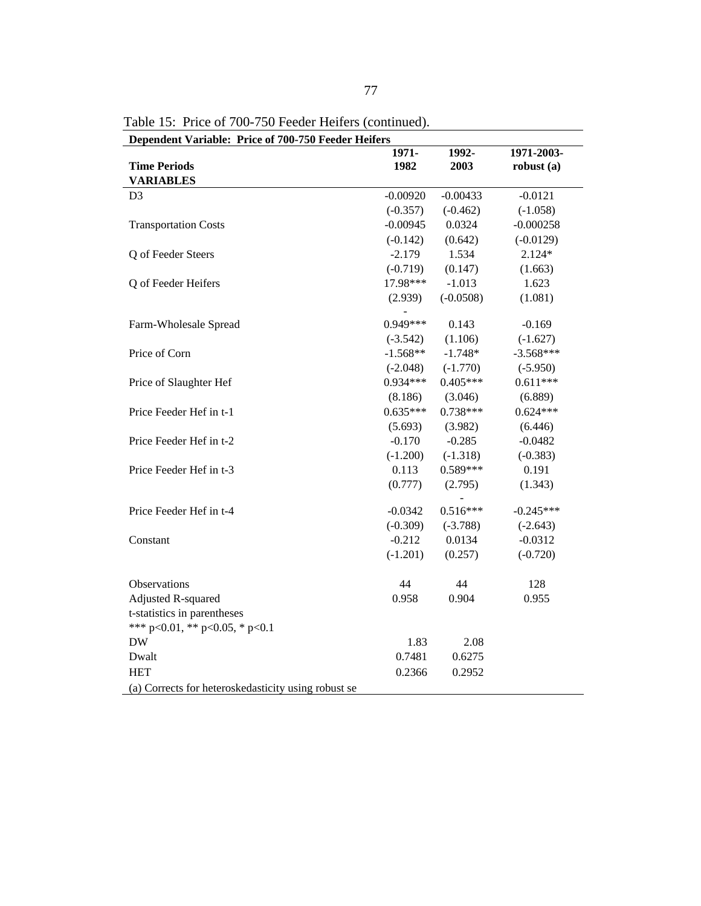| Dependent Variable: Price of 700-750 Feeder Heifers | 1971-      | 1992-       | 1971-2003-   |
|-----------------------------------------------------|------------|-------------|--------------|
| <b>Time Periods</b>                                 | 1982       | 2003        | robust $(a)$ |
| <b>VARIABLES</b>                                    |            |             |              |
| D <sub>3</sub>                                      | $-0.00920$ | $-0.00433$  | $-0.0121$    |
|                                                     | $(-0.357)$ | $(-0.462)$  | $(-1.058)$   |
| <b>Transportation Costs</b>                         | $-0.00945$ | 0.0324      | $-0.000258$  |
|                                                     | $(-0.142)$ | (0.642)     | $(-0.0129)$  |
| Q of Feeder Steers                                  | $-2.179$   | 1.534       | $2.124*$     |
|                                                     | $(-0.719)$ | (0.147)     | (1.663)      |
| Q of Feeder Heifers                                 | 17.98***   | $-1.013$    | 1.623        |
|                                                     | (2.939)    | $(-0.0508)$ | (1.081)      |
|                                                     |            |             |              |
| Farm-Wholesale Spread                               | 0.949***   | 0.143       | $-0.169$     |
|                                                     | $(-3.542)$ | (1.106)     | $(-1.627)$   |
| Price of Corn                                       | $-1.568**$ | $-1.748*$   | $-3.568***$  |
|                                                     | $(-2.048)$ | $(-1.770)$  | $(-5.950)$   |
| Price of Slaughter Hef                              | $0.934***$ | $0.405***$  | $0.611***$   |
|                                                     | (8.186)    | (3.046)     | (6.889)      |
| Price Feeder Hef in t-1                             | $0.635***$ | $0.738***$  | $0.624***$   |
|                                                     | (5.693)    | (3.982)     | (6.446)      |
| Price Feeder Hef in t-2                             | $-0.170$   | $-0.285$    | $-0.0482$    |
|                                                     | $(-1.200)$ | $(-1.318)$  | $(-0.383)$   |
| Price Feeder Hef in t-3                             | 0.113      | $0.589***$  | 0.191        |
|                                                     | (0.777)    | (2.795)     | (1.343)      |
| Price Feeder Hef in t-4                             | $-0.0342$  | $0.516***$  | $-0.245***$  |
|                                                     | $(-0.309)$ | $(-3.788)$  | $(-2.643)$   |
| Constant                                            | $-0.212$   | 0.0134      | $-0.0312$    |
|                                                     | $(-1.201)$ | (0.257)     | $(-0.720)$   |
| Observations                                        | 44         | 44          | 128          |
| <b>Adjusted R-squared</b>                           | 0.958      | 0.904       | 0.955        |
| t-statistics in parentheses                         |            |             |              |
| *** p<0.01, ** p<0.05, * p<0.1                      |            |             |              |
| <b>DW</b>                                           | 1.83       | 2.08        |              |
| Dwalt                                               | 0.7481     | 0.6275      |              |
| <b>HET</b>                                          | 0.2366     | 0.2952      |              |
| (a) Corrects for heteroskedasticity using robust se |            |             |              |

Table 15: Price of 700-750 Feeder Heifers (continued).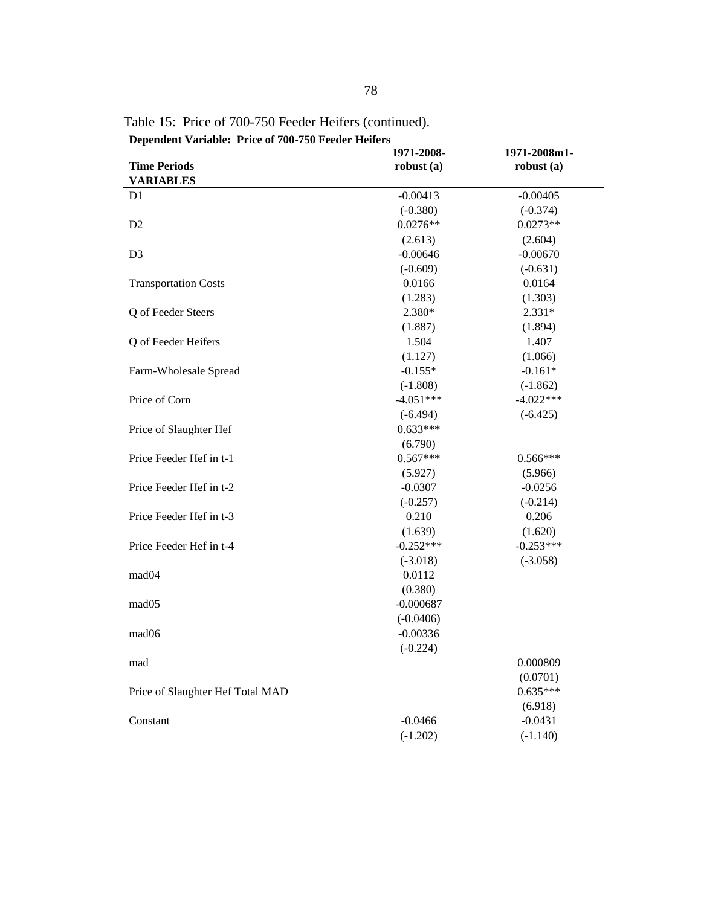| Dependent Variable: Price of 700-750 Feeder Heifers |              |              |  |  |
|-----------------------------------------------------|--------------|--------------|--|--|
|                                                     | 1971-2008-   | 1971-2008m1- |  |  |
| <b>Time Periods</b>                                 | robust $(a)$ | robust $(a)$ |  |  |
| <b>VARIABLES</b>                                    |              |              |  |  |
| D <sub>1</sub>                                      | $-0.00413$   | $-0.00405$   |  |  |
|                                                     | $(-0.380)$   | $(-0.374)$   |  |  |
| D <sub>2</sub>                                      | $0.0276**$   | $0.0273**$   |  |  |
|                                                     | (2.613)      | (2.604)      |  |  |
| D <sub>3</sub>                                      | $-0.00646$   | $-0.00670$   |  |  |
|                                                     | $(-0.609)$   | $(-0.631)$   |  |  |
| <b>Transportation Costs</b>                         | 0.0166       | 0.0164       |  |  |
|                                                     | (1.283)      | (1.303)      |  |  |
| Q of Feeder Steers                                  | 2.380*       | $2.331*$     |  |  |
|                                                     | (1.887)      | (1.894)      |  |  |
| Q of Feeder Heifers                                 | 1.504        | 1.407        |  |  |
|                                                     | (1.127)      | (1.066)      |  |  |
| Farm-Wholesale Spread                               | $-0.155*$    | $-0.161*$    |  |  |
|                                                     | $(-1.808)$   | $(-1.862)$   |  |  |
| Price of Corn                                       | $-4.051***$  | $-4.022***$  |  |  |
|                                                     | $(-6.494)$   | $(-6.425)$   |  |  |
| Price of Slaughter Hef                              | $0.633***$   |              |  |  |
|                                                     | (6.790)      |              |  |  |
| Price Feeder Hef in t-1                             | $0.567***$   | $0.566***$   |  |  |
|                                                     | (5.927)      | (5.966)      |  |  |
| Price Feeder Hef in t-2                             | $-0.0307$    | $-0.0256$    |  |  |
|                                                     | $(-0.257)$   | $(-0.214)$   |  |  |
| Price Feeder Hef in t-3                             | 0.210        | 0.206        |  |  |
|                                                     | (1.639)      | (1.620)      |  |  |
| Price Feeder Hef in t-4                             | $-0.252***$  | $-0.253***$  |  |  |
|                                                     | $(-3.018)$   | $(-3.058)$   |  |  |
| mad <sub>04</sub>                                   | 0.0112       |              |  |  |
|                                                     | (0.380)      |              |  |  |
| mad <sub>05</sub>                                   | $-0.000687$  |              |  |  |
|                                                     | $(-0.0406)$  |              |  |  |
| mad06                                               | $-0.00336$   |              |  |  |
|                                                     | $(-0.224)$   |              |  |  |
| mad                                                 |              | 0.000809     |  |  |
|                                                     |              | (0.0701)     |  |  |
| Price of Slaughter Hef Total MAD                    |              | $0.635***$   |  |  |
|                                                     |              | (6.918)      |  |  |
| Constant                                            | $-0.0466$    | $-0.0431$    |  |  |
|                                                     | $(-1.202)$   | $(-1.140)$   |  |  |
|                                                     |              |              |  |  |

Table 15: Price of 700-750 Feeder Heifers (continued).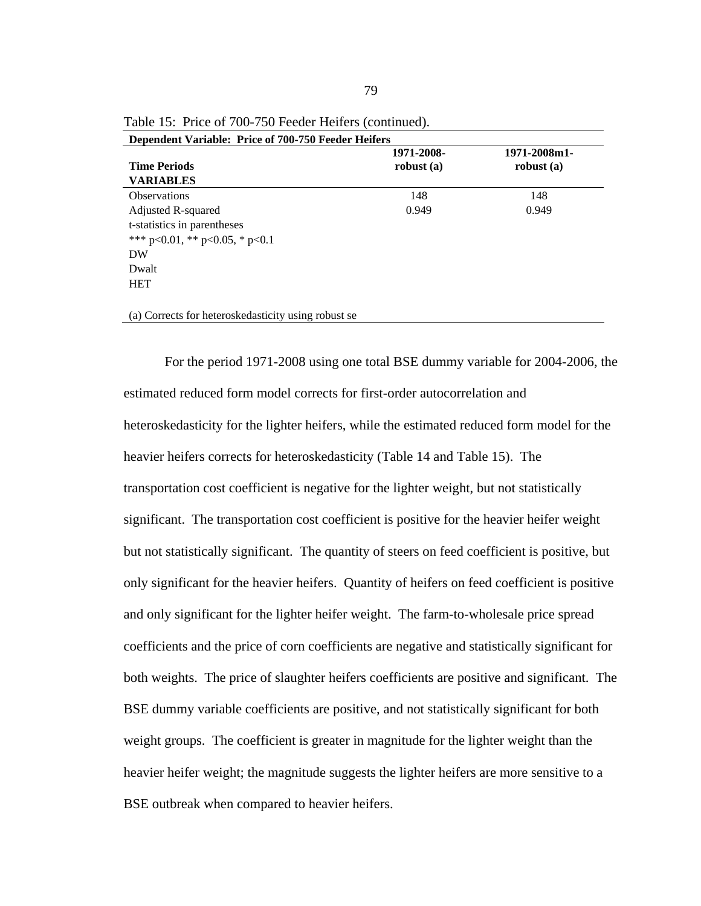| Dependent Variable: Price of 700-750 Feeder Heifers |              |              |  |  |
|-----------------------------------------------------|--------------|--------------|--|--|
|                                                     | 1971-2008-   | 1971-2008m1- |  |  |
| <b>Time Periods</b>                                 | robust $(a)$ | robust $(a)$ |  |  |
| <b>VARIABLES</b>                                    |              |              |  |  |
| <b>Observations</b>                                 | 148          | 148          |  |  |
| Adjusted R-squared                                  | 0.949        | 0.949        |  |  |
| t-statistics in parentheses                         |              |              |  |  |
| *** $p<0.01$ , ** $p<0.05$ , * $p<0.1$              |              |              |  |  |
| DW                                                  |              |              |  |  |
| Dwalt                                               |              |              |  |  |
| <b>HET</b>                                          |              |              |  |  |
|                                                     |              |              |  |  |
|                                                     |              |              |  |  |

Table 15: Price of 700-750 Feeder Heifers (continued).

For the period 1971-2008 using one total BSE dummy variable for 2004-2006, the estimated reduced form model corrects for first-order autocorrelation and heteroskedasticity for the lighter heifers, while the estimated reduced form model for the heavier heifers corrects for heteroskedasticity (Table 14 and Table 15). The transportation cost coefficient is negative for the lighter weight, but not statistically significant. The transportation cost coefficient is positive for the heavier heifer weight but not statistically significant. The quantity of steers on feed coefficient is positive, but only significant for the heavier heifers. Quantity of heifers on feed coefficient is positive and only significant for the lighter heifer weight. The farm-to-wholesale price spread coefficients and the price of corn coefficients are negative and statistically significant for both weights. The price of slaughter heifers coefficients are positive and significant. The BSE dummy variable coefficients are positive, and not statistically significant for both weight groups. The coefficient is greater in magnitude for the lighter weight than the heavier heifer weight; the magnitude suggests the lighter heifers are more sensitive to a BSE outbreak when compared to heavier heifers.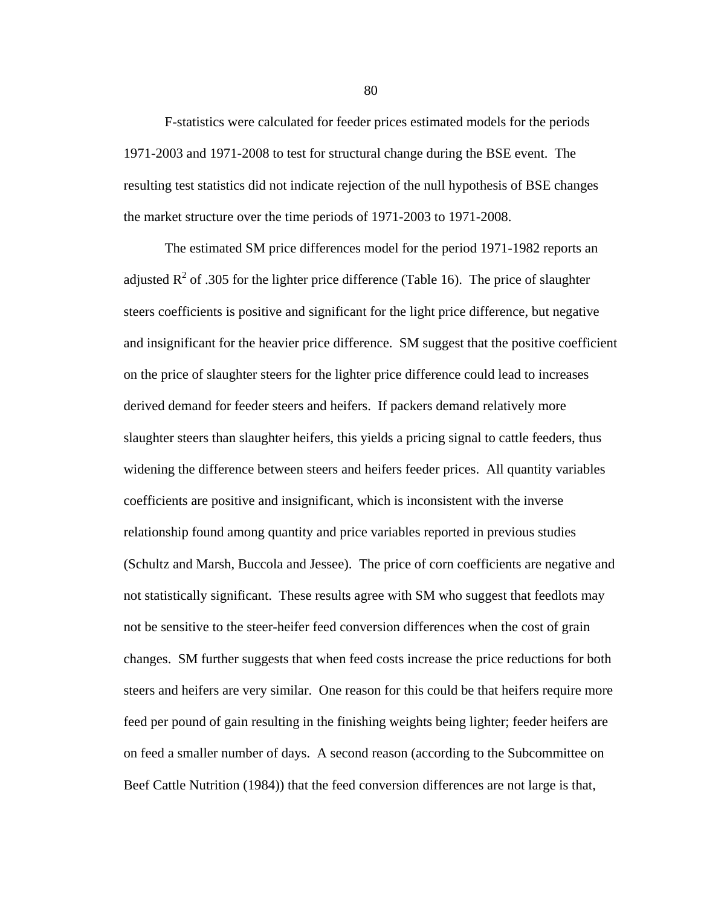F-statistics were calculated for feeder prices estimated models for the periods 1971-2003 and 1971-2008 to test for structural change during the BSE event. The resulting test statistics did not indicate rejection of the null hypothesis of BSE changes the market structure over the time periods of 1971-2003 to 1971-2008.

The estimated SM price differences model for the period 1971-1982 reports an adjusted  $R^2$  of .305 for the lighter price difference (Table 16). The price of slaughter steers coefficients is positive and significant for the light price difference, but negative and insignificant for the heavier price difference. SM suggest that the positive coefficient on the price of slaughter steers for the lighter price difference could lead to increases derived demand for feeder steers and heifers. If packers demand relatively more slaughter steers than slaughter heifers, this yields a pricing signal to cattle feeders, thus widening the difference between steers and heifers feeder prices. All quantity variables coefficients are positive and insignificant, which is inconsistent with the inverse relationship found among quantity and price variables reported in previous studies (Schultz and Marsh, Buccola and Jessee). The price of corn coefficients are negative and not statistically significant. These results agree with SM who suggest that feedlots may not be sensitive to the steer-heifer feed conversion differences when the cost of grain changes. SM further suggests that when feed costs increase the price reductions for both steers and heifers are very similar. One reason for this could be that heifers require more feed per pound of gain resulting in the finishing weights being lighter; feeder heifers are on feed a smaller number of days. A second reason (according to the Subcommittee on Beef Cattle Nutrition (1984)) that the feed conversion differences are not large is that,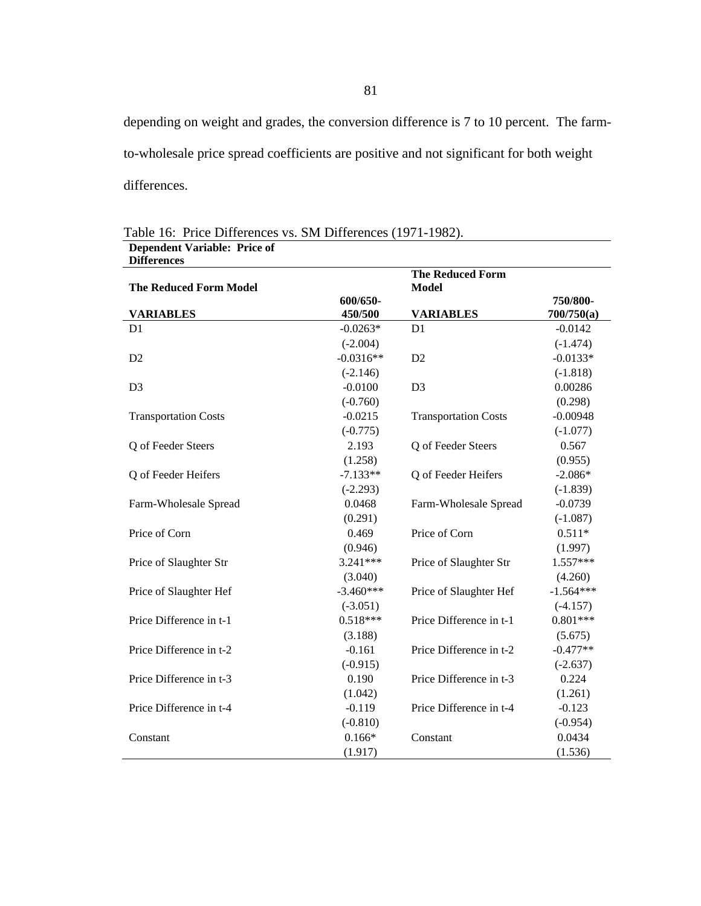depending on weight and grades, the conversion difference is 7 to 10 percent. The farmto-wholesale price spread coefficients are positive and not significant for both weight differences.

| <b>Differences</b>            |             |                                         |             |
|-------------------------------|-------------|-----------------------------------------|-------------|
| <b>The Reduced Form Model</b> |             | <b>The Reduced Form</b><br><b>Model</b> |             |
|                               | 600/650-    |                                         | 750/800-    |
| <b>VARIABLES</b>              | 450/500     | <b>VARIABLES</b>                        | 700/750(a)  |
| D <sub>1</sub>                | $-0.0263*$  | D <sub>1</sub>                          | $-0.0142$   |
|                               | $(-2.004)$  |                                         | $(-1.474)$  |
| D2                            | $-0.0316**$ | D2                                      | $-0.0133*$  |
|                               | $(-2.146)$  |                                         | $(-1.818)$  |
| D <sub>3</sub>                | $-0.0100$   | D <sub>3</sub>                          | 0.00286     |
|                               | $(-0.760)$  |                                         | (0.298)     |
| <b>Transportation Costs</b>   | $-0.0215$   | <b>Transportation Costs</b>             | $-0.00948$  |
|                               | $(-0.775)$  |                                         | $(-1.077)$  |
| Q of Feeder Steers            | 2.193       | Q of Feeder Steers                      | 0.567       |
|                               | (1.258)     |                                         | (0.955)     |
| Q of Feeder Heifers           | $-7.133**$  | Q of Feeder Heifers                     | $-2.086*$   |
|                               | $(-2.293)$  |                                         | $(-1.839)$  |
| Farm-Wholesale Spread         | 0.0468      | Farm-Wholesale Spread                   | $-0.0739$   |
|                               | (0.291)     |                                         | $(-1.087)$  |
| Price of Corn                 | 0.469       | Price of Corn                           | $0.511*$    |
|                               | (0.946)     |                                         | (1.997)     |
| Price of Slaughter Str        | 3.241***    | Price of Slaughter Str                  | 1.557***    |
|                               | (3.040)     |                                         | (4.260)     |
| Price of Slaughter Hef        | $-3.460***$ | Price of Slaughter Hef                  | $-1.564***$ |
|                               | $(-3.051)$  |                                         | $(-4.157)$  |
| Price Difference in t-1       | $0.518***$  | Price Difference in t-1                 | $0.801***$  |
|                               | (3.188)     |                                         | (5.675)     |
| Price Difference in t-2       | $-0.161$    | Price Difference in t-2                 | $-0.477**$  |
|                               | $(-0.915)$  |                                         | $(-2.637)$  |
| Price Difference in t-3       | 0.190       | Price Difference in t-3                 | 0.224       |
|                               | (1.042)     |                                         | (1.261)     |
| Price Difference in t-4       | $-0.119$    | Price Difference in t-4                 | $-0.123$    |
|                               | $(-0.810)$  |                                         | $(-0.954)$  |
| Constant                      | $0.166*$    | Constant                                | 0.0434      |
|                               | (1.917)     |                                         | (1.536)     |

Table 16: Price Differences vs. SM Differences (1971-1982). **Dependent Variable: Price of**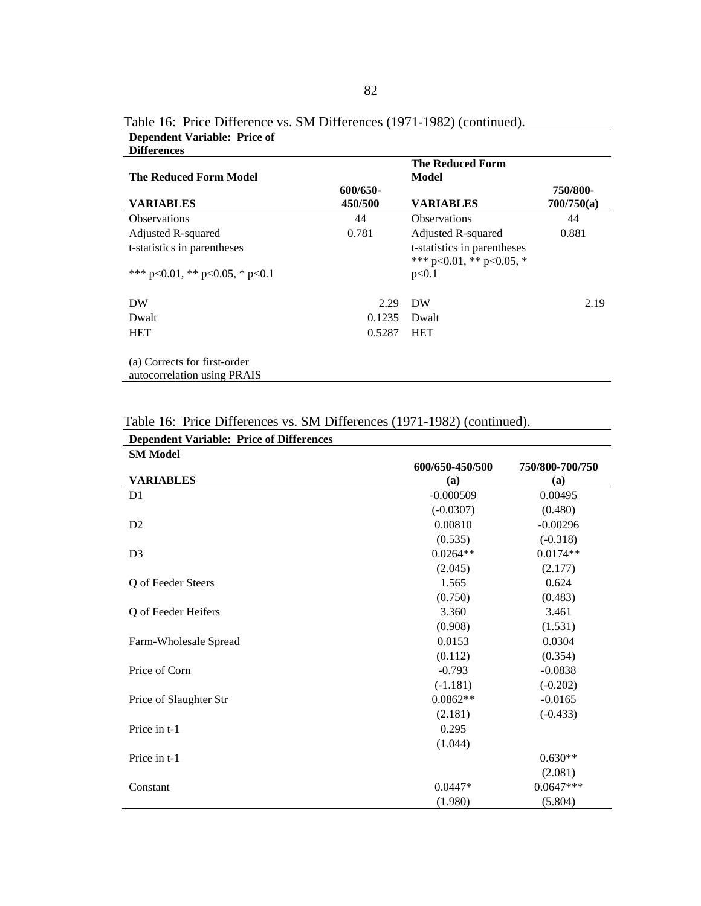| The Reduced Form Model                                      |                     | <b>The Reduced Form</b><br>Model                        |                        |
|-------------------------------------------------------------|---------------------|---------------------------------------------------------|------------------------|
| VARIABLES                                                   | 600/650-<br>450/500 | <b>VARIABLES</b>                                        | 750/800-<br>700/750(a) |
| <b>Observations</b>                                         | 44                  | <b>Observations</b>                                     | 44                     |
| Adjusted R-squared                                          | 0.781               | Adjusted R-squared                                      | 0.881                  |
| t-statistics in parentheses                                 |                     | t-statistics in parentheses<br>*** p<0.01, ** p<0.05, * |                        |
| *** $p<0.01$ , ** $p<0.05$ , * $p<0.1$                      |                     | p<0.1                                                   |                        |
| DW                                                          | 2.29                | DW                                                      | 2.19                   |
| Dwalt                                                       | 0.1235              | Dwalt                                                   |                        |
| <b>HET</b>                                                  | 0.5287              | <b>HET</b>                                              |                        |
| (a) Corrects for first-order<br>autocorrelation using PRAIS |                     |                                                         |                        |

Table 16: Price Difference vs. SM Differences (1971-1982) (continued). **Dependent Variable: Price of Differences** 

|  |  | Table 16: Price Differences vs. SM Differences (1971-1982) (continued). |
|--|--|-------------------------------------------------------------------------|
|--|--|-------------------------------------------------------------------------|

| <b>Dependent Variable: Price of Differences</b> |                 |                 |
|-------------------------------------------------|-----------------|-----------------|
| <b>SM Model</b>                                 |                 |                 |
|                                                 | 600/650-450/500 | 750/800-700/750 |
| <b>VARIABLES</b>                                | (a)             | (a)             |
| D <sub>1</sub>                                  | $-0.000509$     | 0.00495         |
|                                                 | $(-0.0307)$     | (0.480)         |
| D2                                              | 0.00810         | $-0.00296$      |
|                                                 | (0.535)         | $(-0.318)$      |
| D <sub>3</sub>                                  | $0.0264**$      | $0.0174**$      |
|                                                 | (2.045)         | (2.177)         |
| Q of Feeder Steers                              | 1.565           | 0.624           |
|                                                 | (0.750)         | (0.483)         |
| Q of Feeder Heifers                             | 3.360           | 3.461           |
|                                                 | (0.908)         | (1.531)         |
| Farm-Wholesale Spread                           | 0.0153          | 0.0304          |
|                                                 | (0.112)         | (0.354)         |
| Price of Corn                                   | $-0.793$        | $-0.0838$       |
|                                                 | $(-1.181)$      | $(-0.202)$      |
| Price of Slaughter Str                          | $0.0862**$      | $-0.0165$       |
|                                                 | (2.181)         | $(-0.433)$      |
| Price in t-1                                    | 0.295           |                 |
|                                                 | (1.044)         |                 |
| Price in t-1                                    |                 | $0.630**$       |
|                                                 |                 | (2.081)         |
| Constant                                        | $0.0447*$       | $0.0647***$     |
|                                                 | (1.980)         | (5.804)         |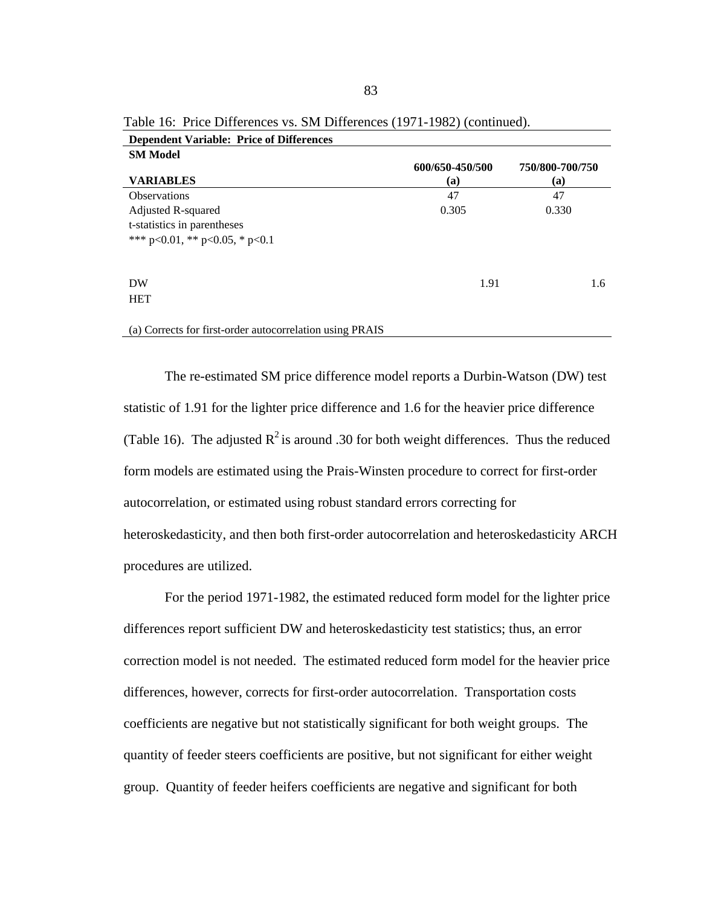| Dependent variable. The of Differences                   |                 |                 |
|----------------------------------------------------------|-----------------|-----------------|
| <b>SM Model</b>                                          |                 |                 |
|                                                          | 600/650-450/500 | 750/800-700/750 |
| <b>VARIABLES</b>                                         | (a)             | (a)             |
| <b>Observations</b>                                      | 47              | 47              |
| Adjusted R-squared                                       | 0.305           | 0.330           |
| t-statistics in parentheses                              |                 |                 |
| *** $p<0.01$ , ** $p<0.05$ , * $p<0.1$                   |                 |                 |
|                                                          |                 |                 |
|                                                          |                 |                 |
| DW                                                       | 1.91            | 1.6             |
| <b>HET</b>                                               |                 |                 |
|                                                          |                 |                 |
| (a) Corrects for first-order autocorrelation using PRAIS |                 |                 |

Table 16: Price Differences vs. SM Differences (1971-1982) (continued). **Dependent Variable: Price of Differences** 

The re-estimated SM price difference model reports a Durbin-Watson (DW) test statistic of 1.91 for the lighter price difference and 1.6 for the heavier price difference (Table 16). The adjusted  $R^2$  is around .30 for both weight differences. Thus the reduced form models are estimated using the Prais-Winsten procedure to correct for first-order autocorrelation, or estimated using robust standard errors correcting for heteroskedasticity, and then both first-order autocorrelation and heteroskedasticity ARCH procedures are utilized.

For the period 1971-1982, the estimated reduced form model for the lighter price differences report sufficient DW and heteroskedasticity test statistics; thus, an error correction model is not needed. The estimated reduced form model for the heavier price differences, however, corrects for first-order autocorrelation. Transportation costs coefficients are negative but not statistically significant for both weight groups. The quantity of feeder steers coefficients are positive, but not significant for either weight group. Quantity of feeder heifers coefficients are negative and significant for both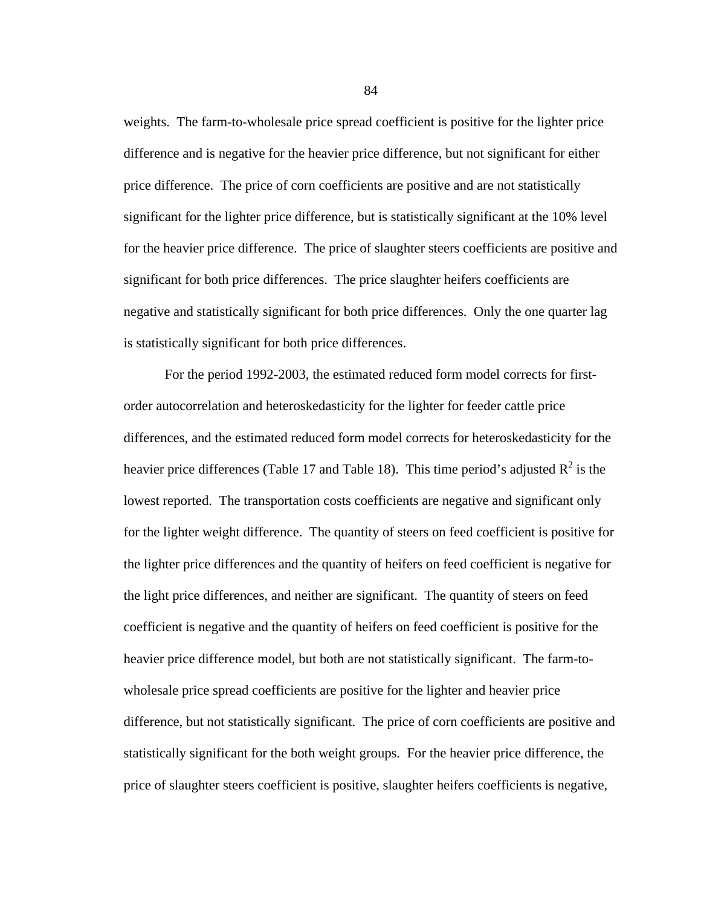weights. The farm-to-wholesale price spread coefficient is positive for the lighter price difference and is negative for the heavier price difference, but not significant for either price difference. The price of corn coefficients are positive and are not statistically significant for the lighter price difference, but is statistically significant at the 10% level for the heavier price difference. The price of slaughter steers coefficients are positive and significant for both price differences. The price slaughter heifers coefficients are negative and statistically significant for both price differences. Only the one quarter lag is statistically significant for both price differences.

For the period 1992-2003, the estimated reduced form model corrects for firstorder autocorrelation and heteroskedasticity for the lighter for feeder cattle price differences, and the estimated reduced form model corrects for heteroskedasticity for the heavier price differences (Table 17 and Table 18). This time period's adjusted  $R^2$  is the lowest reported. The transportation costs coefficients are negative and significant only for the lighter weight difference. The quantity of steers on feed coefficient is positive for the lighter price differences and the quantity of heifers on feed coefficient is negative for the light price differences, and neither are significant. The quantity of steers on feed coefficient is negative and the quantity of heifers on feed coefficient is positive for the heavier price difference model, but both are not statistically significant. The farm-towholesale price spread coefficients are positive for the lighter and heavier price difference, but not statistically significant. The price of corn coefficients are positive and statistically significant for the both weight groups. For the heavier price difference, the price of slaughter steers coefficient is positive, slaughter heifers coefficients is negative,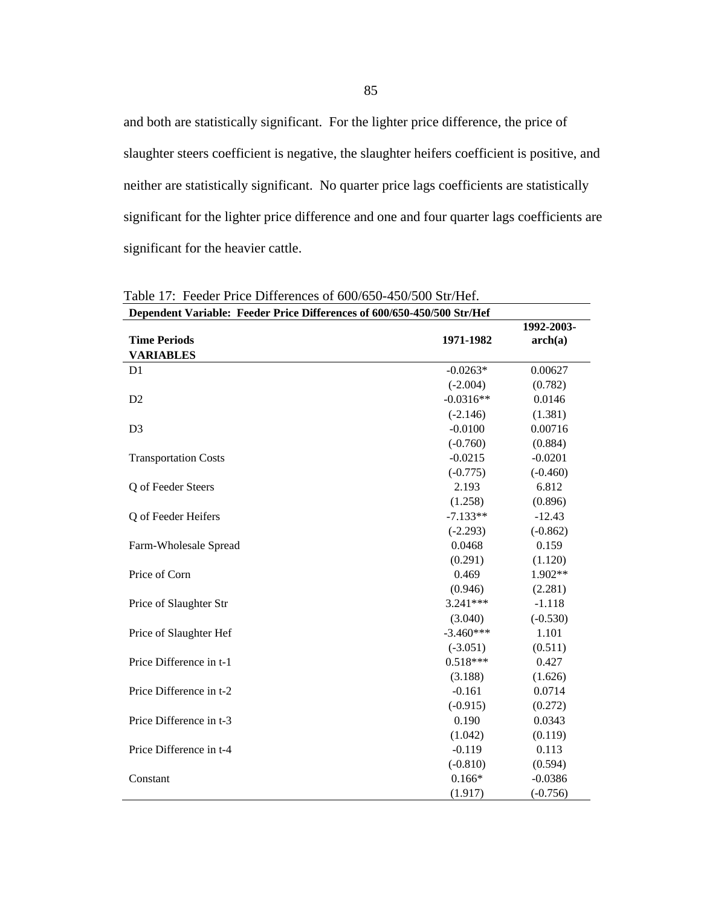and both are statistically significant. For the lighter price difference, the price of slaughter steers coefficient is negative, the slaughter heifers coefficient is positive, and neither are statistically significant. No quarter price lags coefficients are statistically significant for the lighter price difference and one and four quarter lags coefficients are significant for the heavier cattle.

| Dependent Variable: Feeder Price Differences of 600/650-450/500 Str/Hef |             |            |  |
|-------------------------------------------------------------------------|-------------|------------|--|
|                                                                         |             | 1992-2003- |  |
| <b>Time Periods</b>                                                     | 1971-1982   | arch(a)    |  |
| <b>VARIABLES</b>                                                        |             |            |  |
| D <sub>1</sub>                                                          | $-0.0263*$  | 0.00627    |  |
|                                                                         | $(-2.004)$  | (0.782)    |  |
| D <sub>2</sub>                                                          | $-0.0316**$ | 0.0146     |  |
|                                                                         | $(-2.146)$  | (1.381)    |  |
| D <sub>3</sub>                                                          | $-0.0100$   | 0.00716    |  |
|                                                                         | $(-0.760)$  | (0.884)    |  |
| <b>Transportation Costs</b>                                             | $-0.0215$   | $-0.0201$  |  |
|                                                                         | $(-0.775)$  | $(-0.460)$ |  |
| Q of Feeder Steers                                                      | 2.193       | 6.812      |  |
|                                                                         | (1.258)     | (0.896)    |  |
| Q of Feeder Heifers                                                     | $-7.133**$  | $-12.43$   |  |
|                                                                         | $(-2.293)$  | $(-0.862)$ |  |
| Farm-Wholesale Spread                                                   | 0.0468      | 0.159      |  |
|                                                                         | (0.291)     | (1.120)    |  |
| Price of Corn                                                           | 0.469       | 1.902**    |  |
|                                                                         | (0.946)     | (2.281)    |  |
| Price of Slaughter Str                                                  | 3.241***    | $-1.118$   |  |
|                                                                         | (3.040)     | $(-0.530)$ |  |
| Price of Slaughter Hef                                                  | $-3.460***$ | 1.101      |  |
|                                                                         | $(-3.051)$  | (0.511)    |  |
| Price Difference in t-1                                                 | $0.518***$  | 0.427      |  |
|                                                                         | (3.188)     | (1.626)    |  |
| Price Difference in t-2                                                 | $-0.161$    | 0.0714     |  |
|                                                                         | $(-0.915)$  | (0.272)    |  |
| Price Difference in t-3                                                 | 0.190       | 0.0343     |  |
|                                                                         | (1.042)     | (0.119)    |  |
| Price Difference in t-4                                                 | $-0.119$    | 0.113      |  |
|                                                                         | $(-0.810)$  | (0.594)    |  |
| Constant                                                                | $0.166*$    | $-0.0386$  |  |
|                                                                         | (1.917)     | $(-0.756)$ |  |

Table 17: Feeder Price Differences of 600/650-450/500 Str/Hef.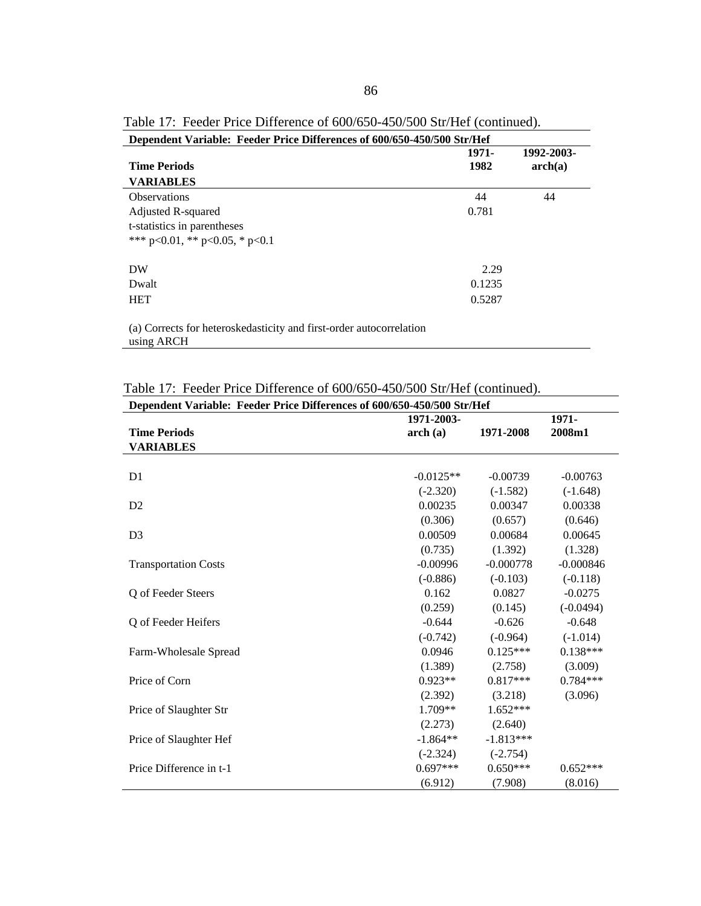| Dependent Variable: Feeder Price Differences of 600/650-450/500 Str/Hef |               |                       |
|-------------------------------------------------------------------------|---------------|-----------------------|
| <b>Time Periods</b>                                                     | 1971-<br>1982 | 1992-2003-<br>arch(a) |
| <b>VARIABLES</b>                                                        |               |                       |
| <b>Observations</b>                                                     | 44            | 44                    |
| Adjusted R-squared                                                      | 0.781         |                       |
| t-statistics in parentheses                                             |               |                       |
| *** $p<0.01$ , ** $p<0.05$ , * $p<0.1$                                  |               |                       |
| DW                                                                      | 2.29          |                       |
| Dwalt                                                                   | 0.1235        |                       |
| <b>HET</b>                                                              | 0.5287        |                       |
| (a) Corrects for heteroskedasticity and first-order autocorrelation     |               |                       |

Table 17: Feeder Price Difference of 600/650-450/500 Str/Hef (continued).

edasticity and first-order autocorrelation (a) Corrects fo<br>using ARCH

| Dependent Variable: Feeder Price Differences of 600/650-450/500 Str/Hef |             |             |             |
|-------------------------------------------------------------------------|-------------|-------------|-------------|
|                                                                         | 1971-2003-  |             | 1971-       |
| <b>Time Periods</b>                                                     | arch(a)     | 1971-2008   | 2008m1      |
| <b>VARIABLES</b>                                                        |             |             |             |
|                                                                         |             |             |             |
| D <sub>1</sub>                                                          | $-0.0125**$ | $-0.00739$  | $-0.00763$  |
|                                                                         | $(-2.320)$  | $(-1.582)$  | $(-1.648)$  |
| D2                                                                      | 0.00235     | 0.00347     | 0.00338     |
|                                                                         | (0.306)     | (0.657)     | (0.646)     |
| D <sub>3</sub>                                                          | 0.00509     | 0.00684     | 0.00645     |
|                                                                         | (0.735)     | (1.392)     | (1.328)     |
| <b>Transportation Costs</b>                                             | $-0.00996$  | $-0.000778$ | $-0.000846$ |
|                                                                         | $(-0.886)$  | $(-0.103)$  | $(-0.118)$  |
| Q of Feeder Steers                                                      | 0.162       | 0.0827      | $-0.0275$   |
|                                                                         | (0.259)     | (0.145)     | $(-0.0494)$ |
| Q of Feeder Heifers                                                     | $-0.644$    | $-0.626$    | $-0.648$    |
|                                                                         | $(-0.742)$  | $(-0.964)$  | $(-1.014)$  |
| Farm-Wholesale Spread                                                   | 0.0946      | $0.125***$  | $0.138***$  |
|                                                                         | (1.389)     | (2.758)     | (3.009)     |
| Price of Corn                                                           | $0.923**$   | $0.817***$  | $0.784***$  |
|                                                                         | (2.392)     | (3.218)     | (3.096)     |
| Price of Slaughter Str                                                  | 1.709**     | $1.652***$  |             |
|                                                                         | (2.273)     | (2.640)     |             |
| Price of Slaughter Hef                                                  | $-1.864**$  | $-1.813***$ |             |
|                                                                         | $(-2.324)$  | $(-2.754)$  |             |
| Price Difference in t-1                                                 | $0.697***$  | $0.650***$  | $0.652***$  |
|                                                                         | (6.912)     | (7.908)     | (8.016)     |

Table 17: Feeder Price Difference of 600/650-450/500 Str/Hef (continued).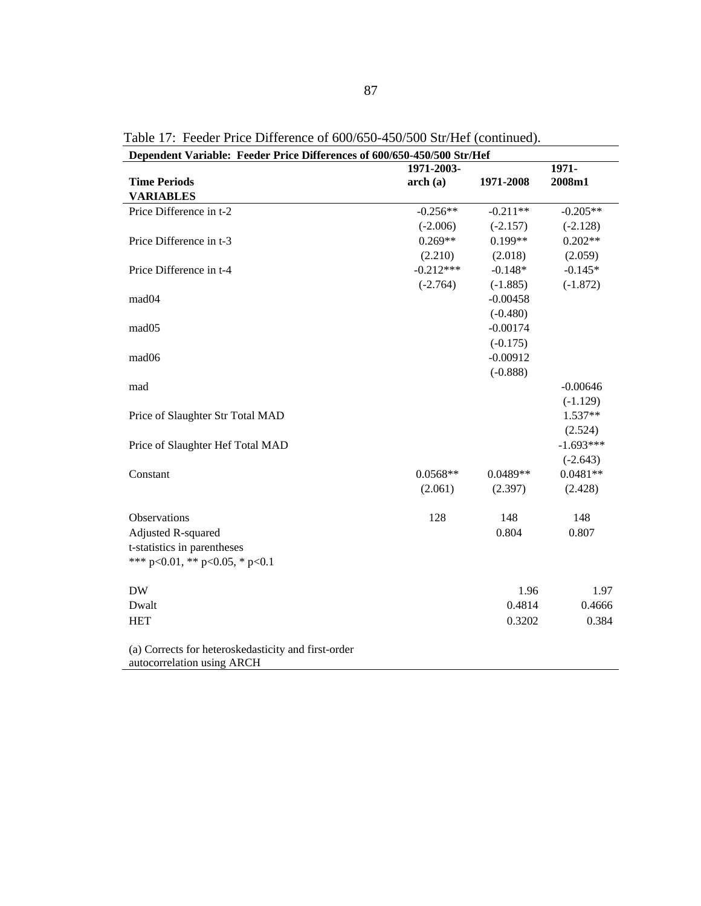| Dependent Variable: Feeder Price Differences of 600/650-450/500 Str/Hef           | 1971-2003-  |            | 1971-       |
|-----------------------------------------------------------------------------------|-------------|------------|-------------|
| <b>Time Periods</b>                                                               | arch(a)     | 1971-2008  | 2008m1      |
| <b>VARIABLES</b>                                                                  |             |            |             |
| Price Difference in t-2                                                           | $-0.256**$  | $-0.211**$ | $-0.205**$  |
|                                                                                   | $(-2.006)$  | $(-2.157)$ | $(-2.128)$  |
| Price Difference in t-3                                                           | $0.269**$   | $0.199**$  | $0.202**$   |
|                                                                                   | (2.210)     | (2.018)    | (2.059)     |
| Price Difference in t-4                                                           | $-0.212***$ | $-0.148*$  | $-0.145*$   |
|                                                                                   | $(-2.764)$  | $(-1.885)$ | $(-1.872)$  |
| mad04                                                                             |             | $-0.00458$ |             |
|                                                                                   |             | $(-0.480)$ |             |
| mad05                                                                             |             | $-0.00174$ |             |
|                                                                                   |             | $(-0.175)$ |             |
| mad06                                                                             |             | $-0.00912$ |             |
|                                                                                   |             | $(-0.888)$ |             |
| mad                                                                               |             |            | $-0.00646$  |
|                                                                                   |             |            | $(-1.129)$  |
| Price of Slaughter Str Total MAD                                                  |             |            | $1.537**$   |
|                                                                                   |             |            | (2.524)     |
| Price of Slaughter Hef Total MAD                                                  |             |            | $-1.693***$ |
|                                                                                   |             |            | $(-2.643)$  |
| Constant                                                                          | $0.0568**$  | $0.0489**$ | $0.0481**$  |
|                                                                                   | (2.061)     | (2.397)    | (2.428)     |
| Observations                                                                      | 128         | 148        | 148         |
| Adjusted R-squared                                                                |             | 0.804      | 0.807       |
| t-statistics in parentheses                                                       |             |            |             |
| *** p<0.01, ** p<0.05, * p<0.1                                                    |             |            |             |
| <b>DW</b>                                                                         |             | 1.96       | 1.97        |
| Dwalt                                                                             |             | 0.4814     | 0.4666      |
| <b>HET</b>                                                                        |             | 0.3202     | 0.384       |
| (a) Corrects for heteroskedasticity and first-order<br>autocorrelation using ARCH |             |            |             |

Table 17: Feeder Price Difference of 600/650-450/500 Str/Hef (continued).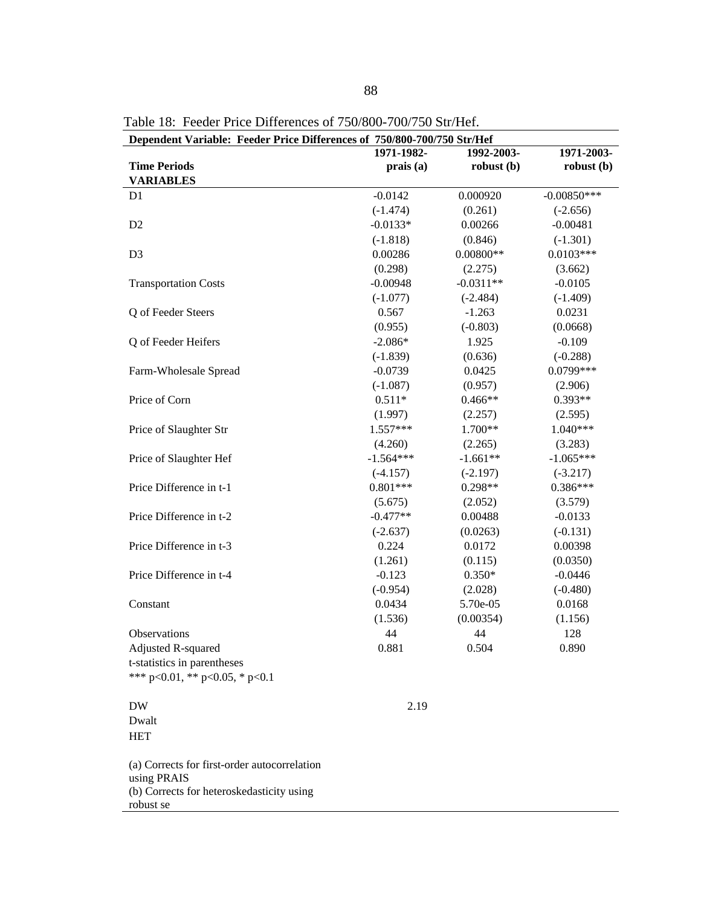| Dependent Variable: Feeder Price Differences of 750/800-700/750 Str/Hef |             |             |               |  |
|-------------------------------------------------------------------------|-------------|-------------|---------------|--|
|                                                                         | 1971-1982-  | 1992-2003-  | 1971-2003-    |  |
| <b>Time Periods</b>                                                     | prais(a)    | robust(b)   | robust(b)     |  |
| <b>VARIABLES</b>                                                        |             |             |               |  |
| D <sub>1</sub>                                                          | $-0.0142$   | 0.000920    | $-0.00850***$ |  |
|                                                                         | $(-1.474)$  | (0.261)     | $(-2.656)$    |  |
| D <sub>2</sub>                                                          | $-0.0133*$  | 0.00266     | $-0.00481$    |  |
|                                                                         | $(-1.818)$  | (0.846)     | $(-1.301)$    |  |
| D <sub>3</sub>                                                          | 0.00286     | $0.00800**$ | $0.0103***$   |  |
|                                                                         | (0.298)     | (2.275)     | (3.662)       |  |
| <b>Transportation Costs</b>                                             | $-0.00948$  | $-0.0311**$ | $-0.0105$     |  |
|                                                                         | $(-1.077)$  | $(-2.484)$  | $(-1.409)$    |  |
| Q of Feeder Steers                                                      | 0.567       | $-1.263$    | 0.0231        |  |
|                                                                         | (0.955)     | $(-0.803)$  | (0.0668)      |  |
| Q of Feeder Heifers                                                     | $-2.086*$   | 1.925       | $-0.109$      |  |
|                                                                         | $(-1.839)$  | (0.636)     | $(-0.288)$    |  |
| Farm-Wholesale Spread                                                   | $-0.0739$   | 0.0425      | 0.0799 ***    |  |
|                                                                         | $(-1.087)$  | (0.957)     | (2.906)       |  |
| Price of Corn                                                           | $0.511*$    | $0.466**$   | 0.393**       |  |
|                                                                         | (1.997)     | (2.257)     | (2.595)       |  |
| Price of Slaughter Str                                                  | $1.557***$  | $1.700**$   | $1.040***$    |  |
|                                                                         | (4.260)     | (2.265)     | (3.283)       |  |
| Price of Slaughter Hef                                                  | $-1.564***$ | $-1.661**$  | $-1.065***$   |  |
|                                                                         | $(-4.157)$  | $(-2.197)$  | $(-3.217)$    |  |
| Price Difference in t-1                                                 | $0.801***$  | 0.298**     | $0.386***$    |  |
|                                                                         | (5.675)     | (2.052)     | (3.579)       |  |
| Price Difference in t-2                                                 | $-0.477**$  | 0.00488     | $-0.0133$     |  |
|                                                                         | $(-2.637)$  | (0.0263)    | $(-0.131)$    |  |
| Price Difference in t-3                                                 | 0.224       | 0.0172      | 0.00398       |  |
|                                                                         | (1.261)     | (0.115)     | (0.0350)      |  |
| Price Difference in t-4                                                 | $-0.123$    | $0.350*$    | $-0.0446$     |  |
|                                                                         | $(-0.954)$  | (2.028)     | $(-0.480)$    |  |
| Constant                                                                | 0.0434      | 5.70e-05    | 0.0168        |  |
|                                                                         | (1.536)     | (0.00354)   | (1.156)       |  |
| Observations                                                            | 44          | 44          | 128           |  |
| Adjusted R-squared                                                      | 0.881       | 0.504       | 0.890         |  |
| t-statistics in parentheses                                             |             |             |               |  |
| *** p<0.01, ** p<0.05, * p<0.1                                          |             |             |               |  |
|                                                                         |             |             |               |  |
| <b>DW</b>                                                               | 2.19        |             |               |  |
| Dwalt                                                                   |             |             |               |  |
| <b>HET</b>                                                              |             |             |               |  |
|                                                                         |             |             |               |  |
| (a) Corrects for first-order autocorrelation                            |             |             |               |  |
| using PRAIS                                                             |             |             |               |  |
| (b) Corrects for heteroskedasticity using                               |             |             |               |  |
| robust se                                                               |             |             |               |  |

Table 18: Feeder Price Differences of 750/800-700/750 Str/Hef.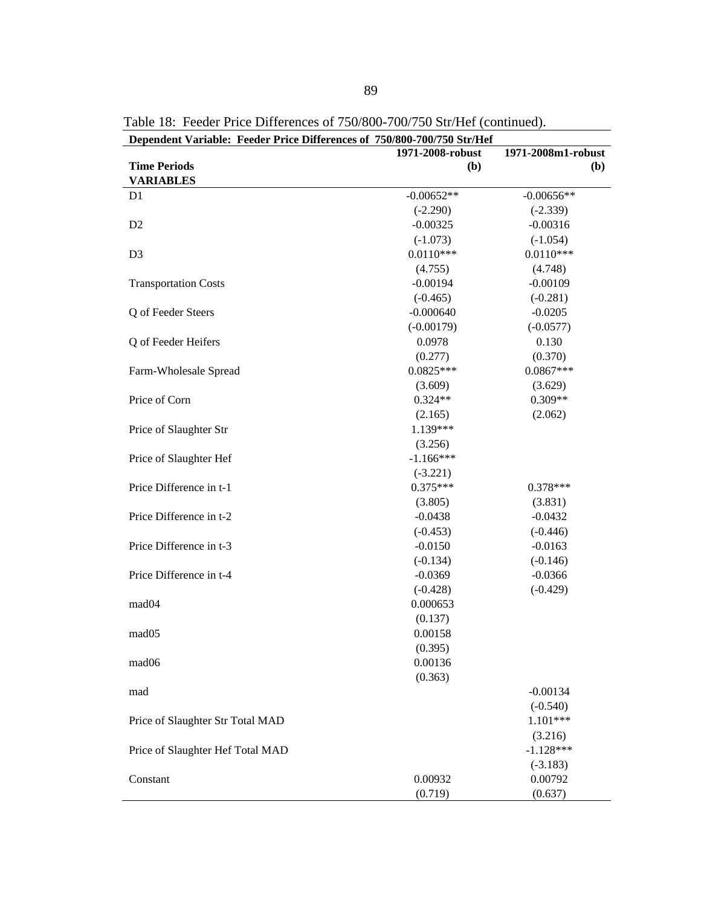| Dependent Variable: Feeder Price Differences of 750/800-700/750 Str/Hef |                  |                    |
|-------------------------------------------------------------------------|------------------|--------------------|
|                                                                         | 1971-2008-robust | 1971-2008m1-robust |
| <b>Time Periods</b>                                                     | (b)              | ( <b>b</b> )       |
| <b>VARIABLES</b>                                                        |                  |                    |
| D <sub>1</sub>                                                          | $-0.00652**$     | $-0.00656**$       |
|                                                                         | $(-2.290)$       | $(-2.339)$         |
| D <sub>2</sub>                                                          | $-0.00325$       | $-0.00316$         |
|                                                                         | $(-1.073)$       | $(-1.054)$         |
| D <sub>3</sub>                                                          | $0.0110***$      | $0.0110***$        |
|                                                                         | (4.755)          | (4.748)            |
| <b>Transportation Costs</b>                                             | $-0.00194$       | $-0.00109$         |
|                                                                         | $(-0.465)$       | $(-0.281)$         |
| Q of Feeder Steers                                                      | $-0.000640$      | $-0.0205$          |
|                                                                         | $(-0.00179)$     | $(-0.0577)$        |
| Q of Feeder Heifers                                                     | 0.0978           | 0.130              |
|                                                                         | (0.277)          | (0.370)            |
| Farm-Wholesale Spread                                                   | $0.0825***$      | $0.0867***$        |
|                                                                         | (3.609)          | (3.629)            |
| Price of Corn                                                           | $0.324**$        | $0.309**$          |
|                                                                         | (2.165)          | (2.062)            |
| Price of Slaughter Str                                                  | 1.139***         |                    |
|                                                                         | (3.256)          |                    |
| Price of Slaughter Hef                                                  | $-1.166***$      |                    |
|                                                                         | $(-3.221)$       |                    |
| Price Difference in t-1                                                 | $0.375***$       | $0.378***$         |
|                                                                         | (3.805)          | (3.831)            |
| Price Difference in t-2                                                 | $-0.0438$        | $-0.0432$          |
|                                                                         | $(-0.453)$       | $(-0.446)$         |
| Price Difference in t-3                                                 | $-0.0150$        | $-0.0163$          |
|                                                                         | $(-0.134)$       | $(-0.146)$         |
| Price Difference in t-4                                                 | $-0.0369$        | $-0.0366$          |
|                                                                         | $(-0.428)$       | $(-0.429)$         |
| mad <sub>04</sub>                                                       | 0.000653         |                    |
|                                                                         | (0.137)          |                    |
| mad05                                                                   | 0.00158          |                    |
|                                                                         | (0.395)          |                    |
| mad06                                                                   | 0.00136          |                    |
|                                                                         | (0.363)          |                    |
| mad                                                                     |                  | $-0.00134$         |
|                                                                         |                  | $(-0.540)$         |
| Price of Slaughter Str Total MAD                                        |                  | $1.101***$         |
|                                                                         |                  | (3.216)            |
| Price of Slaughter Hef Total MAD                                        |                  | $-1.128***$        |
|                                                                         |                  | $(-3.183)$         |
| Constant                                                                | 0.00932          | 0.00792            |
|                                                                         | (0.719)          | (0.637)            |

Table 18: Feeder Price Differences of 750/800-700/750 Str/Hef (continued).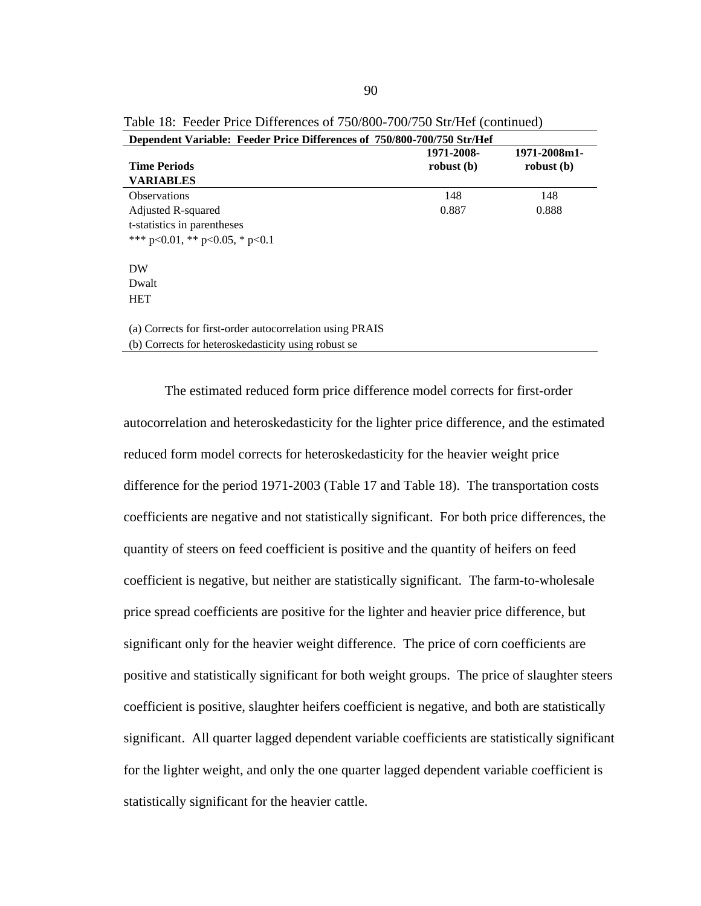| Dependent Variable: Feeder Price Differences of 750/800-700/750 Str/Hef |              |              |  |  |  |
|-------------------------------------------------------------------------|--------------|--------------|--|--|--|
| <b>Time Periods</b>                                                     | 1971-2008-   | 1971-2008m1- |  |  |  |
|                                                                         | robust $(b)$ | robust $(b)$ |  |  |  |
| <b>VARIABLES</b>                                                        |              |              |  |  |  |
| <b>Observations</b>                                                     | 148          | 148          |  |  |  |
| Adjusted R-squared                                                      | 0.887        | 0.888        |  |  |  |
| t-statistics in parentheses                                             |              |              |  |  |  |
| *** $p<0.01$ , ** $p<0.05$ , * $p<0.1$                                  |              |              |  |  |  |
|                                                                         |              |              |  |  |  |
| DW                                                                      |              |              |  |  |  |
| Dwalt                                                                   |              |              |  |  |  |
| <b>HET</b>                                                              |              |              |  |  |  |
|                                                                         |              |              |  |  |  |
| (a) Corrects for first-order autocorrelation using PRAIS                |              |              |  |  |  |
| .                                                                       |              |              |  |  |  |

Table 18: Feeder Price Differences of 750/800-700/750 Str/Hef (continued)

The estimated reduced form price difference model corrects for first-order autocorrelation and heteroskedasticity for the lighter price difference, and the estimated reduced form model corrects for heteroskedasticity for the heavier weight price difference for the period 1971-2003 (Table 17 and Table 18). The transportation costs coefficients are negative and not statistically significant. For both price differences, the quantity of steers on feed coefficient is positive and the quantity of heifers on feed coefficient is negative, but neither are statistically significant. The farm-to-wholesale price spread coefficients are positive for the lighter and heavier price difference, but significant only for the heavier weight difference. The price of corn coefficients are positive and statistically significant for both weight groups. The price of slaughter steers coefficient is positive, slaughter heifers coefficient is negative, and both are statistically significant. All quarter lagged dependent variable coefficients are statistically significant for the lighter weight, and only the one quarter lagged dependent variable coefficient is statistically significant for the heavier cattle.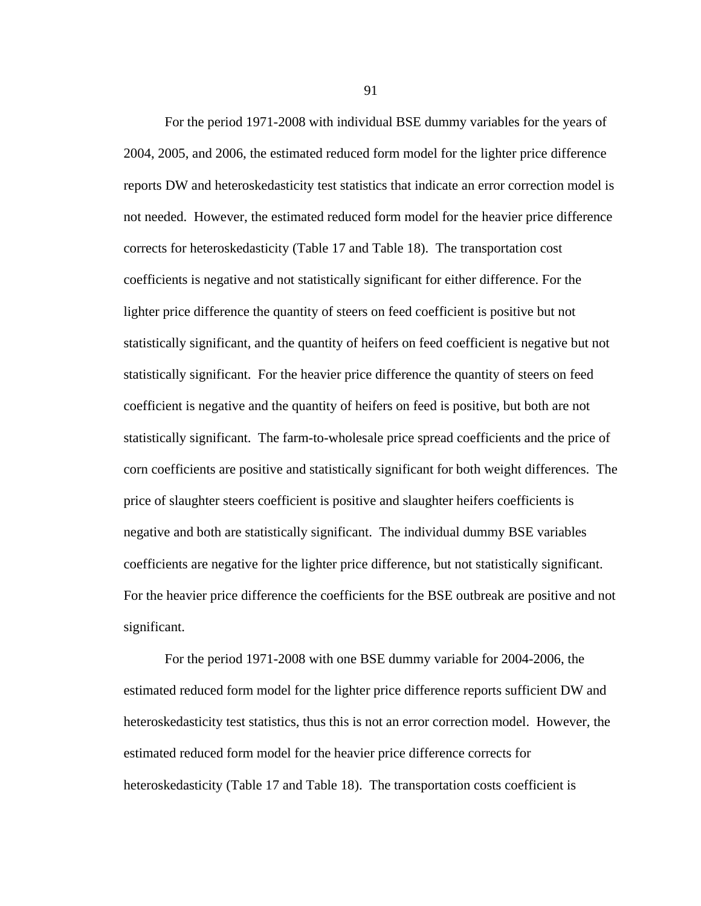For the period 1971-2008 with individual BSE dummy variables for the years of 2004, 2005, and 2006, the estimated reduced form model for the lighter price difference reports DW and heteroskedasticity test statistics that indicate an error correction model is not needed. However, the estimated reduced form model for the heavier price difference corrects for heteroskedasticity (Table 17 and Table 18). The transportation cost coefficients is negative and not statistically significant for either difference. For the lighter price difference the quantity of steers on feed coefficient is positive but not statistically significant, and the quantity of heifers on feed coefficient is negative but not statistically significant. For the heavier price difference the quantity of steers on feed coefficient is negative and the quantity of heifers on feed is positive, but both are not statistically significant. The farm-to-wholesale price spread coefficients and the price of corn coefficients are positive and statistically significant for both weight differences. The price of slaughter steers coefficient is positive and slaughter heifers coefficients is negative and both are statistically significant. The individual dummy BSE variables coefficients are negative for the lighter price difference, but not statistically significant. For the heavier price difference the coefficients for the BSE outbreak are positive and not significant.

For the period 1971-2008 with one BSE dummy variable for 2004-2006, the estimated reduced form model for the lighter price difference reports sufficient DW and heteroskedasticity test statistics, thus this is not an error correction model. However, the estimated reduced form model for the heavier price difference corrects for heteroskedasticity (Table 17 and Table 18). The transportation costs coefficient is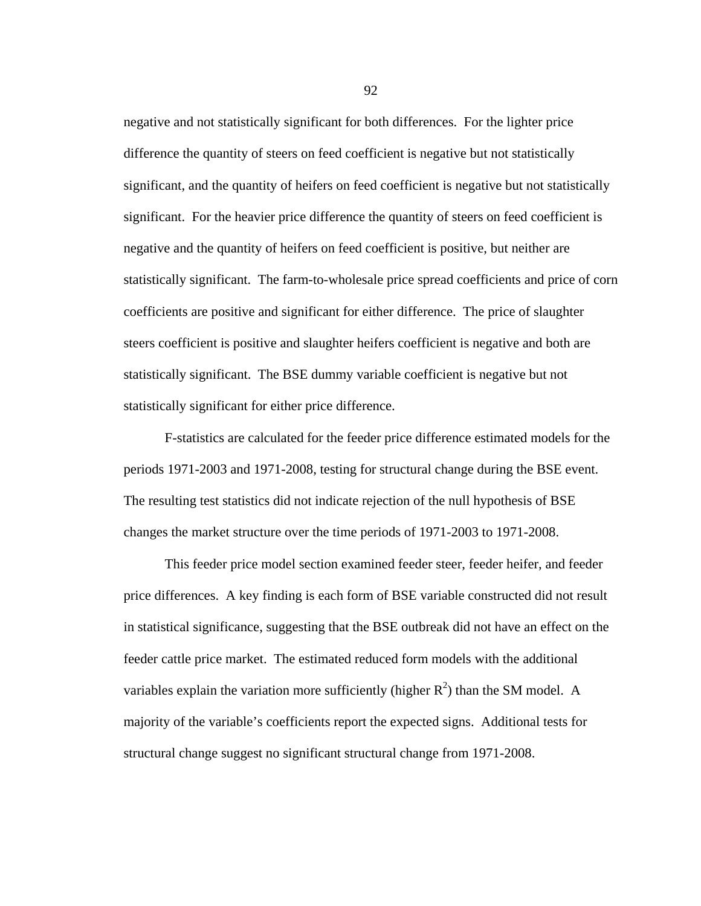negative and not statistically significant for both differences. For the lighter price difference the quantity of steers on feed coefficient is negative but not statistically significant, and the quantity of heifers on feed coefficient is negative but not statistically significant. For the heavier price difference the quantity of steers on feed coefficient is negative and the quantity of heifers on feed coefficient is positive, but neither are statistically significant. The farm-to-wholesale price spread coefficients and price of corn coefficients are positive and significant for either difference. The price of slaughter steers coefficient is positive and slaughter heifers coefficient is negative and both are statistically significant. The BSE dummy variable coefficient is negative but not statistically significant for either price difference.

F-statistics are calculated for the feeder price difference estimated models for the periods 1971-2003 and 1971-2008, testing for structural change during the BSE event. The resulting test statistics did not indicate rejection of the null hypothesis of BSE changes the market structure over the time periods of 1971-2003 to 1971-2008.

This feeder price model section examined feeder steer, feeder heifer, and feeder price differences. A key finding is each form of BSE variable constructed did not result in statistical significance, suggesting that the BSE outbreak did not have an effect on the feeder cattle price market. The estimated reduced form models with the additional variables explain the variation more sufficiently (higher  $R^2$ ) than the SM model. A majority of the variable's coefficients report the expected signs. Additional tests for structural change suggest no significant structural change from 1971-2008.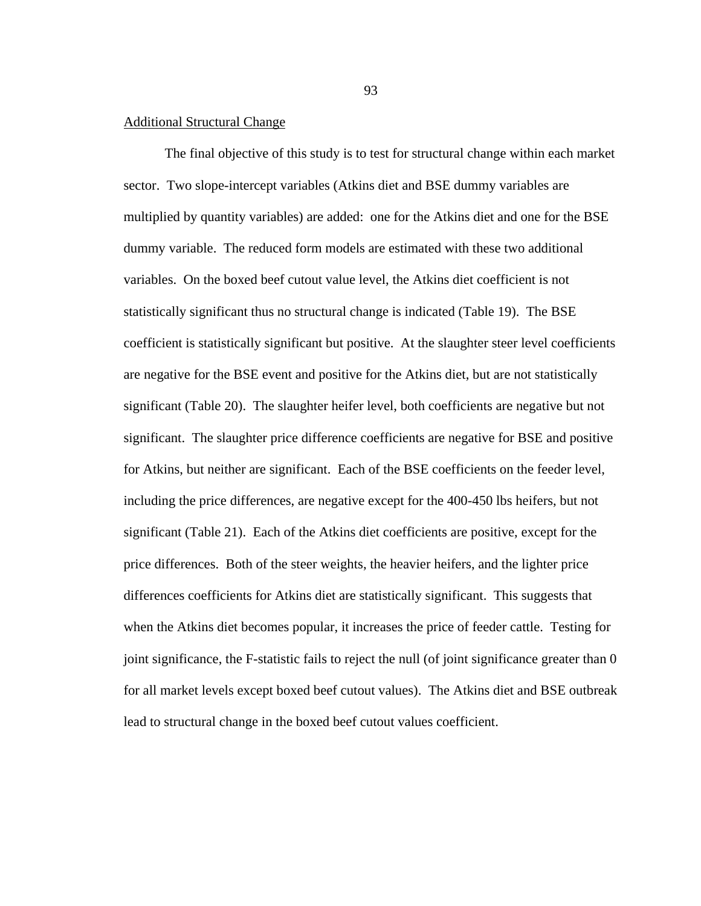# Additional Structural Change

 The final objective of this study is to test for structural change within each market sector. Two slope-intercept variables (Atkins diet and BSE dummy variables are multiplied by quantity variables) are added: one for the Atkins diet and one for the BSE dummy variable. The reduced form models are estimated with these two additional variables. On the boxed beef cutout value level, the Atkins diet coefficient is not statistically significant thus no structural change is indicated (Table 19). The BSE coefficient is statistically significant but positive. At the slaughter steer level coefficients are negative for the BSE event and positive for the Atkins diet, but are not statistically significant (Table 20). The slaughter heifer level, both coefficients are negative but not significant. The slaughter price difference coefficients are negative for BSE and positive for Atkins, but neither are significant. Each of the BSE coefficients on the feeder level, including the price differences, are negative except for the 400-450 lbs heifers, but not significant (Table 21). Each of the Atkins diet coefficients are positive, except for the price differences. Both of the steer weights, the heavier heifers, and the lighter price differences coefficients for Atkins diet are statistically significant. This suggests that when the Atkins diet becomes popular, it increases the price of feeder cattle. Testing for joint significance, the F-statistic fails to reject the null (of joint significance greater than 0 for all market levels except boxed beef cutout values). The Atkins diet and BSE outbreak lead to structural change in the boxed beef cutout values coefficient.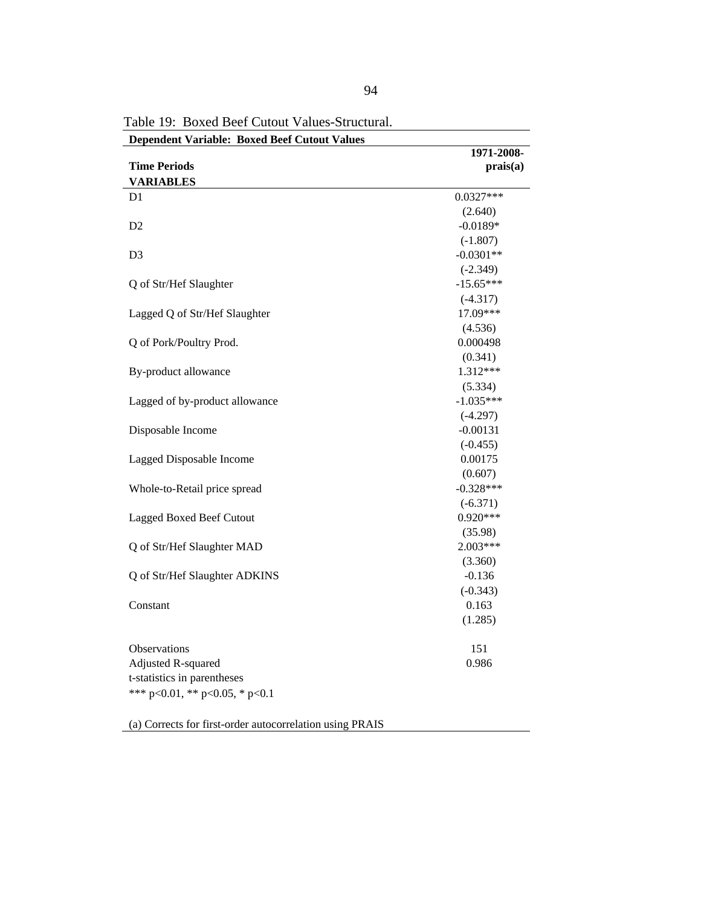| <b>Dependent Variable: Boxed Beef Cutout Values</b><br>1971-2008-<br><b>Time Periods</b><br>prais(a)<br><b>VARIABLES</b><br>$0.0327***$<br>D1<br>(2.640)<br>D2<br>$-0.0189*$<br>$(-1.807)$<br>$-0.0301**$<br>D <sub>3</sub><br>$(-2.349)$<br>$-15.65***$<br>Q of Str/Hef Slaughter<br>$(-4.317)$<br>17.09***<br>Lagged Q of Str/Hef Slaughter<br>(4.536)<br>Q of Pork/Poultry Prod.<br>0.000498<br>(0.341)<br>1.312***<br>By-product allowance<br>(5.334)<br>Lagged of by-product allowance<br>$-1.035***$<br>$(-4.297)$<br>Disposable Income<br>$-0.00131$<br>$(-0.455)$ |  |
|---------------------------------------------------------------------------------------------------------------------------------------------------------------------------------------------------------------------------------------------------------------------------------------------------------------------------------------------------------------------------------------------------------------------------------------------------------------------------------------------------------------------------------------------------------------------------|--|
|                                                                                                                                                                                                                                                                                                                                                                                                                                                                                                                                                                           |  |
|                                                                                                                                                                                                                                                                                                                                                                                                                                                                                                                                                                           |  |
|                                                                                                                                                                                                                                                                                                                                                                                                                                                                                                                                                                           |  |
|                                                                                                                                                                                                                                                                                                                                                                                                                                                                                                                                                                           |  |
|                                                                                                                                                                                                                                                                                                                                                                                                                                                                                                                                                                           |  |
|                                                                                                                                                                                                                                                                                                                                                                                                                                                                                                                                                                           |  |
|                                                                                                                                                                                                                                                                                                                                                                                                                                                                                                                                                                           |  |
|                                                                                                                                                                                                                                                                                                                                                                                                                                                                                                                                                                           |  |
|                                                                                                                                                                                                                                                                                                                                                                                                                                                                                                                                                                           |  |
|                                                                                                                                                                                                                                                                                                                                                                                                                                                                                                                                                                           |  |
|                                                                                                                                                                                                                                                                                                                                                                                                                                                                                                                                                                           |  |
|                                                                                                                                                                                                                                                                                                                                                                                                                                                                                                                                                                           |  |
|                                                                                                                                                                                                                                                                                                                                                                                                                                                                                                                                                                           |  |
|                                                                                                                                                                                                                                                                                                                                                                                                                                                                                                                                                                           |  |
|                                                                                                                                                                                                                                                                                                                                                                                                                                                                                                                                                                           |  |
|                                                                                                                                                                                                                                                                                                                                                                                                                                                                                                                                                                           |  |
|                                                                                                                                                                                                                                                                                                                                                                                                                                                                                                                                                                           |  |
|                                                                                                                                                                                                                                                                                                                                                                                                                                                                                                                                                                           |  |
|                                                                                                                                                                                                                                                                                                                                                                                                                                                                                                                                                                           |  |
|                                                                                                                                                                                                                                                                                                                                                                                                                                                                                                                                                                           |  |
|                                                                                                                                                                                                                                                                                                                                                                                                                                                                                                                                                                           |  |
| 0.00175<br>Lagged Disposable Income                                                                                                                                                                                                                                                                                                                                                                                                                                                                                                                                       |  |
| (0.607)                                                                                                                                                                                                                                                                                                                                                                                                                                                                                                                                                                   |  |
| $-0.328***$<br>Whole-to-Retail price spread                                                                                                                                                                                                                                                                                                                                                                                                                                                                                                                               |  |
| $(-6.371)$                                                                                                                                                                                                                                                                                                                                                                                                                                                                                                                                                                |  |
| $0.920***$<br>Lagged Boxed Beef Cutout                                                                                                                                                                                                                                                                                                                                                                                                                                                                                                                                    |  |
| (35.98)                                                                                                                                                                                                                                                                                                                                                                                                                                                                                                                                                                   |  |
| 2.003***<br>Q of Str/Hef Slaughter MAD                                                                                                                                                                                                                                                                                                                                                                                                                                                                                                                                    |  |
| (3.360)                                                                                                                                                                                                                                                                                                                                                                                                                                                                                                                                                                   |  |
| Q of Str/Hef Slaughter ADKINS<br>$-0.136$                                                                                                                                                                                                                                                                                                                                                                                                                                                                                                                                 |  |
| $(-0.343)$                                                                                                                                                                                                                                                                                                                                                                                                                                                                                                                                                                |  |
| 0.163<br>Constant                                                                                                                                                                                                                                                                                                                                                                                                                                                                                                                                                         |  |
| (1.285)                                                                                                                                                                                                                                                                                                                                                                                                                                                                                                                                                                   |  |
| Observations<br>151                                                                                                                                                                                                                                                                                                                                                                                                                                                                                                                                                       |  |
| Adjusted R-squared<br>0.986                                                                                                                                                                                                                                                                                                                                                                                                                                                                                                                                               |  |
| t-statistics in parentheses                                                                                                                                                                                                                                                                                                                                                                                                                                                                                                                                               |  |
| *** p<0.01, ** p<0.05, * p<0.1                                                                                                                                                                                                                                                                                                                                                                                                                                                                                                                                            |  |
|                                                                                                                                                                                                                                                                                                                                                                                                                                                                                                                                                                           |  |

Table 19: Boxed Beef Cutout Values-Structural.

(a) Corrects for first-order autocorrelation using PRAIS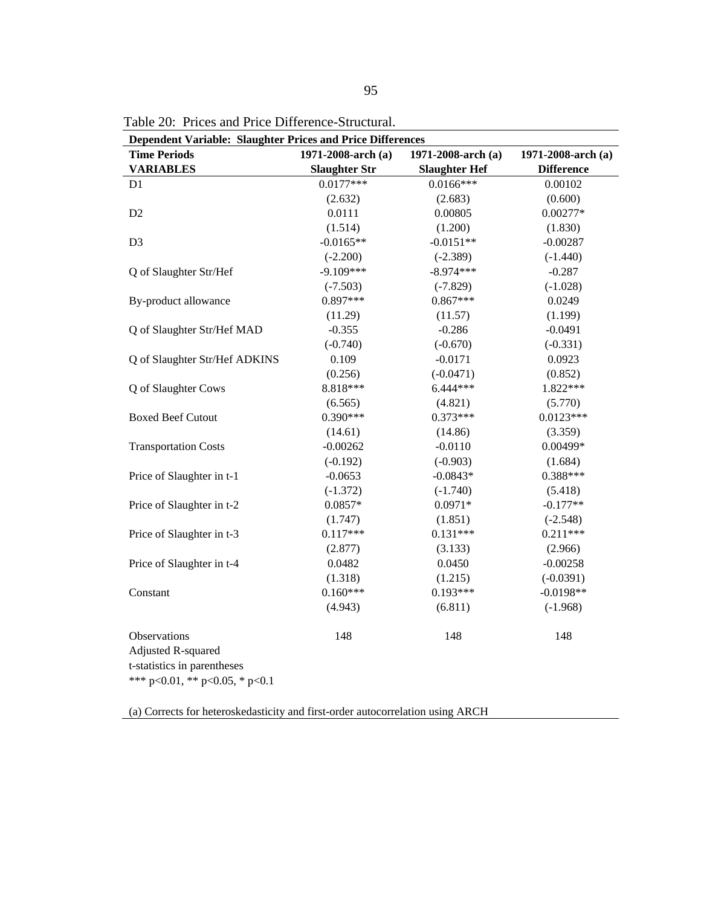|  | Table 20: Prices and Price Difference-Structural. |  |  |
|--|---------------------------------------------------|--|--|
|--|---------------------------------------------------|--|--|

| Dependent Variable: Slaughter Prices and Price Differences                                          |                      |                      |                    |  |
|-----------------------------------------------------------------------------------------------------|----------------------|----------------------|--------------------|--|
| <b>Time Periods</b>                                                                                 | 1971-2008-arch (a)   | 1971-2008-arch (a)   | 1971-2008-arch (a) |  |
| <b>VARIABLES</b>                                                                                    | <b>Slaughter Str</b> | <b>Slaughter Hef</b> | <b>Difference</b>  |  |
| D1                                                                                                  | $0.0177***$          | $0.0166***$          | 0.00102            |  |
|                                                                                                     | (2.632)              | (2.683)              | (0.600)            |  |
| D <sub>2</sub>                                                                                      | 0.0111               | 0.00805              | $0.00277*$         |  |
|                                                                                                     | (1.514)              | (1.200)              | (1.830)            |  |
| D <sub>3</sub>                                                                                      | $-0.0165**$          | $-0.0151**$          | $-0.00287$         |  |
|                                                                                                     | $(-2.200)$           | $(-2.389)$           | $(-1.440)$         |  |
| Q of Slaughter Str/Hef                                                                              | $-9.109***$          | $-8.974***$          | $-0.287$           |  |
|                                                                                                     | $(-7.503)$           | $(-7.829)$           | $(-1.028)$         |  |
| By-product allowance                                                                                | $0.897***$           | $0.867***$           | 0.0249             |  |
|                                                                                                     | (11.29)              | (11.57)              | (1.199)            |  |
| Q of Slaughter Str/Hef MAD                                                                          | $-0.355$             | $-0.286$             | $-0.0491$          |  |
|                                                                                                     | $(-0.740)$           | $(-0.670)$           | $(-0.331)$         |  |
| Q of Slaughter Str/Hef ADKINS                                                                       | 0.109                | $-0.0171$            | 0.0923             |  |
|                                                                                                     | (0.256)              | $(-0.0471)$          | (0.852)            |  |
| Q of Slaughter Cows                                                                                 | 8.818***             | 6.444***             | 1.822***           |  |
|                                                                                                     | (6.565)              | (4.821)              | (5.770)            |  |
| <b>Boxed Beef Cutout</b>                                                                            | $0.390***$           | $0.373***$           | $0.0123***$        |  |
|                                                                                                     | (14.61)              | (14.86)              | (3.359)            |  |
| <b>Transportation Costs</b>                                                                         | $-0.00262$           | $-0.0110$            | $0.00499*$         |  |
|                                                                                                     | $(-0.192)$           | $(-0.903)$           | (1.684)            |  |
| Price of Slaughter in t-1                                                                           | $-0.0653$            | $-0.0843*$           | $0.388***$         |  |
|                                                                                                     | $(-1.372)$           | $(-1.740)$           | (5.418)            |  |
| Price of Slaughter in t-2                                                                           | $0.0857*$            | $0.0971*$            | $-0.177**$         |  |
|                                                                                                     | (1.747)              | (1.851)              | $(-2.548)$         |  |
| Price of Slaughter in t-3                                                                           | $0.117***$           | $0.131***$           | $0.211***$         |  |
|                                                                                                     | (2.877)              | (3.133)              | (2.966)            |  |
| Price of Slaughter in t-4                                                                           | 0.0482               | 0.0450               | $-0.00258$         |  |
|                                                                                                     | (1.318)              | (1.215)              | $(-0.0391)$        |  |
| Constant                                                                                            | $0.160***$           | $0.193***$           | $-0.0198**$        |  |
|                                                                                                     | (4.943)              | (6.811)              | $(-1.968)$         |  |
| Observations<br>Adjusted R-squared<br>t-statistics in parentheses<br>*** p<0.01, ** p<0.05, * p<0.1 | 148                  | 148                  | 148                |  |

(a) Corrects for heteroskedasticity and first-order autocorrelation using ARCH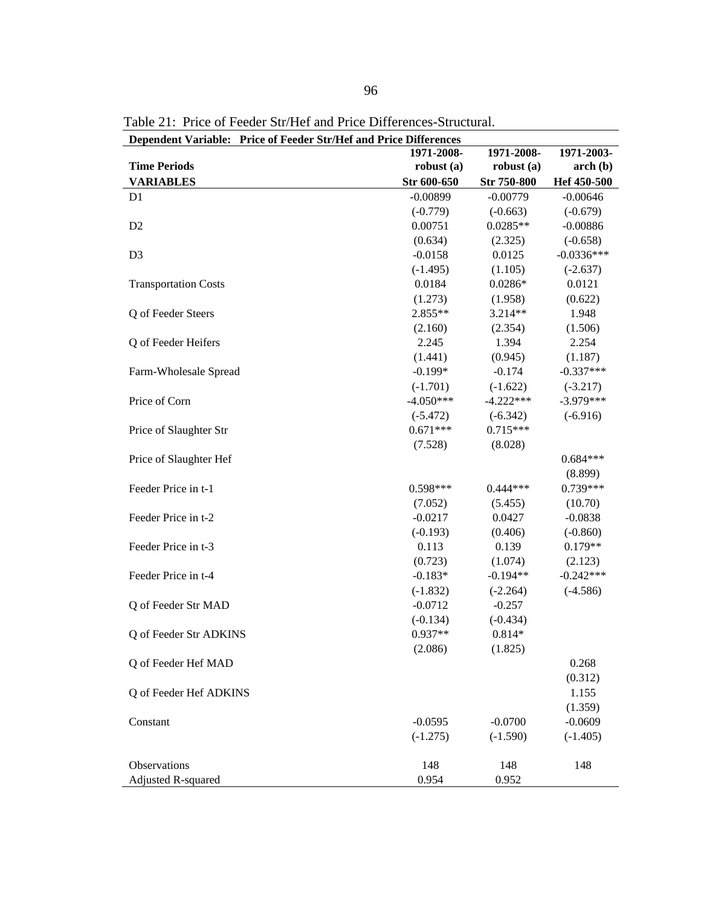| Dependent Variable: Price of Feeder Str/Hef and Price Differences |              |              |              |
|-------------------------------------------------------------------|--------------|--------------|--------------|
|                                                                   | 1971-2008-   | 1971-2008-   | 1971-2003-   |
| <b>Time Periods</b>                                               | robust $(a)$ | robust $(a)$ | $\arch(b)$   |
| <b>VARIABLES</b>                                                  | Str 600-650  | Str 750-800  | Hef 450-500  |
| D <sub>1</sub>                                                    | $-0.00899$   | $-0.00779$   | $-0.00646$   |
|                                                                   | $(-0.779)$   | $(-0.663)$   | $(-0.679)$   |
| D <sub>2</sub>                                                    | 0.00751      | $0.0285**$   | $-0.00886$   |
|                                                                   | (0.634)      | (2.325)      | $(-0.658)$   |
| D <sub>3</sub>                                                    | $-0.0158$    | 0.0125       | $-0.0336***$ |
|                                                                   | $(-1.495)$   | (1.105)      | $(-2.637)$   |
| <b>Transportation Costs</b>                                       | 0.0184       | $0.0286*$    | 0.0121       |
|                                                                   | (1.273)      | (1.958)      | (0.622)      |
| Q of Feeder Steers                                                | 2.855**      | 3.214**      | 1.948        |
|                                                                   | (2.160)      | (2.354)      | (1.506)      |
| Q of Feeder Heifers                                               | 2.245        | 1.394        | 2.254        |
|                                                                   | (1.441)      | (0.945)      | (1.187)      |
| Farm-Wholesale Spread                                             | $-0.199*$    | $-0.174$     | $-0.337***$  |
|                                                                   | $(-1.701)$   | $(-1.622)$   | $(-3.217)$   |
| Price of Corn                                                     | $-4.050***$  | $-4.222***$  | $-3.979***$  |
|                                                                   | $(-5.472)$   | $(-6.342)$   | $(-6.916)$   |
| Price of Slaughter Str                                            | $0.671***$   | $0.715***$   |              |
|                                                                   | (7.528)      | (8.028)      |              |
| Price of Slaughter Hef                                            |              |              | $0.684***$   |
|                                                                   |              |              | (8.899)      |
| Feeder Price in t-1                                               | $0.598***$   | $0.444***$   | $0.739***$   |
|                                                                   | (7.052)      | (5.455)      | (10.70)      |
| Feeder Price in t-2                                               | $-0.0217$    | 0.0427       | $-0.0838$    |
|                                                                   | $(-0.193)$   | (0.406)      | $(-0.860)$   |
| Feeder Price in t-3                                               | 0.113        | 0.139        | $0.179**$    |
|                                                                   | (0.723)      | (1.074)      | (2.123)      |
| Feeder Price in t-4                                               | $-0.183*$    | $-0.194**$   | $-0.242***$  |
|                                                                   | $(-1.832)$   | $(-2.264)$   | $(-4.586)$   |
| Q of Feeder Str MAD                                               | $-0.0712$    | $-0.257$     |              |
|                                                                   | $(-0.134)$   | $(-0.434)$   |              |
| Q of Feeder Str ADKINS                                            | 0.937**      | $0.814*$     |              |
|                                                                   | (2.086)      | (1.825)      |              |
| Q of Feeder Hef MAD                                               |              |              | 0.268        |
|                                                                   |              |              | (0.312)      |
| Q of Feeder Hef ADKINS                                            |              |              | 1.155        |
|                                                                   |              |              | (1.359)      |
| Constant                                                          | $-0.0595$    | $-0.0700$    | $-0.0609$    |
|                                                                   | $(-1.275)$   | $(-1.590)$   | $(-1.405)$   |
|                                                                   |              |              |              |
| Observations                                                      | 148          | 148          | 148          |
| Adjusted R-squared                                                | 0.954        | 0.952        |              |

Table 21: Price of Feeder Str/Hef and Price Differences-Structural.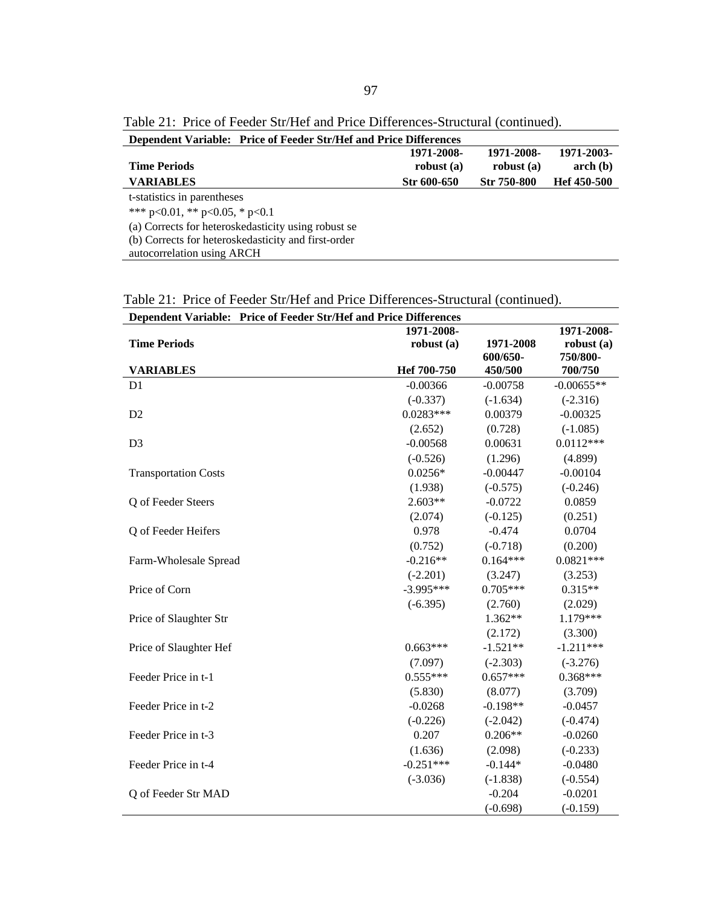Table 21: Price of Feeder Str/Hef and Price Differences-Structural (continued).

| <b>Dependent Variable: Price of Feeder Str/Hef and Price Differences</b> |              |                    |             |
|--------------------------------------------------------------------------|--------------|--------------------|-------------|
|                                                                          | 1971-2008-   | 1971-2008-         | 1971-2003-  |
| <b>Time Periods</b>                                                      | robust $(a)$ | robust $(a)$       | $\arch(b)$  |
| <b>VARIABLES</b>                                                         | Str 600-650  | <b>Str 750-800</b> | Hef 450-500 |
| t-statistics in parentheses                                              |              |                    |             |
| *** $p<0.01$ , ** $p<0.05$ , * $p<0.1$                                   |              |                    |             |
| (a) Corrects for heteroskedasticity using robust se                      |              |                    |             |
| (b) Corrects for heteroskedasticity and first-order                      |              |                    |             |
| autocorrelation using ARCH                                               |              |                    |             |

Table 21: Price of Feeder Str/Hef and Price Differences-Structural (continued).

| Dependent Variable: Price of Feeder Str/Hef and Price Differences |              |            |              |
|-------------------------------------------------------------------|--------------|------------|--------------|
|                                                                   | 1971-2008-   |            | 1971-2008-   |
| <b>Time Periods</b>                                               | robust $(a)$ | 1971-2008  | robust $(a)$ |
|                                                                   |              | 600/650-   | 750/800-     |
| <b>VARIABLES</b>                                                  | Hef 700-750  | 450/500    | 700/750      |
| D <sub>1</sub>                                                    | $-0.00366$   | $-0.00758$ | $-0.00655**$ |
|                                                                   | $(-0.337)$   | $(-1.634)$ | $(-2.316)$   |
| D2                                                                | $0.0283***$  | 0.00379    | $-0.00325$   |
|                                                                   | (2.652)      | (0.728)    | $(-1.085)$   |
| D <sub>3</sub>                                                    | $-0.00568$   | 0.00631    | $0.0112***$  |
|                                                                   | $(-0.526)$   | (1.296)    | (4.899)      |
| <b>Transportation Costs</b>                                       | $0.0256*$    | $-0.00447$ | $-0.00104$   |
|                                                                   | (1.938)      | $(-0.575)$ | $(-0.246)$   |
| Q of Feeder Steers                                                | $2.603**$    | $-0.0722$  | 0.0859       |
|                                                                   | (2.074)      | $(-0.125)$ | (0.251)      |
| Q of Feeder Heifers                                               | 0.978        | $-0.474$   | 0.0704       |
|                                                                   | (0.752)      | $(-0.718)$ | (0.200)      |
| Farm-Wholesale Spread                                             | $-0.216**$   | $0.164***$ | $0.0821***$  |
|                                                                   | $(-2.201)$   | (3.247)    | (3.253)      |
| Price of Corn                                                     | $-3.995***$  | $0.705***$ | $0.315**$    |
|                                                                   | $(-6.395)$   | (2.760)    | (2.029)      |
| Price of Slaughter Str                                            |              | $1.362**$  | 1.179***     |
|                                                                   |              | (2.172)    | (3.300)      |
| Price of Slaughter Hef                                            | $0.663***$   | $-1.521**$ | $-1.211***$  |
|                                                                   | (7.097)      | $(-2.303)$ | $(-3.276)$   |
| Feeder Price in t-1                                               | $0.555***$   | $0.657***$ | $0.368***$   |
|                                                                   | (5.830)      | (8.077)    | (3.709)      |
| Feeder Price in t-2                                               | $-0.0268$    | $-0.198**$ | $-0.0457$    |
|                                                                   | $(-0.226)$   | $(-2.042)$ | $(-0.474)$   |
| Feeder Price in t-3                                               | 0.207        | $0.206**$  | $-0.0260$    |
|                                                                   | (1.636)      | (2.098)    | $(-0.233)$   |
| Feeder Price in t-4                                               | $-0.251***$  | $-0.144*$  | $-0.0480$    |
|                                                                   | $(-3.036)$   | $(-1.838)$ | $(-0.554)$   |
| Q of Feeder Str MAD                                               |              | $-0.204$   | $-0.0201$    |
|                                                                   |              | $(-0.698)$ | $(-0.159)$   |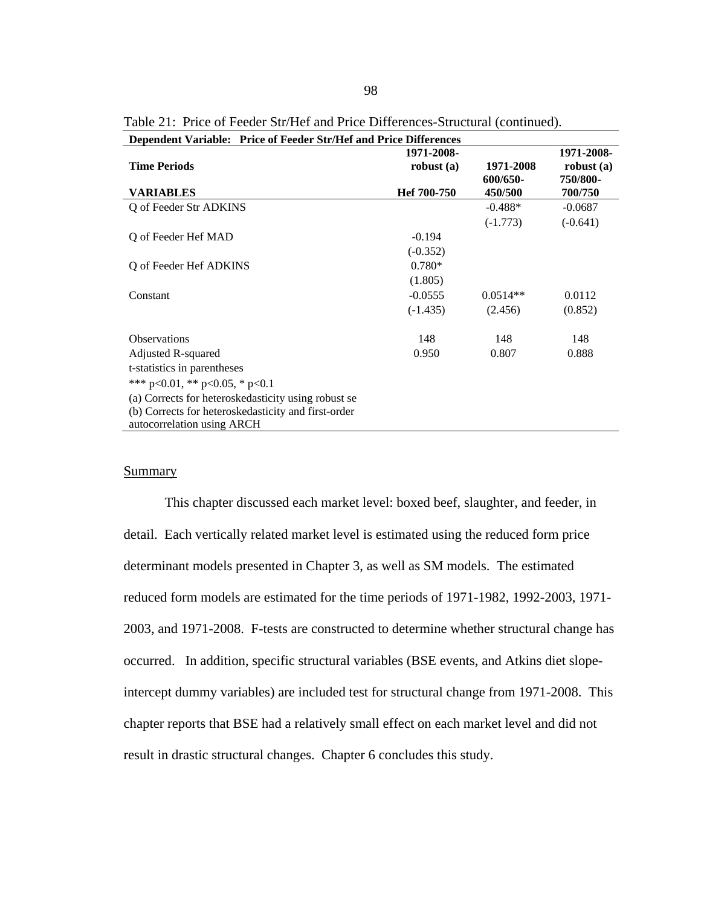| Dependent Variable: Price of Feeder Str/Hef and Price Differences |              |            |              |
|-------------------------------------------------------------------|--------------|------------|--------------|
|                                                                   | 1971-2008-   |            | 1971-2008-   |
| <b>Time Periods</b>                                               | robust $(a)$ | 1971-2008  | robust $(a)$ |
|                                                                   |              | 600/650-   | 750/800-     |
| <b>VARIABLES</b>                                                  | Hef 700-750  | 450/500    | 700/750      |
| Q of Feeder Str ADKINS                                            |              | $-0.488*$  | $-0.0687$    |
|                                                                   |              | $(-1.773)$ | $(-0.641)$   |
| Q of Feeder Hef MAD                                               | $-0.194$     |            |              |
|                                                                   | $(-0.352)$   |            |              |
| Q of Feeder Hef ADKINS                                            | $0.780*$     |            |              |
|                                                                   | (1.805)      |            |              |
| Constant                                                          | $-0.0555$    | $0.0514**$ | 0.0112       |
|                                                                   | $(-1.435)$   | (2.456)    | (0.852)      |
| <b>Observations</b>                                               | 148          | 148        | 148          |
| Adjusted R-squared                                                | 0.950        | 0.807      | 0.888        |
| t-statistics in parentheses                                       |              |            |              |
| *** $p<0.01$ , ** $p<0.05$ , * $p<0.1$                            |              |            |              |
| (a) Corrects for heteroskedasticity using robust se               |              |            |              |
| (b) Corrects for heteroskedasticity and first-order               |              |            |              |
| autocorrelation using ARCH                                        |              |            |              |
|                                                                   |              |            |              |

Table 21: Price of Feeder Str/Hef and Price Differences-Structural (continued).

# **Summary**

 This chapter discussed each market level: boxed beef, slaughter, and feeder, in detail. Each vertically related market level is estimated using the reduced form price determinant models presented in Chapter 3, as well as SM models. The estimated reduced form models are estimated for the time periods of 1971-1982, 1992-2003, 1971- 2003, and 1971-2008. F-tests are constructed to determine whether structural change has occurred. In addition, specific structural variables (BSE events, and Atkins diet slopeintercept dummy variables) are included test for structural change from 1971-2008. This chapter reports that BSE had a relatively small effect on each market level and did not result in drastic structural changes. Chapter 6 concludes this study.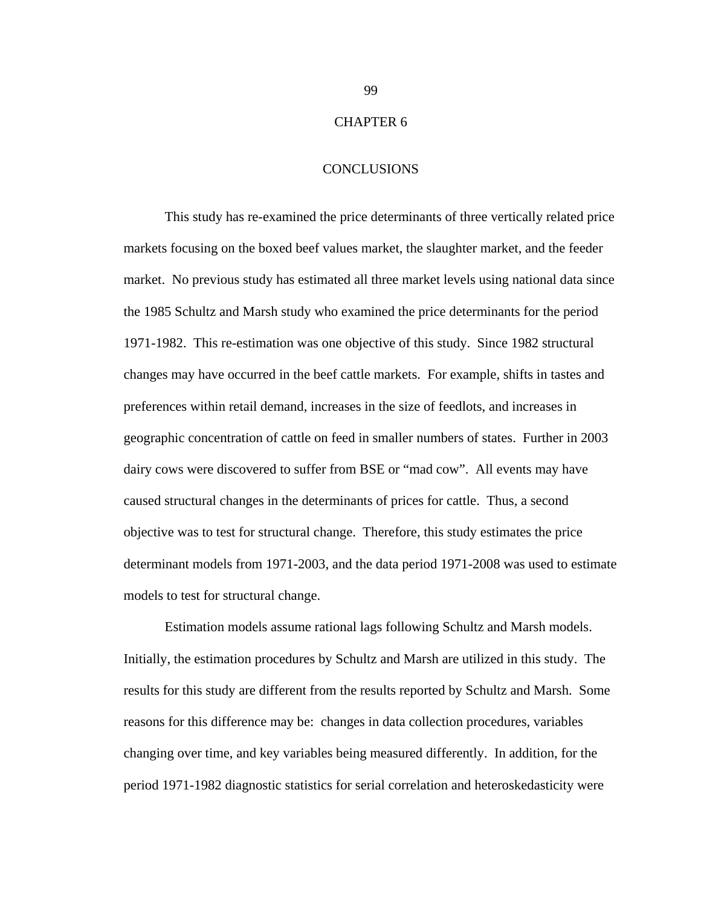# CHAPTER 6

### **CONCLUSIONS**

 This study has re-examined the price determinants of three vertically related price markets focusing on the boxed beef values market, the slaughter market, and the feeder market. No previous study has estimated all three market levels using national data since the 1985 Schultz and Marsh study who examined the price determinants for the period 1971-1982. This re-estimation was one objective of this study. Since 1982 structural changes may have occurred in the beef cattle markets. For example, shifts in tastes and preferences within retail demand, increases in the size of feedlots, and increases in geographic concentration of cattle on feed in smaller numbers of states. Further in 2003 dairy cows were discovered to suffer from BSE or "mad cow". All events may have caused structural changes in the determinants of prices for cattle. Thus, a second objective was to test for structural change. Therefore, this study estimates the price determinant models from 1971-2003, and the data period 1971-2008 was used to estimate models to test for structural change.

 Estimation models assume rational lags following Schultz and Marsh models. Initially, the estimation procedures by Schultz and Marsh are utilized in this study. The results for this study are different from the results reported by Schultz and Marsh. Some reasons for this difference may be: changes in data collection procedures, variables changing over time, and key variables being measured differently. In addition, for the period 1971-1982 diagnostic statistics for serial correlation and heteroskedasticity were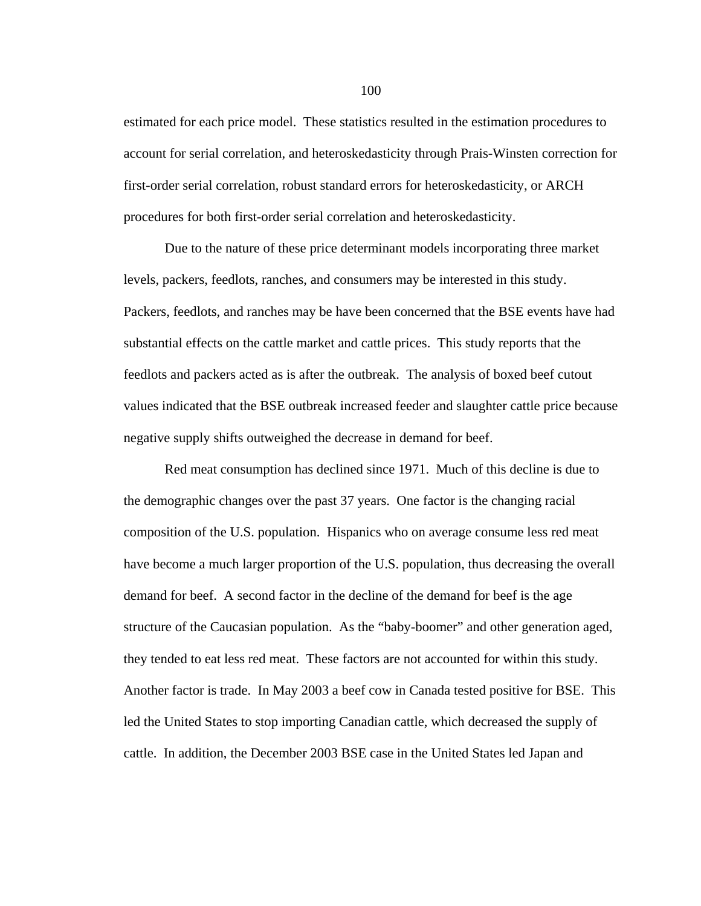estimated for each price model. These statistics resulted in the estimation procedures to account for serial correlation, and heteroskedasticity through Prais-Winsten correction for first-order serial correlation, robust standard errors for heteroskedasticity, or ARCH procedures for both first-order serial correlation and heteroskedasticity.

Due to the nature of these price determinant models incorporating three market levels, packers, feedlots, ranches, and consumers may be interested in this study. Packers, feedlots, and ranches may be have been concerned that the BSE events have had substantial effects on the cattle market and cattle prices. This study reports that the feedlots and packers acted as is after the outbreak. The analysis of boxed beef cutout values indicated that the BSE outbreak increased feeder and slaughter cattle price because negative supply shifts outweighed the decrease in demand for beef.

Red meat consumption has declined since 1971. Much of this decline is due to the demographic changes over the past 37 years. One factor is the changing racial composition of the U.S. population. Hispanics who on average consume less red meat have become a much larger proportion of the U.S. population, thus decreasing the overall demand for beef. A second factor in the decline of the demand for beef is the age structure of the Caucasian population. As the "baby-boomer" and other generation aged, they tended to eat less red meat. These factors are not accounted for within this study. Another factor is trade. In May 2003 a beef cow in Canada tested positive for BSE. This led the United States to stop importing Canadian cattle, which decreased the supply of cattle. In addition, the December 2003 BSE case in the United States led Japan and

100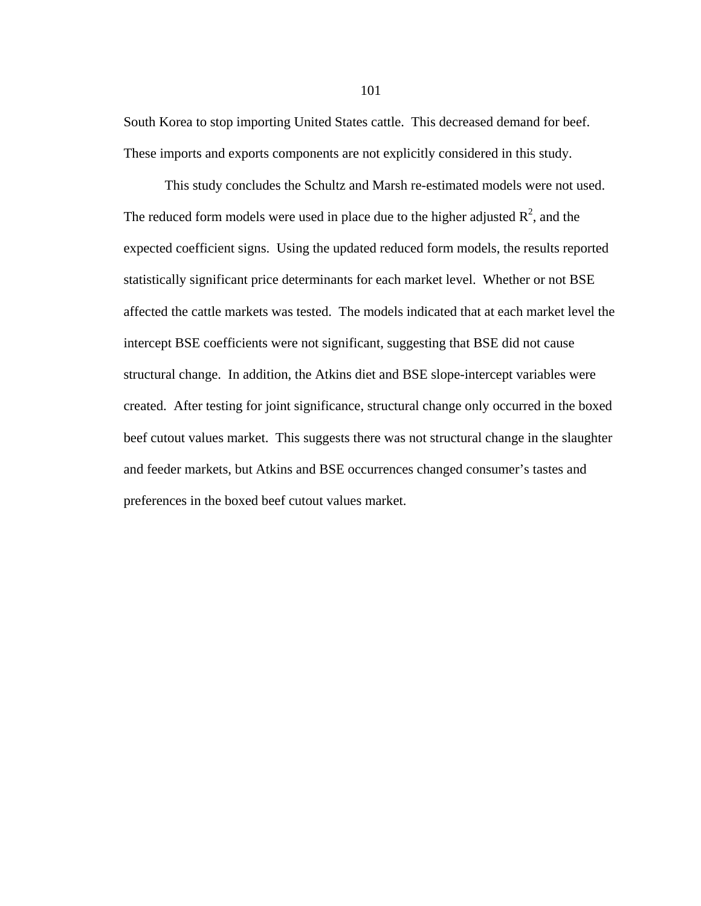South Korea to stop importing United States cattle. This decreased demand for beef. These imports and exports components are not explicitly considered in this study.

This study concludes the Schultz and Marsh re-estimated models were not used. The reduced form models were used in place due to the higher adjusted  $R^2$ , and the expected coefficient signs. Using the updated reduced form models, the results reported statistically significant price determinants for each market level. Whether or not BSE affected the cattle markets was tested. The models indicated that at each market level the intercept BSE coefficients were not significant, suggesting that BSE did not cause structural change. In addition, the Atkins diet and BSE slope-intercept variables were created. After testing for joint significance, structural change only occurred in the boxed beef cutout values market. This suggests there was not structural change in the slaughter and feeder markets, but Atkins and BSE occurrences changed consumer's tastes and preferences in the boxed beef cutout values market.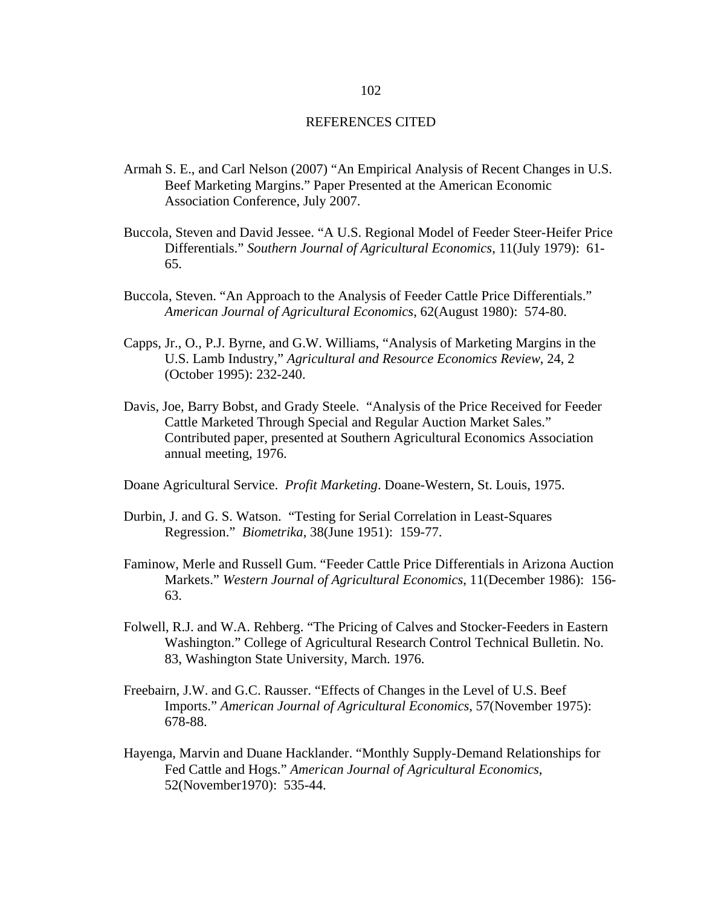## REFERENCES CITED

- Armah S. E., and Carl Nelson (2007) "An Empirical Analysis of Recent Changes in U.S. Beef Marketing Margins." Paper Presented at the American Economic Association Conference, July 2007.
- Buccola, Steven and David Jessee. "A U.S. Regional Model of Feeder Steer-Heifer Price Differentials." *Southern Journal of Agricultural Economics*, 11(July 1979): 61- 65.
- Buccola, Steven. "An Approach to the Analysis of Feeder Cattle Price Differentials." *American Journal of Agricultural Economics*, 62(August 1980): 574-80.
- Capps, Jr., O., P.J. Byrne, and G.W. Williams, "Analysis of Marketing Margins in the U.S. Lamb Industry," *Agricultural and Resource Economics Review*, 24, 2 (October 1995): 232-240.
- Davis, Joe, Barry Bobst, and Grady Steele. "Analysis of the Price Received for Feeder Cattle Marketed Through Special and Regular Auction Market Sales." Contributed paper, presented at Southern Agricultural Economics Association annual meeting, 1976.
- Doane Agricultural Service. *Profit Marketing*. Doane-Western, St. Louis, 1975.
- Durbin, J. and G. S. Watson. "Testing for Serial Correlation in Least-Squares Regression." *Biometrika*, 38(June 1951): 159-77.
- Faminow, Merle and Russell Gum. "Feeder Cattle Price Differentials in Arizona Auction Markets." *Western Journal of Agricultural Economics*, 11(December 1986): 156- 63.
- Folwell, R.J. and W.A. Rehberg. "The Pricing of Calves and Stocker-Feeders in Eastern Washington." College of Agricultural Research Control Technical Bulletin. No. 83, Washington State University, March. 1976.
- Freebairn, J.W. and G.C. Rausser. "Effects of Changes in the Level of U.S. Beef Imports." *American Journal of Agricultural Economics*, 57(November 1975): 678-88.
- Hayenga, Marvin and Duane Hacklander. "Monthly Supply-Demand Relationships for Fed Cattle and Hogs." *American Journal of Agricultural Economics*, 52(November1970): 535-44.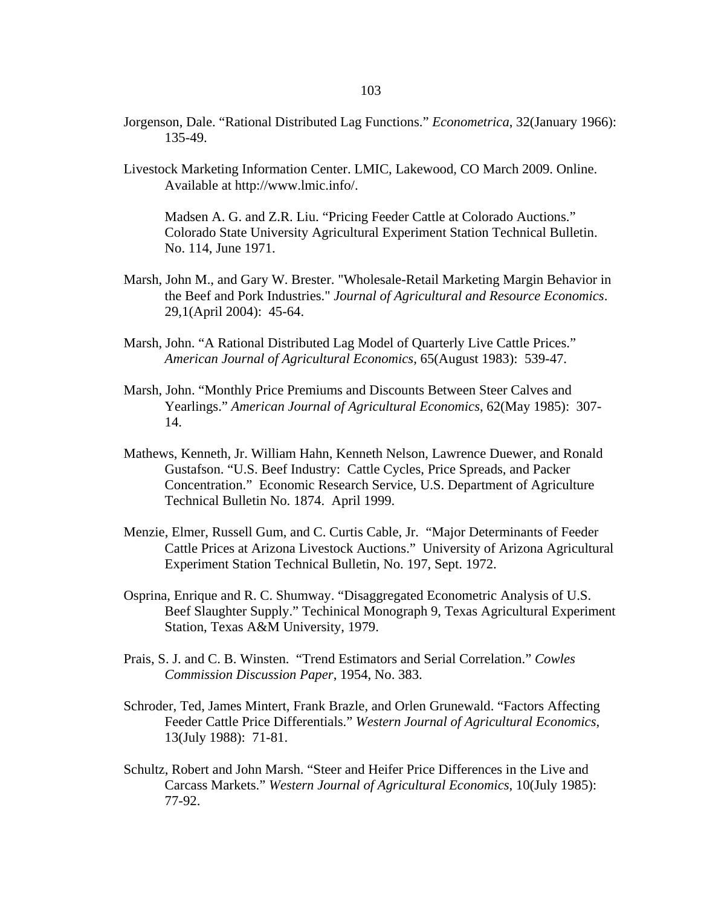- Jorgenson, Dale. "Rational Distributed Lag Functions." *Econometrica*, 32(January 1966): 135-49.
- Livestock Marketing Information Center. LMIC, Lakewood, CO March 2009. Online. Available at http://www.lmic.info/.

Madsen A. G. and Z.R. Liu. "Pricing Feeder Cattle at Colorado Auctions." Colorado State University Agricultural Experiment Station Technical Bulletin. No. 114, June 1971.

- Marsh, John M., and Gary W. Brester. "Wholesale-Retail Marketing Margin Behavior in the Beef and Pork Industries." *Journal of Agricultural and Resource Economics*. 29,1(April 2004): 45-64.
- Marsh, John. "A Rational Distributed Lag Model of Quarterly Live Cattle Prices." *American Journal of Agricultural Economics*, 65(August 1983): 539-47.
- Marsh, John. "Monthly Price Premiums and Discounts Between Steer Calves and Yearlings." *American Journal of Agricultural Economics*, 62(May 1985): 307- 14.
- Mathews, Kenneth, Jr. William Hahn, Kenneth Nelson, Lawrence Duewer, and Ronald Gustafson. "U.S. Beef Industry: Cattle Cycles, Price Spreads, and Packer Concentration." Economic Research Service, U.S. Department of Agriculture Technical Bulletin No. 1874. April 1999.
- Menzie, Elmer, Russell Gum, and C. Curtis Cable, Jr. "Major Determinants of Feeder Cattle Prices at Arizona Livestock Auctions." University of Arizona Agricultural Experiment Station Technical Bulletin, No. 197, Sept. 1972.
- Osprina, Enrique and R. C. Shumway. "Disaggregated Econometric Analysis of U.S. Beef Slaughter Supply." Techinical Monograph 9, Texas Agricultural Experiment Station, Texas A&M University, 1979.
- Prais, S. J. and C. B. Winsten. "Trend Estimators and Serial Correlation." *Cowles Commission Discussion Paper*, 1954, No. 383.
- Schroder, Ted, James Mintert, Frank Brazle, and Orlen Grunewald. "Factors Affecting Feeder Cattle Price Differentials." *Western Journal of Agricultural Economics*, 13(July 1988): 71-81.
- Schultz, Robert and John Marsh. "Steer and Heifer Price Differences in the Live and Carcass Markets." *Western Journal of Agricultural Economics*, 10(July 1985): 77-92.